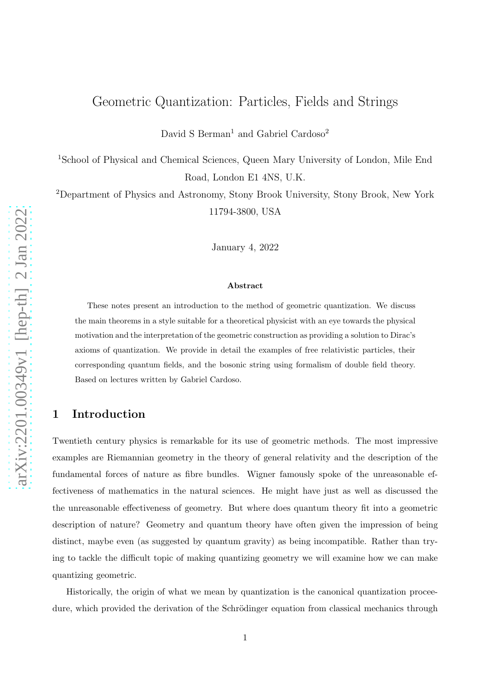# Geometric Quantization: Particles, Fields and Strings

David S Berman<sup>1</sup> and Gabriel Cardoso<sup>2</sup>

<sup>1</sup>School of Physical and Chemical Sciences, Queen Mary University of London, Mile End Road, London E1 4NS, U.K.

<sup>2</sup>Department of Physics and Astronomy, Stony Brook University, Stony Brook, New York 11794-3800, USA

January 4, 2022

#### Abstract

These notes present an introduction to the method of geometric quantization. We discuss the main theorems in a style suitable for a theoretical physicist with an eye towards the physical motivation and the interpretation of the geometric construction as providing a solution to Dirac's axioms of quantization. We provide in detail the examples of free relativistic particles, their corresponding quantum fields, and the bosonic string using formalism of double field theory. Based on lectures written by Gabriel Cardoso.

# 1 Introduction

Twentieth century physics is remarkable for its use of geometric methods. The most impressive examples are Riemannian geometry in the theory of general relativity and the description of the fundamental forces of nature as fibre bundles. Wigner famously spoke of the unreasonable effectiveness of mathematics in the natural sciences. He might have just as well as discussed the the unreasonable effectiveness of geometry. But where does quantum theory fit into a geometric description of nature? Geometry and quantum theory have often given the impression of being distinct, maybe even (as suggested by quantum gravity) as being incompatible. Rather than trying to tackle the difficult topic of making quantizing geometry we will examine how we can make quantizing geometric.

Historically, the origin of what we mean by quantization is the canonical quantization proceedure, which provided the derivation of the Schrödinger equation from classical mechanics through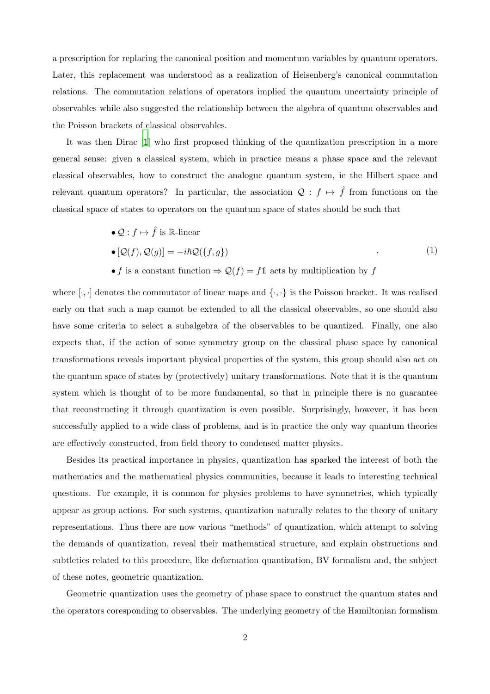a prescription for replacing the canonical position and momentum variables by quantum operators. Later, this replacement was understood as a realization of Heisenberg's canonical commutation relations. The commutation relations of operators implied the quantum uncertainty principle of observables while also suggested the relationship between the algebra of quantum observables and the Poisson brackets of classical observables.

It was then Dirac [\[1\]](#page-96-0) who first proposed thinking of the quantization prescription in a more general sense: given a classical system, which in practice means a phase space and the relevant classical observables, how to construct the analogue quantum system, ie the Hilbert space and relevant quantum operators? In particular, the association  $\mathcal{Q} : f \mapsto \hat{f}$  from functions on the classical space of states to operators on the quantum space of states should be such that

$$
\bullet \mathcal{Q}: f \mapsto \hat{f} \text{ is } \mathbb{R}\text{-linear}
$$
  

$$
\bullet [\mathcal{Q}(f), \mathcal{Q}(g)] = -i\hbar \mathcal{Q}(\lbrace f, g \rbrace)
$$
 (1)

• f is a constant function  $\Rightarrow$   $\mathcal{Q}(f) = f\mathbb{1}$  acts by multiplication by f

where  $[\cdot,\cdot]$  denotes the commutator of linear maps and  $\{\cdot,\cdot\}$  is the Poisson bracket. It was realised early on that such a map cannot be extended to all the classical observables, so one should also have some criteria to select a subalgebra of the observables to be quantized. Finally, one also expects that, if the action of some symmetry group on the classical phase space by canonical transformations reveals important physical properties of the system, this group should also act on the quantum space of states by (protectively) unitary transformations. Note that it is the quantum system which is thought of to be more fundamental, so that in principle there is no guarantee that reconstructing it through quantization is even possible. Surprisingly, however, it has been successfully applied to a wide class of problems, and is in practice the only way quantum theories are effectively constructed, from field theory to condensed matter physics.

Besides its practical importance in physics, quantization has sparked the interest of both the mathematics and the mathematical physics communities, because it leads to interesting technical questions. For example, it is common for physics problems to have symmetries, which typically appear as group actions. For such systems, quantization naturally relates to the theory of unitary representations. Thus there are now various "methods" of quantization, which attempt to solving the demands of quantization, reveal their mathematical structure, and explain obstructions and subtleties related to this procedure, like deformation quantization, BV formalism and, the subject of these notes, geometric quantization.

Geometric quantization uses the geometry of phase space to construct the quantum states and the operators coresponding to observables. The underlying geometry of the Hamiltonian formalism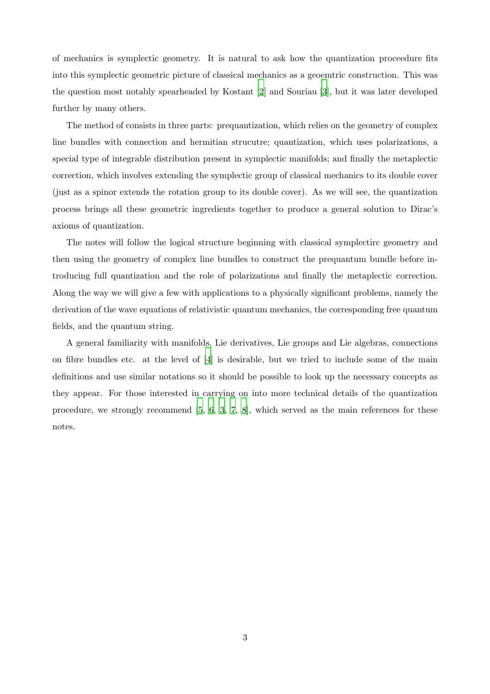of mechanics is symplectic geometry. It is natural to ask how the quantization proceedure fits into this symplectic geometric picture of classical mechanics as a geoemtric construction. This was the question most notably spearheaded by Kostant [\[2](#page-96-1)] and Souriau [\[3](#page-96-2)], but it was later developed further by many others.

The method of consists in three parts: prequantization, which relies on the geometry of complex line bundles with connection and hermitian strucutre; quantization, which uses polarizations, a special type of integrable distribution present in symplectic manifolds; and finally the metaplectic correction, which involves extending the symplectic group of classical mechanics to its double cover (just as a spinor extends the rotation group to its double cover). As we will see, the quantization process brings all these geometric ingredients together to produce a general solution to Dirac's axioms of quantization.

The notes will follow the logical structure beginning with classical symplectirc geometry and then using the geometry of complex line bundles to construct the prequantum bundle before introducing full quantization and the role of polarizations and finally the metaplectic correction. Along the way we will give a few with applications to a physically significant problems, namely the derivation of the wave equations of relativistic quantum mechanics, the corresponding free quantum fields, and the quantum string.

A general familiarity with manifolds, Lie derivatives, Lie groups and Lie algebras, connections on fibre bundles etc. at the level of [\[4\]](#page-96-3) is desirable, but we tried to include some of the main definitions and use similar notations so it should be possible to look up the necessary concepts as they appear. For those interested in carrying on into more technical details of the quantization procedure, we strongly recommend [\[5](#page-96-4), [6](#page-96-5), [3,](#page-96-2) [7,](#page-96-6) [8](#page-96-7)], which served as the main references for these notes.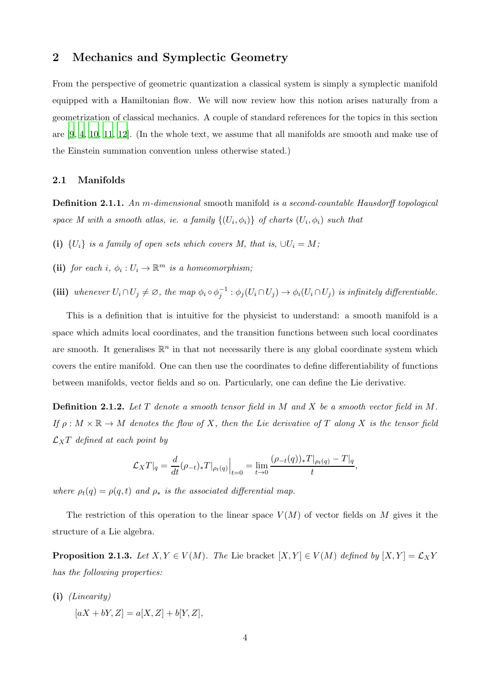# 2 Mechanics and Symplectic Geometry

From the perspective of geometric quantization a classical system is simply a symplectic manifold equipped with a Hamiltonian flow. We will now review how this notion arises naturally from a geometrization of classical mechanics. A couple of standard references for the topics in this section are [\[9](#page-96-8), [4](#page-96-3), [10](#page-96-9), [11,](#page-96-10) [12](#page-96-11)]. (In the whole text, we assume that all manifolds are smooth and make use of the Einstein summation convention unless otherwise stated.)

### 2.1 Manifolds

**Definition 2.1.1.** An m-dimensional smooth manifold is a second-countable Hausdorff topological space M with a smooth atlas, ie. a family  $\{(U_i, \phi_i)\}\$  of charts  $(U_i, \phi_i)\$  such that

- (i)  $\{U_i\}$  is a family of open sets which covers M, that is,  $\bigcup U_i = M;$
- (ii) for each  $i, \phi_i : U_i \to \mathbb{R}^m$  is a homeomorphism;
- (iii) whenever  $U_i \cap U_j \neq \emptyset$ , the map  $\phi_i \circ \phi_j^{-1} : \phi_j(U_i \cap U_j) \to \phi_i(U_i \cap U_j)$  is infinitely differentiable.

This is a definition that is intuitive for the physicist to understand: a smooth manifold is a space which admits local coordinates, and the transition functions between such local coordinates are smooth. It generalises  $\mathbb{R}^n$  in that not necessarily there is any global coordinate system which covers the entire manifold. One can then use the coordinates to define differentiability of functions between manifolds, vector fields and so on. Particularly, one can define the Lie derivative.

<span id="page-3-0"></span>**Definition 2.1.2.** Let T denote a smooth tensor field in M and X be a smooth vector field in M. If  $\rho: M \times \mathbb{R} \to M$  denotes the flow of X, then the Lie derivative of T along X is the tensor field  $\mathcal{L}_X T$  defined at each point by

$$
\mathcal{L}_X T|_q = \frac{d}{dt} (\rho_{-t})_* T|_{\rho_t(q)} \Big|_{t=0} = \lim_{t \to 0} \frac{(\rho_{-t}(q))_* T|_{\rho_t(q)} - T|_q}{t},
$$

where  $\rho_t(q) = \rho(q, t)$  and  $\rho_*$  is the associated differential map.

The restriction of this operation to the linear space  $V(M)$  of vector fields on M gives it the structure of a Lie algebra.

<span id="page-3-1"></span>**Proposition 2.1.3.** Let  $X, Y \in V(M)$ . The Lie bracket  $[X, Y] \in V(M)$  defined by  $[X, Y] = \mathcal{L}_X Y$ has the following properties:

(i) (Linearity)  $[aX + bY, Z] = a[X, Z] + b[Y, Z],$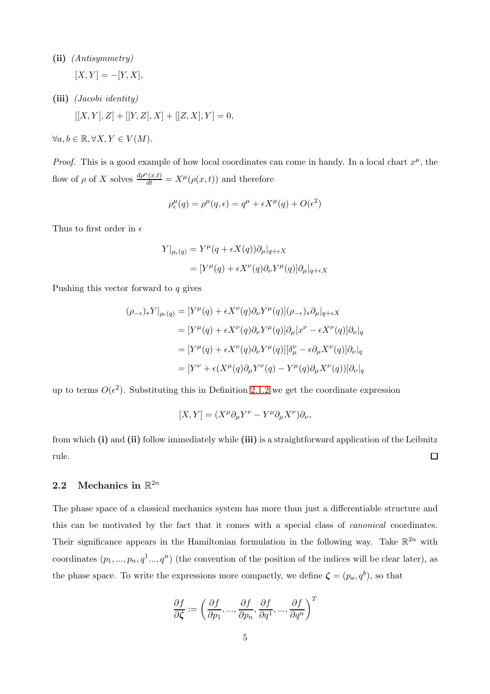- (ii) (Antisymmetry)  $[X, Y] = -[Y, X],$
- (iii) (Jacobi identity)  $[[X, Y], Z] + [[Y, Z], X] + [[Z, X], Y] = 0,$

 $\forall a, b \in \mathbb{R}, \forall X, Y \in V(M).$ 

*Proof.* This is a good example of how local coordinates can come in handy. In a local chart  $x^{\mu}$ , the flow of  $\rho$  of X solves  $\frac{d\rho^{\mu}(x,t)}{dt} = X^{\mu}(\rho(x,t))$  and therefore

$$
\rho_{\epsilon}^{\mu}(q) = \rho^{\mu}(q,\epsilon) = q^{\mu} + \epsilon X^{\mu}(q) + O(\epsilon^2)
$$

Thus to first order in  $\epsilon$ 

$$
Y|_{\rho_{\epsilon}(q)} = Y^{\mu}(q + \epsilon X(q))\partial_{\mu}|_{q+\epsilon X}
$$
  
= 
$$
[Y^{\mu}(q) + \epsilon X^{\nu}(q)\partial_{\nu}Y^{\mu}(q)]\partial_{\mu}|_{q+\epsilon X}
$$

Pushing this vector forward to q gives

$$
(\rho_{-\epsilon})_*Y|_{\rho_{\epsilon}(q)} = [Y^{\mu}(q) + \epsilon X^{\nu}(q)\partial_{\nu}Y^{\mu}(q)](\rho_{-\epsilon})_*\partial_{\mu}|_{q+\epsilon X}
$$
  
\n
$$
= [Y^{\mu}(q) + \epsilon X^{\nu}(q)\partial_{\nu}Y^{\mu}(q)]\partial_{\mu}[x^{\nu} - \epsilon X^{\nu}(q)]\partial_{\nu}|_{q}
$$
  
\n
$$
= [Y^{\mu}(q) + \epsilon X^{\nu}(q)\partial_{\nu}Y^{\mu}(q)][\delta^{\nu}_{\mu} - \epsilon \partial_{\mu}X^{\nu}(q)]\partial_{\nu}|_{q}
$$
  
\n
$$
= [Y^{\nu} + \epsilon(X^{\mu}(q)\partial_{\mu}Y^{\nu}(q) - Y^{\mu}(q)\partial_{\mu}X^{\nu}(q))] \partial_{\nu}|_{q}
$$

up to terms  $O(\epsilon^2)$ . Substituting this in Definition [2.1.2](#page-3-0) we get the coordinate expression

$$
[X,Y]=(X^\mu\partial_\mu Y^\nu-Y^\mu\partial_\mu X^\nu)\partial_\nu,
$$

<span id="page-4-0"></span>from which (i) and (ii) follow immediately while (iii) is a straightforward application of the Leibnitz rule.  $\Box$ 

# 2.2 Mechanics in  $\mathbb{R}^{2n}$

The phase space of a classical mechanics system has more than just a differentiable structure and this can be motivated by the fact that it comes with a special class of canonical coordinates. Their significance appears in the Hamiltonian formulation in the following way. Take  $\mathbb{R}^{2n}$  with coordinates  $(p_1, ..., p_n, q^1, q^n)$  (the convention of the position of the indices will be clear later), as the phase space. To write the expressions more compactly, we define  $\zeta = (p_a, q^b)$ , so that

$$
\frac{\partial f}{\partial \boldsymbol{\zeta}}:=\left(\frac{\partial f}{\partial p_1},...,\frac{\partial f}{\partial p_n},\frac{\partial f}{\partial q^1},...,\frac{\partial f}{\partial q^n}\right)^T
$$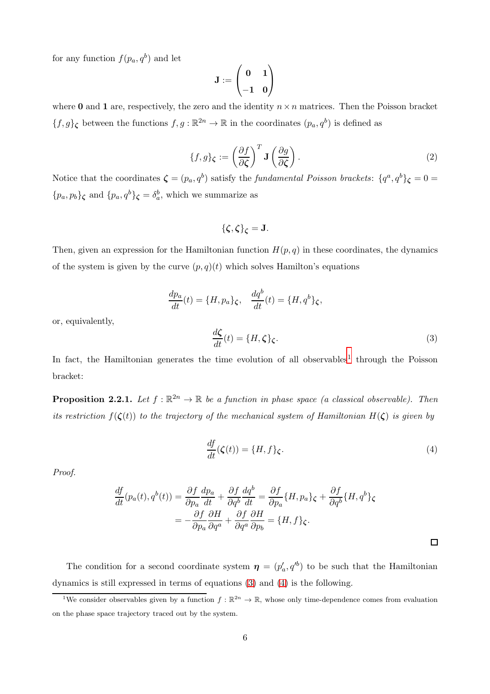for any function  $f(p_a, q^b)$  and let

$$
\mathbf{J} := \begin{pmatrix} 0 & 1 \\ -1 & 0 \end{pmatrix}
$$

where 0 and 1 are, respectively, the zero and the identity  $n \times n$  matrices. Then the Poisson bracket  $\{f,g\}_{\zeta}$  between the functions  $f,g:\mathbb{R}^{2n}\to\mathbb{R}$  in the coordinates  $(p_a, q^b)$  is defined as

<span id="page-5-3"></span>
$$
\{f,g\}_{\zeta} := \left(\frac{\partial f}{\partial \zeta}\right)^T \mathbf{J} \left(\frac{\partial g}{\partial \zeta}\right). \tag{2}
$$

Notice that the coordinates  $\zeta = (p_a, q^b)$  satisfy the *fundamental Poisson brackets*:  $\{q^a, q^b\}_{\zeta} = 0$  =  $\{p_a, p_b\}$ <sub> $\zeta$ </sub> and  $\{p_a, q^b\}$ <sub> $\zeta$ </sub> =  $\delta_a^b$ , which we summarize as

$$
\{\zeta,\zeta\}_{\zeta}=J.
$$

Then, given an expression for the Hamiltonian function  $H(p, q)$  in these coordinates, the dynamics of the system is given by the curve  $(p, q)(t)$  which solves Hamilton's equations

$$
\frac{dp_a}{dt}(t) = \{H, p_a\}_{\zeta}, \quad \frac{dq^b}{dt}(t) = \{H, q^b\}_{\zeta},
$$

or, equivalently,

<span id="page-5-1"></span>
$$
\frac{d\zeta}{dt}(t) = \{H, \zeta\}_{\zeta}.\tag{3}
$$

In fact, the Hamiltonian generates the time evolution of all observables<sup>[1](#page-5-0)</sup> through the Poisson bracket:

**Proposition 2.2.1.** Let  $f : \mathbb{R}^{2n} \to \mathbb{R}$  be a function in phase space (a classical observable). Then its restriction  $f(\zeta(t))$  to the trajectory of the mechanical system of Hamiltonian  $H(\zeta)$  is given by

<span id="page-5-2"></span>
$$
\frac{df}{dt}(\zeta(t)) = \{H, f\}_{\zeta}.\tag{4}
$$

Proof.

$$
\frac{df}{dt}(p_a(t), q^b(t)) = \frac{\partial f}{\partial p_a} \frac{dp_a}{dt} + \frac{\partial f}{\partial q^b} \frac{dq^b}{dt} = \frac{\partial f}{\partial p_a} \{H, p_a\}_{\zeta} + \frac{\partial f}{\partial q^b} \{H, q^b\}_{\zeta}
$$
\n
$$
= -\frac{\partial f}{\partial p_a} \frac{\partial H}{\partial q^a} + \frac{\partial f}{\partial q^a} \frac{\partial H}{\partial p_b} = \{H, f\}_{\zeta}.
$$

The condition for a second coordinate system  $\eta = (p'_a, q'^b)$  to be such that the Hamiltonian dynamics is still expressed in terms of equations [\(3\)](#page-5-1) and [\(4\)](#page-5-2) is the following.

<span id="page-5-0"></span><sup>&</sup>lt;sup>1</sup>We consider observables given by a function  $f : \mathbb{R}^{2n} \to \mathbb{R}$ , whose only time-dependence comes from evaluation on the phase space trajectory traced out by the system.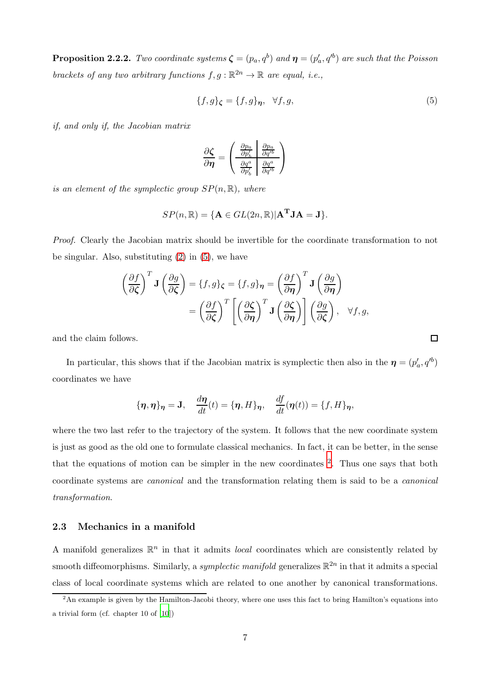**Proposition 2.2.2.** Two coordinate systems  $\boldsymbol{\zeta} = (p_a, q^b)$  and  $\boldsymbol{\eta} = (p'_a, q'^b)$  are such that the Poisson brackets of any two arbitrary functions  $f, g : \mathbb{R}^{2n} \to \mathbb{R}$  are equal, i.e.,

<span id="page-6-0"></span>
$$
\{f,g\}_{\zeta} = \{f,g\}_{\eta}, \quad \forall f,g,\tag{5}
$$

 $\Box$ 

if, and only if, the Jacobian matrix

$$
\frac{\partial \zeta}{\partial \eta} = \begin{pmatrix} \frac{\partial p_a}{\partial p'_b} & \frac{\partial p_a}{\partial q'^b} \\ \frac{\partial q^a}{\partial p'_b} & \frac{\partial q^a}{\partial q'^b} \end{pmatrix}
$$

is an element of the symplectic group  $SP(n, \mathbb{R})$ , where

$$
SP(n, \mathbb{R}) = \{ \mathbf{A} \in GL(2n, \mathbb{R}) | \mathbf{A}^{\mathbf{T}} \mathbf{J} \mathbf{A} = \mathbf{J} \}.
$$

Proof. Clearly the Jacobian matrix should be invertible for the coordinate transformation to not be singular. Also, substituting  $(2)$  in  $(5)$ , we have

$$
\left(\frac{\partial f}{\partial \zeta}\right)^T \mathbf{J} \left(\frac{\partial g}{\partial \zeta}\right) = \{f, g\}_{\zeta} = \{f, g\}_{\eta} = \left(\frac{\partial f}{\partial \eta}\right)^T \mathbf{J} \left(\frac{\partial g}{\partial \eta}\right)
$$

$$
= \left(\frac{\partial f}{\partial \zeta}\right)^T \left[\left(\frac{\partial \zeta}{\partial \eta}\right)^T \mathbf{J} \left(\frac{\partial \zeta}{\partial \eta}\right)\right] \left(\frac{\partial g}{\partial \zeta}\right), \quad \forall f, g,
$$

and the claim follows.

In particular, this shows that if the Jacobian matrix is symplectic then also in the  $\eta = (p'_a, q'^b)$ coordinates we have

$$
\{\boldsymbol{\eta},\boldsymbol{\eta}\}_{\boldsymbol{\eta}}=\mathbf{J},\quad\frac{d\boldsymbol{\eta}}{dt}(t)=\{\boldsymbol{\eta},H\}_{\boldsymbol{\eta}},\quad\frac{df}{dt}(\boldsymbol{\eta}(t))=\{f,H\}_{\boldsymbol{\eta}},
$$

where the two last refer to the trajectory of the system. It follows that the new coordinate system is just as good as the old one to formulate classical mechanics. In fact, it can be better, in the sense that the equations of motion can be simpler in the new coordinates  $2$ . Thus one says that both coordinate systems are canonical and the transformation relating them is said to be a canonical transformation.

## 2.3 Mechanics in a manifold

A manifold generalizes  $\mathbb{R}^n$  in that it admits *local* coordinates which are consistently related by smooth diffeomorphisms. Similarly, a *symplectic manifold* generalizes  $\mathbb{R}^{2n}$  in that it admits a special class of local coordinate systems which are related to one another by canonical transformations.

<span id="page-6-1"></span><sup>&</sup>lt;sup>2</sup>An example is given by the Hamilton-Jacobi theory, where one uses this fact to bring Hamilton's equations into a trivial form (cf. chapter 10 of [\[10](#page-96-9)])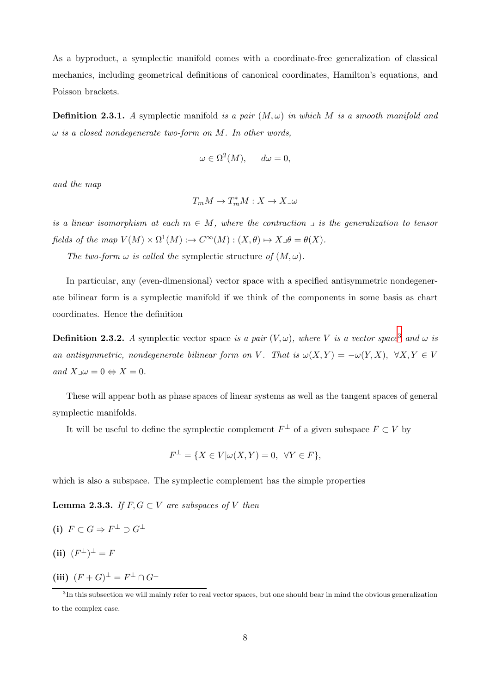As a byproduct, a symplectic manifold comes with a coordinate-free generalization of classical mechanics, including geometrical definitions of canonical coordinates, Hamilton's equations, and Poisson brackets.

**Definition 2.3.1.** A symplectic manifold is a pair  $(M, \omega)$  in which M is a smooth manifold and  $\omega$  is a closed nondegenerate two-form on M. In other words,

$$
\omega \in \Omega^2(M), \quad d\omega = 0,
$$

and the map

$$
T_m M \to T_m^* M : X \to X \text{ or }
$$

is a linear isomorphism at each  $m \in M$ , where the contraction  $\Box$  is the generalization to tensor fields of the map  $V(M) \times \Omega^1(M) : \to C^{\infty}(M) : (X, \theta) \mapsto X \Box \theta = \theta(X).$ 

The two-form  $\omega$  is called the symplectic structure of  $(M, \omega)$ .

In particular, any (even-dimensional) vector space with a specified antisymmetric nondegenerate bilinear form is a symplectic manifold if we think of the components in some basis as chart coordinates. Hence the definition

**Definition 2.[3](#page-7-0).2.** A symplectic vector space is a pair  $(V, \omega)$ , where V is a vector space<sup>3</sup> and  $\omega$  is an antisymmetric, nondegenerate bilinear form on V. That is  $\omega(X, Y) = -\omega(Y, X), \ \forall X, Y \in V$ and  $X\lrcorner\omega=0 \Leftrightarrow X=0.$ 

These will appear both as phase spaces of linear systems as well as the tangent spaces of general symplectic manifolds.

It will be useful to define the symplectic complement  $F^{\perp}$  of a given subspace  $F \subset V$  by

$$
F^{\perp} = \{ X \in V | \omega(X, Y) = 0, \ \forall Y \in F \},
$$

which is also a subspace. The symplectic complement has the simple properties

**Lemma 2.3.3.** If  $F, G \subset V$  are subspaces of V then

- (i)  $F \subset G \Rightarrow F^{\perp} \supset G^{\perp}$
- $(ii)$   $(F^{\perp})^{\perp} = F$
- (iii)  $(F+G)^{\perp} = F^{\perp} \cap G^{\perp}$

<span id="page-7-0"></span><sup>&</sup>lt;sup>3</sup>In this subsection we will mainly refer to real vector spaces, but one should bear in mind the obvious generalization to the complex case.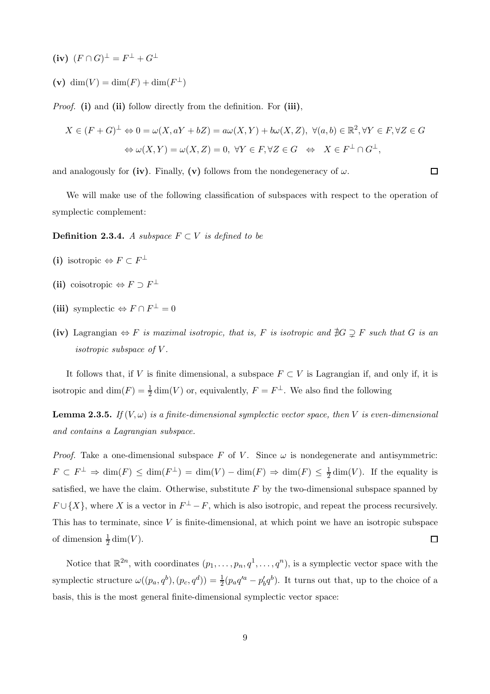- $(iv)$   $(F \cap G)^{\perp} = F^{\perp} + G^{\perp}$
- (v) dim(V) = dim(F) + dim(F<sup> $\perp$ </sup>)

Proof. (i) and (ii) follow directly from the definition. For (iii),

$$
X \in (F+G)^{\perp} \Leftrightarrow 0 = \omega(X, aY + bZ) = a\omega(X, Y) + b\omega(X, Z), \ \forall (a, b) \in \mathbb{R}^2, \forall Y \in F, \forall Z \in G
$$

$$
\Leftrightarrow \omega(X, Y) = \omega(X, Z) = 0, \ \forall Y \in F, \forall Z \in G \ \Leftrightarrow \ X \in F^{\perp} \cap G^{\perp},
$$

 $\Box$ 

and analogously for (iv). Finally, (v) follows from the nondegeneracy of  $\omega$ .

We will make use of the following classification of subspaces with respect to the operation of symplectic complement:

**Definition 2.3.4.** A subspace  $F \subset V$  is defined to be

- (i) isotropic  $\Leftrightarrow$   $F \subset F^{\perp}$
- (ii) coisotropic  $\Leftrightarrow F \supset F^{\perp}$
- (iii) symplectic  $\Leftrightarrow$   $F \cap F^{\perp} = 0$
- (iv) Lagrangian  $\Leftrightarrow F$  is maximal isotropic, that is, F is isotropic and  $\sharp G \supsetneq F$  such that G is an isotropic subspace of V .

It follows that, if V is finite dimensional, a subspace  $F \subset V$  is Lagrangian if, and only if, it is isotropic and  $\dim(F) = \frac{1}{2} \dim(V)$  or, equivalently,  $F = F^{\perp}$ . We also find the following

**Lemma 2.3.5.** If  $(V, \omega)$  is a finite-dimensional symplectic vector space, then V is even-dimensional and contains a Lagrangian subspace.

*Proof.* Take a one-dimensional subspace F of V. Since  $\omega$  is nondegenerate and antisymmetric:  $F \subset F^{\perp} \Rightarrow \dim(F) \leq \dim(F^{\perp}) = \dim(V) - \dim(F) \Rightarrow \dim(F) \leq \frac{1}{2}$  $\frac{1}{2}$  dim(V). If the equality is satisfied, we have the claim. Otherwise, substitute  $F$  by the two-dimensional subspace spanned by  $F \cup \{X\}$ , where X is a vector in  $F^{\perp} - F$ , which is also isotropic, and repeat the process recursively. This has to terminate, since  $V$  is finite-dimensional, at which point we have an isotropic subspace of dimension  $\frac{1}{2}$  dim(V).  $\Box$ 

Notice that  $\mathbb{R}^{2n}$ , with coordinates  $(p_1, \ldots, p_n, q^1, \ldots, q^n)$ , is a symplectic vector space with the symplectic structure  $\omega((p_a, q^b), (p_c, q^d)) = \frac{1}{2}(p_a q'^a - p'_b q^b)$ . It turns out that, up to the choice of a basis, this is the most general finite-dimensional symplectic vector space: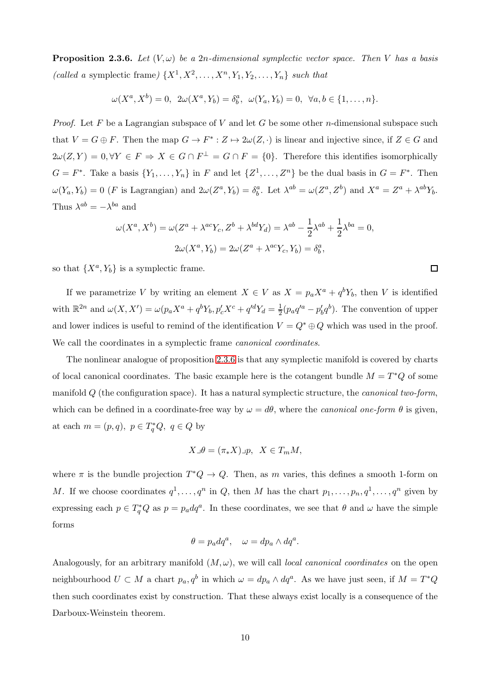<span id="page-9-0"></span>**Proposition 2.3.6.** Let  $(V, \omega)$  be a 2n-dimensional symplectic vector space. Then V has a basis (called a symplectic frame)  $\{X^1, X^2, \ldots, X^n, Y_1, Y_2, \ldots, Y_n\}$  such that

$$
\omega(X^a, X^b) = 0, \ \ 2\omega(X^a, Y_b) = \delta_b^a, \ \ \omega(Y_a, Y_b) = 0, \ \ \forall a, b \in \{1, \dots, n\}.
$$

*Proof.* Let F be a Lagrangian subspace of V and let G be some other n-dimensional subspace such that  $V = G \oplus F$ . Then the map  $G \to F^* : Z \mapsto 2\omega(Z, \cdot)$  is linear and injective since, if  $Z \in G$  and  $2\omega(Z,Y) = 0, \forall Y \in F \Rightarrow X \in G \cap F^{\perp} = G \cap F = \{0\}.$  Therefore this identifies isomorphically  $G = F^*$ . Take a basis  $\{Y_1, \ldots, Y_n\}$  in F and let  $\{Z^1, \ldots, Z^n\}$  be the dual basis in  $G = F^*$ . Then  $\omega(Y_a, Y_b) = 0$  (*F* is Lagrangian) and  $2\omega(Z^a, Y_b) = \delta_b^a$ . Let  $\lambda^{ab} = \omega(Z^a, Z^b)$  and  $X^a = Z^a + \lambda^{ab}Y_b$ . Thus  $\lambda^{ab} = -\lambda^{ba}$  and

$$
\omega(X^a, X^b) = \omega(Z^a + \lambda^{ac}Y_c, Z^b + \lambda^{bd}Y_d) = \lambda^{ab} - \frac{1}{2}\lambda^{ab} + \frac{1}{2}\lambda^{ba} = 0,
$$
  

$$
2\omega(X^a, Y_b) = 2\omega(Z^a + \lambda^{ac}Y_c, Y_b) = \delta^a_b,
$$

so that  $\{X^a, Y_b\}$  is a symplectic frame.

If we parametrize V by writing an element  $X \in V$  as  $X = p_a X^a + q^b Y_b$ , then V is identified with  $\mathbb{R}^{2n}$  and  $\omega(X, X') = \omega(p_a X^a + q^b Y_b, p_c' X^c + q'^d Y_d = \frac{1}{2}$  $\frac{1}{2}(p_a q'^a - p'_b q^b)$ . The convention of upper and lower indices is useful to remind of the identification  $V = Q^* \oplus Q$  which was used in the proof. We call the coordinates in a symplectic frame *canonical coordinates*.

The nonlinear analogue of proposition [2.3.6](#page-9-0) is that any symplectic manifold is covered by charts of local canonical coordinates. The basic example here is the cotangent bundle  $M = T^*Q$  of some manifold  $Q$  (the configuration space). It has a natural symplectic structure, the *canonical two-form*, which can be defined in a coordinate-free way by  $\omega = d\theta$ , where the *canonical one-form*  $\theta$  is given, at each  $m = (p, q)$ ,  $p \in T_q^*Q$ ,  $q \in Q$  by

$$
X\lrcorner\theta=(\pi_*X)\lrcorner p,\;\; X\in T_mM,
$$

where  $\pi$  is the bundle projection  $T^*Q \to Q$ . Then, as m varies, this defines a smooth 1-form on M. If we choose coordinates  $q^1, \ldots, q^n$  in Q, then M has the chart  $p_1, \ldots, p_n, q^1, \ldots, q^n$  given by expressing each  $p \in T_q^*Q$  as  $p = p_a dq^a$ . In these coordinates, we see that  $\theta$  and  $\omega$  have the simple forms

$$
\theta = p_a dq^a, \quad \omega = dp_a \wedge dq^a.
$$

Analogously, for an arbitrary manifold  $(M, \omega)$ , we will call *local canonical coordinates* on the open neighbourhood  $U \subset M$  a chart  $p_a, q^b$  in which  $\omega = dp_a \wedge dq^a$ . As we have just seen, if  $M = T^*Q$ then such coordinates exist by construction. That these always exist locally is a consequence of the Darboux-Weinstein theorem.

 $\Box$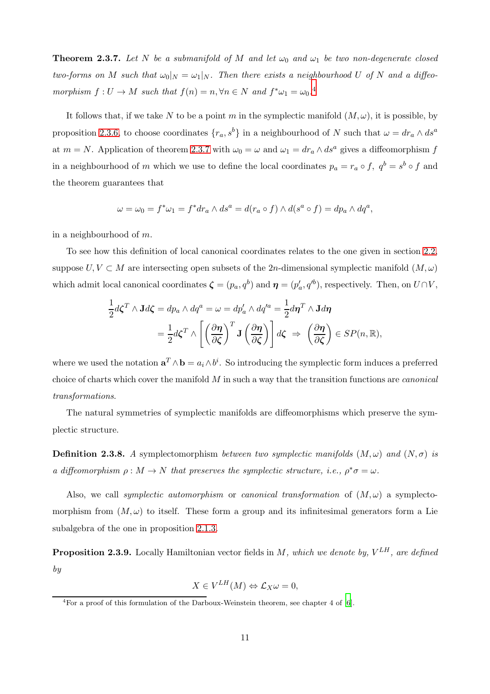<span id="page-10-1"></span>**Theorem 2.3.7.** Let N be a submanifold of M and let  $\omega_0$  and  $\omega_1$  be two non-degenerate closed two-forms on M such that  $\omega_0|_N = \omega_1|_N$ . Then there exists a neighbourhood U of N and a diffeomorphism  $f: U \to M$  such that  $f(n) = n, \forall n \in N$  and  $f^* \omega_1 = \omega_0$ .<sup>[4](#page-10-0)</sup>

It follows that, if we take N to be a point m in the symplectic manifold  $(M, \omega)$ , it is possible, by proposition [2.3.6,](#page-9-0) to choose coordinates  $\{r_a, s^b\}$  in a neighbourhood of N such that  $\omega = dr_a \wedge ds^a$ at  $m = N$ . Application of theorem [2.3.7](#page-10-1) with  $\omega_0 = \omega$  and  $\omega_1 = dr_a \wedge ds^a$  gives a diffeomorphism f in a neighbourhood of m which we use to define the local coordinates  $p_a = r_a \circ f$ ,  $q^b = s^b \circ f$  and the theorem guarantees that

$$
\omega = \omega_0 = f^* \omega_1 = f^* dr_a \wedge ds^a = d(r_a \circ f) \wedge d(s^a \circ f) = dp_a \wedge dq^a,
$$

in a neighbourhood of  $m$ .

To see how this definition of local canonical coordinates relates to the one given in section [2.2,](#page-4-0) suppose  $U, V \subset M$  are intersecting open subsets of the 2n-dimensional symplectic manifold  $(M, \omega)$ which admit local canonical coordinates  $\boldsymbol{\zeta} = (p_a, q^b)$  and  $\boldsymbol{\eta} = (p'_a, q'^b)$ , respectively. Then, on  $U \cap V$ ,

$$
\frac{1}{2}d\zeta^T \wedge \mathbf{J}d\zeta = dp_a \wedge dq^a = \omega = dp'_a \wedge dq'^a = \frac{1}{2}d\eta^T \wedge \mathbf{J}d\eta
$$

$$
= \frac{1}{2}d\zeta^T \wedge \left[ \left(\frac{\partial \eta}{\partial \zeta}\right)^T \mathbf{J} \left(\frac{\partial \eta}{\partial \zeta}\right) \right] d\zeta \implies \left(\frac{\partial \eta}{\partial \zeta}\right) \in SP(n, \mathbb{R}),
$$

where we used the notation  $\mathbf{a}^T \wedge \mathbf{b} = a_i \wedge b^i$ . So introducing the symplectic form induces a preferred choice of charts which cover the manifold  $M$  in such a way that the transition functions are *canonical* transformations.

The natural symmetries of symplectic manifolds are diffeomorphisms which preserve the symplectic structure.

**Definition 2.3.8.** A symplectomorphism between two symplectic manifolds  $(M, \omega)$  and  $(N, \sigma)$  is a diffeomorphism  $\rho: M \to N$  that preserves the symplectic structure, i.e.,  $\rho^* \sigma = \omega$ .

Also, we call symplectic automorphism or canonical transformation of  $(M, \omega)$  a symplectomorphism from  $(M, \omega)$  to itself. These form a group and its infinitesimal generators form a Lie subalgebra of the one in proposition [2.1.3.](#page-3-1)

**Proposition 2.3.9.** Locally Hamiltonian vector fields in M, which we denote by,  $V^{LH}$ , are defined by

$$
X \in V^{LH}(M) \Leftrightarrow \mathcal{L}_X \omega = 0,
$$

<span id="page-10-0"></span><sup>&</sup>lt;sup>4</sup>For a proof of this formulation of the Darboux-Weinstein theorem, see chapter 4 of [\[6\]](#page-96-5).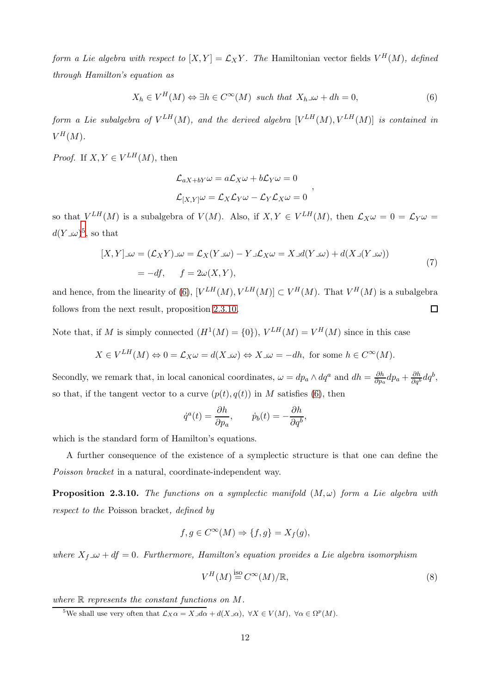form a Lie algebra with respect to  $[X, Y] = \mathcal{L}_X Y$ . The Hamiltonian vector fields  $V^H(M)$ , defined through Hamilton's equation as

<span id="page-11-1"></span>
$$
X_h \in V^H(M) \Leftrightarrow \exists h \in C^{\infty}(M) \text{ such that } X_h \lrcorner \omega + dh = 0,
$$
\n<sup>(6)</sup>

,

form a Lie subalgebra of  $V^{LH}(M)$ , and the derived algebra  $[V^{LH}(M),V^{LH}(M)]$  is contained in  $V^H(M)$ .

*Proof.* If  $X, Y \in V^{LH}(M)$ , then

$$
\mathcal{L}_{aX+bY}\omega = a\mathcal{L}_X\omega + b\mathcal{L}_Y\omega = 0
$$

$$
\mathcal{L}_{[X,Y]}\omega = \mathcal{L}_X\mathcal{L}_Y\omega - \mathcal{L}_Y\mathcal{L}_X\omega = 0
$$

so that  $V^{LH}(M)$  is a subalgebra of  $V(M)$ . Also, if  $X, Y \in V^{LH}(M)$ , then  $\mathcal{L}_X \omega = 0 = \mathcal{L}_Y \omega =$  $d(Y \lrcorner \omega)^5$  $d(Y \lrcorner \omega)^5$ , so that

$$
[X,Y] \lrcorner \omega = (\mathcal{L}_X Y) \lrcorner \omega = \mathcal{L}_X (Y \lrcorner \omega) - Y \lrcorner \mathcal{L}_X \omega = X \lrcorner d(Y \lrcorner \omega) + d(X \lrcorner (Y \lrcorner \omega))
$$
  
= -df,  $f = 2\omega(X, Y),$  (7)

<span id="page-11-3"></span>and hence, from the linearity of [\(6\)](#page-11-1),  $[V^{LH}(M), V^{LH}(M)] \subset V^H(M)$ . That  $V^H(M)$  is a subalgebra  $\Box$ follows from the next result, proposition [2.3.10.](#page-11-2)

Note that, if M is simply connected  $(H^1(M) = \{0\})$ ,  $V^{LH}(M) = V^H(M)$  since in this case

$$
X \in V^{LH}(M) \Leftrightarrow 0 = \mathcal{L}_X \omega = d(X \lrcorner \omega) \Leftrightarrow X \lrcorner \omega = -dh, \text{ for some } h \in C^{\infty}(M).
$$

Secondly, we remark that, in local canonical coordinates,  $\omega = dp_a \wedge dq^a$  and  $dh = \frac{\partial h}{\partial p_c}$  $\frac{\partial h}{\partial p_a}dp_a + \frac{\partial h}{\partial q^b}dq^b,$ so that, if the tangent vector to a curve  $(p(t), q(t))$  in M satisfies [\(6\)](#page-11-1), then

$$
\dot{q}^a(t) = \frac{\partial h}{\partial p_a}, \qquad \dot{p}_b(t) = -\frac{\partial h}{\partial q^b},
$$

which is the standard form of Hamilton's equations.

A further consequence of the existence of a symplectic structure is that one can define the Poisson bracket in a natural, coordinate-independent way.

<span id="page-11-2"></span>**Proposition 2.3.10.** The functions on a symplectic manifold  $(M, \omega)$  form a Lie algebra with respect to the Poisson bracket, defined by

$$
f,g\in C^\infty(M)\Rightarrow \{f,g\}=X_f(g),
$$

where  $X_f \rightharpoonup \rightharpoonup df = 0$ . Furthermore, Hamilton's equation provides a Lie algebra isomorphism

<span id="page-11-4"></span>
$$
V^H(M) \stackrel{\text{iso}}{=} C^{\infty}(M)/\mathbb{R},\tag{8}
$$

where R represents the constant functions on M.

<span id="page-11-0"></span><sup>5</sup>We shall use very often that  $\mathcal{L}_X \alpha = X \lrcorner d\alpha + d(X \lrcorner \alpha)$ ,  $\forall X \in V(M)$ ,  $\forall \alpha \in \Omega^p(M)$ .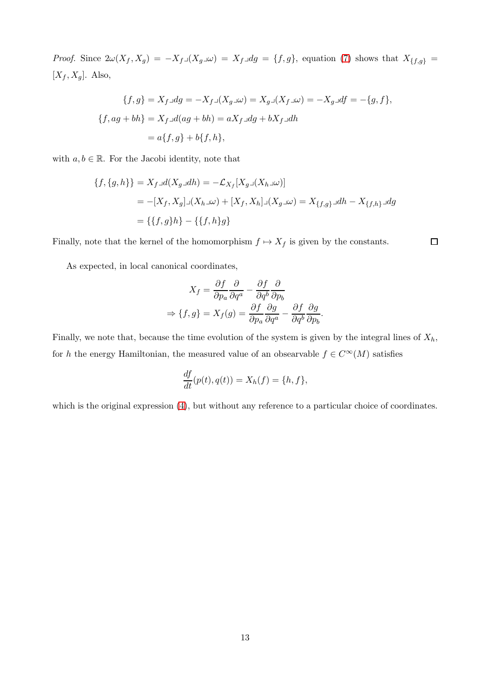Proof. Since  $2\omega(X_f, X_g) = -X_f \Box (X_g \Box \omega) = X_f \Box dg = \{f, g\}$ , equation [\(7\)](#page-11-3) shows that  $X_{\{f, g\}} =$  $[X_f, X_g]$ . Also,

$$
\label{eq:2.1} \begin{array}{l} \{f,g\}=X_f\lrcorner dg=-X_f\lrcorner(X_g\lrcorner\omega)=X_g\lrcorner(X_f\lrcorner\omega)=-X_g\lrcorner df=-\{g,f\},\\ \\ \{f,ag+bh\}=X_f\lrcorner d(ag+bh)=aX_f\lrcorner dg+bX_f\lrcorner dh\\ \\ =a\{f,g\}+b\{f,h\}, \end{array}
$$

with  $a, b \in \mathbb{R}$ . For the Jacobi identity, note that

$$
\begin{aligned} \{f,\{g,h\}\} &= X_f\lrcorner d(X_g\lrcorner dh) = -\mathcal{L}_{X_f}[X_g\lrcorner (X_h\lrcorner \omega)] \\ &= -[X_f,X_g]\lrcorner (X_h\lrcorner \omega) + [X_f,X_h]\lrcorner (X_g\lrcorner \omega) = X_{\{f,g\}}\lrcorner dh - X_{\{f,h\}}\lrcorner dg \\ &= \{\{f,g\}h\} - \{\{f,h\}g\} \end{aligned}
$$

Finally, note that the kernel of the homomorphism  $f\mapsto X_f$  is given by the constants.  $\Box$ 

As expected, in local canonical coordinates,

$$
X_f = \frac{\partial f}{\partial p_a} \frac{\partial}{\partial q^a} - \frac{\partial f}{\partial q^b} \frac{\partial}{\partial p_b}
$$
  
\n
$$
\Rightarrow \{f, g\} = X_f(g) = \frac{\partial f}{\partial p_a} \frac{\partial g}{\partial q^a} - \frac{\partial f}{\partial q^b} \frac{\partial g}{\partial p_b}.
$$

Finally, we note that, because the time evolution of the system is given by the integral lines of  $X_h$ , for h the energy Hamiltonian, the measured value of an obsearvable  $f \in C^{\infty}(M)$  satisfies

$$
\frac{df}{dt}(p(t), q(t)) = X_h(f) = \{h, f\},\
$$

which is the original expression  $(4)$ , but without any reference to a particular choice of coordinates.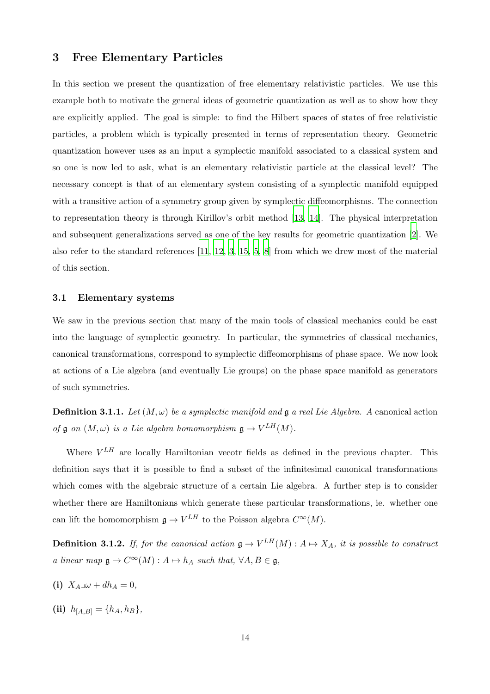## 3 Free Elementary Particles

In this section we present the quantization of free elementary relativistic particles. We use this example both to motivate the general ideas of geometric quantization as well as to show how they are explicitly applied. The goal is simple: to find the Hilbert spaces of states of free relativistic particles, a problem which is typically presented in terms of representation theory. Geometric quantization however uses as an input a symplectic manifold associated to a classical system and so one is now led to ask, what is an elementary relativistic particle at the classical level? The necessary concept is that of an elementary system consisting of a symplectic manifold equipped with a transitive action of a symmetry group given by symplectic diffeomorphisms. The connection to representation theory is through Kirillov's orbit method [\[13](#page-96-12), [14\]](#page-96-13). The physical interpretation and subsequent generalizations served as one of the key results for geometric quantization [\[2](#page-96-1)]. We also refer to the standard references [\[11](#page-96-10), [12](#page-96-11), [3,](#page-96-2) [15](#page-96-14), [5,](#page-96-4) [8](#page-96-7)] from which we drew most of the material of this section.

#### 3.1 Elementary systems

We saw in the previous section that many of the main tools of classical mechanics could be cast into the language of symplectic geometry. In particular, the symmetries of classical mechanics, canonical transformations, correspond to symplectic diffeomorphisms of phase space. We now look at actions of a Lie algebra (and eventually Lie groups) on the phase space manifold as generators of such symmetries.

**Definition 3.1.1.** Let  $(M, \omega)$  be a symplectic manifold and g a real Lie Algebra. A canonical action of  $\mathfrak g$  on  $(M,\omega)$  is a Lie algebra homomorphism  $\mathfrak g \to V^{LH}(M)$ .

Where  $V^{LH}$  are locally Hamiltonian vecotr fields as defined in the previous chapter. This definition says that it is possible to find a subset of the infinitesimal canonical transformations which comes with the algebraic structure of a certain Lie algebra. A further step is to consider whether there are Hamiltonians which generate these particular transformations, ie. whether one can lift the homomorphism  $\mathfrak{g} \to V^{LH}$  to the Poisson algebra  $C^{\infty}(M)$ .

**Definition 3.1.2.** If, for the canonical action  $\mathfrak{g} \to V^{LH}(M)$  :  $A \mapsto X_A$ , it is possible to construct a linear map  $\mathfrak{g} \to C^{\infty}(M) : A \mapsto h_A$  such that,  $\forall A, B \in \mathfrak{g}$ ,

- (i)  $X_A \lrcorner \omega + dh_A = 0$ ,
- (ii)  $h_{[A,B]} = \{h_A, h_B\},\,$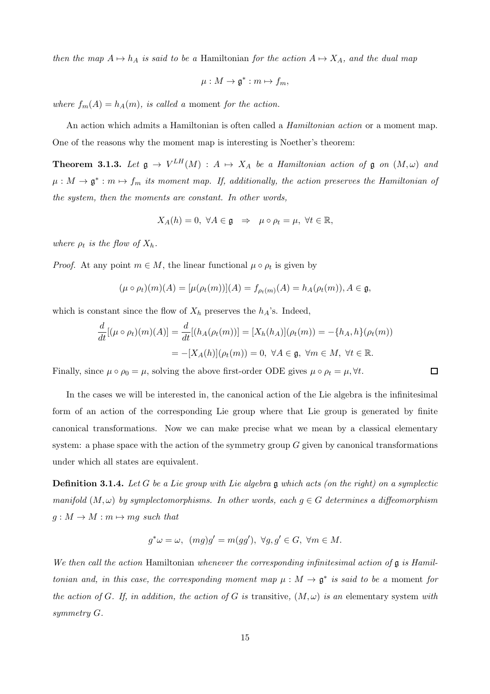then the map  $A \mapsto h_A$  is said to be a Hamiltonian for the action  $A \mapsto X_A$ , and the dual map

$$
\mu: M \to \mathfrak{g}^*: m \mapsto f_m,
$$

where  $f_m(A) = h_A(m)$ , is called a moment for the action.

An action which admits a Hamiltonian is often called a *Hamiltonian action* or a moment map. One of the reasons why the moment map is interesting is Noether's theorem:

**Theorem 3.1.3.** Let  $\mathfrak{g} \to V^{LH}(M)$  :  $A \mapsto X_A$  be a Hamiltonian action of  $\mathfrak{g}$  on  $(M, \omega)$  and  $\mu: M \to \mathfrak{g}^*: m \mapsto f_m$  its moment map. If, additionally, the action preserves the Hamiltonian of the system, then the moments are constant. In other words,

$$
X_A(h) = 0, \ \forall A \in \mathfrak{g} \ \Rightarrow \ \mu \circ \rho_t = \mu, \ \forall t \in \mathbb{R},
$$

where  $\rho_t$  is the flow of  $X_h$ .

*Proof.* At any point  $m \in M$ , the linear functional  $\mu \circ \rho_t$  is given by

$$
(\mu \circ \rho_t)(m)(A) = [\mu(\rho_t(m))](A) = f_{\rho_t(m)}(A) = h_A(\rho_t(m)), A \in \mathfrak{g},
$$

which is constant since the flow of  $X_h$  preserves the  $h_A$ 's. Indeed,

$$
\frac{d}{dt}[(\mu \circ \rho_t)(m)(A)] = \frac{d}{dt}[(h_A(\rho_t(m))] = [X_h(h_A)](\rho_t(m)) = -\{h_A, h\}(\rho_t(m))
$$

$$
= -[X_A(h)](\rho_t(m)) = 0, \ \forall A \in \mathfrak{g}, \ \forall m \in M, \ \forall t \in \mathbb{R}.
$$

 $\Box$ 

Finally, since  $\mu \circ \rho_0 = \mu$ , solving the above first-order ODE gives  $\mu \circ \rho_t = \mu, \forall t$ .

In the cases we will be interested in, the canonical action of the Lie algebra is the infinitesimal form of an action of the corresponding Lie group where that Lie group is generated by finite canonical transformations. Now we can make precise what we mean by a classical elementary system: a phase space with the action of the symmetry group  $G$  given by canonical transformations under which all states are equivalent.

**Definition 3.1.4.** Let G be a Lie group with Lie algebra  $\mathfrak g$  which acts (on the right) on a symplectic manifold  $(M, \omega)$  by symplectomorphisms. In other words, each  $q \in G$  determines a diffeomorphism  $g: M \to M : m \mapsto mg$  such that

$$
g^*\omega = \omega, \ \ (mg)g' = m(gg'), \ \forall g, g' \in G, \ \forall m \in M.
$$

We then call the action Hamiltonian whenever the corresponding infinitesimal action of  $\mathfrak g$  is Hamiltonian and, in this case, the corresponding moment map  $\mu : M \to \mathfrak{g}^*$  is said to be a moment for the action of G. If, in addition, the action of G is transitive,  $(M, \omega)$  is an elementary system with symmetry G.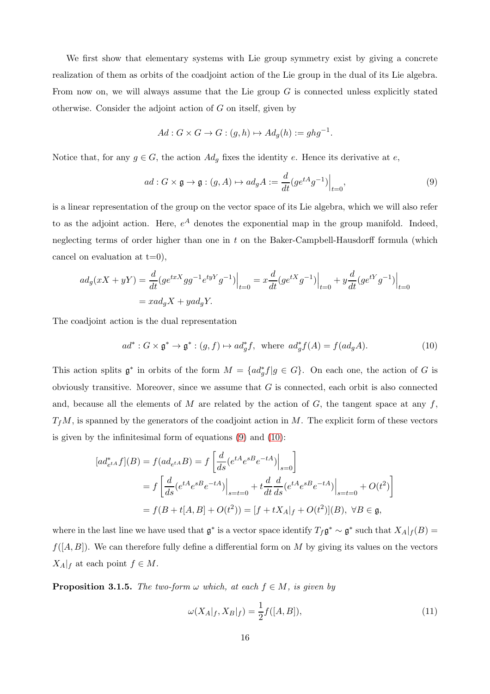We first show that elementary systems with Lie group symmetry exist by giving a concrete realization of them as orbits of the coadjoint action of the Lie group in the dual of its Lie algebra. From now on, we will always assume that the Lie group  $G$  is connected unless explicitly stated otherwise. Consider the adjoint action of G on itself, given by

$$
Ad: G \times G \to G : (g, h) \mapsto Ad_g(h) := ghg^{-1}.
$$

Notice that, for any  $g \in G$ , the action  $Ad<sub>q</sub>$  fixes the identity e. Hence its derivative at e,

<span id="page-15-0"></span>
$$
ad: G \times \mathfrak{g} \to \mathfrak{g}: (g, A) \mapsto ad_g A := \frac{d}{dt} (ge^{tA} g^{-1}) \Big|_{t=0},\tag{9}
$$

is a linear representation of the group on the vector space of its Lie algebra, which we will also refer to as the adjoint action. Here,  $e^A$  denotes the exponential map in the group manifold. Indeed, neglecting terms of order higher than one in  $t$  on the Baker-Campbell-Hausdorff formula (which cancel on evaluation at  $t=0$ ),

$$
ad_g(xX + yY) = \frac{d}{dt}(ge^{txX}gg^{-1}e^{tyY}g^{-1})\Big|_{t=0} = x\frac{d}{dt}(ge^{tX}g^{-1})\Big|_{t=0} + y\frac{d}{dt}(ge^{tY}g^{-1})\Big|_{t=0}
$$
  
=  $xad_gX + yad_gY$ .

The coadjoint action is the dual representation

<span id="page-15-1"></span>
$$
ad^* : G \times \mathfrak{g}^* \to \mathfrak{g}^* : (g, f) \mapsto ad_g^* f, \text{ where } ad_g^* f(A) = f(ad_g A). \tag{10}
$$

This action splits  $\mathfrak{g}^*$  in orbits of the form  $M = \{ad_g^* f | g \in G\}$ . On each one, the action of G is obviously transitive. Moreover, since we assume that  $G$  is connected, each orbit is also connected and, because all the elements of  $M$  are related by the action of  $G$ , the tangent space at any  $f$ ,  $T_fM$ , is spanned by the generators of the coadjoint action in M. The explicit form of these vectors is given by the infinitesimal form of equations [\(9\)](#page-15-0) and [\(10\)](#page-15-1):

$$
[ad_{e^{tA}}^* f](B) = f(ad_{e^{tA}}B) = f\left[\frac{d}{ds}(e^{tA}e^{sB}e^{-tA})\Big|_{s=0}\right]
$$
  
=  $f\left[\frac{d}{ds}(e^{tA}e^{sB}e^{-tA})\Big|_{s=t=0} + t\frac{d}{dt}\frac{d}{ds}(e^{tA}e^{sB}e^{-tA})\Big|_{s=t=0} + O(t^2)\right]$   
=  $f(B + t[A, B] + O(t^2)) = [f + tX_A]_f + O(t^2)](B), \ \forall B \in \mathfrak{g},$ 

where in the last line we have used that  $\mathfrak{g}^*$  is a vector space identify  $T_f \mathfrak{g}^* \sim \mathfrak{g}^*$  such that  $X_A|_f(B) =$  $f([A, B])$ . We can therefore fully define a differential form on M by giving its values on the vectors  $X_A|_f$  at each point  $f \in M$ .

**Proposition 3.1.5.** The two-form  $\omega$  which, at each  $f \in M$ , is given by

<span id="page-15-2"></span>
$$
\omega(X_A|_f, X_B|_f) = \frac{1}{2} f([A, B]), \tag{11}
$$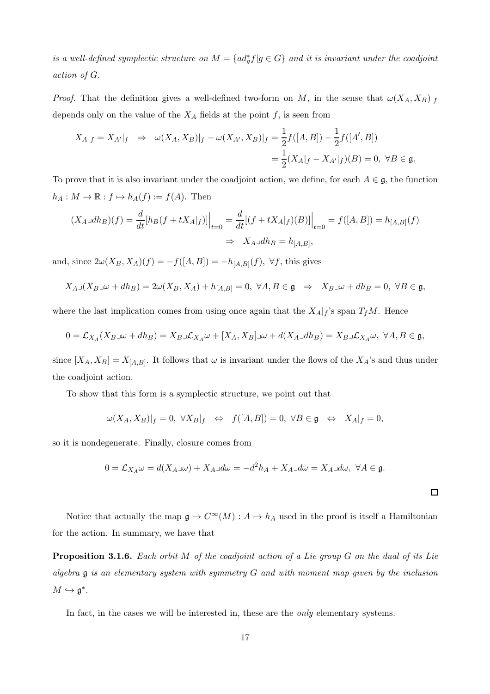is a well-defined symplectic structure on  $M = \{ad_g^*f | g \in G\}$  and it is invariant under the coadjoint action of G.

*Proof.* That the definition gives a well-defined two-form on M, in the sense that  $\omega(X_A, X_B)|_f$ depends only on the value of the  $X_A$  fields at the point f, is seen from

$$
X_A|_f = X_{A'}|_f \Rightarrow \omega(X_A, X_B)|_f - \omega(X_{A'}, X_B)|_f = \frac{1}{2} f([A, B]) - \frac{1}{2} f([A', B])
$$
  
=  $\frac{1}{2} (X_A|_f - X_{A'}|_f)(B) = 0, \forall B \in \mathfrak{g}.$ 

To prove that it is also invariant under the coadjoint action, we define, for each  $A \in \mathfrak{g}$ , the function  $h_A: M \to \mathbb{R}: f \mapsto h_A(f) := f(A)$ . Then

$$
(X_A \Box dh_B)(f) = \frac{d}{dt} [h_B(f + tX_A|_f)] \Big|_{t=0} = \frac{d}{dt} [(f + tX_A|_f)(B)] \Big|_{t=0} = f([A, B]) = h_{[A, B]}(f)
$$
  

$$
\Rightarrow X_A \Box dh_B = h_{[A, B]},
$$

and, since  $2\omega(X_B, X_A)(f) = -f([A, B]) = -h_{[A, B]}(f)$ ,  $\forall f$ , this gives

$$
X_{A}\lrcorner (X_{B}\lrcorner \omega + dh_{B}) = 2\omega(X_{B},X_{A}) + h_{[A,B]} = 0, \ \forall A,B\in \mathfrak{g} \ \ \Rightarrow \ \ X_{B}\lrcorner \omega + dh_{B} = 0, \ \forall B\in \mathfrak{g},
$$

where the last implication comes from using once again that the  $X_A|_f$ 's span  $T_fM$ . Hence

$$
0=\mathcal{L}_{X_A}(X_B\lrcorner\omega+dh_B)=X_B\lrcorner\mathcal{L}_{X_A}\omega+[X_A,X_B]\lrcorner\omega+d(X_A\lrcorner dh_B)=X_B\lrcorner\mathcal{L}_{X_A}\omega,\ \forall A,B\in\mathfrak{g},
$$

since  $[X_A, X_B] = X_{[A,B]}$ . It follows that  $\omega$  is invariant under the flows of the  $X_A$ 's and thus under the coadjoint action.

To show that this form is a symplectic structure, we point out that

$$
\omega(X_A, X_B)|_f = 0, \ \forall X_B|_f \Leftrightarrow f([A, B]) = 0, \ \forall B \in \mathfrak{g} \Leftrightarrow X_A|_f = 0,
$$

so it is nondegenerate. Finally, closure comes from

$$
0 = \mathcal{L}_{X_A}\omega = d(X_A \mathbf{I}\omega) + X_A \mathbf{I}d\omega = -d^2h_A + X_A \mathbf{I}d\omega = X_A \mathbf{I}d\omega, \ \forall A \in \mathfrak{g}.
$$

Notice that actually the map  $\mathfrak{g} \to C^{\infty}(M) : A \mapsto h_A$  used in the proof is itself a Hamiltonian for the action. In summary, we have that

**Proposition 3.1.6.** Each orbit M of the coadjoint action of a Lie group  $G$  on the dual of its Lie algebra  $\frak g$  is an elementary system with symmetry G and with moment map given by the inclusion  $M \hookrightarrow \mathfrak{g}^*$ .

In fact, in the cases we will be interested in, these are the *only* elementary systems.

 $\Box$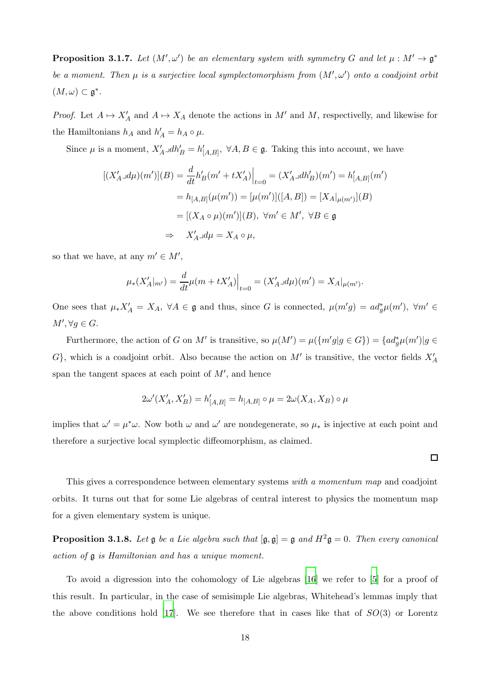**Proposition 3.1.7.** Let  $(M', \omega')$  be an elementary system with symmetry G and let  $\mu : M' \to \mathfrak{g}^*$ be a moment. Then  $\mu$  is a surjective local symplectomorphism from  $(M',\omega')$  onto a coadjoint orbit  $(M,\omega) \subset \mathfrak{g}^*.$ 

*Proof.* Let  $A \mapsto X'_{A}$  and  $A \mapsto X_{A}$  denote the actions in M' and M, respectivelly, and likewise for the Hamiltonians  $h_A$  and  $h'_A = h_A \circ \mu$ .

Since  $\mu$  is a moment,  $X'_{A} \lrcorner dh'_{B} = h'_{[A,B]}, \forall A, B \in \mathfrak{g}$ . Taking this into account, we have

$$
[(X'_{A}\lrcorner d\mu)(m')](B) = \frac{d}{dt}h'_{B}(m' + tX'_{A})\Big|_{t=0} = (X'_{A}\lrcorner dh'_{B})(m') = h'_{[A,B]}(m')
$$
  
=  $h_{[A,B]}(\mu(m')) = [\mu(m')]([A,B]) = [X_{A}|\mu(m')](B)$   
=  $[(X_{A}\circ\mu)(m')](B), \forall m' \in M', \forall B \in \mathfrak{g}$   
 $\Rightarrow X'_{A}\lrcorner d\mu = X_{A}\circ\mu,$ 

so that we have, at any  $m' \in M'$ ,

$$
\mu_*(X'_A|_{m'}) = \frac{d}{dt}\mu(m + tX'_A)\Big|_{t=0} = (X'_A \lrcorner d\mu)(m') = X_A|_{\mu(m')}.
$$

One sees that  $\mu_* X'_A = X_A$ ,  $\forall A \in \mathfrak{g}$  and thus, since G is connected,  $\mu(m'g) = ad_g^*\mu(m')$ ,  $\forall m' \in \mathfrak{g}$  $M', \forall g \in G.$ 

Furthermore, the action of G on M' is transitive, so  $\mu(M') = \mu({m'g|g \in G}) = {ad_g^*\mu(m')|g \in G}$ G}, which is a coadjoint orbit. Also because the action on  $M'$  is transitive, the vector fields  $X'_A$ span the tangent spaces at each point of  $M'$ , and hence

$$
2\omega'(X'_A, X'_B) = h'_{[A,B]} = h_{[A,B]} \circ \mu = 2\omega(X_A, X_B) \circ \mu
$$

implies that  $\omega' = \mu^* \omega$ . Now both  $\omega$  and  $\omega'$  are nondegenerate, so  $\mu_*$  is injective at each point and therefore a surjective local symplectic diffeomorphism, as claimed.

 $\Box$ 

This gives a correspondence between elementary systems with a momentum map and coadjoint orbits. It turns out that for some Lie algebras of central interest to physics the momentum map for a given elementary system is unique.

<span id="page-17-0"></span>**Proposition 3.1.8.** Let  $\mathfrak g$  be a Lie algebra such that  $[\mathfrak g, \mathfrak g] = \mathfrak g$  and  $H^2 \mathfrak g = 0$ . Then every canonical action of g is Hamiltonian and has a unique moment.

To avoid a digression into the cohomology of Lie algebras [\[16](#page-96-15)] we refer to [\[5](#page-96-4)] for a proof of this result. In particular, in the case of semisimple Lie algebras, Whitehead's lemmas imply that the above conditions hold [\[17\]](#page-96-16). We see therefore that in cases like that of  $SO(3)$  or Lorentz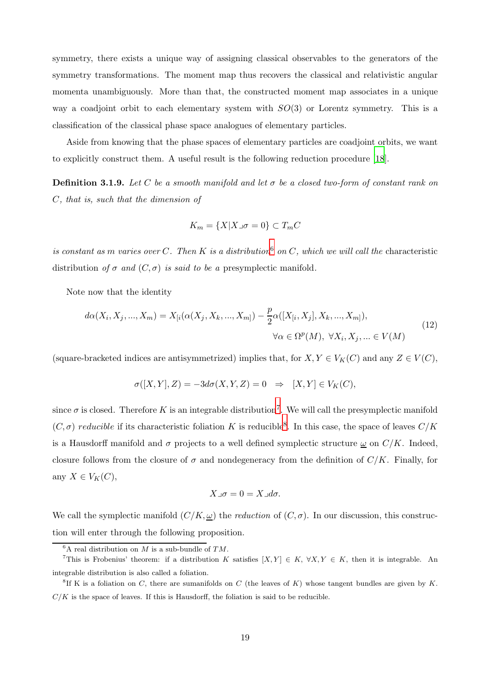symmetry, there exists a unique way of assigning classical observables to the generators of the symmetry transformations. The moment map thus recovers the classical and relativistic angular momenta unambiguously. More than that, the constructed moment map associates in a unique way a coadjoint orbit to each elementary system with  $SO(3)$  or Lorentz symmetry. This is a classification of the classical phase space analogues of elementary particles.

Aside from knowing that the phase spaces of elementary particles are coadjoint orbits, we want to explicitly construct them. A useful result is the following reduction procedure [\[18\]](#page-97-0).

**Definition 3.1.9.** Let C be a smooth manifold and let  $\sigma$  be a closed two-form of constant rank on C, that is, such that the dimension of

$$
K_m = \{X | X \cup \sigma = 0\} \subset T_m C
$$

is constant as m varies over C. Then K is a distribution<sup>[6](#page-18-0)</sup> on C, which we will call the characteristic distribution of  $\sigma$  and  $(C, \sigma)$  is said to be a presymplectic manifold.

Note now that the identity

$$
d\alpha(X_i, X_j, ..., X_m) = X_{[i}(\alpha(X_j, X_k, ..., X_m)) - \frac{p}{2}\alpha([X_{[i}, X_j], X_k, ..., X_m]),
$$
  

$$
\forall \alpha \in \Omega^p(M), \ \forall X_i, X_j, ... \in V(M)
$$
 (12)

(square-bracketed indices are antisymmetrized) implies that, for  $X, Y \in V_K(C)$  and any  $Z \in V(C)$ ,

$$
\sigma([X,Y],Z) = -3d\sigma(X,Y,Z) = 0 \Rightarrow [X,Y] \in V_K(C),
$$

since  $\sigma$  is closed. Therefore K is an integrable distribution<sup>[7](#page-18-1)</sup>. We will call the presymplectic manifold  $(C, \sigma)$  reducible if its characteristic foliation K is reducible<sup>[8](#page-18-2)</sup>. In this case, the space of leaves  $C/K$ is a Hausdorff manifold and  $\sigma$  projects to a well defined symplectic structure  $\omega$  on  $C/K$ . Indeed, closure follows from the closure of  $\sigma$  and nondegeneracy from the definition of  $C/K$ . Finally, for any  $X \in V_K(C)$ ,

$$
X\lrcorner\sigma=0=X\lrcorner d\sigma.
$$

We call the symplectic manifold  $(C/K, \underline{\omega})$  the *reduction* of  $(C, \sigma)$ . In our discussion, this construction will enter through the following proposition.

<span id="page-18-0"></span> ${}^6A$  real distribution on M is a sub-bundle of TM.

<span id="page-18-1"></span><sup>&</sup>lt;sup>7</sup>This is Frobenius' theorem: if a distribution K satisfies  $[X, Y] \in K$ ,  $\forall X, Y \in K$ , then it is integrable. An integrable distribution is also called a foliation.

<span id="page-18-2"></span> ${}^{8}$ If K is a foliation on C, there are sumanifolds on C (the leaves of K) whose tangent bundles are given by K.  $C/K$  is the space of leaves. If this is Hausdorff, the foliation is said to be reducible.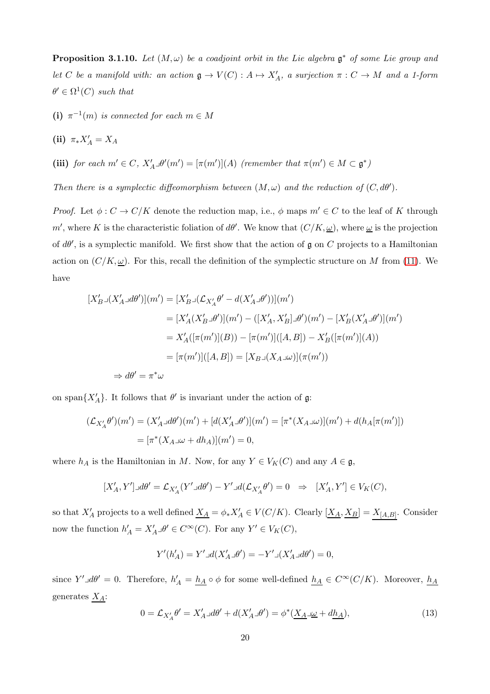<span id="page-19-1"></span>**Proposition 3.1.10.** Let  $(M, \omega)$  be a coadjoint orbit in the Lie algebra  $\mathfrak{g}^*$  of some Lie group and let C be a manifold with: an action  $\mathfrak{g} \to V(C) : A \mapsto X'_A$ , a surjection  $\pi : C \to M$  and a 1-form  $\theta' \in \Omega^1(C)$  such that

(i)  $\pi^{-1}(m)$  is connected for each  $m \in M$ 

$$
(ii) \ \pi_*X'_A = X_A
$$

(iii) for each  $m' \in C$ ,  $X'_{A} \mathcal{A}(m') = [\pi(m')](A)$  (remember that  $\pi(m') \in M \subset \mathfrak{g}^*$ )

Then there is a symplectic diffeomorphism between  $(M, \omega)$  and the reduction of  $(C, d\theta')$ .

*Proof.* Let  $\phi: C \to C/K$  denote the reduction map, i.e.,  $\phi$  maps  $m' \in C$  to the leaf of K through m', where K is the characteristic foliation of  $d\theta'$ . We know that  $(C/K, \underline{\omega})$ , where  $\underline{\omega}$  is the projection of  $d\theta'$ , is a symplectic manifold. We first show that the action of  $\mathfrak g$  on C projects to a Hamiltonian action on  $(C/K, \underline{\omega})$ . For this, recall the definition of the symplectic structure on M from [\(11\)](#page-15-2). We have

$$
[X'_{B}\lrcorner (X'_{A}\lrcorner d\theta')] (m') = [X'_{B}\lrcorner (\mathcal{L}_{X'_{A}}\theta' - d(X'_{A}\lrcorner \theta'))](m')
$$
  
\n
$$
= [X'_{A}(X'_{B}\lrcorner \theta')](m') - ([X'_{A}, X'_{B}\lrcorner \theta')(m') - [X'_{B}(X'_{A}\lrcorner \theta')](m')
$$
  
\n
$$
= X'_{A}([\pi(m')](B)) - [\pi(m')]([A, B]) - X'_{B}([\pi(m')](A))
$$
  
\n
$$
= [\pi(m')]([A, B]) = [X_{B}\lrcorner (X_{A}\lrcorner \omega)](\pi(m'))
$$
  
\n
$$
\Rightarrow d\theta' = \pi^*\omega
$$

on span $\{X'_{A}\}\$ . It follows that  $\theta'$  is invariant under the action of g:

$$
(\mathcal{L}_{X'_A}\theta')(m') = (X'_A \Box \theta')(m') + [d(X'_A \Box \theta')](m') = [\pi^*(X_A \Box \omega)](m') + d(h_A[\pi(m')])
$$
  
= [\pi^\*(X\_A \Box \omega + dh\_A)](m') = 0,

where  $h_A$  is the Hamiltonian in M. Now, for any  $Y \in V_K(C)$  and any  $A \in \mathfrak{g}$ ,

$$
[X'_A, Y'] \lrcorner d\theta' = \mathcal{L}_{X'_A}(Y' \lrcorner d\theta') - Y' \lrcorner d(\mathcal{L}_{X'_A}\theta') = 0 \Rightarrow [X'_A, Y'] \in V_K(C),
$$

so that  $X'_A$  projects to a well defined  $\underline{X_A} = \phi_* X'_A \in V(C/K)$ . Clearly  $[\underline{X_A}, \underline{X_B}] = \underline{X_{[A,B]}}$ . Consider now the function  $h'_{A} = X'_{A} \mathcal{A}^{\prime} \in C^{\infty}(C)$ . For any  $Y' \in V_{K}(C)$ ,

$$
Y'(h'_A) = Y' \lrcorner d(X'_A \lrcorner \theta') = -Y' \lrcorner (X'_A \lrcorner d\theta') = 0,
$$

since  $Y' \text{d}\theta' = 0$ . Therefore,  $h'_{A} = h_{A} \circ \phi$  for some well-defined  $h_{A} \in C^{\infty}(C/K)$ . Moreover,  $h_{A}$ generates  $X_A$ :

<span id="page-19-0"></span>
$$
0 = \mathcal{L}_{X'_A} \theta' = X'_A \lrcorner d\theta' + d(X'_A \lrcorner \theta') = \phi^*(\underline{X_A} \lrcorner \underline{\omega} + d\underline{h_A}),\tag{13}
$$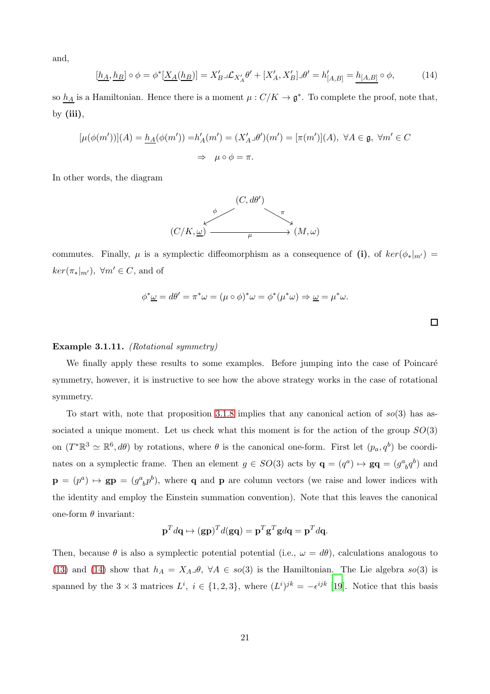and,

<span id="page-20-0"></span>
$$
[\underline{h}_A, \underline{h}_B] \circ \phi = \phi^*[\underline{X_A}(\underline{h}_B)] = X'_B \lrcorner \mathcal{L}_{X'_A} \theta' + [X'_A, X'_B] \lrcorner \theta' = h'_{[A,B]} = \underline{h_{[A,B]}} \circ \phi,
$$
\n(14)

so  $\underline{h_A}$  is a Hamiltonian. Hence there is a moment  $\mu: C/K \to \mathfrak{g}^*$ . To complete the proof, note that, by  $(iii)$ ,

$$
[\mu(\phi(m'))](A) = \underline{h_A}(\phi(m')) = h'_A(m') = (X'_A \Box \theta')(m') = [\pi(m')](A), \ \forall A \in \mathfrak{g}, \ \forall m' \in C
$$

$$
\Rightarrow \mu \circ \phi = \pi.
$$

In other words, the diagram



commutes. Finally,  $\mu$  is a symplectic diffeomorphism as a consequence of (i), of  $\ker(\phi_*|_{m'})$  =  $ker(\pi_*|_{m'})$ ,  $\forall m' \in C$ , and of

$$
\phi^* \underline{\omega} = d\theta' = \pi^* \omega = (\mu \circ \phi)^* \omega = \phi^* (\mu^* \omega) \Rightarrow \underline{\omega} = \mu^* \omega.
$$

 $\Box$ 

#### <span id="page-20-1"></span>Example 3.1.11. *(Rotational symmetry)*

We finally apply these results to some examples. Before jumping into the case of Poincaré symmetry, however, it is instructive to see how the above strategy works in the case of rotational symmetry.

To start with, note that proposition [3.1.8](#page-17-0) implies that any canonical action of  $s\sigma(3)$  has associated a unique moment. Let us check what this moment is for the action of the group  $SO(3)$ on  $(T^*\mathbb{R}^3 \simeq \mathbb{R}^6, d\theta)$  by rotations, where  $\theta$  is the canonical one-form. First let  $(p_a, q^b)$  be coordinates on a symplectic frame. Then an element  $g \in SO(3)$  acts by  $\mathbf{q} = (q^a) \mapsto \mathbf{g}\mathbf{q} = (g^a{}_b q^b)$  and  $\mathbf{p} = (p^a) \mapsto \mathbf{g} \mathbf{p} = (g^a_{\ b} p^b)$ , where **q** and **p** are column vectors (we raise and lower indices with the identity and employ the Einstein summation convention). Note that this leaves the canonical one-form  $\theta$  invariant:

$$
\mathbf{p}^T d\mathbf{q} \mapsto (\mathbf{g}\mathbf{p})^T d(\mathbf{g}\mathbf{q}) = \mathbf{p}^T \mathbf{g}^T \mathbf{g} d\mathbf{q} = \mathbf{p}^T d\mathbf{q}.
$$

Then, because  $\theta$  is also a symplectic potential potential (i.e.,  $\omega = d\theta$ ), calculations analogous to [\(13\)](#page-19-0) and [\(14\)](#page-20-0) show that  $h_A = X_A \mathcal{A}, \forall A \in so(3)$  is the Hamiltonian. The Lie algebra  $so(3)$  is spanned by the  $3 \times 3$  matrices  $L^i$ ,  $i \in \{1, 2, 3\}$ , where  $(L^i)^{jk} = -\epsilon^{ijk}$  [\[19\]](#page-97-1). Notice that this basis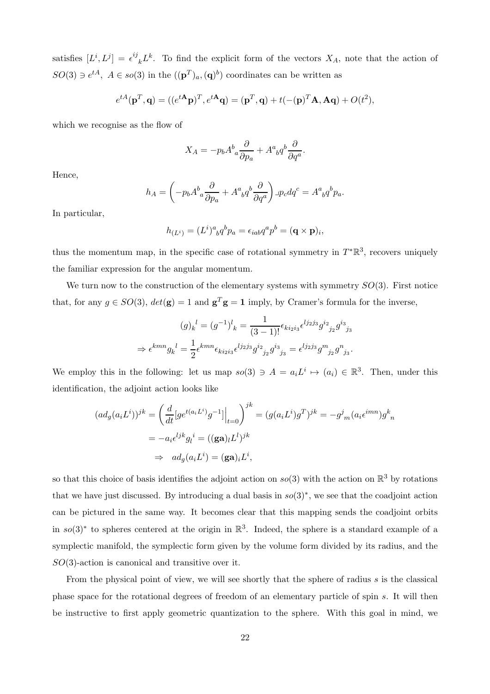satisfies  $[L^i, L^j] = \epsilon^{ij}{}_{k}L^{k}$ . To find the explicit form of the vectors  $X_A$ , note that the action of  $SO(3) \ni e^{tA}, A \in so(3)$  in the  $((\mathbf{p}^T)_a, (\mathbf{q})^b)$  coordinates can be written as

$$
e^{tA}(\mathbf{p}^T, \mathbf{q}) = ((e^{t\mathbf{A}}\mathbf{p})^T, e^{t\mathbf{A}}\mathbf{q}) = (\mathbf{p}^T, \mathbf{q}) + t(-(\mathbf{p})^T\mathbf{A}, \mathbf{A}\mathbf{q}) + O(t^2),
$$

which we recognise as the flow of

$$
X_A = -p_b A^b{}_a \frac{\partial}{\partial p_a} + A^a{}_b q^b \frac{\partial}{\partial q^a}.
$$

Hence,

$$
h_A = \left(-p_b A^b{}_a \frac{\partial}{\partial p_a} + A^a{}_b q^b \frac{\partial}{\partial q^a}\right) \lrcorner p_c dq^c = A^a{}_b q^b p_a.
$$

In particular,

$$
h_{(Li)} = (Li)abqbpa = \epsiloniabqapb = (\mathbf{q} \times \mathbf{p})i,
$$

thus the momentum map, in the specific case of rotational symmetry in  $T^*\mathbb{R}^3$ , recovers uniquely the familiar expression for the angular momentum.

We turn now to the construction of the elementary systems with symmetry  $SO(3)$ . First notice that, for any  $g \in SO(3)$ ,  $det(\mathbf{g}) = 1$  and  $\mathbf{g}^T \mathbf{g} = \mathbf{1}$  imply, by Cramer's formula for the inverse,

$$
(g)_k^{\ l} = (g^{-1})^l{}_k = \frac{1}{(3-1)!} \epsilon_{k i_2 i_3} \epsilon^{l j_2 j_3} g^{i_2}{}_{j_2} g^{i_3}{}_{j_3}
$$

$$
\Rightarrow \epsilon^{kmn} g_k^{\ l} = \frac{1}{2} \epsilon^{kmn} \epsilon_{k i_2 i_3} \epsilon^{l j_2 j_3} g^{i_2}{}_{j_2} g^{i_3}{}_{j_3} = \epsilon^{l j_2 j_3} g^{m}{}_{j_2} g^{n}{}_{j_3}.
$$

We employ this in the following: let us map  $so(3) \ni A = a_i L^i \mapsto (a_i) \in \mathbb{R}^3$ . Then, under this identification, the adjoint action looks like

$$
(ad_g(a_iL^i))^{jk} = \left(\frac{d}{dt}[ge^{t(a_iL^i)}g^{-1}]\Big|_{t=0}\right)^{jk} = (g(a_iL^i)g^T)^{jk} = -g^j{}_m(a_i\epsilon^{imn})g^k{}_n
$$

$$
= -a_i\epsilon^{ljk}g_l{}^i = ((\mathbf{g}\mathbf{a})_lL^l)^{jk}
$$

$$
\Rightarrow ad_g(a_iL^i) = (\mathbf{g}\mathbf{a})_iL^i,
$$

so that this choice of basis identifies the adjoint action on  $so(3)$  with the action on  $\mathbb{R}^3$  by rotations that we have just discussed. By introducing a dual basis in  $so(3)^*$ , we see that the coadjoint action can be pictured in the same way. It becomes clear that this mapping sends the coadjoint orbits in  $so(3)^*$  to spheres centered at the origin in  $\mathbb{R}^3$ . Indeed, the sphere is a standard example of a symplectic manifold, the symplectic form given by the volume form divided by its radius, and the  $SO(3)$ -action is canonical and transitive over it.

From the physical point of view, we will see shortly that the sphere of radius s is the classical phase space for the rotational degrees of freedom of an elementary particle of spin s. It will then be instructive to first apply geometric quantization to the sphere. With this goal in mind, we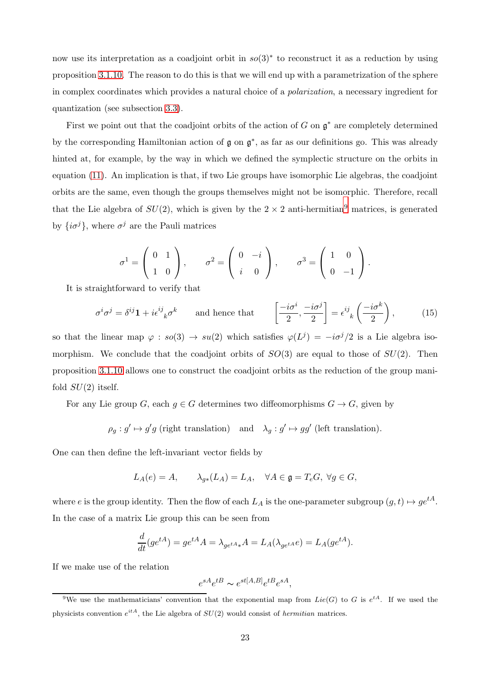now use its interpretation as a coadjoint orbit in  $so(3)^*$  to reconstruct it as a reduction by using proposition [3.1.10.](#page-19-1) The reason to do this is that we will end up with a parametrization of the sphere in complex coordinates which provides a natural choice of a polarization, a necessary ingredient for quantization (see subsection [3.3\)](#page-45-0).

First we point out that the coadjoint orbits of the action of  $G$  on  $\mathfrak{g}^*$  are completely determined by the corresponding Hamiltonian action of  $\mathfrak g$  on  $\mathfrak g^*$ , as far as our definitions go. This was already hinted at, for example, by the way in which we defined the symplectic structure on the orbits in equation [\(11\)](#page-15-2). An implication is that, if two Lie groups have isomorphic Lie algebras, the coadjoint orbits are the same, even though the groups themselves might not be isomorphic. Therefore, recall that the Lie algebra of  $SU(2)$ , which is given by the  $2 \times 2$  anti-hermitian<sup>[9](#page-22-0)</sup> matrices, is generated by  $\{i\sigma^j\}$ , where  $\sigma^j$  are the Pauli matrices

$$
\sigma^1 = \begin{pmatrix} 0 & 1 \\ 1 & 0 \end{pmatrix}, \quad \sigma^2 = \begin{pmatrix} 0 & -i \\ i & 0 \end{pmatrix}, \quad \sigma^3 = \begin{pmatrix} 1 & 0 \\ 0 & -1 \end{pmatrix}.
$$

It is straightforward to verify that

$$
\sigma^i \sigma^j = \delta^{ij} \mathbf{1} + i \epsilon^{ij}{}_{k} \sigma^{k} \qquad \text{and hence that} \qquad \left[ \frac{-i \sigma^i}{2}, \frac{-i \sigma^j}{2} \right] = \epsilon^{ij}{}_{k} \left( \frac{-i \sigma^k}{2} \right), \tag{15}
$$

so that the linear map  $\varphi : so(3) \to su(2)$  which satisfies  $\varphi(L^{j}) = -i\sigma^{j}/2$  is a Lie algebra isomorphism. We conclude that the coadjoint orbits of  $SO(3)$  are equal to those of  $SU(2)$ . Then proposition [3.1.10](#page-19-1) allows one to construct the coadjoint orbits as the reduction of the group manifold  $SU(2)$  itself.

For any Lie group G, each  $g \in G$  determines two diffeomorphisms  $G \to G$ , given by

 $\rho_g: g' \mapsto g'g$  (right translation) and  $\lambda_g: g' \mapsto gg'$  (left translation).

One can then define the left-invariant vector fields by

$$
L_A(e) = A, \qquad \lambda_{g*}(L_A) = L_A, \quad \forall A \in \mathfrak{g} = T_e G, \ \forall g \in G,
$$

where e is the group identity. Then the flow of each  $L_A$  is the one-parameter subgroup  $(g, t) \mapsto ge^{tA}$ . In the case of a matrix Lie group this can be seen from

$$
\frac{d}{dt}(ge^{tA}) = ge^{tA}A = \lambda_{ge^{tA}*}A = L_A(\lambda_{ge^{tA}*}e) = L_A(ge^{tA}).
$$

If we make use of the relation

$$
e^{sA}e^{tB} \sim e^{st[A,B]}e^{tB}e^{sA},
$$

<span id="page-22-0"></span><sup>&</sup>lt;sup>9</sup>We use the mathematicians' convention that the exponential map from Lie(G) to G is  $e^{tA}$ . If we used the physicists convention  $e^{itA}$ , the Lie algebra of  $SU(2)$  would consist of *hermitian* matrices.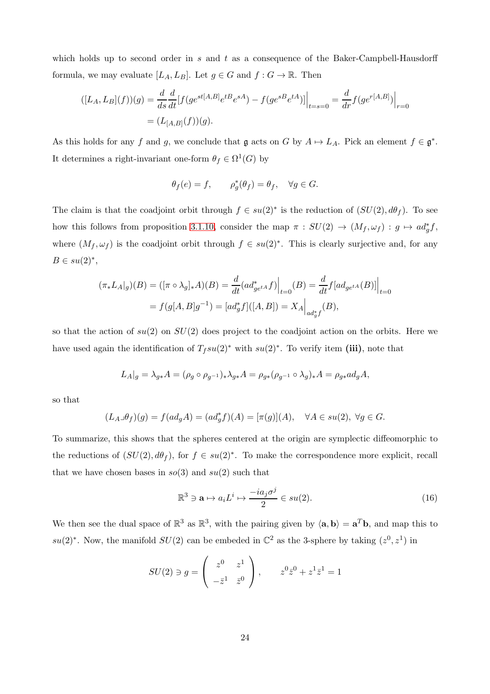which holds up to second order in  $s$  and  $t$  as a consequence of the Baker-Campbell-Hausdorff formula, we may evaluate  $[L_A, L_B]$ . Let  $g \in G$  and  $f : G \to \mathbb{R}$ . Then

$$
([L_A, L_B](f))(g) = \frac{d}{ds} \frac{d}{dt} [f(ge^{st[A, B]} e^{tB} e^{sA}) - f(ge^{sB} e^{tA})] \Big|_{t=s=0} = \frac{d}{dr} f(ge^{r[A, B]}) \Big|_{r=0}
$$
  
=  $(L_{[A, B]}(f))(g).$ 

As this holds for any f and g, we conclude that  $\mathfrak g$  acts on G by  $A \mapsto L_A$ . Pick an element  $f \in \mathfrak g^*$ . It determines a right-invariant one-form  $\theta_f \in \Omega^1(G)$  by

$$
\theta_f(e) = f, \qquad \rho_g^*(\theta_f) = \theta_f, \quad \forall g \in G.
$$

The claim is that the coadjoint orbit through  $f \in su(2)^*$  is the reduction of  $(SU(2), d\theta_f)$ . To see how this follows from proposition [3.1.10,](#page-19-1) consider the map  $\pi : SU(2) \to (M_f, \omega_f) : g \mapsto ad^*_g f$ , where  $(M_f, \omega_f)$  is the coadjoint orbit through  $f \in su(2)^*$ . This is clearly surjective and, for any  $B \in su(2)^*,$ 

$$
(\pi_* L_A|_g)(B) = ([\pi \circ \lambda_g]_* A)(B) = \frac{d}{dt} (ad^*_{ge^{tA}} f) \Big|_{t=0} (B) = \frac{d}{dt} f [ad_{ge^{tA}}(B)] \Big|_{t=0}
$$
  
=  $f(g[A, B]g^{-1}) = [ad^*_g f]([A, B]) = X_A \Big|_{ad^*_g f} (B),$ 

so that the action of  $su(2)$  on  $SU(2)$  does project to the coadjoint action on the orbits. Here we have used again the identification of  $T_f su(2)^*$  with  $su(2)^*$ . To verify item (iii), note that

$$
L_A|_g = \lambda_{g*}A = (\rho_g \circ \rho_{g^{-1}})_*\lambda_{g*}A = \rho_{g*}(\rho_{g^{-1}} \circ \lambda_g)_*A = \rho_{g*}ad_gA,
$$

so that

$$
(L_A \lrcorner \theta_f)(g) = f(ad_g A) = (ad_g^* f)(A) = [\pi(g)](A), \quad \forall A \in su(2), \ \forall g \in G.
$$

To summarize, this shows that the spheres centered at the origin are symplectic diffeomorphic to the reductions of  $(SU(2), d\theta_f)$ , for  $f \in su(2)^*$ . To make the correspondence more explicit, recall that we have chosen bases in  $so(3)$  and  $su(2)$  such that

<span id="page-23-0"></span>
$$
\mathbb{R}^3 \ni \mathbf{a} \mapsto a_i L^i \mapsto \frac{-ia_j \sigma^j}{2} \in su(2). \tag{16}
$$

We then see the dual space of  $\mathbb{R}^3$  as  $\mathbb{R}^3$ , with the pairing given by  $\langle \mathbf{a}, \mathbf{b} \rangle = \mathbf{a}^T \mathbf{b}$ , and map this to  $su(2)^*$ . Now, the manifold  $SU(2)$  can be embeded in  $\mathbb{C}^2$  as the 3-sphere by taking  $(z^0, z^1)$  in

$$
SU(2) \ni g = \begin{pmatrix} z^0 & z^1 \\ -\overline{z}^1 & \overline{z}^0 \end{pmatrix}, \qquad z^0 \overline{z}^0 + z^1 \overline{z}^1 = 1
$$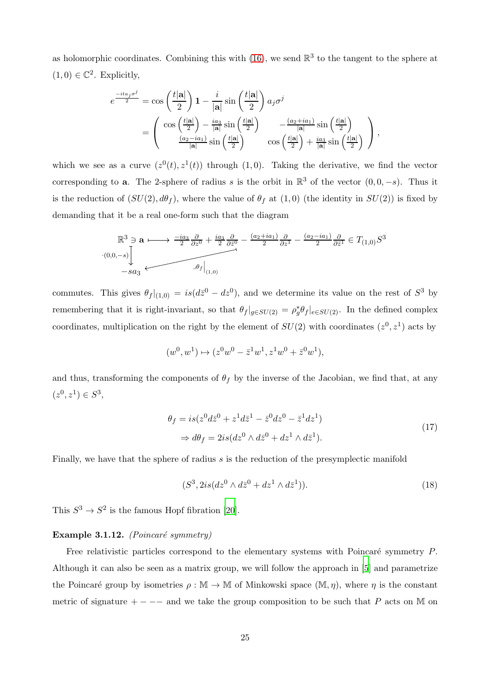as holomorphic coordinates. Combining this with  $(16)$ , we send  $\mathbb{R}^3$  to the tangent to the sphere at  $(1,0) \in \mathbb{C}^2$ . Explicitly,

$$
e^{\frac{-ita_j\sigma^j}{2}} = \cos\left(\frac{t|\mathbf{a}|}{2}\right)\mathbf{1} - \frac{i}{|\mathbf{a}|}\sin\left(\frac{t|\mathbf{a}|}{2}\right)a_j\sigma^j
$$
  
= 
$$
\begin{pmatrix} \cos\left(\frac{t|\mathbf{a}|}{2}\right) - \frac{ia_3}{|\mathbf{a}|}\sin\left(\frac{t|\mathbf{a}|}{2}\right) & -\frac{(a_2+ia_1)}{|\mathbf{a}|}\sin\left(\frac{t|\mathbf{a}|}{2}\right) \\ \frac{(a_2-ia_1)}{|\mathbf{a}|}\sin\left(\frac{t|\mathbf{a}|}{2}\right) & \cos\left(\frac{t|\mathbf{a}|}{2}\right) + \frac{ia_3}{|\mathbf{a}|}\sin\left(\frac{t|\mathbf{a}|}{2}\right) \end{pmatrix},
$$

which we see as a curve  $(z^{0}(t), z^{1}(t))$  through  $(1, 0)$ . Taking the derivative, we find the vector corresponding to **a**. The 2-sphere of radius s is the orbit in  $\mathbb{R}^3$  of the vector  $(0, 0, -s)$ . Thus it is the reduction of  $(SU(2), d\theta_f)$ , where the value of  $\theta_f$  at  $(1, 0)$  (the identity in  $SU(2)$ ) is fixed by demanding that it be a real one-form such that the diagram

$$
\mathbb{R}^{3} \ni \mathbf{a} \longmapsto \frac{-ia_{3}}{2} \frac{\partial}{\partial z^{0}} + \frac{ia_{3}}{2} \frac{\partial}{\partial \overline{z}^{0}} - \frac{(a_{2}+ia_{1})}{2} \frac{\partial}{\partial z^{1}} - \frac{(a_{2}-ia_{1})}{2} \frac{\partial}{\partial \overline{z}^{1}} \in T_{(1,0)} S^{3}
$$
  
-sa\_{3}

commutes. This gives  $\theta_f|_{(1,0)} = is(d\bar{z}^0 - dz^0)$ , and we determine its value on the rest of  $S^3$  by remembering that it is right-invariant, so that  $\theta_f|_{g\in SU(2)} = \rho_g^* \theta_f|_{e\in SU(2)}$ . In the defined complex coordinates, multiplication on the right by the element of  $SU(2)$  with coordinates  $(z^0, z^1)$  acts by

$$
(w^0, w^1) \mapsto (z^0 w^0 - \bar{z}^1 w^1, z^1 w^0 + \bar{z}^0 w^1),
$$

and thus, transforming the components of  $\theta_f$  by the inverse of the Jacobian, we find that, at any  $(z^0, z^1) \in S^3$ ,

$$
\theta_f = is(z^0 d\overline{z}^0 + z^1 d\overline{z}^1 - \overline{z}^0 dz^0 - \overline{z}^1 dz^1)
$$
  
\n
$$
\Rightarrow d\theta_f = 2is(dz^0 \wedge d\overline{z}^0 + dz^1 \wedge d\overline{z}^1).
$$
\n(17)

Finally, we have that the sphere of radius s is the reduction of the presymplectic manifold

$$
(S3, 2is(dz0 \wedge d\overline{z}0 + dz1 \wedge d\overline{z}1)).
$$
\n(18)

This  $S^3 \to S^2$  is the famous Hopf fibration [\[20](#page-97-2)].

#### Example 3.1.12. (Poincaré symmetry)

Free relativistic particles correspond to the elementary systems with Poincaré symmetry  $P$ . Although it can also be seen as a matrix group, we will follow the approach in [\[5\]](#page-96-4) and parametrize the Poincaré group by isometries  $\rho : \mathbb{M} \to \mathbb{M}$  of Minkowski space  $(\mathbb{M}, \eta)$ , where  $\eta$  is the constant metric of signature  $+ - - -$  and we take the group composition to be such that P acts on M on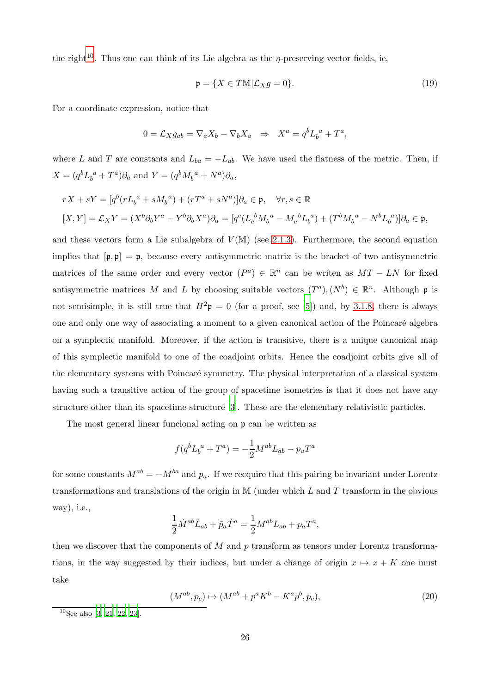the right<sup>[10](#page-25-0)</sup>. Thus one can think of its Lie algebra as the  $\eta$ -preserving vector fields, ie,

<span id="page-25-1"></span>
$$
\mathfrak{p} = \{ X \in T\mathbb{M} | \mathcal{L}_X g = 0 \}. \tag{19}
$$

For a coordinate expression, notice that

$$
0 = \mathcal{L}_X g_{ab} = \nabla_a X_b - \nabla_b X_a \Rightarrow X^a = q^b L_b^{\ a} + T^a,
$$

where L and T are constants and  $L_{ba} = -L_{ab}$ . We have used the flatness of the metric. Then, if  $X = (q^b L_b^a + T^a)\partial_a$  and  $Y = (q^b M_b^a + N^a)\partial_a$ ,

$$
rX + sY = [q^b(rL_b^a + sM_b^a) + (rT^a + sN^a)]\partial_a \in \mathfrak{p}, \quad \forall r, s \in \mathbb{R}
$$
  

$$
[X, Y] = \mathcal{L}_X Y = (X^b \partial_b Y^a - Y^b \partial_b X^a) \partial_a = [q^c(L_c^b M_b^a - M_c^b L_b^a) + (T^b M_b^a - N^b L_b^a)]\partial_a \in \mathfrak{p},
$$

and these vectors form a Lie subalgebra of  $V(M)$  (see [2.1.3\)](#page-3-1). Furthermore, the second equation implies that  $[\mathfrak{p}, \mathfrak{p}] = \mathfrak{p}$ , because every antisymmetric matrix is the bracket of two antisymmetric matrices of the same order and every vector  $(P^a) \in \mathbb{R}^n$  can be writen as  $MT - LN$  for fixed antisymmetric matrices M and L by choosing suitable vectors  $(T^a)$ ,  $(N^b) \in \mathbb{R}^n$ . Although p is not semisimple, it is still true that  $H^2 \mathfrak{p} = 0$  (for a proof, see [\[5](#page-96-4)]) and, by [3.1.8,](#page-17-0) there is always one and only one way of associating a moment to a given canonical action of the Poincaré algebra on a symplectic manifold. Moreover, if the action is transitive, there is a unique canonical map of this symplectic manifold to one of the coadjoint orbits. Hence the coadjoint orbits give all of the elementary systems with Poincaré symmetry. The physical interpretation of a classical system having such a transitive action of the group of spacetime isometries is that it does not have any structure other than its spacetime structure [\[3](#page-96-2)]. These are the elementary relativistic particles.

The most general linear funcional acting on p can be written as

$$
f(q^{b}L_{b}^{a} + T^{a}) = -\frac{1}{2}M^{ab}L_{ab} - p_{a}T^{a}
$$

for some constants  $M^{ab} = -M^{ba}$  and  $p_a$ . If we recquire that this pairing be invariant under Lorentz transformations and translations of the origin in  $M$  (under which  $L$  and  $T$  transform in the obvious way), i.e.,

$$
\frac{1}{2}\tilde{M}^{ab}\tilde{L}_{ab} + \tilde{p}_a\tilde{T}^a = \frac{1}{2}M^{ab}L_{ab} + p_aT^a,
$$

then we discover that the components of  $M$  and  $p$  transform as tensors under Lorentz transformations, in the way suggested by their indices, but under a change of origin  $x \mapsto x + K$  one must take

<span id="page-25-2"></span>
$$
(M^{ab}, p_c) \mapsto (M^{ab} + p^a K^b - K^a p^b, p_c), \tag{20}
$$

<span id="page-25-0"></span> $10$ See also [\[3](#page-96-2), [21](#page-97-3), [22,](#page-97-4) [23\]](#page-97-5).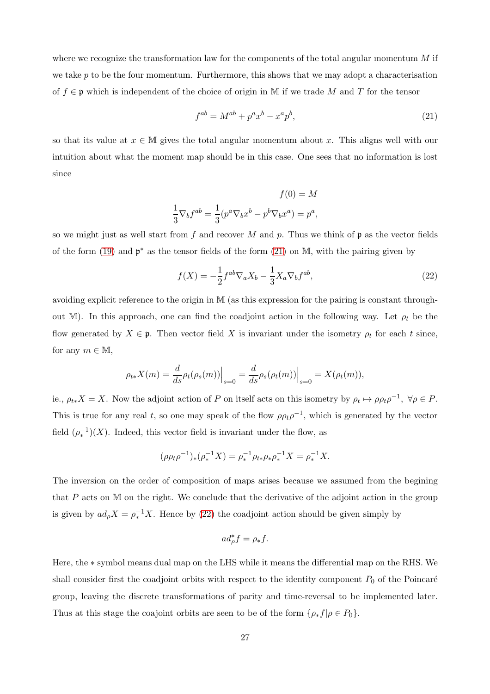where we recognize the transformation law for the components of the total angular momentum  $M$  if we take  $p$  to be the four momentum. Furthermore, this shows that we may adopt a characterisation of  $f \in \mathfrak{p}$  which is independent of the choice of origin in M if we trade M and T for the tensor

<span id="page-26-0"></span>
$$
f^{ab} = M^{ab} + p^a x^b - x^a p^b,
$$
\n(21)

so that its value at  $x \in M$  gives the total angular momentum about x. This aligns well with our intuition about what the moment map should be in this case. One sees that no information is lost since

$$
f(0) = M
$$

$$
\frac{1}{3} \nabla_b f^{ab} = \frac{1}{3} (p^a \nabla_b x^b - p^b \nabla_b x^a) = p^a,
$$

so we might just as well start from f and recover M and p. Thus we think of  $\mathfrak p$  as the vector fields of the form [\(19\)](#page-25-1) and  $\mathfrak{p}^*$  as the tensor fields of the form [\(21\)](#page-26-0) on M, with the pairing given by

<span id="page-26-1"></span>
$$
f(X) = -\frac{1}{2}f^{ab}\nabla_a X_b - \frac{1}{3}X_a\nabla_b f^{ab},\tag{22}
$$

avoiding explicit reference to the origin in M (as this expression for the pairing is constant throughout M). In this approach, one can find the coadjoint action in the following way. Let  $\rho_t$  be the flow generated by  $X \in \mathfrak{p}$ . Then vector field X is invariant under the isometry  $\rho_t$  for each t since, for any  $m \in \mathbb{M}$ ,

$$
\rho_{t*}X(m) = \frac{d}{ds}\rho_t(\rho_s(m))\Big|_{s=0} = \frac{d}{ds}\rho_s(\rho_t(m))\Big|_{s=0} = X(\rho_t(m)),
$$

ie.,  $\rho_{t*} X = X$ . Now the adjoint action of P on itself acts on this isometry by  $\rho_t \mapsto \rho \rho_t \rho^{-1}$ ,  $\forall \rho \in P$ . This is true for any real t, so one may speak of the flow  $\rho \rho_t \rho^{-1}$ , which is generated by the vector field  $(\rho_*^{-1})(X)$ . Indeed, this vector field is invariant under the flow, as

$$
(\rho \rho_t \rho^{-1})_*(\rho_*^{-1} X) = \rho_*^{-1} \rho_{t*} \rho_* \rho_*^{-1} X = \rho_*^{-1} X.
$$

The inversion on the order of composition of maps arises because we assumed from the begining that  $P$  acts on  $M$  on the right. We conclude that the derivative of the adjoint action in the group is given by  $ad_{\rho}X = \rho_*^{-1}X$ . Hence by [\(22\)](#page-26-1) the coadjoint action should be given simply by

$$
ad_{\rho}^* f = \rho_* f.
$$

Here, the ∗ symbol means dual map on the LHS while it means the differential map on the RHS. We shall consider first the coadjoint orbits with respect to the identity component  $P_0$  of the Poincaré group, leaving the discrete transformations of parity and time-reversal to be implemented later. Thus at this stage the coajoint orbits are seen to be of the form  $\{\rho_* f | \rho \in P_0\}.$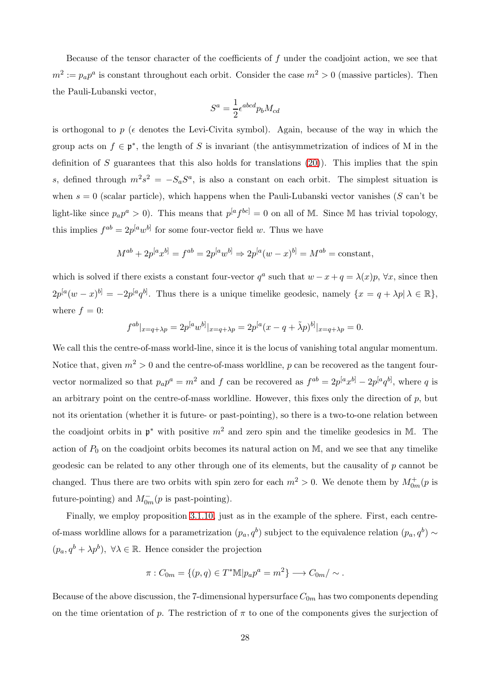Because of the tensor character of the coefficients of  $f$  under the coadjoint action, we see that  $m^2 := p_a p^a$  is constant throughout each orbit. Consider the case  $m^2 > 0$  (massive particles). Then the Pauli-Lubanski vector,

$$
S^a = \frac{1}{2} \epsilon^{abcd} p_b M_{cd}
$$

is orthogonal to p ( $\epsilon$  denotes the Levi-Civita symbol). Again, because of the way in which the group acts on  $f \in \mathfrak{p}^*$ , the length of S is invariant (the antisymmetrization of indices of M in the definition of S guarantees that this also holds for translations  $(20)$ ). This implies that the spin s, defined through  $m^2s^2 = -S_aS^a$ , is also a constant on each orbit. The simplest situation is when  $s = 0$  (scalar particle), which happens when the Pauli-Lubanski vector vanishes (S can't be light-like since  $p_a p^a > 0$ ). This means that  $p^a f^{bc} = 0$  on all of M. Since M has trivial topology, this implies  $f^{ab} = 2p^{[a}w^{b]}$  for some four-vector field w. Thus we have

$$
M^{ab} + 2p^{[a}x^{b]} = f^{ab} = 2p^{[a}w^{b]} \Rightarrow 2p^{[a}(w - x)^{b]} = M^{ab} = \text{constant},
$$

which is solved if there exists a constant four-vector  $q^a$  such that  $w - x + q = \lambda(x)p$ ,  $\forall x$ , since then  $2p^{[a}(w-x)^{b]} = -2p^{[a}q^{b]}$ . Thus there is a unique timelike geodesic, namely  $\{x = q + \lambda p | \lambda \in \mathbb{R}\},$ where  $f = 0$ :

$$
f^{ab}|_{x=q+\lambda p} = 2p^{[a}w^{b]}|_{x=q+\lambda p} = 2p^{[a}(x-q+\tilde{\lambda}p)^{b]}|_{x=q+\lambda p} = 0.
$$

We call this the centre-of-mass world-line, since it is the locus of vanishing total angular momentum. Notice that, given  $m^2 > 0$  and the centre-of-mass worldline, p can be recovered as the tangent fourvector normalized so that  $p_a p^a = m^2$  and f can be recovered as  $f^{ab} = 2p^{[a}x^{b]} - 2p^{[a}q^{b]}$ , where q is an arbitrary point on the centre-of-mass worldline. However, this fixes only the direction of  $p$ , but not its orientation (whether it is future- or past-pointing), so there is a two-to-one relation between the coadjoint orbits in  $\mathfrak{p}^*$  with positive  $m^2$  and zero spin and the timelike geodesics in M. The action of  $P_0$  on the coadjoint orbits becomes its natural action on M, and we see that any timelike geodesic can be related to any other through one of its elements, but the causality of p cannot be changed. Thus there are two orbits with spin zero for each  $m^2 > 0$ . We denote them by  $M_{0m}^+(p)$  is future-pointing) and  $M_{0m}^-(p)$  is past-pointing).

Finally, we employ proposition [3.1.10,](#page-19-1) just as in the example of the sphere. First, each centreof-mass worldline allows for a parametrization  $(p_a, q^b)$  subject to the equivalence relation  $(p_a, q^b) \sim$  $(p_a, q^b + \lambda p^b), \ \forall \lambda \in \mathbb{R}$ . Hence consider the projection

$$
\pi: C_{0m} = \{(p, q) \in T^* \mathbb{M} | p_a p^a = m^2 \} \longrightarrow C_{0m} / \sim.
$$

Because of the above discussion, the 7-dimensional hypersurface  $C_{0m}$  has two components depending on the time orientation of p. The restriction of  $\pi$  to one of the components gives the surjection of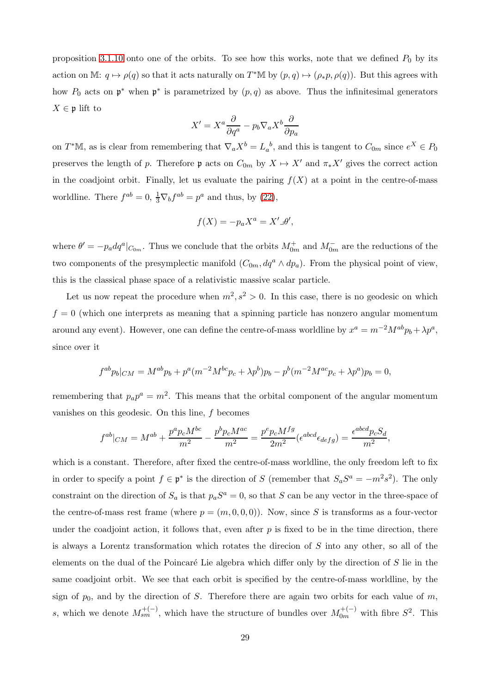proposition [3.1.10](#page-19-1) onto one of the orbits. To see how this works, note that we defined  $P_0$  by its action on M:  $q \mapsto \rho(q)$  so that it acts naturally on  $T^*M$  by  $(p,q) \mapsto (\rho_*p, \rho(q))$ . But this agrees with how  $P_0$  acts on  $\mathfrak{p}^*$  when  $\mathfrak{p}^*$  is parametrized by  $(p, q)$  as above. Thus the infinitesimal generators  $X \in \mathfrak{p}$  lift to

$$
X' = X^a \frac{\partial}{\partial q^a} - p_b \nabla_a X^b \frac{\partial}{\partial p_a}
$$

on  $T^*\mathbb{M}$ , as is clear from remembering that  $\nabla_a X^b = L_a^b$ , and this is tangent to  $C_{0m}$  since  $e^X \in P_0$ preserves the length of p. Therefore p acts on  $C_{0m}$  by  $X \mapsto X'$  and  $\pi_* X'$  gives the correct action in the coadjoint orbit. Finally, let us evaluate the pairing  $f(X)$  at a point in the centre-of-mass worldline. There  $f^{ab} = 0$ ,  $\frac{1}{3} \nabla_b f^{ab} = p^a$  and thus, by [\(22\)](#page-26-1),

$$
f(X) = -p_a X^a = X' \lrcorner \theta',
$$

where  $\theta' = -p_a dq^a|_{C_{0m}}$ . Thus we conclude that the orbits  $M_{0m}^+$  and  $M_{0m}^-$  are the reductions of the two components of the presymplectic manifold  $(C_{0m}, dq^a \wedge dp_a)$ . From the physical point of view, this is the classical phase space of a relativistic massive scalar particle.

Let us now repeat the procedure when  $m^2$ ,  $s^2 > 0$ . In this case, there is no geodesic on which  $f = 0$  (which one interprets as meaning that a spinning particle has nonzero angular momentum around any event). However, one can define the centre-of-mass worldline by  $x^a = m^{-2}M^{ab}p_b + \lambda p^a$ , since over it

$$
f^{ab}p_b|_{CM} = M^{ab}p_b + p^a(m^{-2}M^{bc}p_c + \lambda p^b)p_b - p^b(m^{-2}M^{ac}p_c + \lambda p^a)p_b = 0,
$$

remembering that  $p_a p^a = m^2$ . This means that the orbital component of the angular momentum vanishes on this geodesic. On this line, f becomes

$$
f^{ab}|_{CM} = M^{ab} + \frac{p^a p_c M^{bc}}{m^2} - \frac{p^b p_c M^{ac}}{m^2} = \frac{p^e p_c M^{fg}}{2m^2} (\epsilon^{abcd} \epsilon_{defg}) = \frac{\epsilon^{abcd} p_c S_d}{m^2},
$$

which is a constant. Therefore, after fixed the centre-of-mass worldline, the only freedom left to fix in order to specify a point  $f \in \mathfrak{p}^*$  is the direction of S (remember that  $S_a S^a = -m^2 s^2$ ). The only constraint on the direction of  $S_a$  is that  $p_aS^a = 0$ , so that S can be any vector in the three-space of the centre-of-mass rest frame (where  $p = (m, 0, 0, 0)$ ). Now, since S is transforms as a four-vector under the coadjoint action, it follows that, even after  $p$  is fixed to be in the time direction, there is always a Lorentz transformation which rotates the direcion of  $S$  into any other, so all of the elements on the dual of the Poincaré Lie algebra which differ only by the direction of  $S$  lie in the same coadjoint orbit. We see that each orbit is specified by the centre-of-mass worldline, by the sign of  $p_0$ , and by the direction of S. Therefore there are again two orbits for each value of m, s, which we denote  $M_{sm}^{+(-)}$ , which have the structure of bundles over  $M_{0m}^{+(-)}$  with fibre  $S^2$ . This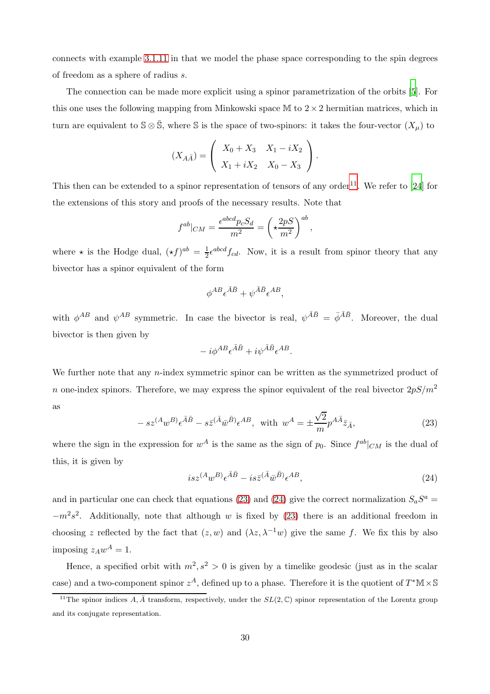connects with example [3.1.11](#page-20-1) in that we model the phase space corresponding to the spin degrees of freedom as a sphere of radius s.

The connection can be made more explicit using a spinor parametrization of the orbits [\[5\]](#page-96-4). For this one uses the following mapping from Minkowski space  $\mathbb M$  to  $2 \times 2$  hermitian matrices, which in turn are equivalent to  $\mathcal{S} \otimes \overline{\mathcal{S}}$ , where  $\mathcal{S}$  is the space of two-spinors: it takes the four-vector  $(X_u)$  to

$$
(X_{A\bar{A}}) = \begin{pmatrix} X_0 + X_3 & X_1 - iX_2 \ X_1 + iX_2 & X_0 - X_3 \end{pmatrix}.
$$

This then can be extended to a spinor representation of tensors of any order<sup>[11](#page-29-0)</sup>. We refer to [\[24](#page-97-6)] for the extensions of this story and proofs of the necessary results. Note that

$$
f^{ab}|_{CM} = \frac{\epsilon^{abcd} p_c S_d}{m^2} = \left(\star \frac{2pS}{m^2}\right)^{ab},
$$

where  $\star$  is the Hodge dual,  $(\star f)^{ab} = \frac{1}{2}$  $\frac{1}{2} \epsilon^{abcd} f_{cd}$ . Now, it is a result from spinor theory that any bivector has a spinor equivalent of the form

$$
\phi^{AB}\epsilon^{\bar{A}\bar{B}} + \psi^{\bar{A}\bar{B}}\epsilon^{AB},
$$

with  $\phi^{AB}$  and  $\psi^{AB}$  symmetric. In case the bivector is real,  $\psi^{\bar{A}\bar{B}} = \bar{\phi}^{\bar{A}\bar{B}}$ . Moreover, the dual bivector is then given by

$$
-i\phi^{AB}\epsilon^{\bar{A}\bar{B}}+i\psi^{\bar{A}\bar{B}}\epsilon^{AB}.
$$

We further note that any *n*-index symmetric spinor can be written as the symmetrized product of n one-index spinors. Therefore, we may express the spinor equivalent of the real bivector  $2pS/m^2$ as

<span id="page-29-1"></span>
$$
-sz^{(A}w^{B})\epsilon^{\bar{A}\bar{B}} - s\bar{z}^{(\bar{A}}\bar{w}^{\bar{B})}\epsilon^{AB}, \text{ with } w^{A} = \pm \frac{\sqrt{2}}{m}p^{A\bar{A}}\bar{z}_{\bar{A}},
$$
\n(23)

where the sign in the expression for  $w^A$  is the same as the sign of  $p_0$ . Since  $f^{ab}|_{CM}$  is the dual of this, it is given by

<span id="page-29-2"></span>
$$
isz^{(A}w^{B)}\epsilon^{\bar{A}\bar{B}} - is\bar{z}^{(\bar{A}}\bar{w}^{\bar{B})}\epsilon^{AB},\tag{24}
$$

and in particular one can check that equations [\(23\)](#page-29-1) and [\(24\)](#page-29-2) give the correct normalization  $S_aS^a$  =  $-m^2s^2$ . Additionally, note that although w is fixed by [\(23\)](#page-29-1) there is an additional freedom in choosing z reflected by the fact that  $(z, w)$  and  $(\lambda z, \lambda^{-1}w)$  give the same f. We fix this by also imposing  $z_A w^A = 1$ .

Hence, a specified orbit with  $m^2, s^2 > 0$  is given by a timelike geodesic (just as in the scalar case) and a two-component spinor  $z^A$ , defined up to a phase. Therefore it is the quotient of  $T^*\mathbb{M}\times\mathbb{S}$ 

<span id="page-29-0"></span><sup>&</sup>lt;sup>11</sup>The spinor indices A,  $\bar{A}$  transform, respectively, under the  $SL(2,\mathbb{C})$  spinor representation of the Lorentz group and its conjugate representation.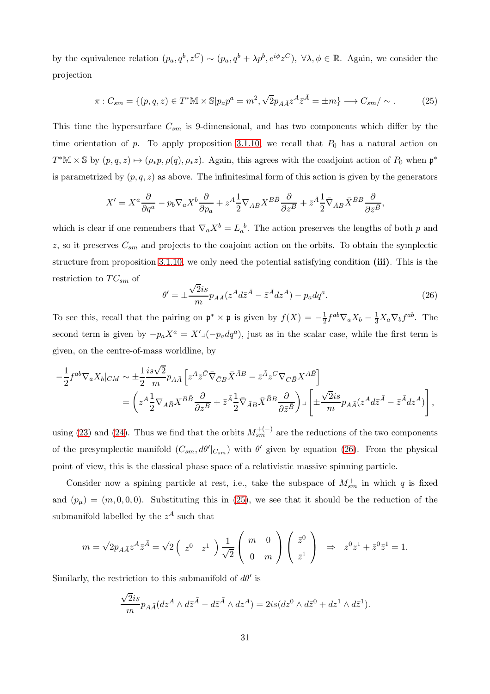by the equivalence relation  $(p_a, q^b, z^C) \sim (p_a, q^b + \lambda p^b, e^{i\phi} z^C)$ ,  $\forall \lambda, \phi \in \mathbb{R}$ . Again, we consider the projection

<span id="page-30-1"></span>
$$
\pi: C_{sm} = \{ (p, q, z) \in T^* \mathbb{M} \times \mathbb{S} | p_a p^a = m^2, \sqrt{2} p_{A\bar{A}} z^A \bar{z}^{\bar{A}} = \pm m \} \longrightarrow C_{sm} / \sim.
$$
 (25)

This time the hypersurface  $C_{sm}$  is 9-dimensional, and has two components which differ by the time orientation of p. To apply proposition [3.1.10,](#page-19-1) we recall that  $P_0$  has a natural action on  $T^*\mathbb{M}\times \mathbb{S}$  by  $(p,q,z)\mapsto (p_*p,\rho(q),\rho_*z)$ . Again, this agrees with the coadjoint action of  $P_0$  when  $\mathfrak{p}^*$ is parametrized by  $(p, q, z)$  as above. The infinitesimal form of this action is given by the generators

$$
X' = X^a \frac{\partial}{\partial q^a} - p_b \nabla_a X^b \frac{\partial}{\partial p_a} + z^A \frac{1}{2} \nabla_{A\bar{B}} X^{B\bar{B}} \frac{\partial}{\partial z^B} + \bar{z}^{\bar{A}} \frac{1}{2} \bar{\nabla}_{\bar{A}B} \bar{X}^{\bar{B}B} \frac{\partial}{\partial \bar{z}^{\bar{B}}},
$$

which is clear if one remembers that  $\nabla_a X^b = L_a^b$ . The action preserves the lengths of both p and  $z$ , so it preserves  $C_{sm}$  and projects to the coajoint action on the orbits. To obtain the symplectic structure from proposition [3.1.10,](#page-19-1) we only need the potential satisfying condition (iii). This is the restriction to  $TC_{sm}$  of

<span id="page-30-0"></span>
$$
\theta' = \pm \frac{\sqrt{2}is}{m} p_{A\bar{A}} (z^A d\bar{z}^{\bar{A}} - \bar{z}^{\bar{A}} dz^A) - p_a dq^a.
$$
 (26)

To see this, recall that the pairing on  $\mathfrak{p}^* \times \mathfrak{p}$  is given by  $f(X) = -\frac{1}{2}$  $\frac{1}{2}f^{ab}\nabla_aX_b - \frac{1}{3}X_a\nabla_bf^{ab}$ . The second term is given by  $-p_a X^a = X' \Box (-p_a dq^a)$ , just as in the scalar case, while the first term is given, on the centre-of-mass worldline, by

$$
\begin{split} -\frac{1}{2}f^{ab}\nabla_aX_b|_{CM} &\sim \pm\frac{1}{2}\frac{is\sqrt{2}}{m}p_{A\bar{A}}\left[z^A\bar{z}^{\bar{C}}\bar{\nabla}_{\bar{C}B}\bar{X}^{\bar{A}B}-\bar{z}^{\bar{A}}z^C\nabla_{C\bar{B}}X^{A\bar{B}}\right]\\ &=\left(z^A\frac{1}{2}\nabla_{A\bar{B}}X^{B\bar{B}}\frac{\partial}{\partial z^B}+\bar{z}^{\bar{A}}\frac{1}{2}\bar{\nabla}_{\bar{A}B}\bar{X}^{\bar{B}B}\frac{\partial}{\partial\bar{z}^{\bar{B}}}\right)\lrcorner\left[\pm\frac{\sqrt{2}is}{m}p_{A\bar{A}}(z^Ad\bar{z}^{\bar{A}}-\bar{z}^{\bar{A}}dz^A)\right], \end{split}
$$

using [\(23\)](#page-29-1) and [\(24\)](#page-29-2). Thus we find that the orbits  $M_{sm}^{+(-)}$  are the reductions of the two components of the presymplectic manifold  $(C_{sm}, d\theta'|_{C_{sm}})$  with  $\theta'$  given by equation [\(26\)](#page-30-0). From the physical point of view, this is the classical phase space of a relativistic massive spinning particle.

Consider now a spining particle at rest, i.e., take the subspace of  $M_{sm}^+$  in which q is fixed and  $(p_\mu) = (m, 0, 0, 0)$ . Substituting this in [\(25\)](#page-30-1), we see that it should be the reduction of the submanifold labelled by the  $z^A$  such that

$$
m = \sqrt{2}p_{A\overline{A}}z^{A}\overline{z}^{\overline{A}} = \sqrt{2}\begin{pmatrix} z^{0} & z^{1} \end{pmatrix} \frac{1}{\sqrt{2}} \begin{pmatrix} m & 0 \\ 0 & m \end{pmatrix} \begin{pmatrix} \overline{z}^{0} \\ \overline{z}^{1} \end{pmatrix} \Rightarrow z^{0}z^{1} + \overline{z}^{0}\overline{z}^{1} = 1.
$$

Similarly, the restriction to this submanifold of  $d\theta'$  is

$$
\frac{\sqrt{2}is}{m}p_{A\bar{A}}(dz^A \wedge d\bar{z}^{\bar{A}} - d\bar{z}^{\bar{A}} \wedge dz^A) = 2is(dz^0 \wedge d\bar{z}^0 + dz^1 \wedge d\bar{z}^1).
$$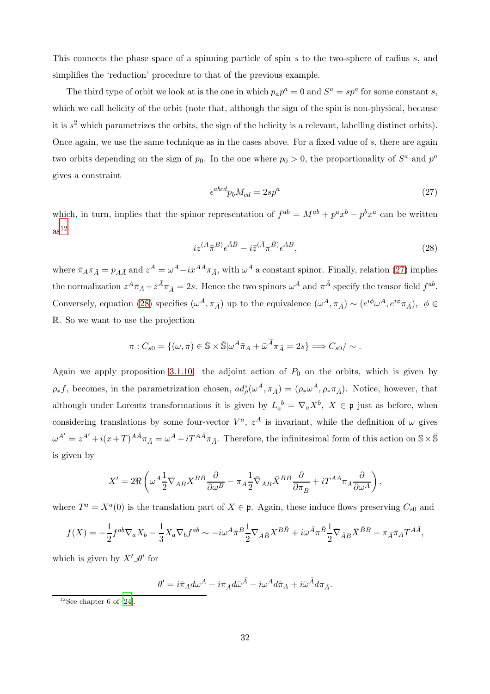This connects the phase space of a spinning particle of spin s to the two-sphere of radius s, and simplifies the 'reduction' procedure to that of the previous example.

The third type of orbit we look at is the one in which  $p_a p^a = 0$  and  $S^a = sp^a$  for some constant s, which we call helicity of the orbit (note that, although the sign of the spin is non-physical, because it is  $s^2$  which parametrizes the orbits, the sign of the helicity is a relevant, labelling distinct orbits). Once again, we use the same technique as in the cases above. For a fixed value of s, there are again two orbits depending on the sign of  $p_0$ . In the one where  $p_0 > 0$ , the proportionality of  $S^a$  and  $p^a$ gives a constraint

<span id="page-31-1"></span>
$$
\epsilon^{abcd} p_b M_{cd} = 2sp^a \tag{27}
$$

which, in turn, implies that the spinor representation of  $f^{ab} = M^{ab} + p^a x^b - p^b x^a$  can be written  $as<sup>12</sup>$  $as<sup>12</sup>$  $as<sup>12</sup>$ 

<span id="page-31-2"></span>
$$
iz^{(A}\bar{\pi}^{B)}\epsilon^{\bar{A}\bar{B}} - i\bar{z}^{(\bar{A}}\pi^{\bar{B})}\epsilon^{AB},\tag{28}
$$

where  $\bar{\pi}_A \pi_{\bar{A}} = p_{A\bar{A}}$  and  $z^A = \omega^A - ix^{A\bar{A}} \pi_{\bar{A}}$ , with  $\omega^A$  a constant spinor. Finally, relation [\(27\)](#page-31-1) implies the normalization  $z^A \bar{\pi}_A + \bar{z}^{\bar{A}} \pi_{\bar{A}} = 2s$ . Hence the two spinors  $\omega^A$  and  $\pi^{\bar{A}}$  specify the tensor field  $f^{ab}$ . Conversely, equation [\(28\)](#page-31-2) specifies  $(\omega^A, \pi_{\bar{A}})$  up to the equivalence  $(\omega^A, \pi_{\bar{A}}) \sim (e^{i\phi}\omega^A, e^{i\phi}\pi_{\bar{A}}), \phi \in$ R. So we want to use the projection

$$
\pi: C_{s0} = \{(\omega, \pi) \in \mathbb{S} \times \bar{\mathbb{S}} | \omega^A \bar{\pi}_A + \bar{\omega}^{\bar{A}} \bar{\pi}_{\bar{A}} = 2s \} \Longrightarrow C_{s0}/\sim.
$$

Again we apply proposition [3.1.10:](#page-19-1) the adjoint action of  $P_0$  on the orbits, which is given by  $\rho_* f$ , becomes, in the parametrization chosen,  $ad^*_{\rho}(\omega^A, \pi_{\bar{A}}) = (\rho_* \omega^A, \rho_* \pi_{\bar{A}})$ . Notice, however, that although under Lorentz transformations it is given by  $L_a^b = \nabla_a X^b$ ,  $X \in \mathfrak{p}$  just as before, when considering translations by some four-vector  $V^a$ ,  $z^A$  is invariant, while the definition of  $\omega$  gives  $\omega^{A'} = z^{A'} + i(x+T)^{A\bar{A}}\pi_{\bar{A}} = \omega^A + iT^{A\bar{A}}\pi_{\bar{A}}$ . Therefore, the infinitesimal form of this action on  $\mathbb{S} \times \bar{\mathbb{S}}$ is given by

$$
X'=2\Re\left(\omega^A\frac{1}{2}\nabla_{A\bar{B}}X^{B\bar{B}}\frac{\partial}{\partial\omega^B}-\pi_{\bar{A}}\frac{1}{2}\bar{\nabla}_{\bar{A}B}\bar{X}^{\bar{B}B}\frac{\partial}{\partial\pi_{\bar{B}}}+iT^{A\bar{A}}\pi_{\bar{A}}\frac{\partial}{\partial\omega^A}\right),\,
$$

where  $T^a = X^a(0)$  is the translation part of  $X \in \mathfrak{p}$ . Again, these induce flows preserving  $C_{s0}$  and

$$
f(X) = -\frac{1}{2}f^{ab}\nabla_a X_b - \frac{1}{3}X_a\nabla_b f^{ab} \sim -i\omega^A \bar{\pi}^B \frac{1}{2}\nabla_{A\bar{B}} X^{B\bar{B}} + i\bar{\omega}^{\bar{A}} \pi^{\bar{B}} \frac{1}{2}\bar{\nabla}_{\bar{A}B} \bar{X}^{\bar{B}B} - \pi_{\bar{A}} \bar{\pi}_A T^{A\bar{A}},
$$

which is given by  $X' \rightharpoonup \theta'$  for

$$
\theta' = i\bar{\pi}_A d\omega^A - i\pi_{\bar{A}} d\bar{\omega}^{\bar{A}} - i\omega^A d\bar{\pi}_A + i\bar{\omega}^{\bar{A}} d\pi_{\bar{A}}.
$$

<span id="page-31-0"></span> $12$ See chapter 6 of [\[24](#page-97-6)].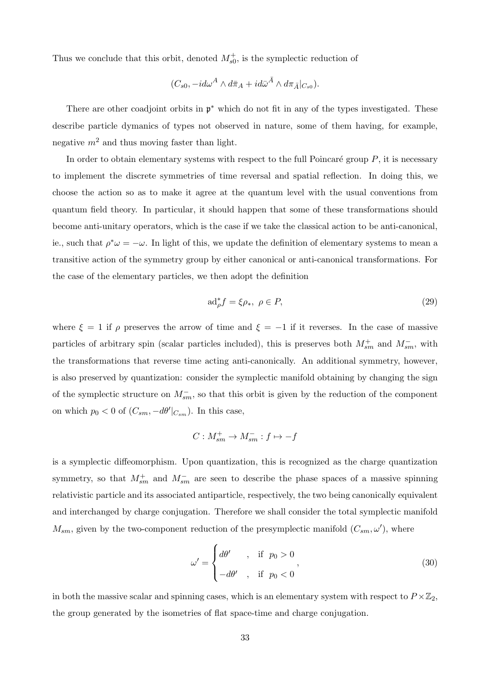Thus we conclude that this orbit, denoted  $M_{s0}^+$ , is the symplectic reduction of

$$
(C_{s0}, -id\omega^A \wedge d\bar{\pi}_A + id\bar{\omega}^{\bar{A}} \wedge d\pi_{\bar{A}}|_{C_{s0}}).
$$

There are other coadjoint orbits in  $\mathfrak{p}^*$  which do not fit in any of the types investigated. These describe particle dymanics of types not observed in nature, some of them having, for example, negative  $m^2$  and thus moving faster than light.

In order to obtain elementary systems with respect to the full Poincaré group  $P$ , it is necessary to implement the discrete symmetries of time reversal and spatial reflection. In doing this, we choose the action so as to make it agree at the quantum level with the usual conventions from quantum field theory. In particular, it should happen that some of these transformations should become anti-unitary operators, which is the case if we take the classical action to be anti-canonical, ie., such that  $\rho^* \omega = -\omega$ . In light of this, we update the definition of elementary systems to mean a transitive action of the symmetry group by either canonical or anti-canonical transformations. For the case of the elementary particles, we then adopt the definition

<span id="page-32-0"></span>
$$
\mathrm{ad}_{\rho}^* f = \xi \rho_*, \ \rho \in P,\tag{29}
$$

where  $\xi = 1$  if  $\rho$  preserves the arrow of time and  $\xi = -1$  if it reverses. In the case of massive particles of arbitrary spin (scalar particles included), this is preserves both  $M_{sm}^+$  and  $M_{sm}^-$ , with the transformations that reverse time acting anti-canonically. An additional symmetry, however, is also preserved by quantization: consider the symplectic manifold obtaining by changing the sign of the symplectic structure on  $M_{sm}^-$ , so that this orbit is given by the reduction of the component on which  $p_0 < 0$  of  $(C_{sm}, -d\theta'|_{C_{sm}})$ . In this case,

$$
C:M^+_{sm}\to M^-_{sm}:f\mapsto -f
$$

is a symplectic diffeomorphism. Upon quantization, this is recognized as the charge quantization symmetry, so that  $M_{sm}^+$  and  $M_{sm}^-$  are seen to describe the phase spaces of a massive spinning relativistic particle and its associated antiparticle, respectively, the two being canonically equivalent and interchanged by charge conjugation. Therefore we shall consider the total symplectic manifold  $M_{sm}$ , given by the two-component reduction of the presymplectic manifold  $(C_{sm}, \omega')$ , where

$$
\omega' = \begin{cases}\nd\theta' & , \text{ if } p_0 > 0 \\
-d\theta' & , \text{ if } p_0 < 0\n\end{cases}
$$
\n(30)

in both the massive scalar and spinning cases, which is an elementary system with respect to  $P \times \mathbb{Z}_2$ , the group generated by the isometries of flat space-time and charge conjugation.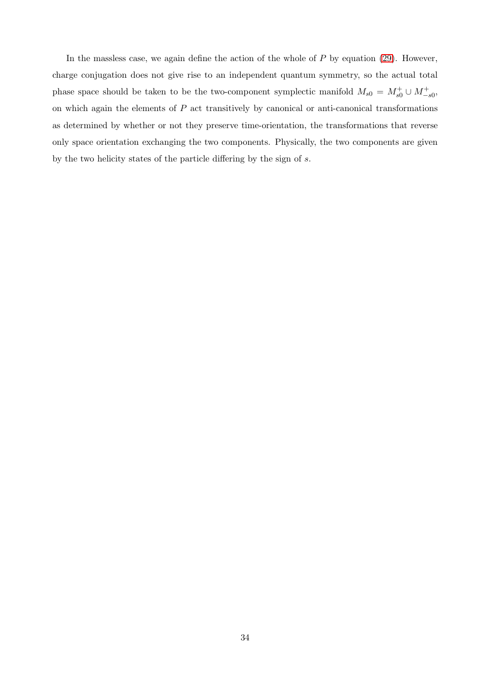In the massless case, we again define the action of the whole of  $P$  by equation [\(29\)](#page-32-0). However, charge conjugation does not give rise to an independent quantum symmetry, so the actual total phase space should be taken to be the two-component symplectic manifold  $M_{s0} = M_{s0}^+ \cup M_{-s0}^+$ , on which again the elements of  $P$  act transitively by canonical or anti-canonical transformations as determined by whether or not they preserve time-orientation, the transformations that reverse only space orientation exchanging the two components. Physically, the two components are given by the two helicity states of the particle differing by the sign of s.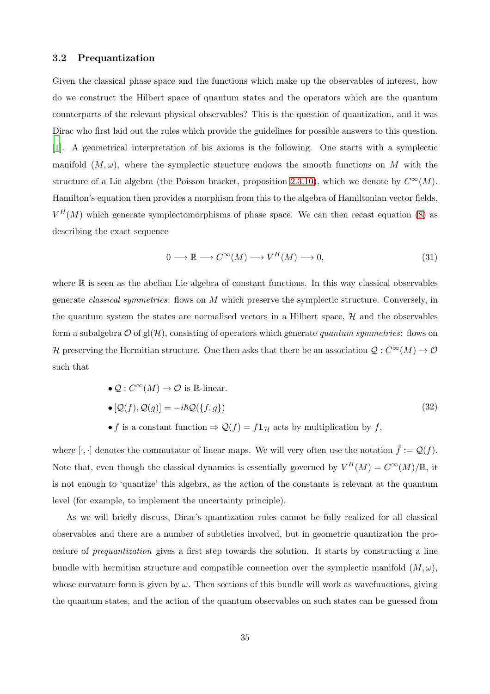## 3.2 Prequantization

Given the classical phase space and the functions which make up the observables of interest, how do we construct the Hilbert space of quantum states and the operators which are the quantum counterparts of the relevant physical observables? This is the question of quantization, and it was Dirac who first laid out the rules which provide the guidelines for possible answers to this question. [\[1](#page-96-0)]. A geometrical interpretation of his axioms is the following. One starts with a symplectic manifold  $(M, \omega)$ , where the symplectic structure endows the smooth functions on M with the structure of a Lie algebra (the Poisson bracket, proposition [2.3.10\)](#page-11-2), which we denote by  $C^{\infty}(M)$ . Hamilton's equation then provides a morphism from this to the algebra of Hamiltonian vector fields,  $V^H(M)$  which generate symplectomorphisms of phase space. We can then recast equation [\(8\)](#page-11-4) as describing the exact sequence

$$
0 \longrightarrow \mathbb{R} \longrightarrow C^{\infty}(M) \longrightarrow V^H(M) \longrightarrow 0,
$$
\n(31)

where  $\mathbb R$  is seen as the abelian Lie algebra of constant functions. In this way classical observables generate classical symmetries: flows on M which preserve the symplectic structure. Conversely, in the quantum system the states are normalised vectors in a Hilbert space,  $H$  and the observables form a subalgebra  $\mathcal O$  of  $gl(H)$ , consisting of operators which generate quantum symmetries: flows on H preserving the Hermitian structure. One then asks that there be an association  $\mathcal{Q}: C^{\infty}(M) \to \mathcal{O}$ such that

•  $Q: C^{\infty}(M) \to \mathcal{O}$  is R-linear.

$$
\bullet [\mathcal{Q}(f), \mathcal{Q}(g)] = -i\hbar \mathcal{Q}(\{f, g\})
$$
\n(32)

• f is a constant function  $\Rightarrow$   $\mathcal{Q}(f) = f1\mathcal{H}$  acts by multiplication by f,

where  $[\cdot, \cdot]$  denotes the commutator of linear maps. We will very often use the notation  $\hat{f} := \mathcal{Q}(f)$ . Note that, even though the classical dynamics is essentially governed by  $V^H(M) = C^{\infty}(M)/\mathbb{R}$ , it is not enough to 'quantize' this algebra, as the action of the constants is relevant at the quantum level (for example, to implement the uncertainty principle).

As we will briefly discuss, Dirac's quantization rules cannot be fully realized for all classical observables and there are a number of subtleties involved, but in geometric quantization the procedure of prequantization gives a first step towards the solution. It starts by constructing a line bundle with hermitian structure and compatible connection over the symplectic manifold  $(M, \omega)$ , whose curvature form is given by  $\omega$ . Then sections of this bundle will work as wavefunctions, giving the quantum states, and the action of the quantum observables on such states can be guessed from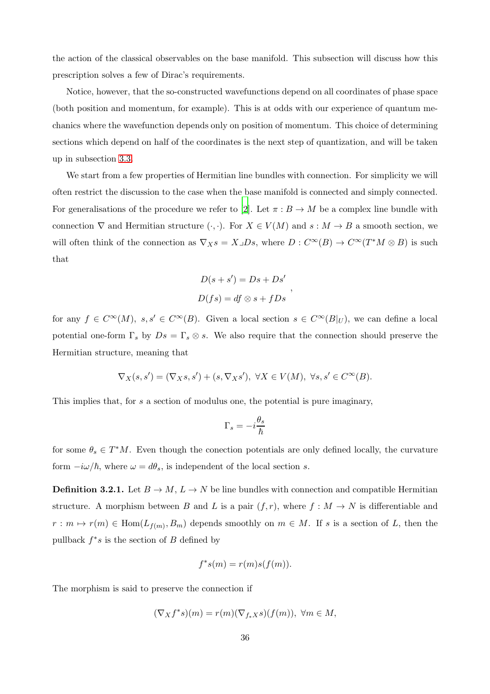the action of the classical observables on the base manifold. This subsection will discuss how this prescription solves a few of Dirac's requirements.

Notice, however, that the so-constructed wavefunctions depend on all coordinates of phase space (both position and momentum, for example). This is at odds with our experience of quantum mechanics where the wavefunction depends only on position of momentum. This choice of determining sections which depend on half of the coordinates is the next step of quantization, and will be taken up in subsection [3.3.](#page-45-0)

We start from a few properties of Hermitian line bundles with connection. For simplicity we will often restrict the discussion to the case when the base manifold is connected and simply connected. For generalisations of the procedure we refer to [\[2\]](#page-96-1). Let  $\pi : B \to M$  be a complex line bundle with connection  $\nabla$  and Hermitian structure  $(\cdot, \cdot)$ . For  $X \in V(M)$  and  $s : M \to B$  a smooth section, we will often think of the connection as  $\nabla_X s = X \Box Ds$ , where  $D : C^{\infty}(B) \to C^{\infty}(T^*M \otimes B)$  is such that

$$
D(s + s') = Ds + Ds'
$$
  

$$
D(fs) = df \otimes s + fDs
$$

,

for any  $f \in C^{\infty}(M)$ ,  $s, s' \in C^{\infty}(B)$ . Given a local section  $s \in C^{\infty}(B|_{U})$ , we can define a local potential one-form  $\Gamma_s$  by  $Ds = \Gamma_s \otimes s$ . We also require that the connection should preserve the Hermitian structure, meaning that

$$
\nabla_X(s, s') = (\nabla_X s, s') + (s, \nabla_X s'), \ \forall X \in V(M), \ \forall s, s' \in C^{\infty}(B).
$$

This implies that, for s a section of modulus one, the potential is pure imaginary,

$$
\Gamma_s = -i\frac{\theta_s}{\hbar}
$$

for some  $\theta_s \in T^*M$ . Even though the conection potentials are only defined locally, the curvature form  $-i\omega/\hbar$ , where  $\omega = d\theta_s$ , is independent of the local section s.

**Definition 3.2.1.** Let  $B \to M$ ,  $L \to N$  be line bundles with connection and compatible Hermitian structure. A morphism between B and L is a pair  $(f, r)$ , where  $f : M \to N$  is differentiable and  $r : m \mapsto r(m) \in \text{Hom}(L_{f(m)}, B_m)$  depends smoothly on  $m \in M$ . If s is a section of L, then the pullback  $f^*s$  is the section of  $B$  defined by

$$
f^*s(m) = r(m)s(f(m)).
$$

The morphism is said to preserve the connection if

$$
(\nabla_X f^*s)(m) = r(m)(\nabla_{f_*X}s)(f(m)), \ \forall m \in M,
$$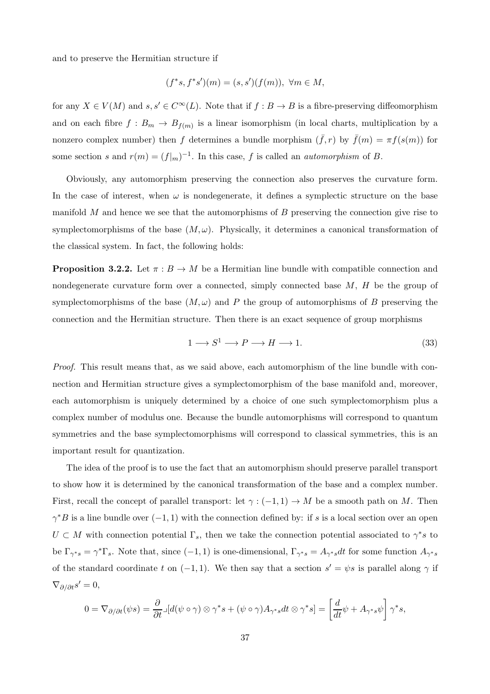and to preserve the Hermitian structure if

$$
(f^*s, f^*s')(m) = (s, s')(f(m)), \ \forall m \in M,
$$

for any  $X \in V(M)$  and  $s, s' \in C^{\infty}(L)$ . Note that if  $f : B \to B$  is a fibre-preserving diffeomorphism and on each fibre  $f: B_m \to B_{f(m)}$  is a linear isomorphism (in local charts, multiplication by a nonzero complex number) then f determines a bundle morphism  $(\bar{f}, r)$  by  $\bar{f}(m) = \pi f(s(m))$  for some section s and  $r(m) = (f|m)^{-1}$ . In this case, f is called an *automorphism* of B.

Obviously, any automorphism preserving the connection also preserves the curvature form. In the case of interest, when  $\omega$  is nondegenerate, it defines a symplectic structure on the base manifold M and hence we see that the automorphisms of B preserving the connection give rise to symplectomorphisms of the base  $(M, \omega)$ . Physically, it determines a canonical transformation of the classical system. In fact, the following holds:

**Proposition 3.2.2.** Let  $\pi : B \to M$  be a Hermitian line bundle with compatible connection and nondegenerate curvature form over a connected, simply connected base  $M$ ,  $H$  be the group of symplectomorphisms of the base  $(M, \omega)$  and P the group of automorphisms of B preserving the connection and the Hermitian structure. Then there is an exact sequence of group morphisms

<span id="page-36-0"></span>
$$
1 \longrightarrow S^1 \longrightarrow P \longrightarrow H \longrightarrow 1. \tag{33}
$$

Proof. This result means that, as we said above, each automorphism of the line bundle with connection and Hermitian structure gives a symplectomorphism of the base manifold and, moreover, each automorphism is uniquely determined by a choice of one such symplectomorphism plus a complex number of modulus one. Because the bundle automorphisms will correspond to quantum symmetries and the base symplectomorphisms will correspond to classical symmetries, this is an important result for quantization.

The idea of the proof is to use the fact that an automorphism should preserve parallel transport to show how it is determined by the canonical transformation of the base and a complex number. First, recall the concept of parallel transport: let  $\gamma: (-1,1) \to M$  be a smooth path on M. Then  $\gamma^*B$  is a line bundle over  $(-1, 1)$  with the connection defined by: if s is a local section over an open  $U \subset M$  with connection potential  $\Gamma_s$ , then we take the connection potential associated to  $\gamma^*s$  to be  $\Gamma_{\gamma^*s} = \gamma^* \Gamma_s$ . Note that, since  $(-1, 1)$  is one-dimensional,  $\Gamma_{\gamma^*s} = A_{\gamma^*s} dt$  for some function  $A_{\gamma^*s}$ of the standard coordinate t on  $(-1, 1)$ . We then say that a section  $s' = \psi s$  is parallel along  $\gamma$  if  $\nabla_{\partial/\partial t} s' = 0,$ 

$$
0=\nabla_{\partial/\partial t}(\psi s)=\frac{\partial}{\partial t}\lrcorner [d(\psi\circ\gamma)\otimes\gamma^*s+(\psi\circ\gamma)A_{\gamma^*s}dt\otimes\gamma^*s]=\left[\frac{d}{dt}\psi+A_{\gamma^*s}\psi\right]\gamma^*s,
$$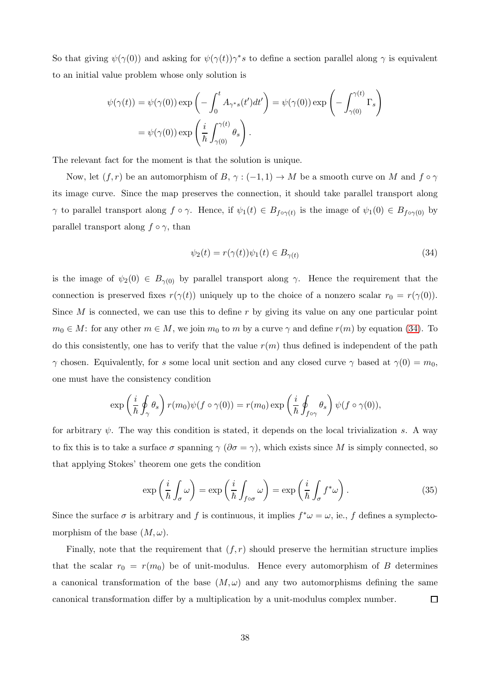So that giving  $\psi(\gamma(0))$  and asking for  $\psi(\gamma(t))\gamma^*s$  to define a section parallel along  $\gamma$  is equivalent to an initial value problem whose only solution is

$$
\psi(\gamma(t)) = \psi(\gamma(0)) \exp\left(-\int_0^t A_{\gamma^*s}(t')dt'\right) = \psi(\gamma(0)) \exp\left(-\int_{\gamma(0)}^{\gamma(t)} \Gamma_s\right)
$$

$$
= \psi(\gamma(0)) \exp\left(\frac{i}{\hbar} \int_{\gamma(0)}^{\gamma(t)} \theta_s\right).
$$

The relevant fact for the moment is that the solution is unique.

Now, let  $(f, r)$  be an automorphism of B,  $\gamma : (-1, 1) \to M$  be a smooth curve on M and  $f \circ \gamma$ its image curve. Since the map preserves the connection, it should take parallel transport along  $\gamma$  to parallel transport along  $f \circ \gamma$ . Hence, if  $\psi_1(t) \in B_{f \circ \gamma(t)}$  is the image of  $\psi_1(0) \in B_{f \circ \gamma(0)}$  by parallel transport along  $f \circ \gamma$ , than

<span id="page-37-0"></span>
$$
\psi_2(t) = r(\gamma(t))\psi_1(t) \in B_{\gamma(t)}\tag{34}
$$

is the image of  $\psi_2(0) \in B_{\gamma(0)}$  by parallel transport along  $\gamma$ . Hence the requirement that the connection is preserved fixes  $r(\gamma(t))$  uniquely up to the choice of a nonzero scalar  $r_0 = r(\gamma(0))$ . Since  $M$  is connected, we can use this to define  $r$  by giving its value on any one particular point  $m_0 \in M$ : for any other  $m \in M$ , we join  $m_0$  to m by a curve  $\gamma$  and define  $r(m)$  by equation [\(34\)](#page-37-0). To do this consistently, one has to verify that the value  $r(m)$  thus defined is independent of the path γ chosen. Equivalently, for s some local unit section and any closed curve γ based at  $γ(0) = m_0$ , one must have the consistency condition

$$
\exp\left(\frac{i}{\hbar}\oint_{\gamma}\theta_s\right)r(m_0)\psi(f\circ\gamma(0))=r(m_0)\exp\left(\frac{i}{\hbar}\oint_{f\circ\gamma}\theta_s\right)\psi(f\circ\gamma(0)),
$$

for arbitrary  $\psi$ . The way this condition is stated, it depends on the local trivialization s. A way to fix this is to take a surface  $\sigma$  spanning  $\gamma$  ( $\partial \sigma = \gamma$ ), which exists since M is simply connected, so that applying Stokes' theorem one gets the condition

<span id="page-37-1"></span>
$$
\exp\left(\frac{i}{\hbar}\int_{\sigma}\omega\right) = \exp\left(\frac{i}{\hbar}\int_{f\circ\sigma}\omega\right) = \exp\left(\frac{i}{\hbar}\int_{\sigma}f^*\omega\right). \tag{35}
$$

Since the surface  $\sigma$  is arbitrary and f is continuous, it implies  $f^*\omega = \omega$ , ie., f defines a symplectomorphism of the base  $(M, \omega)$ .

Finally, note that the requirement that  $(f, r)$  should preserve the hermitian structure implies that the scalar  $r_0 = r(m_0)$  be of unit-modulus. Hence every automorphism of B determines a canonical transformation of the base  $(M, \omega)$  and any two automorphisms defining the same canonical transformation differ by a multiplication by a unit-modulus complex number.  $\Box$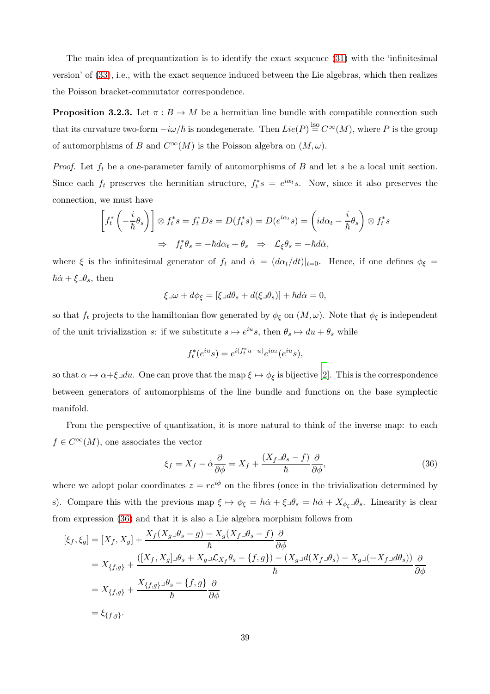The main idea of prequantization is to identify the exact sequence [\(31\)](#page-34-0) with the 'infinitesimal version' of [\(33\)](#page-36-0), i.e., with the exact sequence induced between the Lie algebras, which then realizes the Poisson bracket-commutator correspondence.

**Proposition 3.2.3.** Let  $\pi : B \to M$  be a hermitian line bundle with compatible connection such that its curvature two-form  $-i\omega/\hbar$  is nondegenerate. Then  $Lie(P) \stackrel{\text{iso}}{=} C^{\infty}(M)$ , where P is the group of automorphisms of B and  $C^{\infty}(M)$  is the Poisson algebra on  $(M, \omega)$ .

*Proof.* Let  $f_t$  be a one-parameter family of automorphisms of B and let s be a local unit section. Since each  $f_t$  preserves the hermitian structure,  $f_t^*s = e^{i\alpha_t}s$ . Now, since it also preserves the connection, we must have

$$
\left[f_t^*\left(-\frac{i}{\hbar}\theta_s\right)\right] \otimes f_t^*s = f_t^*Ds = D(f_t^*s) = D(e^{i\alpha_t}s) = \left(id\alpha_t - \frac{i}{\hbar}\theta_s\right) \otimes f_t^*s
$$

$$
\Rightarrow f_t^*\theta_s = -\hbar d\alpha_t + \theta_s \Rightarrow \mathcal{L}_\xi\theta_s = -\hbar d\dot{\alpha},
$$

where  $\xi$  is the infinitesimal generator of  $f_t$  and  $\dot{\alpha} = (d\alpha_t/dt)|_{t=0}$ . Hence, if one defines  $\phi_{\xi} =$  $\hbar \dot{\alpha} + \xi \mathcal{A}_s$ , then

$$
\xi\lrcorner\omega+d\phi_\xi=[\xi\lrcorner d\theta_s+d(\xi\lrcorner\theta_s)]+\hbar d\dot\alpha=0,
$$

so that  $f_t$  projects to the hamiltonian flow generated by  $\phi_{\xi}$  on  $(M, \omega)$ . Note that  $\phi_{\xi}$  is independent of the unit trivialization s: if we substitute  $s \mapsto e^{iu}s$ , then  $\theta_s \mapsto du + \theta_s$  while

$$
f_t^*(e^{iu}s) = e^{i(f_t^*u-u)}e^{i\alpha_t}(e^{iu}s),
$$

so that  $\alpha \mapsto \alpha + \xi \Box du$ . One can prove that the map  $\xi \mapsto \phi_{\xi}$  is bijective [\[2](#page-96-0)]. This is the correspondence between generators of automorphisms of the line bundle and functions on the base symplectic manifold.

From the perspective of quantization, it is more natural to think of the inverse map: to each  $f \in C^{\infty}(M)$ , one associates the vector

$$
\xi_f = X_f - \dot{\alpha}\frac{\partial}{\partial \phi} = X_f + \frac{(X_f \Box \theta_s - f)}{\hbar} \frac{\partial}{\partial \phi},\tag{36}
$$

where we adopt polar coordinates  $z = re^{i\phi}$  on the fibres (once in the trivialization determined by s). Compare this with the previous map  $\xi \mapsto \phi_{\xi} = h\dot{\alpha} + \xi \mathcal{A}_{s} = h\dot{\alpha} + X_{\phi_{\xi}} \mathcal{A}_{s}$ . Linearity is clear from expression [\(36\)](#page-39-0) and that it is also a Lie algebra morphism follows from

$$
\begin{split} [\xi_f,\xi_g] &=[X_f,X_g]+\frac{X_f(X_g\lrcorner\theta_s-g)-X_g(X_f\lrcorner\theta_s-f)}{\hbar}\frac{\partial}{\partial\phi} \\ &=X_{\{f,g\}}+\frac{([X_f,X_g]\lrcorner\theta_s+X_g\lrcorner\mathcal{L}_{X_f}\theta_s-\{f,g\})-(X_g\lrcorner d(X_f\lrcorner\theta_s)-X_g\lrcorner(-X_f\lrcorner d\theta_s))}{\hbar}\frac{\partial}{\partial\phi} \\ &=X_{\{f,g\}}+\frac{X_{\{f,g\}}\lrcorner\theta_s-\{f,g\}}{\hbar}\frac{\partial}{\partial\phi} \\ &=\xi_{\{f,g\}}. \end{split}
$$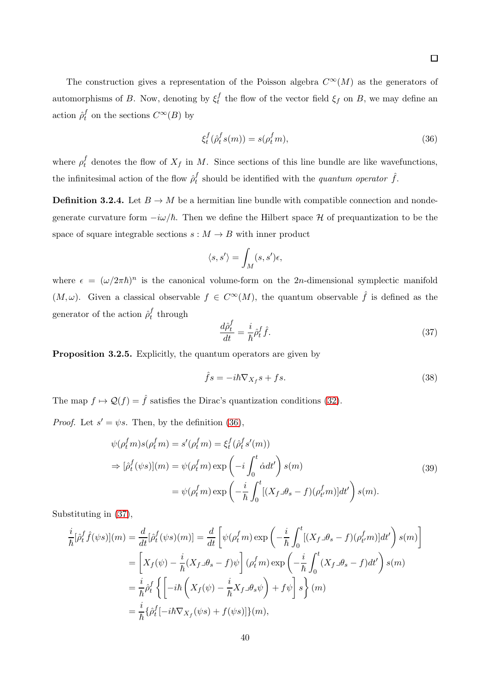The construction gives a representation of the Poisson algebra  $C^{\infty}(M)$  as the generators of automorphisms of B. Now, denoting by  $\xi_t^f$ <sup>*t*</sup> the flow of the vector field  $\xi_f$  on B, we may define an action  $\hat{\rho}_t^f$  $t \atop t$  on the sections  $C^{\infty}(B)$  by

<span id="page-39-0"></span>
$$
\xi_t^f(\hat{\rho}_t^f s(m)) = s(\rho_t^f m),\tag{36}
$$

where  $\rho_t^f$  denotes the flow of  $X_f$  in M. Since sections of this line bundle are like wavefunctions, the infinitesimal action of the flow  $\rho_t^f$  $t \nmid t$  should be identified with the *quantum operator*  $\hat{f}$ .

**Definition 3.2.4.** Let  $B \to M$  be a hermitian line bundle with compatible connection and nondegenerate curvature form  $-i\omega/\hbar$ . Then we define the Hilbert space H of prequantization to be the space of square integrable sections  $s : M \to B$  with inner product

$$
\langle s, s' \rangle = \int_M (s, s') \epsilon,
$$

where  $\epsilon = (\omega/2\pi\hbar)^n$  is the canonical volume-form on the 2n-dimensional symplectic manifold  $(M, \omega)$ . Given a classical observable  $f \in C^{\infty}(M)$ , the quantum observable  $\hat{f}$  is defined as the generator of the action  $\rho_t^f$  $t \nt$  through

<span id="page-39-1"></span>
$$
\frac{d\hat{\rho}_t^f}{dt} = \frac{i}{\hbar} \hat{\rho}_t^f \hat{f}.\tag{37}
$$

Proposition 3.2.5. Explicitly, the quantum operators are given by

<span id="page-39-2"></span>
$$
\hat{f}s = -i\hbar \nabla_{X_f} s + fs.
$$
\n(38)

The map  $f \mapsto \mathcal{Q}(f) = \hat{f}$  satisfies the Dirac's quantization conditions [\(32\)](#page-34-1).

*Proof.* Let  $s' = \psi s$ . Then, by the definition [\(36\)](#page-39-0),

$$
\psi(\rho_t^f m)s(\rho_t^f m) = s'(\rho_t^f m) = \xi_t^f(\hat{\rho}_t^f s'(m))
$$
  
\n
$$
\Rightarrow [\hat{\rho}_t^f(\psi s)](m) = \psi(\rho_t^f m) \exp\left(-i \int_0^t \dot{\alpha} dt'\right) s(m)
$$
  
\n
$$
= \psi(\rho_t^f m) \exp\left(-\frac{i}{\hbar} \int_0^t [(X_f \Box \theta_s - f)(\rho_t^f m)] dt'\right) s(m).
$$
\n(39)

Substituting in [\(37\)](#page-39-1),

$$
\frac{i}{\hbar}[\hat{\rho}_t^f \hat{f}(\psi s)](m) = \frac{d}{dt}[\hat{\rho}_t^f(\psi s)(m)] = \frac{d}{dt} \left[ \psi(\rho_t^f m) \exp\left(-\frac{i}{\hbar} \int_0^t [(X_f \Box \theta_s - f)(\rho_t^f m)] dt'\right) s(m) \right]
$$
\n
$$
= \left[ X_f(\psi) - \frac{i}{\hbar} (X_f \Box \theta_s - f)\psi \right] (\rho_t^f m) \exp\left(-\frac{i}{\hbar} \int_0^t (X_f \Box \theta_s - f) dt'\right) s(m)
$$
\n
$$
= \frac{i}{\hbar} \hat{\rho}_t^f \left\{ \left[ -i\hbar \left( X_f(\psi) - \frac{i}{\hbar} X_f \Box \theta_s \psi \right) + f\psi \right] s \right\}(m)
$$
\n
$$
= \frac{i}{\hbar} \{ \hat{\rho}_t^f [-i\hbar \nabla_{X_f} (\psi s) + f(\psi s)] \}(m),
$$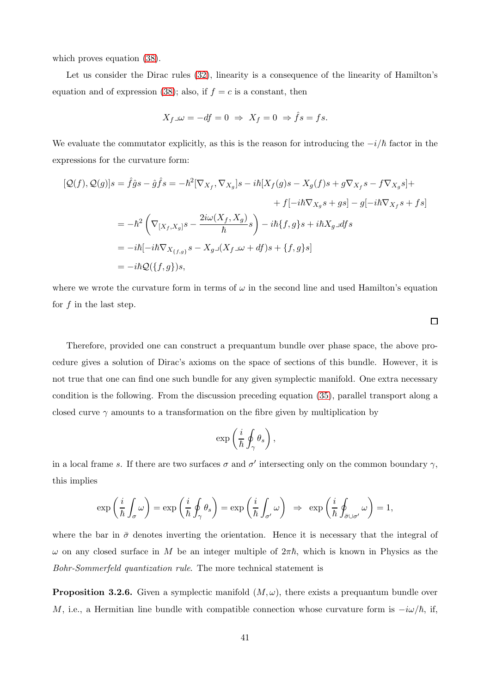which proves equation [\(38\)](#page-39-2).

Let us consider the Dirac rules [\(32\)](#page-34-1), linearity is a consequence of the linearity of Hamilton's equation and of expression [\(38\)](#page-39-2); also, if  $f = c$  is a constant, then

$$
X_f\lrcorner \omega = -df = 0 \; \Rightarrow \; X_f = 0 \; \Rightarrow \hat{f}s = fs.
$$

We evaluate the commutator explicitly, as this is the reason for introducing the  $-i/\hbar$  factor in the expressions for the curvature form:

$$
\begin{aligned} [\mathcal{Q}(f),\mathcal{Q}(g)]s &= \hat{f}\hat{g}s - \hat{g}\hat{f}s = -\hbar^2[\nabla_{X_f},\nabla_{X_g}]s - i\hbar[X_f(g)s - X_g(f)s + g\nabla_{X_f}s - f\nabla_{X_g}s] + \\ &\qquad \qquad + f[-i\hbar\nabla_{X_g}s + gs] - g[-i\hbar\nabla_{X_f}s + fs] \\ &= -\hbar^2\left(\nabla_{[X_f,X_g]}s - \frac{2i\omega(X_f,X_g)}{\hbar}s\right) - i\hbar\{f,g\}s + i\hbar X_g\lrcorner dfs \\ &= -i\hbar[-i\hbar\nabla_{X_{\{f,g\}}s} - X_g\lrcorner(X_f\lrcorner\omega + df)s + \{f,g\}s] \\ &= -i\hbar\mathcal{Q}(\{f,g\})s, \end{aligned}
$$

where we wrote the curvature form in terms of  $\omega$  in the second line and used Hamilton's equation for  $f$  in the last step.

Therefore, provided one can construct a prequantum bundle over phase space, the above procedure gives a solution of Dirac's axioms on the space of sections of this bundle. However, it is not true that one can find one such bundle for any given symplectic manifold. One extra necessary condition is the following. From the discussion preceding equation [\(35\)](#page-37-1), parallel transport along a closed curve  $\gamma$  amounts to a transformation on the fibre given by multiplication by

$$
\exp\left(\frac{i}{\hbar}\oint_{\gamma}\theta_s\right),\,
$$

in a local frame s. If there are two surfaces  $\sigma$  and  $\sigma'$  intersecting only on the common boundary  $\gamma$ , this implies

$$
\exp\left(\frac{i}{\hbar}\int_{\sigma}\omega\right)=\exp\left(\frac{i}{\hbar}\oint_{\gamma}\theta_s\right)=\exp\left(\frac{i}{\hbar}\int_{\sigma'}\omega\right) \ \Rightarrow \ \exp\left(\frac{i}{\hbar}\oint_{\bar{\sigma}\cup\sigma'}\omega\right)=1,
$$

where the bar in  $\bar{\sigma}$  denotes inverting the orientation. Hence it is necessary that the integral of ω on any closed surface in M be an integer multiple of  $2π<sup>π</sup>$ , which is known in Physics as the Bohr-Sommerfeld quantization rule. The more technical statement is

<span id="page-40-0"></span>**Proposition 3.2.6.** Given a symplectic manifold  $(M, \omega)$ , there exists a prequantum bundle over M, i.e., a Hermitian line bundle with compatible connection whose curvature form is  $-i\omega/\hbar$ , if,

 $\Box$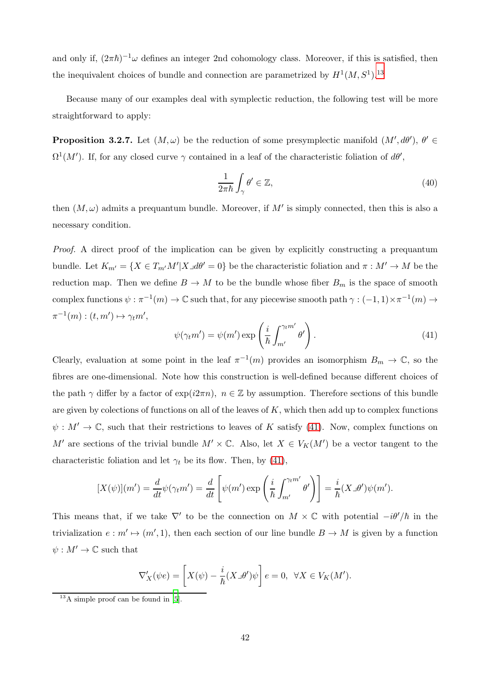and only if,  $(2\pi\hbar)^{-1}\omega$  defines an integer 2nd cohomology class. Moreover, if this is satisfied, then the inequivalent choices of bundle and connection are parametrized by  $H^1(M, S^1)$ .<sup>[13](#page-41-0)</sup>

Because many of our examples deal with symplectic reduction, the following test will be more straightforward to apply:

<span id="page-41-3"></span>**Proposition 3.2.7.** Let  $(M, \omega)$  be the reduction of some presymplectic manifold  $(M', d\theta')$ ,  $\theta' \in$  $\Omega^1(M')$ . If, for any closed curve  $\gamma$  contained in a leaf of the characteristic foliation of  $d\theta'$ ,

<span id="page-41-2"></span>
$$
\frac{1}{2\pi\hbar} \int_{\gamma} \theta' \in \mathbb{Z},\tag{40}
$$

then  $(M, \omega)$  admits a prequantum bundle. Moreover, if M' is simply connected, then this is also a necessary condition.

Proof. A direct proof of the implication can be given by explicitly constructing a prequantum bundle. Let  $K_{m'} = \{X \in T_{m'}M'|X \sqcup d\theta' = 0\}$  be the characteristic foliation and  $\pi : M' \to M$  be the reduction map. Then we define  $B \to M$  to be the bundle whose fiber  $B_m$  is the space of smooth complex functions  $\psi : \pi^{-1}(m) \to \mathbb{C}$  such that, for any piecewise smooth path  $\gamma : (-1,1) \times \pi^{-1}(m) \to$  $\pi^{-1}(m):(t,m')\mapsto \gamma_tm',$ 

<span id="page-41-1"></span>
$$
\psi(\gamma_t m') = \psi(m') \exp\left(\frac{i}{\hbar} \int_{m'}^{\gamma_t m'} \theta'\right). \tag{41}
$$

Clearly, evaluation at some point in the leaf  $\pi^{-1}(m)$  provides an isomorphism  $B_m \to \mathbb{C}$ , so the fibres are one-dimensional. Note how this construction is well-defined because different choices of the path  $\gamma$  differ by a factor of  $\exp(i2\pi n)$ ,  $n \in \mathbb{Z}$  by assumption. Therefore sections of this bundle are given by colections of functions on all of the leaves of  $K$ , which then add up to complex functions  $\psi : M' \to \mathbb{C}$ , such that their restrictions to leaves of K satisfy [\(41\)](#page-41-1). Now, complex functions on M' are sections of the trivial bundle  $M' \times \mathbb{C}$ . Also, let  $X \in V_K(M')$  be a vector tangent to the characteristic foliation and let  $\gamma_t$  be its flow. Then, by [\(41\)](#page-41-1),

$$
[X(\psi)](m') = \frac{d}{dt}\psi(\gamma_t m') = \frac{d}{dt}\left[\psi(m')\exp\left(\frac{i}{\hbar}\int_{m'}^{\gamma_t m'}\theta'\right)\right] = \frac{i}{\hbar}(X\lrcorner\theta')\psi(m').
$$

This means that, if we take  $\nabla'$  to be the connection on  $M \times \mathbb{C}$  with potential  $-i\theta'/\hbar$  in the trivialization  $e : m' \mapsto (m', 1)$ , then each section of our line bundle  $B \to M$  is given by a function  $\psi: M' \to \mathbb{C}$  such that

$$
\nabla'_{X}(\psi e) = \left[ X(\psi) - \frac{i}{\hbar} (X \lrcorner \theta') \psi \right] e = 0, \ \ \forall X \in V_K(M').
$$

<span id="page-41-0"></span> $13A$  simple proof can be found in [\[5](#page-96-1)].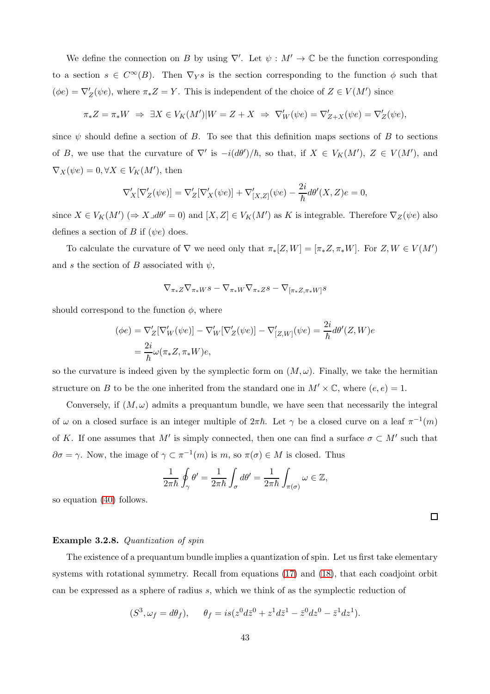We define the connection on B by using  $\nabla'$ . Let  $\psi : M' \to \mathbb{C}$  be the function corresponding to a section  $s \in C^{\infty}(B)$ . Then  $\nabla_Y s$  is the section corresponding to the function  $\phi$  such that  $(\phi e) = \nabla_Z'(\psi e)$ , where  $\pi_* Z = Y$ . This is independent of the choice of  $Z \in V(M')$  since

$$
\pi_* Z = \pi_* W \implies \exists X \in V_K(M') | W = Z + X \implies \nabla'_W(\psi e) = \nabla'_{Z+X}(\psi e) = \nabla'_Z(\psi e),
$$

since  $\psi$  should define a section of B. To see that this definition maps sections of B to sections of B, we use that the curvature of  $\nabla'$  is  $-i(d\theta')/\hbar$ , so that, if  $X \in V_K(M')$ ,  $Z \in V(M')$ , and  $\nabla_X(\psi e) = 0, \forall X \in V_K(M'), \text{ then}$ 

$$
\nabla'_X[\nabla'_Z(\psi e)] = \nabla'_Z[\nabla'_X(\psi e)] + \nabla'_{[X,Z]}(\psi e) - \frac{2i}{\hbar}d\theta'(X,Z)e = 0,
$$

since  $X \in V_K(M') \implies X \lrcorner d\theta' = 0$  and  $[X, Z] \in V_K(M')$  as K is integrable. Therefore  $\nabla_Z(\psi e)$  also defines a section of B if  $(\psi e)$  does.

To calculate the curvature of  $\nabla$  we need only that  $\pi_*[Z, W] = [\pi_* Z, \pi_* W]$ . For  $Z, W \in V(M')$ and s the section of B associated with  $\psi$ ,

$$
\nabla_{\pi_*Z}\nabla_{\pi_*W}S-\nabla_{\pi_*W}\nabla_{\pi_*Z}S-\nabla_{[\pi_*Z,\pi_*W]}S
$$

should correspond to the function  $\phi$ , where

$$
(\phi e) = \nabla'_Z [\nabla'_W(\psi e)] - \nabla'_W [\nabla'_Z(\psi e)] - \nabla'_{[Z,W]}(\psi e) = \frac{2i}{\hbar} d\theta'(Z,W)e
$$
  
=  $\frac{2i}{\hbar} \omega(\pi_* Z, \pi_* W)e$ ,

so the curvature is indeed given by the symplectic form on  $(M, \omega)$ . Finally, we take the hermitian structure on B to be the one inherited from the standard one in  $M' \times \mathbb{C}$ , where  $(e, e) = 1$ .

Conversely, if  $(M, \omega)$  admits a prequantum bundle, we have seen that necessarily the integral of  $\omega$  on a closed surface is an integer multiple of  $2\pi\hbar$ . Let  $\gamma$  be a closed curve on a leaf  $\pi^{-1}(m)$ of K. If one assumes that M' is simply connected, then one can find a surface  $\sigma \subset M'$  such that  $\partial \sigma = \gamma$ . Now, the image of  $\gamma \subset \pi^{-1}(m)$  is  $m$ , so  $\pi(\sigma) \in M$  is closed. Thus

$$
\frac{1}{2\pi\hbar}\oint_{\gamma}\theta'=\frac{1}{2\pi\hbar}\int_{\sigma}d\theta'=\frac{1}{2\pi\hbar}\int_{\pi(\sigma)}\omega\in\mathbb{Z},
$$

so equation [\(40\)](#page-41-2) follows.

 $\Box$ 

### Example 3.2.8. Quantization of spin

The existence of a prequantum bundle implies a quantization of spin. Let us first take elementary systems with rotational symmetry. Recall from equations [\(17\)](#page-24-0) and [\(18\)](#page-24-1), that each coadjoint orbit can be expressed as a sphere of radius s, which we think of as the symplectic reduction of

$$
(S3, \omega_f = d\theta_f), \qquad \theta_f = is(z0 d\overline{z}0 + z1 d\overline{z}1 - \overline{z}0 dz0 - \overline{z}1 dz1).
$$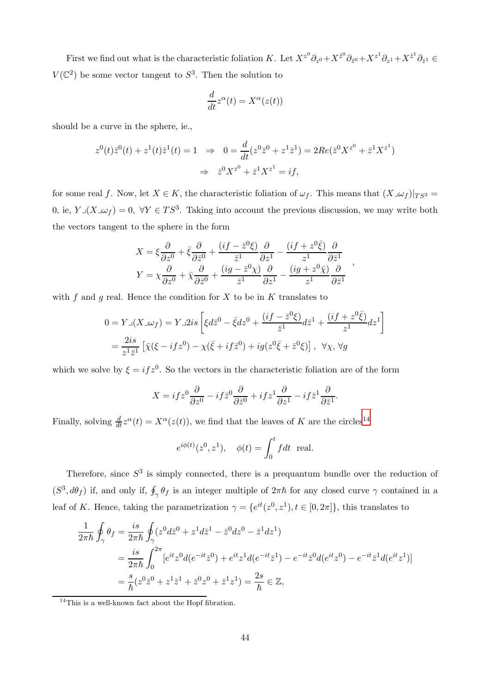First we find out what is the characteristic foliation K. Let  $X^{z^0}\partial_{z^0} + X^{\bar{z}^0}\partial_{\bar{z}^0} + X^{z^1}\partial_{z^1} + X^{\bar{z}^1}\partial_{\bar{z}^1} \in$  $V(\mathbb{C}^2)$  be some vector tangent to  $S^3$ . Then the solution to

$$
\frac{d}{dt}z^{\alpha}(t)=X^{\alpha}(z(t))
$$

should be a curve in the sphere, ie.,

$$
z^{0}(t)\overline{z}^{0}(t) + z^{1}(t)\overline{z}^{1}(t) = 1 \Rightarrow 0 = \frac{d}{dt}(z^{0}\overline{z}^{0} + z^{1}\overline{z}^{1}) = 2Re(\overline{z}^{0}X^{z^{0}} + \overline{z}^{1}X^{z^{1}})
$$

$$
\Rightarrow \overline{z}^{0}X^{z^{0}} + \overline{z}^{1}X^{z^{1}} = if,
$$

for some real f. Now, let  $X \in K$ , the characteristic foliation of  $\omega_f$ . This means that  $(X \cup \omega_f)|_{TS^3} =$ 0, ie,  $Y \lrcorner (X \lrcorner \omega_f) = 0$ ,  $\forall Y \in TS^3$ . Taking into account the previous discussion, we may write both the vectors tangent to the sphere in the form

$$
X = \xi \frac{\partial}{\partial z^0} + \bar{\xi} \frac{\partial}{\partial \bar{z}^0} + \frac{(if - \bar{z}^0 \xi)}{\bar{z}^1} \frac{\partial}{\partial z^1} - \frac{(if + z^0 \bar{\xi})}{z^1} \frac{\partial}{\partial \bar{z}^1} Y = \chi \frac{\partial}{\partial z^0} + \bar{\chi} \frac{\partial}{\partial \bar{z}^0} + \frac{(ig - \bar{z}^0 \chi)}{\bar{z}^1} \frac{\partial}{\partial z^1} - \frac{(ig + z^0 \bar{\chi})}{z^1} \frac{\partial}{\partial \bar{z}^1} ,
$$

with f and g real. Hence the condition for  $X$  to be in  $K$  translates to

$$
0 = Y\lrcorner (X\lrcorner \omega_f) = Y\lrcorner 2is \left[ \xi d\bar{z}^0 - \bar{\xi} dz^0 + \frac{(if - \bar{z}^0 \xi)}{\bar{z}^1} d\bar{z}^1 + \frac{(if + z^0 \bar{\xi})}{z^1} dz^1 \right]
$$
  
= 
$$
\frac{2is}{z^1 \bar{z}^1} \left[ \bar{\chi} (\xi - if z^0) - \chi (\bar{\xi} + if \bar{z}^0) + ig(z^0 \bar{\xi} + \bar{z}^0 \xi) \right], \ \forall \chi, \forall g
$$

which we solve by  $\xi = ifz^0$ . So the vectors in the characteristic foliation are of the form

$$
X = if z^{0} \frac{\partial}{\partial z^{0}} - if \bar{z}^{0} \frac{\partial}{\partial \bar{z}^{0}} + if z^{1} \frac{\partial}{\partial z^{1}} - if \bar{z}^{1} \frac{\partial}{\partial \bar{z}^{1}}.
$$

Finally, solving  $\frac{d}{dt}z^{\alpha}(t) = X^{\alpha}(z(t))$ , we find that the leaves of K are the circles<sup>[14](#page-43-0)</sup>

$$
e^{i\phi(t)}(z^0, z^1)
$$
,  $\phi(t) = \int_0^t f dt$  real.

Therefore, since  $S^3$  is simply connected, there is a prequantum bundle over the reduction of  $(S^3, d\theta_f)$  if, and only if,  $\oint_{\gamma} \theta_f$  is an integer multiple of  $2\pi\hbar$  for any closed curve  $\gamma$  contained in a leaf of K. Hence, taking the parametrization  $\gamma = \{e^{it}(z^0, z^1), t \in [0, 2\pi]\}\,$  this translates to

$$
\frac{1}{2\pi\hbar} \oint_{\gamma} \theta_{f} = \frac{is}{2\pi\hbar} \oint_{\gamma} (z^{0}d\bar{z}^{0} + z^{1}d\bar{z}^{1} - \bar{z}^{0}dz^{0} - \bar{z}^{1}dz^{1})
$$
\n
$$
= \frac{is}{2\pi\hbar} \int_{0}^{2\pi} [e^{it}z^{0}d(e^{-it}\bar{z}^{0}) + e^{it}z^{1}d(e^{-it}\bar{z}^{1}) - e^{-it}\bar{z}^{0}d(e^{it}z^{0}) - e^{-it}\bar{z}^{1}d(e^{it}z^{1})]
$$
\n
$$
= \frac{s}{\hbar} (z^{0}\bar{z}^{0} + z^{1}\bar{z}^{1} + \bar{z}^{0}z^{0} + \bar{z}^{1}z^{1}) = \frac{2s}{\hbar} \in \mathbb{Z},
$$

<span id="page-43-0"></span><sup>14</sup>This is a well-known fact about the Hopf fibration.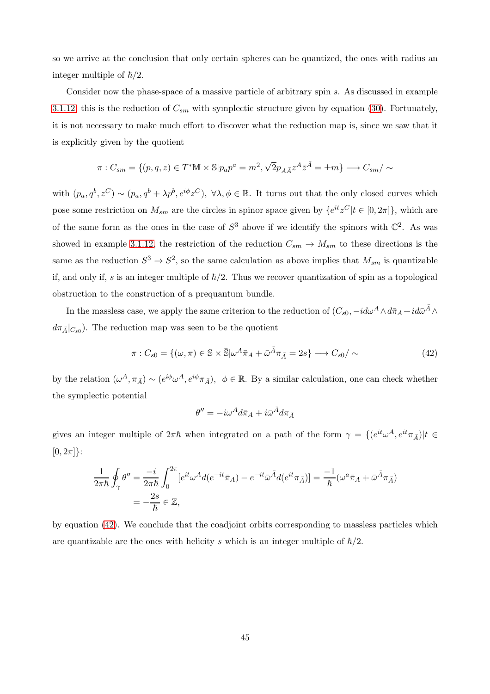so we arrive at the conclusion that only certain spheres can be quantized, the ones with radius an integer multiple of  $\hbar/2$ .

Consider now the phase-space of a massive particle of arbitrary spin s. As discussed in example [3.1.12,](#page-24-2) this is the reduction of  $C_{sm}$  with symplectic structure given by equation [\(30\)](#page-32-0). Fortunately, it is not necessary to make much effort to discover what the reduction map is, since we saw that it is explicitly given by the quotient

$$
\pi: C_{sm} = \{(p, q, z) \in T^* \mathbb{M} \times \mathbb{S} | p_a p^a = m^2, \sqrt{2}p_{A\bar{A}} z^A \bar{z}^{\bar{A}} = \pm m \} \longrightarrow C_{sm} / \sim
$$

with  $(p_a, q^b, z^C) \sim (p_a, q^b + \lambda p^b, e^{i\phi} z^C)$ ,  $\forall \lambda, \phi \in \mathbb{R}$ . It turns out that the only closed curves which pose some restriction on  $M_{sm}$  are the circles in spinor space given by  $\{e^{it}z^C|t\in[0,2\pi]\}\,$ , which are of the same form as the ones in the case of  $S^3$  above if we identify the spinors with  $\mathbb{C}^2$ . As was showed in example [3.1.12,](#page-24-2) the restriction of the reduction  $C_{sm} \to M_{sm}$  to these directions is the same as the reduction  $S^3 \to S^2$ , so the same calculation as above implies that  $M_{sm}$  is quantizable if, and only if, s is an integer multiple of  $\hbar/2$ . Thus we recover quantization of spin as a topological obstruction to the construction of a prequantum bundle.

In the massless case, we apply the same criterion to the reduction of  $(C_{s0}, -id\omega^A \wedge d\bar{\pi}_A + id\bar{\omega}^{\bar{A}} \wedge d\bar{\pi}_A + id\bar{\omega}^{\bar{A}}$  $d\pi_{\bar{A}}|_{C_{s0}}$ ). The reduction map was seen to be the quotient

<span id="page-44-0"></span>
$$
\pi: C_{s0} = \{ (\omega, \pi) \in \mathbb{S} \times \overline{\mathbb{S}} | \omega^A \overline{\pi}_A + \overline{\omega}^{\overline{A}} \pi_{\overline{A}} = 2s \} \longrightarrow C_{s0} / \sim
$$
\n(42)

by the relation  $(\omega^A, \pi_{\bar{A}}) \sim (e^{i\phi}\omega^A, e^{i\phi}\pi_{\bar{A}}), \phi \in \mathbb{R}$ . By a similar calculation, one can check whether the symplectic potential

$$
\theta'' = -i\omega^A d\bar{\pi}_A + i\bar{\omega}^{\bar{A}} d\pi_{\bar{A}}
$$

gives an integer multiple of  $2\pi\hbar$  when integrated on a path of the form  $\gamma = \{ (e^{it}\omega^A, e^{it}\pi_{\bar{A}})|t \in$  $[0, 2\pi]$ :

$$
\frac{1}{2\pi\hbar} \oint_{\gamma} \theta'' = \frac{-i}{2\pi\hbar} \int_{0}^{2\pi} [e^{it}\omega^A d(e^{-it}\pi_A) - e^{-it}\bar{\omega}^{\bar{A}}d(e^{it}\pi_{\bar{A}})] = \frac{-1}{\hbar} (\omega^a \bar{\pi}_A + \bar{\omega}^{\bar{A}}\pi_{\bar{A}})
$$

$$
= -\frac{2s}{\hbar} \in \mathbb{Z},
$$

by equation [\(42\)](#page-44-0). We conclude that the coadjoint orbits corresponding to massless particles which are quantizable are the ones with helicity s which is an integer multiple of  $\hbar/2$ .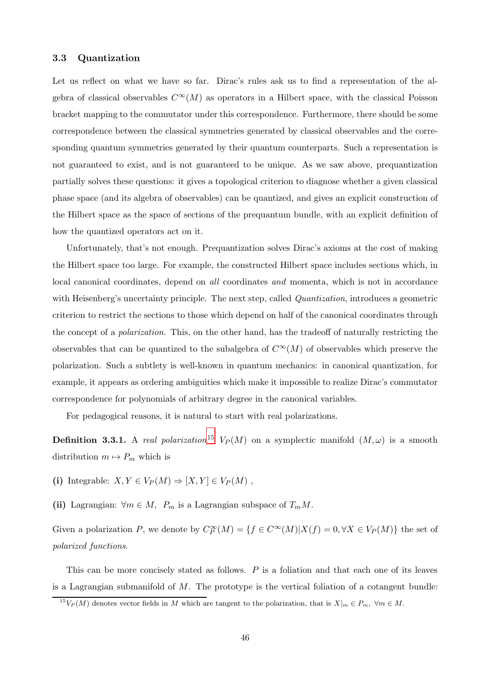## 3.3 Quantization

Let us reflect on what we have so far. Dirac's rules ask us to find a representation of the algebra of classical observables  $C^{\infty}(M)$  as operators in a Hilbert space, with the classical Poisson bracket mapping to the commutator under this correspondence. Furthermore, there should be some correspondence between the classical symmetries generated by classical observables and the corresponding quantum symmetries generated by their quantum counterparts. Such a representation is not guaranteed to exist, and is not guaranteed to be unique. As we saw above, prequantization partially solves these questions: it gives a topological criterion to diagnose whether a given classical phase space (and its algebra of observables) can be quantized, and gives an explicit construction of the Hilbert space as the space of sections of the prequantum bundle, with an explicit definition of how the quantized operators act on it.

Unfortunately, that's not enough. Prequantization solves Dirac's axioms at the cost of making the Hilbert space too large. For example, the constructed Hilbert space includes sections which, in local canonical coordinates, depend on *all* coordinates *and* momenta, which is not in accordance with Heisenberg's uncertainty principle. The next step, called *Quantization*, introduces a geometric criterion to restrict the sections to those which depend on half of the canonical coordinates through the concept of a polarization. This, on the other hand, has the tradeoff of naturally restricting the observables that can be quantized to the subalgebra of  $C^{\infty}(M)$  of observables which preserve the polarization. Such a subtlety is well-known in quantum mechanics: in canonical quantization, for example, it appears as ordering ambiguities which make it impossible to realize Dirac's commutator correspondence for polynomials of arbitrary degree in the canonical variables.

For pedagogical reasons, it is natural to start with real polarizations.

**Definition 3.3.1.** A real polarization<sup>[15](#page-45-0)</sup>  $V_P(M)$  on a symplectic manifold  $(M, \omega)$  is a smooth distribution  $m \mapsto P_m$  which is

(i) Integrable:  $X, Y \in V_P(M) \Rightarrow [X, Y] \in V_P(M)$ ,

(ii) Lagrangian:  $\forall m \in M$ ,  $P_m$  is a Lagrangian subspace of  $T_mM$ .

Given a polarization P, we denote by  $C_P^{\infty}(M) = \{f \in C^{\infty}(M) | X(f) = 0, \forall X \in V_P(M)\}\)$  the set of polarized functions.

This can be more concisely stated as follows. P is a foliation and that each one of its leaves is a Lagrangian submanifold of  $M$ . The prototype is the vertical foliation of a cotangent bundle:

<span id="page-45-0"></span><sup>&</sup>lt;sup>15</sup> $V_P(M)$  denotes vector fields in M which are tangent to the polarization, that is  $X|_m \in P_m$ ,  $\forall m \in M$ .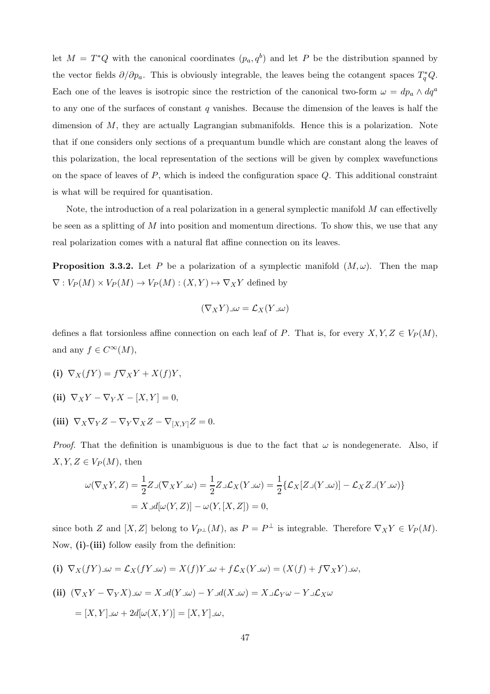let  $M = T^*Q$  with the canonical coordinates  $(p_a, q^b)$  and let P be the distribution spanned by the vector fields  $\partial/\partial p_a$ . This is obviously integrable, the leaves being the cotangent spaces  $T_q^*Q$ . Each one of the leaves is isotropic since the restriction of the canonical two-form  $\omega = dp_a \wedge dq^a$ to any one of the surfaces of constant q vanishes. Because the dimension of the leaves is half the dimension of M, they are actually Lagrangian submanifolds. Hence this is a polarization. Note that if one considers only sections of a prequantum bundle which are constant along the leaves of this polarization, the local representation of the sections will be given by complex wavefunctions on the space of leaves of  $P$ , which is indeed the configuration space  $Q$ . This additional constraint is what will be required for quantisation.

Note, the introduction of a real polarization in a general symplectic manifold  $M$  can effectivelly be seen as a splitting of  $M$  into position and momentum directions. To show this, we use that any real polarization comes with a natural flat affine connection on its leaves.

**Proposition 3.3.2.** Let P be a polarization of a symplectic manifold  $(M,\omega)$ . Then the map  $\nabla: V_P(M) \times V_P(M) \to V_P(M) : (X, Y) \mapsto \nabla_X Y$  defined by

$$
(\nabla_X Y)\lrcorner \omega = \mathcal{L}_X(Y\lrcorner \omega)
$$

defines a flat torsionless affine connection on each leaf of P. That is, for every  $X, Y, Z \in V_P(M)$ , and any  $f \in C^{\infty}(M)$ ,

- (i)  $\nabla_X(fY) = f\nabla_X Y + X(f)Y,$
- (ii)  $\nabla_X Y \nabla_Y X [X, Y] = 0,$
- (iii)  $\nabla_X \nabla_Y Z \nabla_Y \nabla_X Z \nabla_{[X,Y]} Z = 0.$

*Proof.* That the definition is unambiguous is due to the fact that  $\omega$  is nondegenerate. Also, if  $X, Y, Z \in V_P(M)$ , then

$$
\omega(\nabla_X Y, Z) = \frac{1}{2} Z \Box (\nabla_X Y \Box \omega) = \frac{1}{2} Z \Box \mathcal{L}_X (Y \Box \omega) = \frac{1}{2} \{ \mathcal{L}_X [Z \Box (Y \Box \omega)] - \mathcal{L}_X Z \Box (Y \Box \omega) \}
$$
  
=  $X \Box d[\omega(Y, Z)] - \omega(Y, [X, Z]) = 0,$ 

since both Z and  $[X, Z]$  belong to  $V_{P^{\perp}}(M)$ , as  $P = P^{\perp}$  is integrable. Therefore  $\nabla_X Y \in V_P(M)$ . Now, (i)-(iii) follow easily from the definition:

$$
\textbf{(i)}~~\nabla_X(fY)\lrcorner\omega=\mathcal{L}_X(fY\lrcorner\omega)=X(f)Y\lrcorner\omega+f\mathcal{L}_X(Y\lrcorner\omega)=(X(f)+f\nabla_XY)\lrcorner\omega,
$$

(ii) 
$$
(\nabla_X Y - \nabla_Y X)\lrcorner\omega = X\lrcorner d(Y\lrcorner\omega) - Y\lrcorner d(X\lrcorner\omega) = X\lrcorner \mathcal{L}_Y \omega - Y\lrcorner \mathcal{L}_X \omega
$$
  

$$
= [X, Y]\lrcorner \omega + 2d[\omega(X, Y)] = [X, Y]\lrcorner \omega,
$$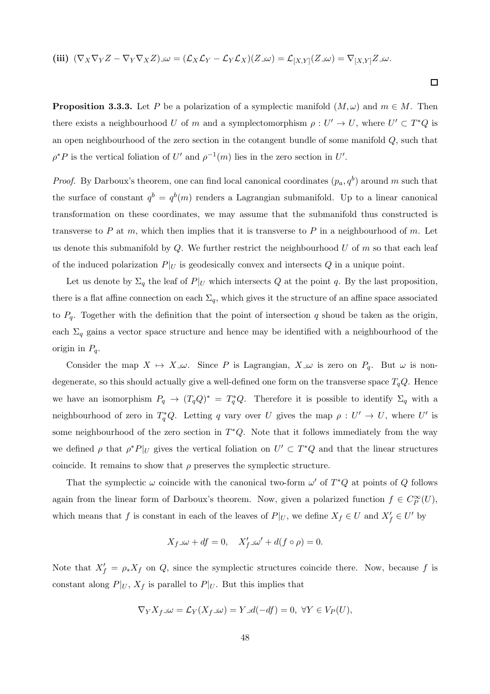$$
\textbf{(iii)}\;\;(\nabla_X\nabla_YZ-\nabla_Y\nabla_XZ)\lrcorner\omega=(\mathcal{L}_X\mathcal{L}_Y-\mathcal{L}_Y\mathcal{L}_X)(Z\lrcorner\omega)=\mathcal{L}_{[X,Y]}(Z\lrcorner\omega)=\nabla_{[X,Y]}Z\lrcorner\omega.
$$

**Proposition 3.3.3.** Let P be a polarization of a symplectic manifold  $(M,\omega)$  and  $m \in M$ . Then there exists a neighbourhood U of m and a symplectomorphism  $\rho: U' \to U$ , where  $U' \subset T^*Q$  is an open neighbourhood of the zero section in the cotangent bundle of some manifold  $Q$ , such that  $\rho^* P$  is the vertical foliation of U' and  $\rho^{-1}(m)$  lies in the zero section in U'.

*Proof.* By Darboux's theorem, one can find local canonical coordinates  $(p_a, q^b)$  around m such that the surface of constant  $q^b = q^b(m)$  renders a Lagrangian submanifold. Up to a linear canonical transformation on these coordinates, we may assume that the submanifold thus constructed is transverse to P at m, which then implies that it is transverse to P in a neighbourhood of m. Let us denote this submanifold by  $Q$ . We further restrict the neighbourhood U of m so that each leaf of the induced polarization  $P|_U$  is geodesically convex and intersects Q in a unique point.

Let us denote by  $\Sigma_q$  the leaf of  $P|_U$  which intersects Q at the point q. By the last proposition, there is a flat affine connection on each  $\Sigma_q$ , which gives it the structure of an affine space associated to  $P_q$ . Together with the definition that the point of intersection q shoud be taken as the origin, each  $\Sigma_q$  gains a vector space structure and hence may be identified with a neighbourhood of the origin in  $P_q$ .

Consider the map  $X \mapsto X\omega$ . Since P is Lagrangian,  $X\omega$  is zero on  $P_q$ . But  $\omega$  is nondegenerate, so this should actually give a well-defined one form on the transverse space  $T_qQ$ . Hence we have an isomorphism  $P_q \to (T_q Q)^* = T_q^* Q$ . Therefore it is possible to identify  $\Sigma_q$  with a neighbourhood of zero in  $T_q^*Q$ . Letting q vary over U gives the map  $\rho: U' \to U$ , where U' is some neighbourhood of the zero section in  $T^*Q$ . Note that it follows immediately from the way we defined  $\rho$  that  $\rho^*P|_U$  gives the vertical foliation on  $U' \subset T^*Q$  and that the linear structures coincide. It remains to show that  $\rho$  preserves the symplectic structure.

That the symplectic  $\omega$  coincide with the canonical two-form  $\omega'$  of  $T^*Q$  at points of Q follows again from the linear form of Darboux's theorem. Now, given a polarized function  $f \in C_P^{\infty}(U)$ , which means that f is constant in each of the leaves of  $P|_U$ , we define  $X_f \in U$  and  $X'_f \in U'$  by

$$
X_f \log d + df = 0, \quad X'_f \log d + d(f \circ \rho) = 0.
$$

Note that  $X'_f = \rho_* X_f$  on Q, since the symplectic structures coincide there. Now, because f is constant along  $P|_U$ ,  $X_f$  is parallel to  $P|_U$ . But this implies that

$$
\nabla_Y X_f \lrcorner \omega = \mathcal{L}_Y(X_f \lrcorner \omega) = Y \lrcorner d(-df) = 0, \; \forall Y \in V_P(U),
$$

 $\Box$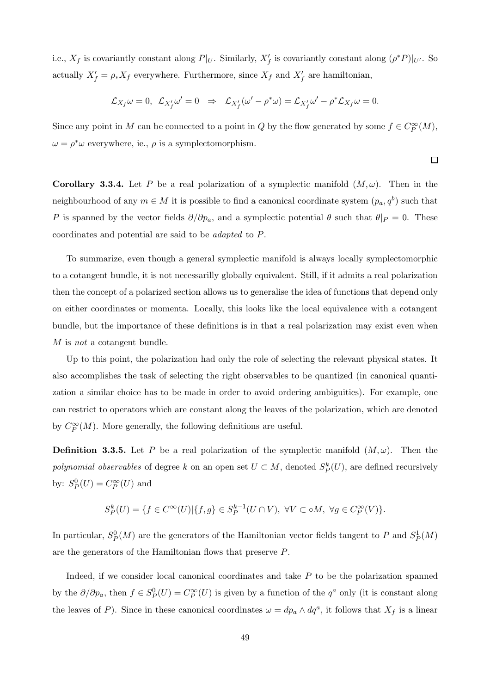i.e.,  $X_f$  is covariantly constant along  $P|_U$ . Similarly,  $X'_f$  is covariantly constant along  $(\rho^*P)|_{U'}$ . So actually  $X'_f = \rho_* X_f$  everywhere. Furthermore, since  $X_f$  and  $X'_f$  are hamiltonian,

$$
\mathcal{L}_{X_f}\omega = 0, \ \ \mathcal{L}_{X'_f}\omega' = 0 \ \ \Rightarrow \ \ \mathcal{L}_{X'_f}(\omega' - \rho^*\omega) = \mathcal{L}_{X'_f}\omega' - \rho^*\mathcal{L}_{X_f}\omega = 0.
$$

Since any point in M can be connected to a point in Q by the flow generated by some  $f \in C_P^{\infty}(M)$ ,  $\omega = \rho^* \omega$  everywhere, ie.,  $\rho$  is a symplectomorphism.

$$
\Box
$$

**Corollary 3.3.4.** Let P be a real polarization of a symplectic manifold  $(M, \omega)$ . Then in the neighbourhood of any  $m \in M$  it is possible to find a canonical coordinate system  $(p_a, q^b)$  such that P is spanned by the vector fields  $\partial/\partial p_a$ , and a symplectic potential  $\theta$  such that  $\theta|_P = 0$ . These coordinates and potential are said to be adapted to P.

To summarize, even though a general symplectic manifold is always locally symplectomorphic to a cotangent bundle, it is not necessarilly globally equivalent. Still, if it admits a real polarization then the concept of a polarized section allows us to generalise the idea of functions that depend only on either coordinates or momenta. Locally, this looks like the local equivalence with a cotangent bundle, but the importance of these definitions is in that a real polarization may exist even when M is not a cotangent bundle.

Up to this point, the polarization had only the role of selecting the relevant physical states. It also accomplishes the task of selecting the right observables to be quantized (in canonical quantization a similar choice has to be made in order to avoid ordering ambiguities). For example, one can restrict to operators which are constant along the leaves of the polarization, which are denoted by  $C_P^{\infty}(M)$ . More generally, the following definitions are useful.

**Definition 3.3.5.** Let P be a real polarization of the symplectic manifold  $(M, \omega)$ . Then the polynomial observables of degree k on an open set  $U \subset M$ , denoted  $S_P^k(U)$ , are defined recursively by:  $S_P^0(U) = C_P^{\infty}(U)$  and

$$
S_P^k(U) = \{ f \in C^\infty(U) | \{ f, g \} \in S_P^{k-1}(U \cap V), \ \forall V \subset \circ M, \ \forall g \in C_P^\infty(V) \}.
$$

In particular,  $S_P^0(M)$  are the generators of the Hamiltonian vector fields tangent to P and  $S_P^1(M)$ are the generators of the Hamiltonian flows that preserve P.

Indeed, if we consider local canonical coordinates and take P to be the polarization spanned by the  $\partial/\partial p_a$ , then  $f \in S_P^0(U) = C_P^{\infty}(U)$  is given by a function of the  $q^a$  only (it is constant along the leaves of P). Since in these canonical coordinates  $\omega = dp_a \wedge dq^a$ , it follows that  $X_f$  is a linear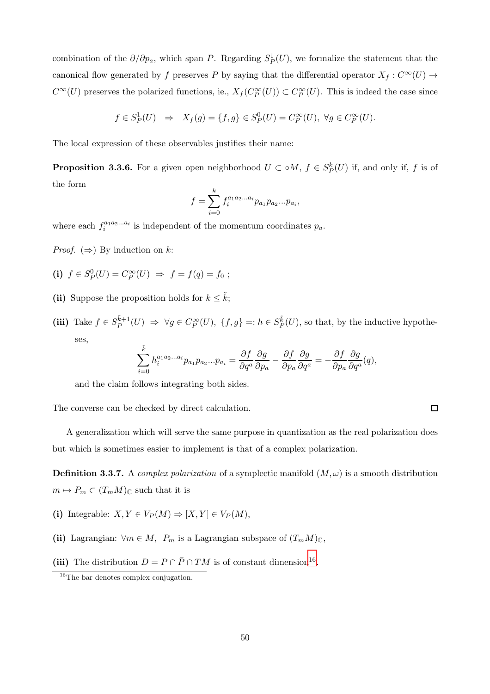combination of the  $\partial/\partial p_a$ , which span P. Regarding  $S_P^1(U)$ , we formalize the statement that the canonical flow generated by f preserves P by saying that the differential operator  $X_f : C^{\infty}(U) \rightarrow$  $C^{\infty}(U)$  preserves the polarized functions, ie.,  $X_f(C^{\infty}_P(U)) \subset C^{\infty}_P(U)$ . This is indeed the case since

$$
f \in S_P^1(U) \Rightarrow X_f(g) = \{f, g\} \in S_P^0(U) = C_P^{\infty}(U), \ \forall g \in C_P^{\infty}(U).
$$

The local expression of these observables justifies their name:

**Proposition 3.3.6.** For a given open neighborhood  $U \subset \circ M$ ,  $f \in S_P^k(U)$  if, and only if, f is of the form

$$
f = \sum_{i=0}^{k} f_i^{a_1 a_2 \dots a_i} p_{a_1} p_{a_2} \dots p_{a_i},
$$

where each  $f_i^{a_1 a_2 ... a_i}$  is independent of the momentum coordinates  $p_a$ .

*Proof.* ( $\Rightarrow$ ) By induction on k:

- (i)  $f \in S_P^0(U) = C_P^{\infty}(U) \Rightarrow f = f(q) = f_0;$
- (ii) Suppose the proposition holds for  $k \leq \tilde{k}$ ;
- (iii) Take  $f \in S_P^{\tilde{k}+1}$  $P_P^{\tilde{k}+1}(U) \Rightarrow \forall g \in C_P^{\infty}(U), \{f, g\}=:h \in S_P^{\tilde{k}}(U)$ , so that, by the inductive hypotheses,

$$
\sum_{i=0}^{\tilde{k}} h_i^{a_1 a_2 \dots a_i} p_{a_1} p_{a_2} \dots p_{a_i} = \frac{\partial f}{\partial q^a} \frac{\partial g}{\partial p_a} - \frac{\partial f}{\partial p_a} \frac{\partial g}{\partial q^a} = -\frac{\partial f}{\partial p_a} \frac{\partial g}{\partial q^a}(q),
$$

and the claim follows integrating both sides.

The converse can be checked by direct calculation.

A generalization which will serve the same purpose in quantization as the real polarization does but which is sometimes easier to implement is that of a complex polarization.

**Definition 3.3.7.** A complex polarization of a symplectic manifold  $(M, \omega)$  is a smooth distribution  $m \mapsto P_m \subset (T_m M)_{\mathbb{C}}$  such that it is

- (i) Integrable:  $X, Y \in V_P(M) \Rightarrow [X, Y] \in V_P(M)$ ,
- (ii) Lagrangian:  $\forall m \in M$ ,  $P_m$  is a Lagrangian subspace of  $(T_mM)_{\mathbb{C}}$ ,
- (iii) The distribution  $D = P \cap \overline{P} \cap TM$  is of constant dimension<sup>[16](#page-49-0)</sup>.

 $\Box$ 

<span id="page-49-0"></span><sup>&</sup>lt;sup>16</sup>The bar denotes complex conjugation.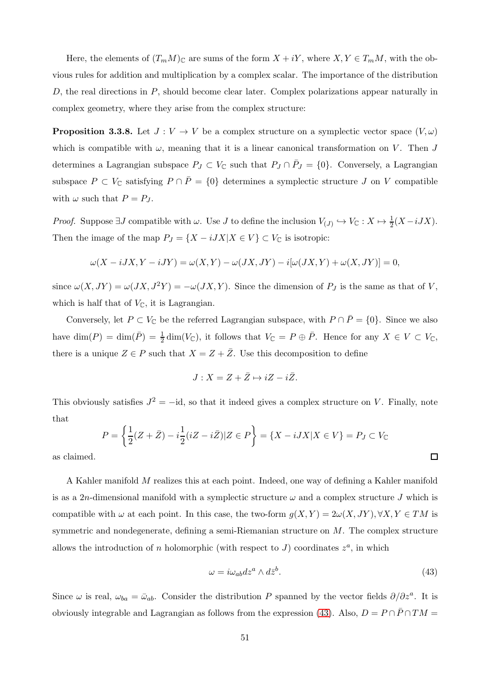Here, the elements of  $(T_mM)_\mathbb{C}$  are sums of the form  $X + iY$ , where  $X, Y \in T_mM$ , with the obvious rules for addition and multiplication by a complex scalar. The importance of the distribution D, the real directions in P, should become clear later. Complex polarizations appear naturally in complex geometry, where they arise from the complex structure:

<span id="page-50-1"></span>**Proposition 3.3.8.** Let  $J: V \to V$  be a complex structure on a symplectic vector space  $(V, \omega)$ which is compatible with  $\omega$ , meaning that it is a linear canonical transformation on V. Then J determines a Lagrangian subspace  $P_J \subset V_{\mathbb{C}}$  such that  $P_J \cap \overline{P}_J = \{0\}$ . Conversely, a Lagrangian subspace  $P \subset V_{\mathbb{C}}$  satisfying  $P \cap \overline{P} = \{0\}$  determines a symplectic structure J on V compatible with  $\omega$  such that  $P = P_J$ .

*Proof.* Suppose  $\exists J$  compatible with  $\omega$ . Use J to define the inclusion  $V_{(J)} \hookrightarrow V_{\mathbb{C}} : X \mapsto \frac{1}{2}(X - iJX)$ . Then the image of the map  $P_J = \{X - iJX | X \in V\} \subset V_{\mathbb{C}}$  is isotropic:

$$
\omega(X - iJX, Y - iJY) = \omega(X, Y) - \omega(JX, JY) - i[\omega(JX, Y) + \omega(X, JY)] = 0,
$$

since  $\omega(X, JY) = \omega(JX, J^2Y) = -\omega(JX, Y)$ . Since the dimension of  $P_J$  is the same as that of V, which is half that of  $V_{\mathbb{C}}$ , it is Lagrangian.

Conversely, let  $P \subset V_{\mathbb{C}}$  be the referred Lagrangian subspace, with  $P \cap \overline{P} = \{0\}$ . Since we also have  $\dim(P) = \dim(\overline{P}) = \frac{1}{2} \dim(V_{\mathbb{C}})$ , it follows that  $V_{\mathbb{C}} = P \oplus \overline{P}$ . Hence for any  $X \in V \subset V_{\mathbb{C}}$ , there is a unique  $Z \in P$  such that  $X = Z + \overline{Z}$ . Use this decomposition to define

$$
J: X = Z + \bar{Z} \mapsto iZ - i\bar{Z}.
$$

This obviously satisfies  $J^2 = -id$ , so that it indeed gives a complex structure on V. Finally, note that

$$
P = \left\{ \frac{1}{2}(Z + \bar{Z}) - i\frac{1}{2}(iZ - i\bar{Z}) | Z \in P \right\} = \{ X - iJX | X \in V \} = P_J \subset V_{\mathbb{C}}
$$

as claimed.

A Kahler manifold M realizes this at each point. Indeed, one way of defining a Kahler manifold is as a 2n-dimensional manifold with a symplectic structure  $\omega$  and a complex structure J which is compatible with  $\omega$  at each point. In this case, the two-form  $g(X, Y) = 2\omega(X, JY), \forall X, Y \in TM$  is symmetric and nondegenerate, defining a semi-Riemanian structure on  $M$ . The complex structure allows the introduction of n holomorphic (with respect to  $J$ ) coordinates  $z^a$ , in which

<span id="page-50-0"></span>
$$
\omega = i\omega_{ab}dz^a \wedge d\bar{z}^b. \tag{43}
$$

 $\Box$ 

Since  $\omega$  is real,  $\omega_{ba} = \bar{\omega}_{ab}$ . Consider the distribution P spanned by the vector fields  $\partial/\partial z^a$ . It is obviously integrable and Lagrangian as follows from the expression [\(43\)](#page-50-0). Also,  $D = P \cap \overline{P} \cap TM =$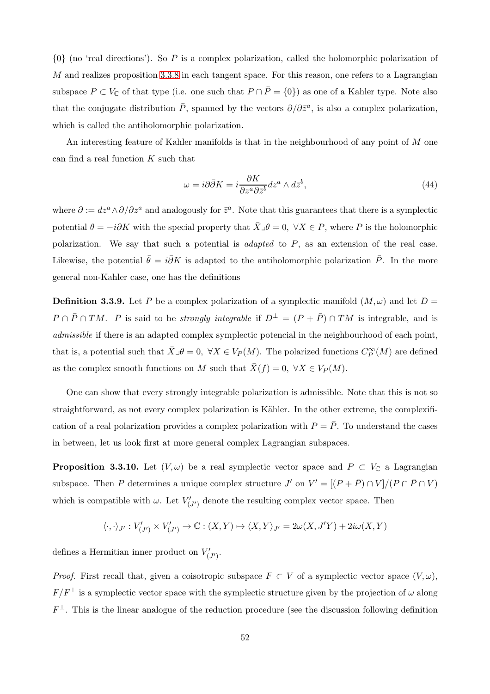${0}$  (no 'real directions'). So P is a complex polarization, called the holomorphic polarization of  $M$  and realizes proposition [3.3.8](#page-50-1) in each tangent space. For this reason, one refers to a Lagrangian subspace  $P \subset V_{\mathbb{C}}$  of that type (i.e. one such that  $P \cap \overline{P} = \{0\}$ ) as one of a Kahler type. Note also that the conjugate distribution  $\bar{P}$ , spanned by the vectors  $\partial/\partial \bar{z}^a$ , is also a complex polarization, which is called the antiholomorphic polarization.

An interesting feature of Kahler manifolds is that in the neighbourhood of any point of M one can find a real function  $K$  such that

<span id="page-51-1"></span>
$$
\omega = i\partial\bar{\partial}K = i\frac{\partial K}{\partial z^a \partial \bar{z}^b} dz^a \wedge d\bar{z}^b,
$$
\n(44)

where  $\partial := dz^a \wedge \partial/\partial z^a$  and analogously for  $\bar{z}^a$ . Note that this guarantees that there is a symplectic potential  $\theta = -i\partial K$  with the special property that  $\bar{X} \mathcal{A} = 0$ ,  $\forall X \in P$ , where P is the holomorphic polarization. We say that such a potential is *adapted* to  $P$ , as an extension of the real case. Likewise, the potential  $\bar{\theta} = i\bar{\partial}K$  is adapted to the antiholomorphic polarization  $\bar{P}$ . In the more general non-Kahler case, one has the definitions

**Definition 3.3.9.** Let P be a complex polarization of a symplectic manifold  $(M, \omega)$  and let  $D =$  $P \cap \overline{P} \cap TM$ . P is said to be *strongly integrable* if  $D^{\perp} = (P + \overline{P}) \cap TM$  is integrable, and is admissible if there is an adapted complex symplectic potencial in the neighbourhood of each point, that is, a potential such that  $\bar{X} \lrcorner \theta = 0$ ,  $\forall X \in V_P(M)$ . The polarized functions  $C_P^{\infty}(M)$  are defined as the complex smooth functions on M such that  $\bar{X}(f) = 0, \ \forall X \in V_P(M)$ .

One can show that every strongly integrable polarization is admissible. Note that this is not so straightforward, as not every complex polarization is Kähler. In the other extreme, the complexification of a real polarization provides a complex polarization with  $P = \overline{P}$ . To understand the cases in between, let us look first at more general complex Lagrangian subspaces.

<span id="page-51-0"></span>**Proposition 3.3.10.** Let  $(V, \omega)$  be a real symplectic vector space and P ⊂ V<sub>C</sub> a Lagrangian subspace. Then P determines a unique complex structure  $J'$  on  $V' = [(P + \bar{P}) \cap V]/(P \cap \bar{P} \cap V)$ which is compatible with  $\omega$ . Let  $V'_{(J')}$  denote the resulting complex vector space. Then

$$
\langle \cdot , \cdot \rangle_{J'}: V'_{(J')} \times V'_{(J')} \to \mathbb{C}: (X, Y) \mapsto \langle X, Y \rangle_{J'} = 2\omega(X, J'Y) + 2i\omega(X, Y)
$$

defines a Hermitian inner product on  $V'_{(J')}$ .

*Proof.* First recall that, given a coisotropic subspace  $F \subset V$  of a symplectic vector space  $(V, \omega)$ ,  $F/F^\perp$  is a symplectic vector space with the symplectic structure given by the projection of  $\omega$  along  $F^{\perp}$ . This is the linear analogue of the reduction procedure (see the discussion following definition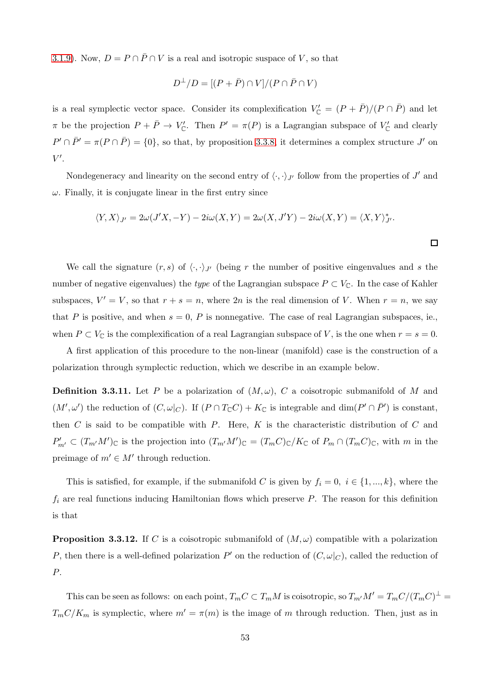[3.1.9\)](#page-18-0). Now,  $D = P \cap \overline{P} \cap V$  is a real and isotropic suspace of V, so that

$$
D^{\perp}/D = [(P + \bar{P}) \cap V]/(P \cap \bar{P} \cap V)
$$

is a real symplectic vector space. Consider its complexification  $V'_{\mathbb{C}} = (P + \bar{P})/(P \cap \bar{P})$  and let  $\pi$  be the projection  $P + \bar{P} \to V'_{\mathbb{C}}$ . Then  $P' = \pi(P)$  is a Lagrangian subspace of  $V'_{\mathbb{C}}$  and clearly  $P' \cap \overline{P'} = \pi(P \cap \overline{P}) = \{0\}$ , so that, by proposition [3.3.8,](#page-50-1) it determines a complex structure  $J'$  on  $V'.$ 

Nondegeneracy and linearity on the second entry of  $\langle \cdot, \cdot \rangle_{J'}$  follow from the properties of  $J'$  and  $\omega$ . Finally, it is conjugate linear in the first entry since

$$
\langle Y, X \rangle_{J'} = 2\omega(J'X, -Y) - 2i\omega(X, Y) = 2\omega(X, J'Y) - 2i\omega(X, Y) = \langle X, Y \rangle_{J'}^*.
$$

We call the signature  $(r, s)$  of  $\langle \cdot, \cdot \rangle_{J'}$  (being r the number of positive eingenvalues and s the number of negative eigenvalues) the type of the Lagrangian subspace  $P \subset V_{\mathbb{C}}$ . In the case of Kahler subspaces,  $V' = V$ , so that  $r + s = n$ , where  $2n$  is the real dimension of V. When  $r = n$ , we say that P is positive, and when  $s = 0$ , P is nonnegative. The case of real Lagrangian subspaces, ie., when  $P \subset V_{\mathbb{C}}$  is the complexification of a real Lagrangian subspace of V, is the one when  $r = s = 0$ .

A first application of this procedure to the non-linear (manifold) case is the construction of a polarization through symplectic reduction, which we describe in an example below.

**Definition 3.3.11.** Let P be a polarization of  $(M,\omega)$ , C a coisotropic submanifold of M and  $(M',\omega')$  the reduction of  $(C,\omega|_C)$ . If  $(P \cap T_{\mathbb{C}}C) + K_{\mathbb{C}}$  is integrable and  $\dim(P' \cap \overline{P}')$  is constant, then  $C$  is said to be compatible with  $P$ . Here,  $K$  is the characteristic distribution of  $C$  and  $P'_{m'} \subset (T_{m'}M')_{\mathbb{C}}$  is the projection into  $(T_{m'}M')_{\mathbb{C}} = (T_{m}C)_{\mathbb{C}}/K_{\mathbb{C}}$  of  $P_m \cap (T_{m}C)_{\mathbb{C}}$ , with m in the preimage of  $m' \in M'$  through reduction.

This is satisfied, for example, if the submanifold C is given by  $f_i = 0, i \in \{1, ..., k\}$ , where the  $f_i$  are real functions inducing Hamiltonian flows which preserve P. The reason for this definition is that

<span id="page-52-0"></span>**Proposition 3.3.12.** If C is a coisotropic submanifold of  $(M,\omega)$  compatible with a polarization P, then there is a well-defined polarization  $P'$  on the reduction of  $(C, \omega|_C)$ , called the reduction of P.

This can be seen as follows: on each point,  $T_m C \subset T_m M$  is coisotropic, so  $T_{m'} M' = T_m C/(T_m C)^{\perp} =$  $T_mC/K_m$  is symplectic, where  $m' = \pi(m)$  is the image of m through reduction. Then, just as in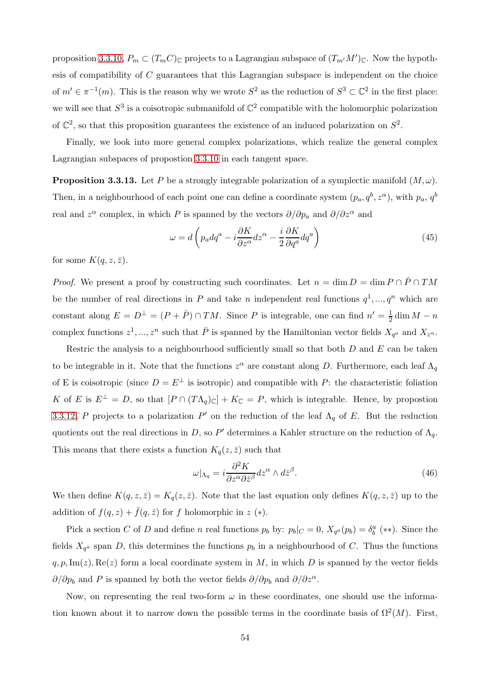proposition [3.3.10,](#page-51-0)  $P_m \subset (T_m C)_{\mathbb{C}}$  projects to a Lagrangian subspace of  $(T_{m'}M')_{\mathbb{C}}$ . Now the hypothesis of compatibility of  $C$  guarantees that this Lagrangian subspace is independent on the choice of  $m' \in \pi^{-1}(m)$ . This is the reason why we wrote  $S^2$  as the reduction of  $S^3 \subset \mathbb{C}^2$  in the first place: we will see that  $S^3$  is a coisotropic submanifold of  $\mathbb{C}^2$  compatible with the holomorphic polarization of  $\mathbb{C}^2$ , so that this proposition guarantees the existence of an induced polarization on  $S^2$ .

Finally, we look into more general complex polarizations, which realize the general complex Lagrangian subspaces of propostion [3.3.10](#page-51-0) in each tangent space.

**Proposition 3.3.13.** Let P be a strongly integrable polarization of a symplectic manifold  $(M, \omega)$ . Then, in a neighbourhood of each point one can define a coordinate system  $(p_a, q^b, z^{\alpha})$ , with  $p_a, q^b$ real and  $z^{\alpha}$  complex, in which P is spanned by the vectors  $\partial/\partial p_a$  and  $\partial/\partial z^{\alpha}$  and

<span id="page-53-1"></span>
$$
\omega = d \left( p_a dq^a - i \frac{\partial K}{\partial z^\alpha} dz^\alpha - \frac{i}{2} \frac{\partial K}{\partial q^a} dq^a \right) \tag{45}
$$

for some  $K(q, z, \bar{z}).$ 

*Proof.* We present a proof by constructing such coordinates. Let  $n = \dim D = \dim P \cap \overline{P} \cap TM$ be the number of real directions in P and take n independent real functions  $q^1, ..., q^n$  which are constant along  $E = D^{\perp} = (P + \bar{P}) \cap TM$ . Since P is integrable, one can find  $n' = \frac{1}{2}$  $\frac{1}{2}$  dim  $M - n$ complex functions  $z^1, ..., z^n$  such that  $\overline{P}$  is spanned by the Hamiltonian vector fields  $X_{q^a}$  and  $X_{z^a}$ .

Restric the analysis to a neighbourhood sufficiently small so that both  $D$  and  $E$  can be taken to be integrable in it. Note that the functions  $z^{\alpha}$  are constant along D. Furthermore, each leaf  $\Lambda_q$ of E is coisotropic (since  $D = E^{\perp}$  is isotropic) and compatible with P: the characteristic foliation K of E is  $E^{\perp} = D$ , so that  $[P \cap (T\Lambda_q)_\mathbb{C}] + K_\mathbb{C} = P$ , which is integrable. Hence, by propostion [3.3.12,](#page-52-0) P projects to a polarization  $P'$  on the reduction of the leaf  $\Lambda_q$  of E. But the reduction quotients out the real directions in D, so P' determines a Kahler structure on the reduction of  $\Lambda_q$ . This means that there exists a function  $K_q(z, \bar{z})$  such that

<span id="page-53-0"></span>
$$
\omega|_{\Lambda_q} = i \frac{\partial^2 K}{\partial z^{\alpha} \partial \bar{z}^{\beta}} dz^{\alpha} \wedge d\bar{z}^{\beta}.
$$
\n(46)

We then define  $K(q, z, \bar{z}) = K_q(z, \bar{z})$ . Note that the last equation only defines  $K(q, z, \bar{z})$  up to the addition of  $f(q, z) + \bar{f}(q, \bar{z})$  for f holomorphic in  $z$  (\*).

Pick a section C of D and define n real functions  $p_b$  by:  $p_b|_C = 0$ ,  $X_{q^a}(p_b) = \delta_b^a$  (\*\*). Since the fields  $X_{q^a}$  span D, this determines the functions  $p_b$  in a neighbourhood of C. Thus the functions  $q, p, \text{Im}(z), \text{Re}(z)$  form a local coordinate system in M, in which D is spanned by the vector fields  $\partial/\partial p_b$  and P is spanned by both the vector fields  $\partial/\partial p_b$  and  $\partial/\partial z^{\alpha}$ .

Now, on representing the real two-form  $\omega$  in these coordinates, one should use the information known about it to narrow down the possible terms in the coordinate basis of  $\Omega^2(M)$ . First,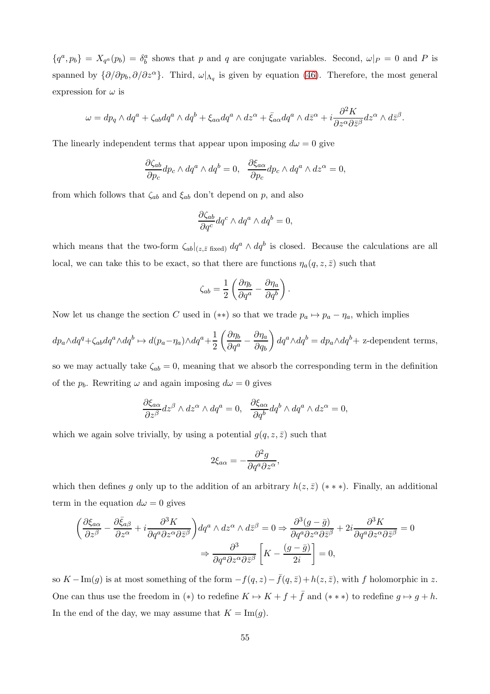${q^a, p_b} = X_{q^a}(p_b) = \delta_b^a$  shows that p and q are conjugate variables. Second,  $\omega|_P = 0$  and P is spanned by  $\{\partial/\partial p_b, \partial/\partial z^{\alpha}\}\$ . Third,  $\omega|_{\Lambda_q}$  is given by equation [\(46\)](#page-53-0). Therefore, the most general expression for  $\omega$  is

$$
\omega = dp_q \wedge dq^a + \zeta_{ab} dq^a \wedge dq^b + \xi_{a\alpha} dq^a \wedge dz^{\alpha} + \bar{\xi}_{a\alpha} dq^a \wedge d\bar{z}^{\alpha} + i \frac{\partial^2 K}{\partial z^{\alpha} \partial \bar{z}^{\beta}} dz^{\alpha} \wedge d\bar{z}^{\beta}.
$$

The linearly independent terms that appear upon imposing  $d\omega = 0$  give

$$
\frac{\partial \zeta_{ab}}{\partial p_c} dp_c \wedge dq^a \wedge dq^b = 0, \quad \frac{\partial \xi_{a\alpha}}{\partial p_c} dp_c \wedge dq^a \wedge dz^{\alpha} = 0,
$$

from which follows that  $\zeta_{ab}$  and  $\xi_{ab}$  don't depend on p, and also

$$
\frac{\partial \zeta_{ab}}{\partial q^c} dq^c \wedge dq^a \wedge dq^b = 0,
$$

which means that the two-form  $\zeta_{ab}|_{(z,\bar{z}\text{ fixed})} dq^a \wedge dq^b$  is closed. Because the calculations are all local, we can take this to be exact, so that there are functions  $\eta_a(q, z, \bar{z})$  such that

$$
\zeta_{ab} = \frac{1}{2} \left( \frac{\partial \eta_b}{\partial q^a} - \frac{\partial \eta_a}{\partial q^b} \right).
$$

Now let us change the section C used in (\*\*) so that we trade  $p_a \mapsto p_a - \eta_a$ , which implies

$$
dp_a \wedge dq^q + \zeta_{ab} dq^a \wedge dq^b \mapsto d(p_a - \eta_a) \wedge dq^a + \frac{1}{2} \left( \frac{\partial \eta_b}{\partial q^a} - \frac{\partial \eta_a}{\partial q_b} \right) dq^a \wedge dq^b = dp_a \wedge dq^b + \text{z-dependent terms},
$$

so we may actually take  $\zeta_{ab} = 0$ , meaning that we absorb the corresponding term in the definition of the  $p_b$ . Rewriting  $\omega$  and again imposing  $d\omega = 0$  gives

$$
\frac{\partial \xi_{a\alpha}}{\partial z^{\beta}} dz^{\beta} \wedge dz^{\alpha} \wedge dq^{a} = 0, \quad \frac{\partial \xi_{a\alpha}}{\partial q^{b}} dq^{b} \wedge dq^{a} \wedge dz^{\alpha} = 0,
$$

which we again solve trivially, by using a potential  $g(q, z, \bar{z})$  such that

$$
2\xi_{a\alpha} = -\frac{\partial^2 g}{\partial q^a \partial z^\alpha},
$$

which then defines g only up to the addition of an arbitrary  $h(z, \bar{z})$  (\*\*\*). Finally, an additional term in the equation  $d\omega = 0$  gives

$$
\left(\frac{\partial \xi_{a\alpha}}{\partial z^{\beta}} - \frac{\partial \bar{\xi}_{a\beta}}{\partial z^{\alpha}} + i \frac{\partial^{3} K}{\partial q^{a} \partial z^{\alpha} \partial \bar{z}^{\beta}}\right) dq^{a} \wedge dz^{\alpha} \wedge d\bar{z}^{\beta} = 0 \Rightarrow \frac{\partial^{3} (g - \bar{g})}{\partial q^{a} \partial z^{\alpha} \partial \bar{z}^{\beta}} + 2i \frac{\partial^{3} K}{\partial q^{a} \partial z^{\alpha} \partial \bar{z}^{\beta}} = 0
$$

$$
\Rightarrow \frac{\partial^{3}}{\partial q^{a} \partial z^{\alpha} \partial \bar{z}^{\beta}} \left[K - \frac{(g - \bar{g})}{2i}\right] = 0,
$$

so  $K - Im(g)$  is at most something of the form  $-f(q, z) - \bar{f}(q, \bar{z}) + h(z, \bar{z})$ , with f holomorphic in z. One can thus use the freedom in (\*) to redefine  $K \mapsto K + f + \bar{f}$  and (\*\*\*) to redefine  $g \mapsto g + h$ . In the end of the day, we may assume that  $K = \text{Im}(g)$ .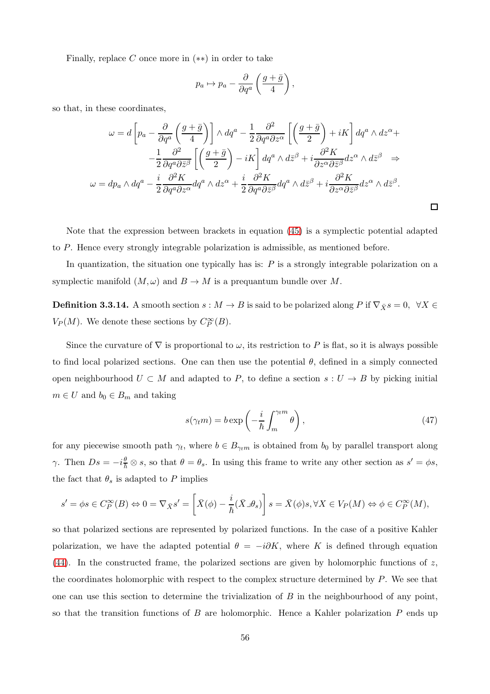Finally, replace C once more in  $(**)$  in order to take

$$
p_a \mapsto p_a - \frac{\partial}{\partial q^a} \left( \frac{g + \bar{g}}{4} \right),
$$

so that, in these coordinates,

$$
\omega = d \left[ p_a - \frac{\partial}{\partial q^a} \left( \frac{g + \bar{g}}{4} \right) \right] \wedge dq^a - \frac{1}{2} \frac{\partial^2}{\partial q^a \partial z^\alpha} \left[ \left( \frac{g + \bar{g}}{2} \right) + iK \right] dq^a \wedge dz^\alpha +
$$

$$
- \frac{1}{2} \frac{\partial^2}{\partial q^a \partial \bar{z}^\beta} \left[ \left( \frac{g + \bar{g}}{2} \right) - iK \right] dq^a \wedge d\bar{z}^\beta + i \frac{\partial^2 K}{\partial z^\alpha \partial \bar{z}^\beta} dz^\alpha \wedge d\bar{z}^\beta \Rightarrow
$$

$$
\omega = dp_a \wedge dq^a - \frac{i}{2} \frac{\partial^2 K}{\partial q^a \partial z^\alpha} dq^a \wedge dz^\alpha + \frac{i}{2} \frac{\partial^2 K}{\partial q^a \partial \bar{z}^\beta} dq^a \wedge d\bar{z}^\beta + i \frac{\partial^2 K}{\partial z^\alpha \partial \bar{z}^\beta} dz^\alpha \wedge d\bar{z}^\beta.
$$

Note that the expression between brackets in equation [\(45\)](#page-53-1) is a symplectic potential adapted to P. Hence every strongly integrable polarization is admissible, as mentioned before.

In quantization, the situation one typically has is:  $P$  is a strongly integrable polarization on a symplectic manifold  $(M, \omega)$  and  $B \to M$  is a prequantum bundle over M.

**Definition 3.3.14.** A smooth section  $s : M \to B$  is said to be polarized along P if  $\nabla_{\bar{X}} s = 0$ ,  $\forall X \in$  $V_P(M)$ . We denote these sections by  $C_P^{\infty}(B)$ .

Since the curvature of  $\nabla$  is proportional to  $\omega$ , its restriction to P is flat, so it is always possible to find local polarized sections. One can then use the potential  $\theta$ , defined in a simply connected open neighbourhood  $U \subset M$  and adapted to P, to define a section  $s: U \to B$  by picking initial  $m \in U$  and  $b_0 \in B_m$  and taking

<span id="page-55-0"></span>
$$
s(\gamma_t m) = b \exp\left(-\frac{i}{\hbar} \int_m^{\gamma_t m} \theta\right),\tag{47}
$$

for any piecewise smooth path  $\gamma_t$ , where  $b \in B_{\gamma_t m}$  is obtained from  $b_0$  by parallel transport along  $\gamma$ . Then  $Ds = -i\frac{\theta}{\hbar} \otimes s$ , so that  $\theta = \theta_s$ . In using this frame to write any other section as  $s' = \phi s$ , the fact that  $\theta_s$  is adapted to P implies

$$
s' = \phi s \in C_P^{\infty}(B) \Leftrightarrow 0 = \nabla_{\bar{X}} s' = \left[ \bar{X}(\phi) - \frac{i}{\hbar} (\bar{X} \lrcorner \theta_s) \right] s = \bar{X}(\phi)s, \forall X \in V_P(M) \Leftrightarrow \phi \in C_P^{\infty}(M),
$$

so that polarized sections are represented by polarized functions. In the case of a positive Kahler polarization, we have the adapted potential  $\theta = -i\partial K$ , where K is defined through equation  $(44)$ . In the constructed frame, the polarized sections are given by holomorphic functions of z, the coordinates holomorphic with respect to the complex structure determined by  $P$ . We see that one can use this section to determine the trivialization of  $B$  in the neighbourhood of any point, so that the transition functions of  $B$  are holomorphic. Hence a Kahler polarization  $P$  ends up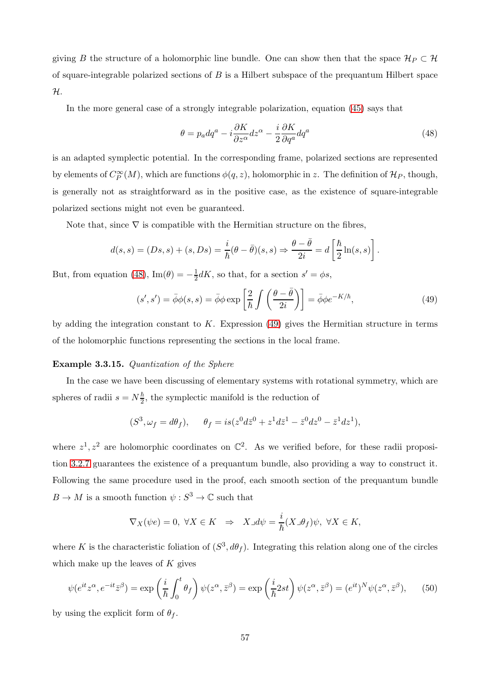giving B the structure of a holomorphic line bundle. One can show then that the space  $\mathcal{H}_P \subset \mathcal{H}$ of square-integrable polarized sections of  $B$  is a Hilbert subspace of the prequantum Hilbert space H.

In the more general case of a strongly integrable polarization, equation [\(45\)](#page-53-1) says that

<span id="page-56-0"></span>
$$
\theta = p_a dq^a - i \frac{\partial K}{\partial z^\alpha} dz^\alpha - \frac{i}{2} \frac{\partial K}{\partial q^a} dq^a \tag{48}
$$

is an adapted symplectic potential. In the corresponding frame, polarized sections are represented by elements of  $C_P^{\infty}(M)$ , which are functions  $\phi(q, z)$ , holomorphic in z. The definition of  $\mathcal{H}_P$ , though, is generally not as straightforward as in the positive case, as the existence of square-integrable polarized sections might not even be guaranteed.

Note that, since  $\nabla$  is compatible with the Hermitian structure on the fibres,

$$
d(s,s) = (Ds,s) + (s,Ds) = \frac{i}{\hbar}(\theta - \bar{\theta})(s,s) \Rightarrow \frac{\theta - \bar{\theta}}{2i} = d\left[\frac{\hbar}{2}\ln(s,s)\right].
$$

But, from equation [\(48\)](#page-56-0),  $\text{Im}(\theta) = -\frac{1}{2}$  $\frac{1}{2}dK$ , so that, for a section  $s' = \phi s$ ,

<span id="page-56-1"></span>
$$
(s', s') = \bar{\phi}\phi(s, s) = \bar{\phi}\phi \exp\left[\frac{2}{\hbar} \int \left(\frac{\theta - \bar{\theta}}{2i}\right)\right] = \bar{\phi}\phi e^{-K/\hbar},\tag{49}
$$

by adding the integration constant to  $K$ . Expression [\(49\)](#page-56-1) gives the Hermitian structure in terms of the holomorphic functions representing the sections in the local frame.

## Example 3.3.15. Quantization of the Sphere

In the case we have been discussing of elementary systems with rotational symmetry, which are spheres of radii  $s = N\frac{\hbar}{2}$ , the symplectic manifold is the reduction of

$$
(S3, \omega_f = d\theta_f), \qquad \theta_f = is(z^0 d\overline{z}^0 + z^1 d\overline{z}^1 - \overline{z}^0 dz^0 - \overline{z}^1 dz^1),
$$

where  $z^1, z^2$  are holomorphic coordinates on  $\mathbb{C}^2$ . As we verified before, for these radii proposition [3.2.7](#page-41-3) guarantees the existence of a prequantum bundle, also providing a way to construct it. Following the same procedure used in the proof, each smooth section of the prequantum bundle  $B \to M$  is a smooth function  $\psi : S^3 \to \mathbb{C}$  such that

$$
\nabla_X(\psi e) = 0, \ \forall X \in K \ \Rightarrow \ X \lrcorner d\psi = \frac{i}{\hbar}(X \lrcorner \theta_f)\psi, \ \forall X \in K,
$$

where K is the characteristic foliation of  $(S^3, d\theta_f)$ . Integrating this relation along one of the circles which make up the leaves of  $K$  gives

$$
\psi(e^{it}z^{\alpha}, e^{-it}\bar{z}^{\beta}) = \exp\left(\frac{i}{\hbar}\int_0^t \theta_f\right)\psi(z^{\alpha}, \bar{z}^{\beta}) = \exp\left(\frac{i}{\hbar}2st\right)\psi(z^{\alpha}, \bar{z}^{\beta}) = (e^{it})^N\psi(z^{\alpha}, \bar{z}^{\beta}),\tag{50}
$$

by using the explicit form of  $\theta_f$ .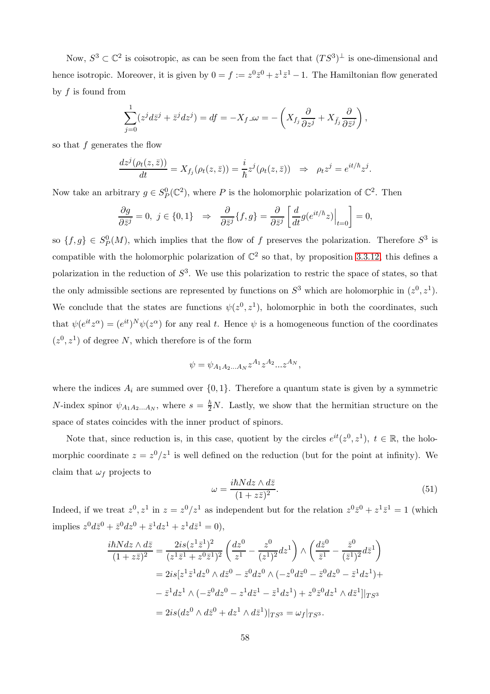Now,  $S^3 \subset \mathbb{C}^2$  is coisotropic, as can be seen from the fact that  $(TS^3)^{\perp}$  is one-dimensional and hence isotropic. Moreover, it is given by  $0 = f := z^0 \overline{z}^0 + z^1 \overline{z}^1 - 1$ . The Hamiltonian flow generated by  $f$  is found from

$$
\sum_{j=0}^1 (z^j d\bar{z}^j + \bar{z}^j dz^j) = df = -X_f \Box \omega = -\left(X_{f_j} \frac{\partial}{\partial z^j} + X_{\bar{f}_j} \frac{\partial}{\partial \bar{z}^j}\right),
$$

so that f generates the flow

$$
\frac{dz^j(\rho_t(z,\bar{z}))}{dt}=X_{f_j}(\rho_t(z,\bar{z}))=\frac{i}{\hbar}z^j(\rho_t(z,\bar{z}))\Rightarrow \rho_t z^j=e^{it/\hbar}z^j.
$$

Now take an arbitrary  $g \in S_P^0(\mathbb{C}^2)$ , where P is the holomorphic polarization of  $\mathbb{C}^2$ . Then

$$
\frac{\partial g}{\partial \bar{z}^j} = 0, \ j \in \{0, 1\} \Rightarrow \frac{\partial}{\partial \bar{z}^j} \{f, g\} = \frac{\partial}{\partial \bar{z}^j} \left[ \frac{d}{dt} g(e^{it/\hbar} z) \Big|_{t=0} \right] = 0,
$$

so  $\{f, g\} \in S_P^0(M)$ , which implies that the flow of f preserves the polarization. Therefore  $S^3$  is compatible with the holomorphic polarization of  $\mathbb{C}^2$  so that, by proposition [3.3.12,](#page-52-0) this defines a polarization in the reduction of  $S^3$ . We use this polarization to restric the space of states, so that the only admissible sections are represented by functions on  $S^3$  which are holomorphic in  $(z^0, z^1)$ . We conclude that the states are functions  $\psi(z^0, z^1)$ , holomorphic in both the coordinates, such that  $\psi(e^{it}z^{\alpha}) = (e^{it})^N \psi(z^{\alpha})$  for any real t. Hence  $\psi$  is a homogeneous function of the coordinates  $(z<sup>0</sup>, z<sup>1</sup>)$  of degree N, which therefore is of the form

$$
\psi = \psi_{A_1 A_2 ... A_N} z^{A_1} z^{A_2} ... z^{A_N},
$$

where the indices  $A_i$  are summed over  $\{0, 1\}$ . Therefore a quantum state is given by a symmetric N-index spinor  $\psi_{A_1 A_2 ... A_N}$ , where  $s = \frac{\hbar}{2}N$ . Lastly, we show that the hermitian structure on the space of states coincides with the inner product of spinors.

Note that, since reduction is, in this case, quotient by the circles  $e^{it}(z^0, z^1)$ ,  $t \in \mathbb{R}$ , the holomorphic coordinate  $z = z^0/z^1$  is well defined on the reduction (but for the point at infinity). We claim that  $\omega_f$  projects to

<span id="page-57-0"></span>
$$
\omega = \frac{i\hbar N dz \wedge d\bar{z}}{(1 + z\bar{z})^2}.\tag{51}
$$

Indeed, if we treat  $z^0, z^1$  in  $z = z^0/z^1$  as independent but for the relation  $z^0\overline{z}^0 + z^1\overline{z}^1 = 1$  (which implies  $z^0 d\bar{z}^0 + \bar{z}^0 dz^0 + \bar{z}^1 dz^1 + z^1 d\bar{z}^1 = 0$ ,

$$
\frac{i\hbar N dz \wedge d\bar{z}}{(1+z\bar{z})^2} = \frac{2is(z^1\bar{z}^1)^2}{(z^1\bar{z}^1 + z^0\bar{z}^1)^2} \left(\frac{dz^0}{z^1} - \frac{z^0}{(z^1)^2} dz^1\right) \wedge \left(\frac{d\bar{z}^0}{\bar{z}^1} - \frac{\bar{z}^0}{(\bar{z}^1)^2} d\bar{z}^1\right)
$$
  
\n
$$
= 2is[z^1\bar{z}^1 dz^0 \wedge d\bar{z}^0 - \bar{z}^0 dz^0 \wedge (-z^0 d\bar{z}^0 - \bar{z}^0 dz^0 - \bar{z}^1 dz^1) +
$$
  
\n
$$
- \bar{z}^1 dz^1 \wedge (-\bar{z}^0 dz^0 - z^1 d\bar{z}^1 - \bar{z}^1 dz^1) + z^0 \bar{z}^0 dz^1 \wedge d\bar{z}^1||_{TS^3}
$$
  
\n
$$
= 2is(dz^0 \wedge d\bar{z}^0 + dz^1 \wedge d\bar{z}^1)|_{TS^3} = \omega_f|_{TS^3}.
$$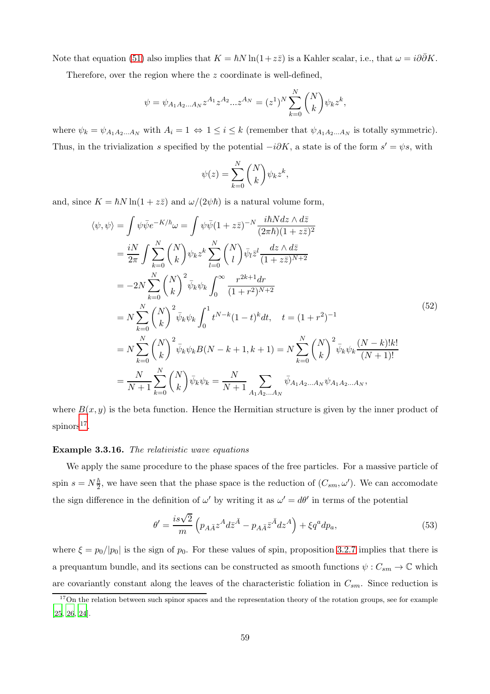Note that equation [\(51\)](#page-57-0) also implies that  $K = \hbar N \ln(1+z\bar{z})$  is a Kahler scalar, i.e., that  $\omega = i\partial\bar{\partial}K$ .

Therefore, over the region where the z coordinate is well-defined,

$$
\psi = \psi_{A_1 A_2 ... A_N} z^{A_1} z^{A_2} ... z^{A_N} = (z^1)^N \sum_{k=0}^N {N \choose k} \psi_k z^k,
$$

where  $\psi_k = \psi_{A_1 A_2 ... A_N}$  with  $A_i = 1 \Leftrightarrow 1 \leq i \leq k$  (remember that  $\psi_{A_1 A_2 ... A_N}$  is totally symmetric). Thus, in the trivialization s specified by the potential  $-i\partial K$ , a state is of the form  $s' = \psi s$ , with

$$
\psi(z) = \sum_{k=0}^{N} \binom{N}{k} \psi_k z^k,
$$

and, since  $K = \hbar N \ln(1 + z\bar{z})$  and  $\omega/(2\psi\hbar)$  is a natural volume form,

<span id="page-58-2"></span>
$$
\langle \psi, \psi \rangle = \int \psi \bar{\psi} e^{-K/\hbar} \omega = \int \psi \bar{\psi} (1 + z \bar{z})^{-N} \frac{i \hbar N dz \wedge d\bar{z}}{(2\pi \hbar)(1 + z \bar{z})^2}
$$
  
\n
$$
= \frac{iN}{2\pi} \int \sum_{k=0}^{N} {N \choose k} \psi_k z^k \sum_{l=0}^{N} {N \choose l} \bar{\psi}_l \bar{z}^l \frac{dz \wedge d\bar{z}}{(1 + z \bar{z})^{N+2}}
$$
  
\n
$$
= -2N \sum_{k=0}^{N} {N \choose k}^2 \bar{\psi}_k \psi_k \int_0^{\infty} \frac{r^{2k+1} dr}{(1 + r^2)^{N+2}}
$$
  
\n
$$
= N \sum_{k=0}^{N} {N \choose k}^2 \bar{\psi}_k \psi_k \int_0^1 t^{N-k} (1 - t)^k dt, \quad t = (1 + r^2)^{-1}
$$
  
\n
$$
= N \sum_{k=0}^{N} {N \choose k}^2 \bar{\psi}_k \psi_k B(N - k + 1, k + 1) = N \sum_{k=0}^{N} {N \choose k}^2 \bar{\psi}_k \psi_k \frac{(N - k)!k!}{(N + 1)!}
$$
  
\n
$$
= \frac{N}{N+1} \sum_{k=0}^{N} {N \choose k} \bar{\psi}_k \psi_k = \frac{N}{N+1} \sum_{A_1 A_2 ... A_N} \bar{\psi}_{A_1 A_2 ... A_N} \psi_{A_1 A_2 ... A_N},
$$
  
\n(52)

where  $B(x, y)$  is the beta function. Hence the Hermitian structure is given by the inner product of  $spinors<sup>17</sup>$  $spinors<sup>17</sup>$  $spinors<sup>17</sup>$ .

### Example 3.3.16. The relativistic wave equations

We apply the same procedure to the phase spaces of the free particles. For a massive particle of spin  $s = N\frac{\hbar}{2}$ , we have seen that the phase space is the reduction of  $(C_{sm}, \omega')$ . We can accomodate the sign difference in the definition of  $\omega'$  by writing it as  $\omega' = d\theta'$  in terms of the potential

<span id="page-58-1"></span>
$$
\theta' = \frac{is\sqrt{2}}{m} \left( p_{A\bar{A}} z^A d\bar{z}^{\bar{A}} - p_{A\bar{A}} \bar{z}^{\bar{A}} dz^A \right) + \xi q^a dp_a, \qquad (53)
$$

where  $\xi = p_0/|p_0|$  is the sign of  $p_0$ . For these values of spin, proposition [3.2.7](#page-41-3) implies that there is a prequantum bundle, and its sections can be constructed as smooth functions  $\psi : C_{sm} \to \mathbb{C}$  which are covariantly constant along the leaves of the characteristic foliation in  $C_{sm}$ . Since reduction is

<span id="page-58-0"></span> $17$ On the relation between such spinor spaces and the representation theory of the rotation groups, see for example [\[25](#page-97-0), [26](#page-97-1), [24](#page-97-2)].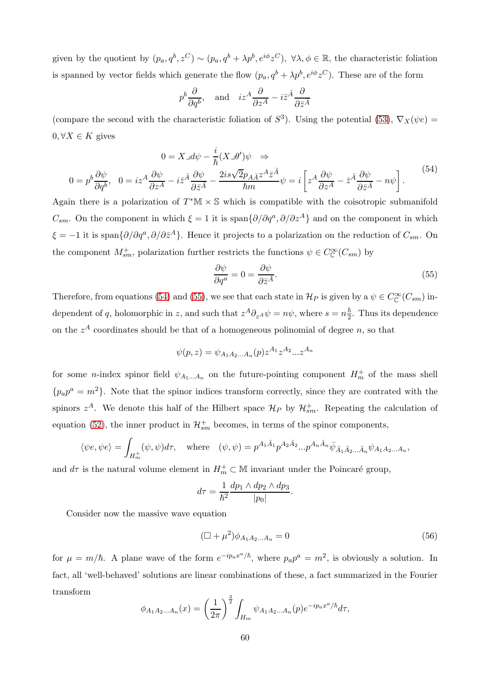given by the quotient by  $(p_a, q^b, z^C) \sim (p_a, q^b + \lambda p^b, e^{i\phi} z^C)$ ,  $\forall \lambda, \phi \in \mathbb{R}$ , the characteristic foliation is spanned by vector fields which generate the flow  $(p_a, q^b + \lambda p^b, e^{i\phi} z^C)$ . These are of the form

$$
p^b \frac{\partial}{\partial q^b}
$$
, and  $iz^A \frac{\partial}{\partial z^A} - i\overline{z}^{\overline{A}} \frac{\partial}{\partial \overline{z}^{\overline{A}}}$ 

(compare the second with the characteristic foliation of  $S^3$ ). Using the potential [\(53\)](#page-58-1),  $\nabla_X(\psi e) =$  $0, \forall X \in K$  gives

<span id="page-59-0"></span>
$$
0 = X \lrcorner d\psi - \frac{i}{\hbar} (X \lrcorner \theta') \psi \Rightarrow
$$
\n
$$
0 = p^b \frac{\partial \psi}{\partial q^b}, \quad 0 = iz^A \frac{\partial \psi}{\partial z^A} - iz^{\bar{A}} \frac{\partial \psi}{\partial \bar{z}^{\bar{A}}} - \frac{2is\sqrt{2}p_{A\bar{A}}z^A \bar{z}^{\bar{A}}}{\hbar m} \psi = i \left[ z^A \frac{\partial \psi}{\partial z^A} - \bar{z}^{\bar{A}} \frac{\partial \psi}{\partial \bar{z}^{\bar{A}}} - n\psi \right].
$$
\n
$$
(54)
$$

Again there is a polarization of  $T^*\mathbb{M} \times \mathbb{S}$  which is compatible with the coisotropic submanifold  $C_{sm}$ . On the component in which  $\xi = 1$  it is span $\{\partial/\partial q^a, \partial/\partial z^A\}$  and on the component in which  $\xi = -1$  it is span $\{\partial/\partial q^a, \partial/\partial \bar{z}^A\}$ . Hence it projects to a polarization on the reduction of  $C_{sm}$ . On the component  $M_{sm}^+$ , polarization further restricts the functions  $\psi \in C^{\infty}_\mathbb{C}(C_{sm})$  by

<span id="page-59-1"></span>
$$
\frac{\partial \psi}{\partial q^a} = 0 = \frac{\partial \psi}{\partial \bar{z}^{\bar{A}}}.\tag{55}
$$

Therefore, from equations [\(54\)](#page-59-0) and [\(55\)](#page-59-1), we see that each state in  $\mathcal{H}_P$  is given by a  $\psi \in C^{\infty}_\mathbb{C}(C_{sm})$  independent of q, holomorphic in z, and such that  $z^A \partial_z \Delta y = n\psi$ , where  $s = n\frac{\hbar}{2}$  $\frac{h}{2}$ . Thus its dependence on the  $z^A$  coordinates should be that of a homogeneous polinomial of degree n, so that

$$
\psi(p,z) = \psi_{A_1 A_2 ... A_n}(p) z^{A_1} z^{A_2} ... z^{A_n}
$$

for some *n*-index spinor field  $\psi_{A_1...A_n}$  on the future-pointing component  $H_m^+$  of the mass shell  $\{p_a p^a = m^2\}$ . Note that the spinor indices transform correctly, since they are contrated with the spinors  $z^A$ . We denote this half of the Hilbert space  $\mathcal{H}_P$  by  $\mathcal{H}_{sm}^+$ . Repeating the calculation of equation [\(52\)](#page-58-2), the inner product in  $\mathcal{H}_{sm}^+$  becomes, in terms of the spinor components,

$$
\langle \psi e, \psi e \rangle = \int_{H_m^+} (\psi, \psi) d\tau, \quad \text{where} \quad (\psi, \psi) = p^{A_1 \bar{A}_1} p^{A_2 \bar{A}_2} \dots p^{A_n \bar{A}_n} \bar{\psi}_{\bar{A}_1 \bar{A}_2 \dots \bar{A}_n} \psi_{A_1 A_2 \dots A_n},
$$

and  $d\tau$  is the natural volume element in  $H_m^+ \subset \mathbb{M}$  invariant under the Poincaré group,

$$
d\tau = \frac{1}{\hbar^2} \frac{dp_1 \wedge dp_2 \wedge dp_3}{|p_0|}.
$$

Consider now the massive wave equation

<span id="page-59-2"></span>
$$
(\Box + \mu^2)\phi_{A_1 A_2 ... A_n} = 0 \tag{56}
$$

for  $\mu = m/\hbar$ . A plane wave of the form  $e^{-ip_a x^a/\hbar}$ , where  $p_a p^a = m^2$ , is obviously a solution. In fact, all 'well-behaved' solutions are linear combinations of these, a fact summarized in the Fourier transform

$$
\phi_{A_1 A_2 ... A_n}(x) = \left(\frac{1}{2\pi}\right)^{\frac{3}{2}} \int_{H_m} \psi_{A_1 A_2 ... A_n}(p) e^{-ip_a x^a/\hbar} d\tau,
$$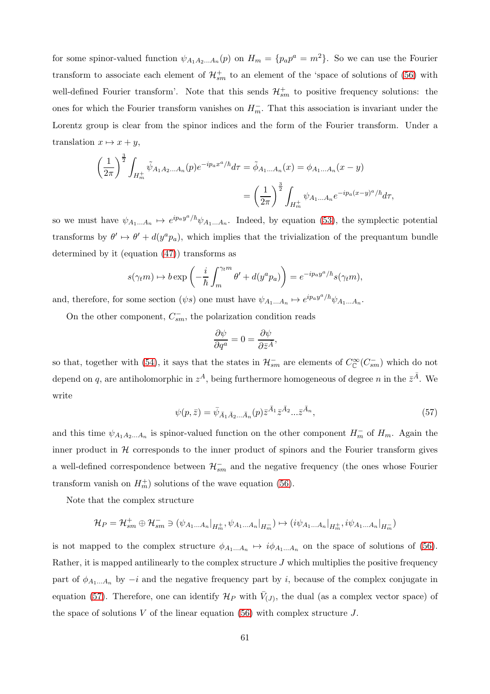for some spinor-valued function  $\psi_{A_1 A_2 ... A_n}(p)$  on  $H_m = \{p_a p^a = m^2\}$ . So we can use the Fourier transform to associate each element of  $\mathcal{H}_{sm}^+$  to an element of the 'space of solutions of [\(56\)](#page-59-2) with well-defined Fourier transform'. Note that this sends  $\mathcal{H}^+_{sm}$  to positive frequency solutions: the ones for which the Fourier transform vanishes on  $H_{m}^-$ . That this association is invariant under the Lorentz group is clear from the spinor indices and the form of the Fourier transform. Under a translation  $x \mapsto x + y$ ,

$$
\left(\frac{1}{2\pi}\right)^{\frac{3}{2}} \int_{H_m^+} \tilde{\psi}_{A_1 A_2 ... A_n}(p) e^{-ip_a x^a/\hbar} d\tau = \tilde{\phi}_{A_1 ... A_n}(x) = \phi_{A_1 ... A_n}(x - y)
$$

$$
= \left(\frac{1}{2\pi}\right)^{\frac{3}{2}} \int_{H_m^+} \psi_{A_1 ... A_n} e^{-ip_a (x - y)^a/\hbar} d\tau,
$$

so we must have  $\psi_{A_1...A_n} \mapsto e^{ip_a y^a/\hbar} \psi_{A_1...A_n}$ . Indeed, by equation [\(53\)](#page-58-1), the symplectic potential transforms by  $\theta' \mapsto \theta' + d(y^a p_a)$ , which implies that the trivialization of the prequantum bundle determined by it (equation [\(47\)](#page-55-0)) transforms as

$$
s(\gamma_t m) \mapsto b \exp\left(-\frac{i}{\hbar} \int_m^{\gamma_t m} \theta' + d(y^a p_a)\right) = e^{-ip_a y^a/\hbar} s(\gamma_t m),
$$

and, therefore, for some section  $(\psi s)$  one must have  $\psi_{A_1...A_n} \mapsto e^{ip_ay^a/\hbar} \psi_{A_1...A_n}$ .

On the other component,  $C_{sm}^-$ , the polarization condition reads

$$
\frac{\partial \psi}{\partial q^a} = 0 = \frac{\partial \psi}{\partial \bar{z}^{\bar{A}}},
$$

so that, together with [\(54\)](#page-59-0), it says that the states in  $\mathcal{H}_{sm}^-$  are elements of  $C^{\infty}_\mathbb{C}(C_{sm}^-)$  which do not depend on q, are antiholomorphic in  $z^A$ , being furthermore homogeneous of degree n in the  $\bar{z}^{\bar{A}}$ . We write

<span id="page-60-0"></span>
$$
\psi(p,\bar{z}) = \bar{\psi}_{\bar{A}_1 \bar{A}_2 \dots \bar{A}_n}(p) \bar{z}^{\bar{A}_1} \bar{z}^{\bar{A}_2} \dots \bar{z}^{\bar{A}_n},\tag{57}
$$

and this time  $\psi_{A_1A_2...A_n}$  is spinor-valued function on the other component  $H_m^-$  of  $H_m$ . Again the inner product in  $H$  corresponds to the inner product of spinors and the Fourier transform gives a well-defined correspondence between  $\mathcal{H}^-_{sm}$  and the negative frequency (the ones whose Fourier transform vanish on  $H_m^+$ ) solutions of the wave equation [\(56\)](#page-59-2).

Note that the complex structure

$$
\mathcal{H}_P = \mathcal{H}_{sm}^+ \oplus \mathcal{H}_{sm}^- \ni (\psi_{A_1...A_n}|_{H_m^+}, \psi_{A_1...A_n}|_{H_m^-}) \mapsto (i\psi_{A_1...A_n}|_{H_m^+}, i\psi_{A_1...A_n}|_{H_m^-})
$$

is not mapped to the complex structure  $\phi_{A_1...A_n} \mapsto i\phi_{A_1...A_n}$  on the space of solutions of [\(56\)](#page-59-2). Rather, it is mapped antilinearly to the complex structure  $J$  which multiplies the positive frequency part of  $\phi_{A_1...A_n}$  by  $-i$  and the negative frequency part by i, because of the complex conjugate in equation [\(57\)](#page-60-0). Therefore, one can identify  $\mathcal{H}_P$  with  $\bar{V}_{(J)}$ , the dual (as a complex vector space) of the space of solutions  $V$  of the linear equation [\(56\)](#page-59-2) with complex structure  $J$ .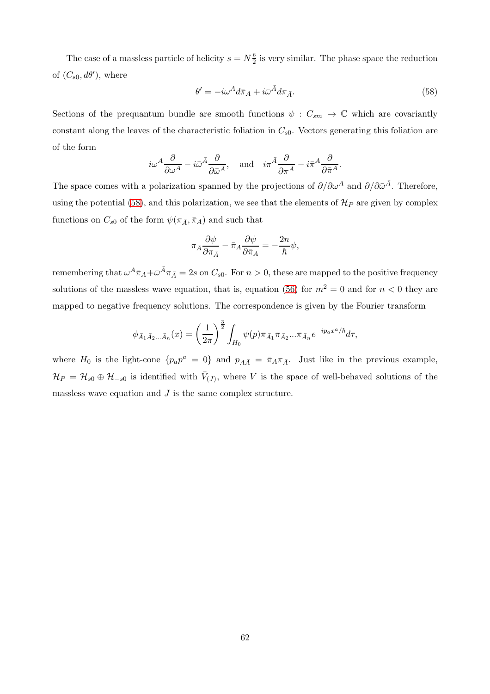The case of a massless particle of helicity  $s = N\frac{\hbar}{2}$  is very similar. The phase space the reduction of  $(C_{s0}, d\theta')$ , where

<span id="page-61-0"></span>
$$
\theta' = -i\omega^A d\bar{\pi}_A + i\bar{\omega}^{\bar{A}} d\pi_{\bar{A}}.\tag{58}
$$

Sections of the prequantum bundle are smooth functions  $\psi : C_{sm} \to \mathbb{C}$  which are covariantly constant along the leaves of the characteristic foliation in  $C_{s0}$ . Vectors generating this foliation are of the form

$$
i\omega^A \frac{\partial}{\partial \omega^A} - i\bar{\omega}^{\bar{A}} \frac{\partial}{\partial \bar{\omega}^{\bar{A}}}, \text{ and } i\pi^{\bar{A}} \frac{\partial}{\partial \pi^{\bar{A}}} - i\bar{\pi}^{\bar{A}} \frac{\partial}{\partial \bar{\pi}^{\bar{A}}}.
$$

The space comes with a polarization spanned by the projections of  $\partial/\partial\omega^A$  and  $\partial/\partial\bar{\omega}^{\bar{A}}$ . Therefore, using the potential [\(58\)](#page-61-0), and this polarization, we see that the elements of  $\mathcal{H}_P$  are given by complex functions on  $C_{s0}$  of the form  $\psi(\pi_{\bar{A}}, \bar{\pi}_A)$  and such that

$$
\pi_{\bar{A}}\frac{\partial\psi}{\partial\pi_{\bar{A}}} - \bar{\pi}_A\frac{\partial\psi}{\partial\bar{\pi}_A} = -\frac{2n}{\hbar}\psi,
$$

remembering that  $\omega^A \bar{\pi}_A + \bar{\omega}^{\bar{A}} \pi_{\bar{A}} = 2s$  on  $C_{s0}$ . For  $n > 0$ , these are mapped to the positive frequency solutions of the massless wave equation, that is, equation [\(56\)](#page-59-2) for  $m^2 = 0$  and for  $n < 0$  they are mapped to negative frequency solutions. The correspondence is given by the Fourier transform

$$
\phi_{\bar{A}_1\bar{A}_2...\bar{A}_n}(x) = \left(\frac{1}{2\pi}\right)^{\frac{3}{2}} \int_{H_0} \psi(p) \pi_{\bar{A}_1} \pi_{\bar{A}_2}...\pi_{\bar{A}_n} e^{-ip_a x^a/\hbar} d\tau,
$$

where  $H_0$  is the light-cone  $\{p_a p^a = 0\}$  and  $p_{A\overline{A}} = \overline{\pi}_A \pi_{\overline{A}}$ . Just like in the previous example,  $\mathcal{H}_P = \mathcal{H}_{s0} \oplus \mathcal{H}_{-s0}$  is identified with  $\bar{V}_{(J)}$ , where V is the space of well-behaved solutions of the massless wave equation and  $J$  is the same complex structure.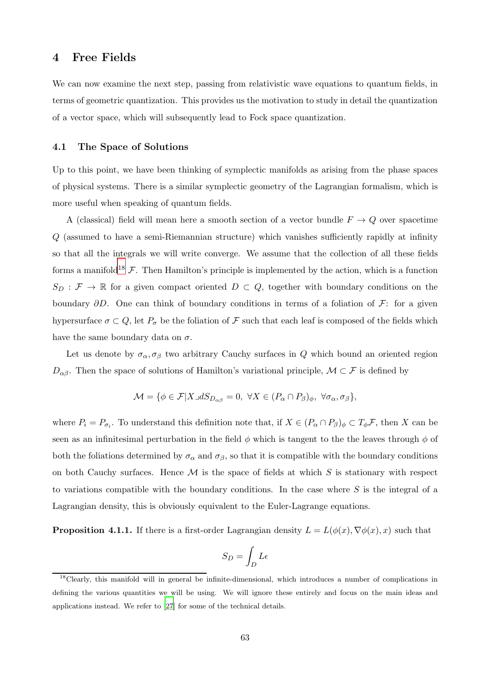# 4 Free Fields

We can now examine the next step, passing from relativistic wave equations to quantum fields, in terms of geometric quantization. This provides us the motivation to study in detail the quantization of a vector space, which will subsequently lead to Fock space quantization.

### 4.1 The Space of Solutions

Up to this point, we have been thinking of symplectic manifolds as arising from the phase spaces of physical systems. There is a similar symplectic geometry of the Lagrangian formalism, which is more useful when speaking of quantum fields.

A (classical) field will mean here a smooth section of a vector bundle  $F \to Q$  over spacetime Q (assumed to have a semi-Riemannian structure) which vanishes sufficiently rapidly at infinity so that all the integrals we will write converge. We assume that the collection of all these fields forms a manifold<sup>[18](#page-62-0)</sup>  $\mathcal F$ . Then Hamilton's principle is implemented by the action, which is a function  $S_D : \mathcal{F} \to \mathbb{R}$  for a given compact oriented  $D \subset Q$ , together with boundary conditions on the boundary  $\partial D$ . One can think of boundary conditions in terms of a foliation of F: for a given hypersurface  $\sigma \subset Q$ , let  $P_{\sigma}$  be the foliation of F such that each leaf is composed of the fields which have the same boundary data on  $\sigma$ .

Let us denote by  $\sigma_{\alpha}, \sigma_{\beta}$  two arbitrary Cauchy surfaces in Q which bound an oriented region  $D_{\alpha\beta}$ . Then the space of solutions of Hamilton's variational principle,  $\mathcal{M} \subset \mathcal{F}$  is defined by

$$
\mathcal{M} = \{ \phi \in \mathcal{F} | X \lrcorner dS_{D_{\alpha\beta}} = 0, \ \forall X \in (P_\alpha \cap P_\beta)_\phi, \ \forall \sigma_\alpha, \sigma_\beta \},
$$

where  $P_i = P_{\sigma_i}$ . To understand this definition note that, if  $X \in (P_\alpha \cap P_\beta)_\phi \subset T_\phi \mathcal{F}$ , then X can be seen as an infinitesimal perturbation in the field  $\phi$  which is tangent to the the leaves through  $\phi$  of both the foliations determined by  $\sigma_{\alpha}$  and  $\sigma_{\beta}$ , so that it is compatible with the boundary conditions on both Cauchy surfaces. Hence  $M$  is the space of fields at which  $S$  is stationary with respect to variations compatible with the boundary conditions. In the case where  $S$  is the integral of a Lagrangian density, this is obviously equivalent to the Euler-Lagrange equations.

**Proposition 4.1.1.** If there is a first-order Lagrangian density  $L = L(\phi(x), \nabla \phi(x), x)$  such that

$$
S_D = \int_D L \epsilon
$$

<span id="page-62-0"></span><sup>&</sup>lt;sup>18</sup>Clearly, this manifold will in general be infinite-dimensional, which introduces a number of complications in defining the various quantities we will be using. We will ignore these entirely and focus on the main ideas and applications instead. We refer to [\[27](#page-97-3)] for some of the technical details.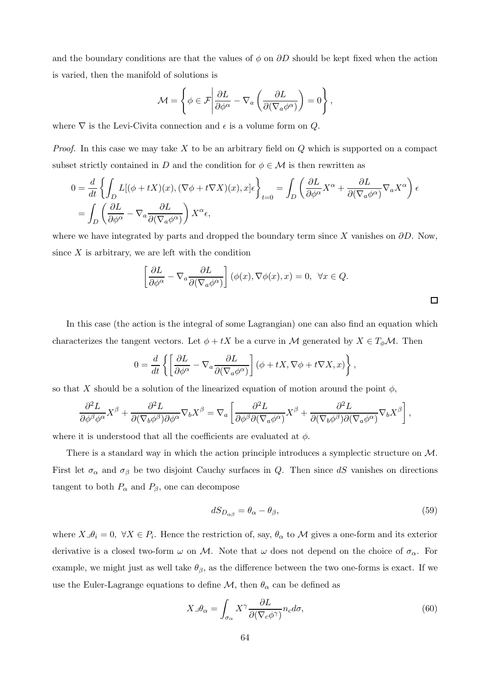and the boundary conditions are that the values of  $\phi$  on  $\partial D$  should be kept fixed when the action is varied, then the manifold of solutions is

$$
\mathcal{M} = \left\{ \phi \in \mathcal{F} \middle| \frac{\partial L}{\partial \phi^{\alpha}} - \nabla_a \left( \frac{\partial L}{\partial (\nabla_a \phi^{\alpha})} \right) = 0 \right\},\
$$

where  $\nabla$  is the Levi-Civita connection and  $\epsilon$  is a volume form on  $Q$ .

*Proof.* In this case we may take  $X$  to be an arbitrary field on  $Q$  which is supported on a compact subset strictly contained in D and the condition for  $\phi \in \mathcal{M}$  is then rewritten as

$$
0 = \frac{d}{dt} \left\{ \int_{D} L[(\phi + tX)(x), (\nabla \phi + t\nabla X)(x), x] \epsilon \right\}_{t=0} = \int_{D} \left( \frac{\partial L}{\partial \phi^{\alpha}} X^{\alpha} + \frac{\partial L}{\partial (\nabla_{a} \phi^{\alpha})} \nabla_{a} X^{\alpha} \right) \epsilon
$$
  
= 
$$
\int_{D} \left( \frac{\partial L}{\partial \phi^{\alpha}} - \nabla_{a} \frac{\partial L}{\partial (\nabla_{a} \phi^{\alpha})} \right) X^{\alpha} \epsilon,
$$

where we have integrated by parts and dropped the boundary term since X vanishes on  $\partial D$ . Now, since  $X$  is arbitrary, we are left with the condition

$$
\left[\frac{\partial L}{\partial \phi^{\alpha}} - \nabla_a \frac{\partial L}{\partial (\nabla_a \phi^{\alpha})}\right](\phi(x), \nabla \phi(x), x) = 0, \ \forall x \in Q.
$$

In this case (the action is the integral of some Lagrangian) one can also find an equation which characterizes the tangent vectors. Let  $\phi + tX$  be a curve in M generated by  $X \in T_{\phi} \mathcal{M}$ . Then

$$
0 = \frac{d}{dt} \left\{ \left[ \frac{\partial L}{\partial \phi^{\alpha}} - \nabla_a \frac{\partial L}{\partial (\nabla_a \phi^{\alpha})} \right] (\phi + tX, \nabla \phi + t\nabla X, x) \right\},\,
$$

so that X should be a solution of the linearized equation of motion around the point  $\phi$ ,

$$
\frac{\partial^2 L}{\partial \phi^\beta \phi^\alpha} X^\beta + \frac{\partial^2 L}{\partial (\nabla_b \phi^\beta) \partial \phi^\alpha} \nabla_b X^\beta = \nabla_a \left[ \frac{\partial^2 L}{\partial \phi^\beta \partial (\nabla_a \phi^\alpha)} X^\beta + \frac{\partial^2 L}{\partial (\nabla_b \phi^\beta) \partial (\nabla_a \phi^\alpha)} \nabla_b X^\beta \right],
$$

where it is understood that all the coefficients are evaluated at  $\phi$ .

There is a standard way in which the action principle introduces a symplectic structure on  $\mathcal{M}$ . First let  $\sigma_{\alpha}$  and  $\sigma_{\beta}$  be two disjoint Cauchy surfaces in Q. Then since dS vanishes on directions tangent to both  $P_{\alpha}$  and  $P_{\beta}$ , one can decompose

<span id="page-63-0"></span>
$$
dS_{D_{\alpha\beta}} = \theta_{\alpha} - \theta_{\beta},\tag{59}
$$

where  $X \lrcorner \theta_i = 0$ ,  $\forall X \in P_i$ . Hence the restriction of, say,  $\theta_\alpha$  to M gives a one-form and its exterior derivative is a closed two-form  $\omega$  on M. Note that  $\omega$  does not depend on the choice of  $\sigma_{\alpha}$ . For example, we might just as well take  $\theta_{\beta}$ , as the difference between the two one-forms is exact. If we use the Euler-Lagrange equations to define  $\mathcal{M}$ , then  $\theta_{\alpha}$  can be defined as

<span id="page-63-1"></span>
$$
X \lrcorner \theta_{\alpha} = \int_{\sigma_{\alpha}} X^{\gamma} \frac{\partial L}{\partial (\nabla_{c} \phi^{\gamma})} n_{c} d\sigma, \tag{60}
$$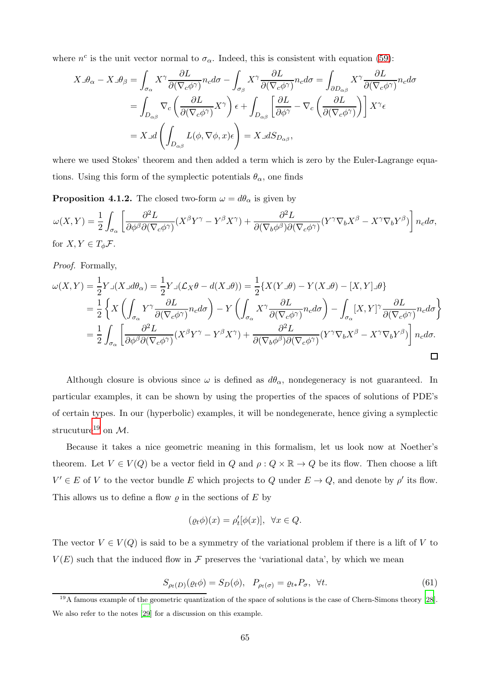where  $n^c$  is the unit vector normal to  $\sigma_{\alpha}$ . Indeed, this is consistent with equation [\(59\)](#page-63-0):

$$
X \lrcorner \theta_{\alpha} - X \lrcorner \theta_{\beta} = \int_{\sigma_{\alpha}} X^{\gamma} \frac{\partial L}{\partial (\nabla_{c} \phi^{\gamma})} n_{c} d\sigma - \int_{\sigma_{\beta}} X^{\gamma} \frac{\partial L}{\partial (\nabla_{c} \phi^{\gamma})} n_{c} d\sigma = \int_{\partial D_{\alpha\beta}} X^{\gamma} \frac{\partial L}{\partial (\nabla_{c} \phi^{\gamma})} n_{c} d\sigma
$$
  
= 
$$
\int_{D_{\alpha\beta}} \nabla_{c} \left( \frac{\partial L}{\partial (\nabla_{c} \phi^{\gamma})} X^{\gamma} \right) \epsilon + \int_{D_{\alpha\beta}} \left[ \frac{\partial L}{\partial \phi^{\gamma}} - \nabla_{c} \left( \frac{\partial L}{\partial (\nabla_{c} \phi^{\gamma})} \right) \right] X^{\gamma} \epsilon
$$
  
= 
$$
X \lrcorner d \left( \int_{D_{\alpha\beta}} L(\phi, \nabla \phi, x) \epsilon \right) = X \lrcorner dS_{D_{\alpha\beta}},
$$

where we used Stokes' theorem and then added a term which is zero by the Euler-Lagrange equations. Using this form of the symplectic potentials  $\theta_{\alpha}$ , one finds

**Proposition 4.1.2.** The closed two-form  $\omega = d\theta_{\alpha}$  is given by

$$
\omega(X,Y) = \frac{1}{2} \int_{\sigma_{\alpha}} \left[ \frac{\partial^2 L}{\partial \phi^{\beta} \partial (\nabla_{c} \phi^{\gamma})} (X^{\beta} Y^{\gamma} - Y^{\beta} X^{\gamma}) + \frac{\partial^2 L}{\partial (\nabla_{b} \phi^{\beta}) \partial (\nabla_{c} \phi^{\gamma})} (Y^{\gamma} \nabla_{b} X^{\beta} - X^{\gamma} \nabla_{b} Y^{\beta}) \right] n_c d\sigma,
$$
  
for  $X, Y \in T_{\phi} \mathcal{F}.$ 

Proof. Formally,

$$
\omega(X,Y) = \frac{1}{2}Y \lrcorner (X \lrcorner d\theta_{\alpha}) = \frac{1}{2}Y \lrcorner (\mathcal{L}_{X}\theta - d(X \lrcorner \theta)) = \frac{1}{2}\{X(Y \lrcorner \theta) - Y(X \lrcorner \theta) - [X,Y] \lrcorner \theta\}
$$
\n
$$
= \frac{1}{2}\left\{X\left(\int_{\sigma_{\alpha}} Y^{\gamma} \frac{\partial L}{\partial(\nabla_{c}\phi^{\gamma})} n_{c} d\sigma\right) - Y\left(\int_{\sigma_{\alpha}} X^{\gamma} \frac{\partial L}{\partial(\nabla_{c}\phi^{\gamma})} n_{c} d\sigma\right) - \int_{\sigma_{\alpha}} [X,Y]^{\gamma} \frac{\partial L}{\partial(\nabla_{c}\phi^{\gamma})} n_{c} d\sigma\right\}
$$
\n
$$
= \frac{1}{2}\int_{\sigma_{\alpha}} \left[\frac{\partial^{2}L}{\partial \phi^{\beta} \partial(\nabla_{c}\phi^{\gamma})} (X^{\beta}Y^{\gamma} - Y^{\beta}X^{\gamma}) + \frac{\partial^{2}L}{\partial(\nabla_{b}\phi^{\beta}) \partial(\nabla_{c}\phi^{\gamma})} (Y^{\gamma}\nabla_{b}X^{\beta} - X^{\gamma}\nabla_{b}Y^{\beta})\right] n_{c} d\sigma.
$$

Although closure is obvious since  $\omega$  is defined as  $d\theta_{\alpha}$ , nondegeneracy is not guaranteed. In particular examples, it can be shown by using the properties of the spaces of solutions of PDE's of certain types. In our (hyperbolic) examples, it will be nondegenerate, hence giving a symplectic strucuture<sup>[19](#page-64-0)</sup> on  $\mathcal{M}$ .

Because it takes a nice geometric meaning in this formalism, let us look now at Noether's theorem. Let  $V \in V(Q)$  be a vector field in  $Q$  and  $\rho: Q \times \mathbb{R} \to Q$  be its flow. Then choose a lift  $V' \in E$  of V to the vector bundle E which projects to Q under  $E \to Q$ , and denote by  $\rho'$  its flow. This allows us to define a flow  $\varrho$  in the sections of  $E$  by

$$
(\varrho_t \phi)(x) = \rho'_t[\phi(x)], \ \ \forall x \in Q.
$$

The vector  $V \in V(Q)$  is said to be a symmetry of the variational problem if there is a lift of V to  $V(E)$  such that the induced flow in F preserves the 'variational data', by which we mean

<span id="page-64-1"></span>
$$
S_{\rho_t(D)}(\varrho_t \phi) = S_D(\phi), \quad P_{\rho_t(\sigma)} = \varrho_{t*} P_{\sigma}, \quad \forall t. \tag{61}
$$

<span id="page-64-0"></span><sup>&</sup>lt;sup>19</sup>A famous example of the geometric quantization of the space of solutions is the case of Chern-Simons theory [\[28](#page-97-4)]. We also refer to the notes [\[29](#page-97-5)] for a discussion on this example.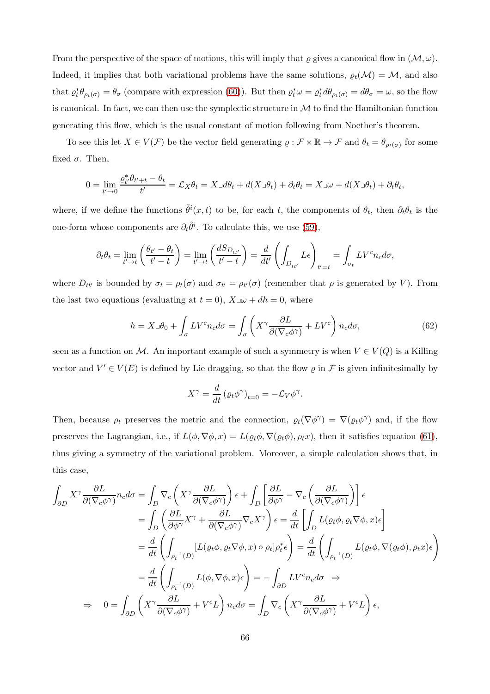From the perspective of the space of motions, this will imply that  $\varrho$  gives a canonical flow in  $(\mathcal{M}, \omega)$ . Indeed, it implies that both variational problems have the same solutions,  $\varrho_t(\mathcal{M}) = \mathcal{M}$ , and also that  $\varrho_t^* \theta_{\rho_t(\sigma)} = \theta_\sigma$  (compare with expression [\(60\)](#page-63-1)). But then  $\varrho_t^* \omega = \varrho_t^* d\theta_{\rho_t(\sigma)} = d\theta_\sigma = \omega$ , so the flow is canonical. In fact, we can then use the symplectic structure in  $\mathcal M$  to find the Hamiltonian function generating this flow, which is the usual constant of motion following from Noether's theorem.

To see this let  $X \in V(\mathcal{F})$  be the vector field generating  $\rho : \mathcal{F} \times \mathbb{R} \to \mathcal{F}$  and  $\theta_t = \theta_{\rho_t(\sigma)}$  for some fixed  $\sigma$ . Then,

$$
0 = \lim_{t' \to 0} \frac{\varrho_{t'}^* \theta_{t'+t} - \theta_t}{t'} = \mathcal{L}_X \theta_t = X \Box d\theta_t + d(X \Box \theta_t) + \partial_t \theta_t = X \Box \omega + d(X \Box \theta_t) + \partial_t \theta_t,
$$

where, if we define the functions  $\tilde{\theta}^i(x,t)$  to be, for each t, the components of  $\theta_t$ , then  $\partial_t \theta_t$  is the one-form whose components are  $\partial_t \tilde{\theta}^i$ . To calculate this, we use [\(59\)](#page-63-0),

$$
\partial_t \theta_t = \lim_{t' \to t} \left( \frac{\theta_{t'} - \theta_t}{t' - t} \right) = \lim_{t' \to t} \left( \frac{dS_{D_{tt'}}}{t' - t} \right) = \frac{d}{dt'} \left( \int_{D_{tt'}} L\epsilon \right)_{t' = t} = \int_{\sigma_t} LV^c n_c d\sigma,
$$

where  $D_{tt'}$  is bounded by  $\sigma_t = \rho_t(\sigma)$  and  $\sigma_{t'} = \rho_{t'}(\sigma)$  (remember that  $\rho$  is generated by V). From the last two equations (evaluating at  $t = 0$ ),  $X \perp \omega + dh = 0$ , where

<span id="page-65-0"></span>
$$
h = X \lrcorner \theta_0 + \int_{\sigma} LV^c n_c d\sigma = \int_{\sigma} \left( X^{\gamma} \frac{\partial L}{\partial (\nabla_c \phi^{\gamma})} + LV^c \right) n_c d\sigma, \tag{62}
$$

seen as a function on M. An important example of such a symmetry is when  $V \in V(Q)$  is a Killing vector and  $V' \in V(E)$  is defined by Lie dragging, so that the flow  $\varrho$  in  $\mathcal F$  is given infinitesimally by

$$
X^{\gamma} = \frac{d}{dt} (\varrho_t \phi^{\gamma})_{t=0} = -\mathcal{L}_V \phi^{\gamma}.
$$

Then, because  $\rho_t$  preserves the metric and the connection,  $\varrho_t(\nabla\phi^\gamma) = \nabla(\varrho_t\phi^\gamma)$  and, if the flow preserves the Lagrangian, i.e., if  $L(\phi, \nabla \phi, x) = L(\varrho_t \phi, \nabla(\varrho_t \phi), \varrho_t x)$ , then it satisfies equation [\(61\)](#page-64-1), thus giving a symmetry of the variational problem. Moreover, a simple calculation shows that, in this case,

$$
\int_{\partial D} X^{\gamma} \frac{\partial L}{\partial (\nabla_{c} \phi^{\gamma})} n_{c} d\sigma = \int_{D} \nabla_{c} \left( X^{\gamma} \frac{\partial L}{\partial (\nabla_{c} \phi^{\gamma})} \right) \epsilon + \int_{D} \left[ \frac{\partial L}{\partial \phi^{\gamma}} - \nabla_{c} \left( \frac{\partial L}{\partial (\nabla_{c} \phi^{\gamma})} \right) \epsilon \epsilon
$$
\n
$$
= \int_{D} \left( \frac{\partial L}{\partial \phi^{\gamma}} X^{\gamma} + \frac{\partial L}{\partial (\nabla_{c} \phi^{\gamma})} \nabla_{c} X^{\gamma} \right) \epsilon = \frac{d}{dt} \left[ \int_{D} L(\varrho_{t} \phi, \varrho_{t} \nabla \phi, x) \epsilon \right]
$$
\n
$$
= \frac{d}{dt} \left( \int_{\rho_{t}^{-1}(D)} [L(\varrho_{t} \phi, \varrho_{t} \nabla \phi, x) \circ \rho_{t}] \rho_{t}^{*} \epsilon \right) = \frac{d}{dt} \left( \int_{\rho_{t}^{-1}(D)} L(\varrho_{t} \phi, \nabla(\varrho_{t} \phi), \rho_{t} x) \epsilon \right)
$$
\n
$$
= \frac{d}{dt} \left( \int_{\rho_{t}^{-1}(D)} L(\phi, \nabla \phi, x) \epsilon \right) = - \int_{\partial D} L V^{c} n_{c} d\sigma \Rightarrow
$$
\n
$$
\Rightarrow 0 = \int_{\partial D} \left( X^{\gamma} \frac{\partial L}{\partial (\nabla_{c} \phi^{\gamma})} + V^{c} L \right) n_{c} d\sigma = \int_{D} \nabla_{c} \left( X^{\gamma} \frac{\partial L}{\partial (\nabla_{c} \phi^{\gamma})} + V^{c} L \right) \epsilon,
$$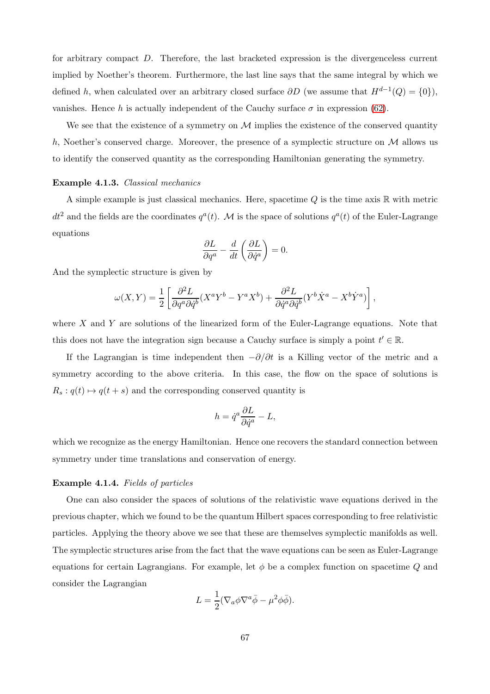for arbitrary compact D. Therefore, the last bracketed expression is the divergenceless current implied by Noether's theorem. Furthermore, the last line says that the same integral by which we defined h, when calculated over an arbitrary closed surface  $\partial D$  (we assume that  $H^{d-1}(Q) = \{0\}$ ), vanishes. Hence h is actually independent of the Cauchy surface  $\sigma$  in expression [\(62\)](#page-65-0).

We see that the existence of a symmetry on  $\mathcal M$  implies the existence of the conserved quantity h, Noether's conserved charge. Moreover, the presence of a symplectic structure on  $\mathcal M$  allows us to identify the conserved quantity as the corresponding Hamiltonian generating the symmetry.

### Example 4.1.3. Classical mechanics

A simple example is just classical mechanics. Here, spacetime  $Q$  is the time axis  $\mathbb R$  with metric  $dt^2$  and the fields are the coordinates  $q^a(t)$ . M is the space of solutions  $q^a(t)$  of the Euler-Lagrange equations

$$
\frac{\partial L}{\partial q^a} - \frac{d}{dt} \left( \frac{\partial L}{\partial \dot{q}^a} \right) = 0.
$$

And the symplectic structure is given by

$$
\omega(X,Y) = \frac{1}{2} \left[ \frac{\partial^2 L}{\partial q^a \partial \dot{q}^b} (X^a Y^b - Y^a X^b) + \frac{\partial^2 L}{\partial \dot{q}^a \partial \dot{q}^b} (Y^b \dot{X}^a - X^b \dot{Y}^a) \right],
$$

where  $X$  and  $Y$  are solutions of the linearized form of the Euler-Lagrange equations. Note that this does not have the integration sign because a Cauchy surface is simply a point  $t' \in \mathbb{R}$ .

If the Lagrangian is time independent then  $-\partial/\partial t$  is a Killing vector of the metric and a symmetry according to the above criteria. In this case, the flow on the space of solutions is  $R_s: q(t) \mapsto q(t + s)$  and the corresponding conserved quantity is

$$
h = \dot{q}^a \frac{\partial L}{\partial \dot{q}^a} - L,
$$

which we recognize as the energy Hamiltonian. Hence one recovers the standard connection between symmetry under time translations and conservation of energy.

### Example 4.1.4. Fields of particles

One can also consider the spaces of solutions of the relativistic wave equations derived in the previous chapter, which we found to be the quantum Hilbert spaces corresponding to free relativistic particles. Applying the theory above we see that these are themselves symplectic manifolds as well. The symplectic structures arise from the fact that the wave equations can be seen as Euler-Lagrange equations for certain Lagrangians. For example, let  $\phi$  be a complex function on spacetime Q and consider the Lagrangian

$$
L = \frac{1}{2} (\nabla_a \phi \nabla^a \bar{\phi} - \mu^2 \phi \bar{\phi}).
$$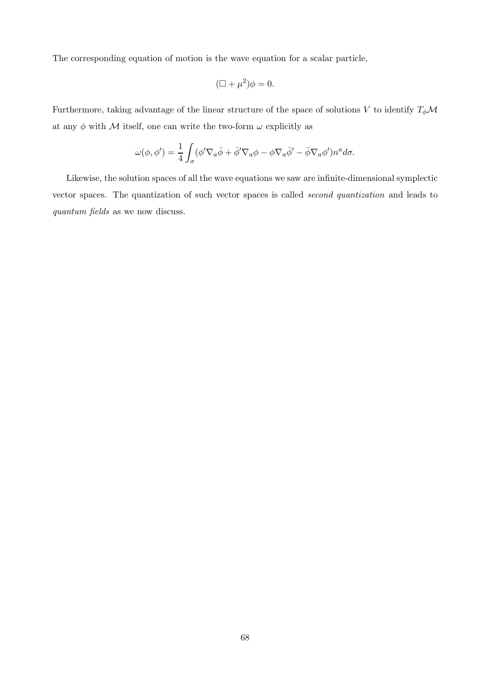The corresponding equation of motion is the wave equation for a scalar particle,

$$
(\Box + \mu^2)\phi = 0.
$$

Furthermore, taking advantage of the linear structure of the space of solutions  $V$  to identify  $T_{\phi}\mathcal{M}$ at any  $\phi$  with M itself, one can write the two-form  $\omega$  explicitly as

$$
\omega(\phi, \phi') = \frac{1}{4} \int_{\sigma} (\phi' \nabla_a \bar{\phi} + \bar{\phi}' \nabla_a \phi - \phi \nabla_a \bar{\phi}' - \bar{\phi} \nabla_a \phi') n^a d\sigma.
$$

Likewise, the solution spaces of all the wave equations we saw are infinite-dimensional symplectic vector spaces. The quantization of such vector spaces is called second quantization and leads to quantum fields as we now discuss.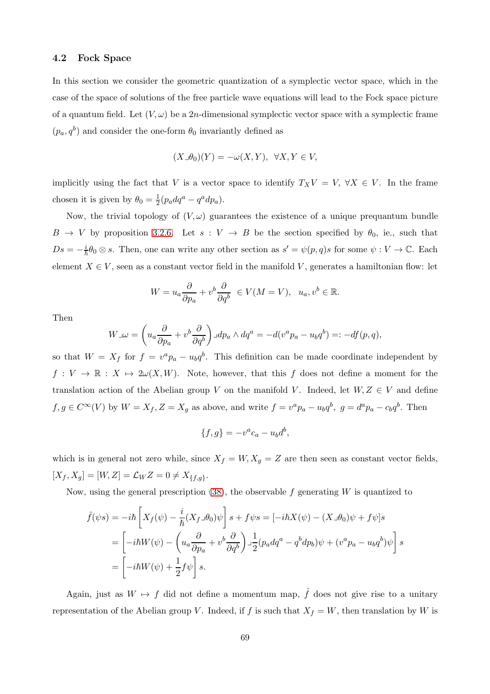## 4.2 Fock Space

In this section we consider the geometric quantization of a symplectic vector space, which in the case of the space of solutions of the free particle wave equations will lead to the Fock space picture of a quantum field. Let  $(V, \omega)$  be a 2n-dimensional symplectic vector space with a symplectic frame  $(p_a, q^b)$  and consider the one-form  $\theta_0$  invariantly defined as

$$
(X\lrcorner \theta_0)(Y)=-\omega(X,Y),\ \ \forall X,Y\in V,
$$

implicitly using the fact that V is a vector space to identify  $T_X V = V$ ,  $\forall X \in V$ . In the frame chosen it is given by  $\theta_0 = \frac{1}{2}$  $\frac{1}{2}(p_a dq^a - q^a dp_a).$ 

Now, the trivial topology of  $(V, \omega)$  guarantees the existence of a unique prequantum bundle  $B \to V$  by proposition [3.2.6.](#page-40-0) Let  $s: V \to B$  be the section specified by  $\theta_0$ , ie., such that  $Ds = -\frac{i}{\hbar}\theta_0 \otimes s$ . Then, one can write any other section as  $s' = \psi(p,q)s$  for some  $\psi : V \to \mathbb{C}$ . Each element  $X \in V$ , seen as a constant vector field in the manifold V, generates a hamiltonian flow: let

$$
W = u_a \frac{\partial}{\partial p_a} + v^b \frac{\partial}{\partial q^b} \in V(M = V), \ \ u_a, v^b \in \mathbb{R}.
$$

Then

$$
W \lrcorner \omega = \left(u_a \frac{\partial}{\partial p_a} + v^b \frac{\partial}{\partial q^b}\right) \lrcorner dp_a \wedge dq^a = -d(v^a p_a - u_b q^b) =: -df(p, q),
$$

so that  $W = X_f$  for  $f = v^a p_a - u_b q^b$ . This definition can be made coordinate independent by  $f: V \to \mathbb{R}: X \mapsto 2\omega(X, W)$ . Note, however, that this f does not define a moment for the translation action of the Abelian group V on the manifold V. Indeed, let  $W, Z \in V$  and define  $f, g \in C^{\infty}(V)$  by  $W = X_f, Z = X_g$  as above, and write  $f = v^a p_a - u_b q^b$ ,  $g = d^a p_a - c_b q^b$ . Then

$$
\{f,g\} = -v^a c_a - u_b d^b,
$$

which is in general not zero while, since  $X_f = W, X_g = Z$  are then seen as constant vector fields,  $[X_f, X_g] = [W, Z] = \mathcal{L}_W Z = 0 \neq X_{\{f, g\}}.$ 

Now, using the general prescription  $(38)$ , the observable f generating W is quantized to

$$
\hat{f}(\psi s) = -i\hbar \left[ X_f(\psi) - \frac{i}{\hbar} (X_f \Box \theta_0) \psi \right] s + f \psi s = [-i\hbar X(\psi) - (X \Box \theta_0) \psi + f \psi] s
$$
  
\n
$$
= \left[ -i\hbar W(\psi) - \left( u_a \frac{\partial}{\partial p_a} + v^b \frac{\partial}{\partial q^b} \right) \Box \frac{1}{2} (p_a dq^a - q^b dp_b) \psi + (v^a p_a - u_b q^b) \psi \right] s
$$
  
\n
$$
= \left[ -i\hbar W(\psi) + \frac{1}{2} f \psi \right] s.
$$

Again, just as  $W \mapsto f$  did not define a momentum map,  $\hat{f}$  does not give rise to a unitary representation of the Abelian group V. Indeed, if f is such that  $X_f = W$ , then translation by W is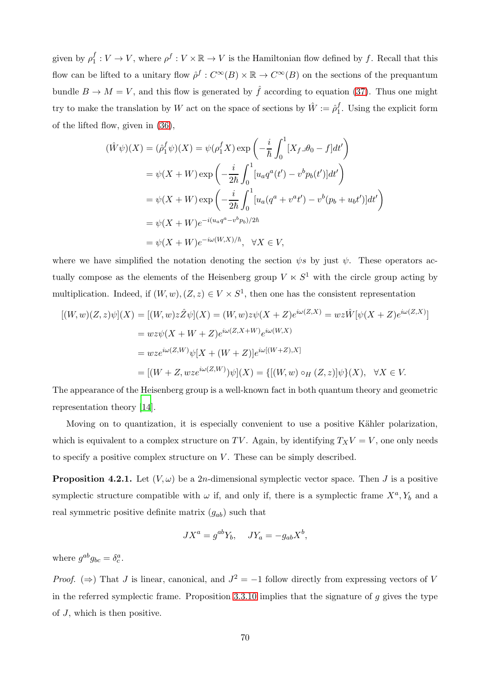given by  $\rho_1^f$  $j: V \to V$ , where  $\rho^f: V \times \mathbb{R} \to V$  is the Hamiltonian flow defined by f. Recall that this flow can be lifted to a unitary flow  $\hat{\rho}^f: C^{\infty}(B) \times \mathbb{R} \to C^{\infty}(B)$  on the sections of the prequantum bundle  $B \to M = V$ , and this flow is generated by  $\hat{f}$  according to equation [\(37\)](#page-39-1). Thus one might try to make the translation by W act on the space of sections by  $\hat{W} := \hat{\rho}_1^f$  $\frac{1}{1}$ . Using the explicit form of the lifted flow, given in [\(36\)](#page-39-0),

$$
(\hat{W}\psi)(X) = (\hat{\rho}_1^f \psi)(X) = \psi(\rho_1^f X) \exp\left(-\frac{i}{\hbar} \int_0^1 [X_f \Box \theta_0 - f] dt'\right)
$$
  

$$
= \psi(X + W) \exp\left(-\frac{i}{2\hbar} \int_0^1 [u_a q^a(t') - v^b p_b(t')] dt'\right)
$$
  

$$
= \psi(X + W) \exp\left(-\frac{i}{2\hbar} \int_0^1 [u_a (q^a + v^a t') - v^b (p_b + u_b t')] dt'\right)
$$
  

$$
= \psi(X + W) e^{-i(u_a q^a - v^b p_b)/2\hbar}
$$
  

$$
= \psi(X + W) e^{-i\omega(W, X)/\hbar}, \quad \forall X \in V,
$$

where we have simplified the notation denoting the section  $\psi s$  by just  $\psi$ . These operators actually compose as the elements of the Heisenberg group  $V \times S^1$  with the circle group acting by multiplication. Indeed, if  $(W, w), (Z, z) \in V \times S^1$ , then one has the consistent representation

$$
[(W, w)(Z, z)\psi](X) = [(W, w)z\hat{Z}\psi](X) = (W, w)z\psi(X + Z)e^{i\omega(Z, X)} = wz\hat{W}[\psi(X + Z)e^{i\omega(Z, X)}]
$$
  
=  $wz\psi(X + W + Z)e^{i\omega(Z, X + W)}e^{i\omega(W, X)}$   
=  $wze^{i\omega(Z, W)}\psi[X + (W + Z)]e^{i\omega[(W + Z), X]}$   
=  $[(W + Z, wze^{i\omega(Z, W)})\psi](X) = \{[(W, w) \circ_H (Z, z)]\psi\}(X), \quad \forall X \in V.$ 

The appearance of the Heisenberg group is a well-known fact in both quantum theory and geometric representation theory [\[14](#page-96-2)].

Moving on to quantization, it is especially convenient to use a positive Kähler polarization, which is equivalent to a complex structure on TV. Again, by identifying  $T_X V = V$ , one only needs to specify a positive complex structure on  $V$ . These can be simply described.

**Proposition 4.2.1.** Let  $(V, \omega)$  be a 2*n*-dimensional symplectic vector space. Then J is a positive symplectic structure compatible with  $\omega$  if, and only if, there is a symplectic frame  $X^a, Y_b$  and a real symmetric positive definite matrix  $(g_{ab})$  such that

$$
JX^a = g^{ab}Y_b, \quad JY_a = -g_{ab}X^b,
$$

where  $g^{ab}g_{bc} = \delta^a_c$ .

*Proof.* ( $\Rightarrow$ ) That J is linear, canonical, and  $J^2 = -1$  follow directly from expressing vectors of V in the referred symplectic frame. Proposition  $3.3.10$  implies that the signature of g gives the type of J, which is then positive.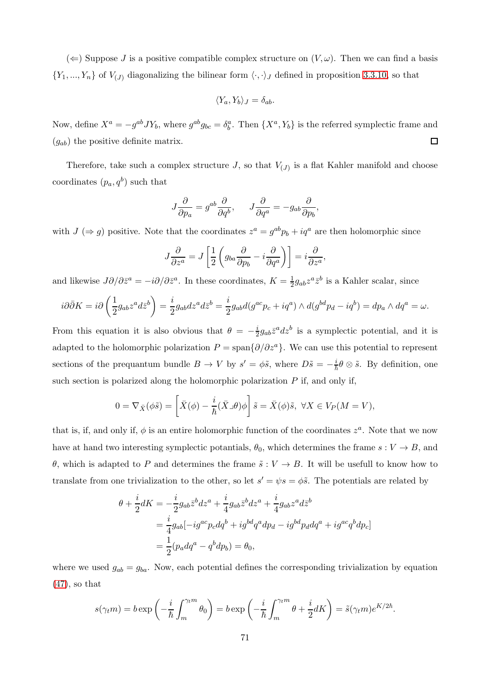$(\Leftarrow)$  Suppose J is a positive compatible complex structure on  $(V, \omega)$ . Then we can find a basis  $\{Y_1, ..., Y_n\}$  of  $V_{(J)}$  diagonalizing the bilinear form  $\langle \cdot, \cdot \rangle_J$  defined in proposition [3.3.10,](#page-51-0) so that

$$
\langle Y_a, Y_b \rangle_J = \delta_{ab}.
$$

Now, define  $X^a = -g^{ab}JY_b$ , where  $g^{ab}g_{bc} = \delta^a_b$ . Then  $\{X^a, Y_b\}$  is the referred symplectic frame and  $(g_{ab})$  the positive definite matrix.  $\Box$ 

Therefore, take such a complex structure  $J$ , so that  $V_{(J)}$  is a flat Kahler manifold and choose coordinates  $(p_a, q^b)$  such that

$$
J\frac{\partial}{\partial p_a} = g^{ab}\frac{\partial}{\partial q^b}, \qquad J\frac{\partial}{\partial q^a} = -g_{ab}\frac{\partial}{\partial p_b},
$$

with  $J(\Rightarrow g)$  positive. Note that the coordinates  $z^a = g^{ab}p_b + iq^a$  are then holomorphic since

$$
J\frac{\partial}{\partial z^a} = J\left[\frac{1}{2}\left(g_{ba}\frac{\partial}{\partial p_b} - i\frac{\partial}{\partial q^a}\right)\right] = i\frac{\partial}{\partial z^a},
$$

and likewise  $J\partial/\partial \bar{z}^a = -i\partial/\partial \bar{z}^a$ . In these coordinates,  $K = \frac{1}{2}$  $\frac{1}{2}g_{ab}z^a\bar{z}^b$  is a Kahler scalar, since

$$
i\partial\bar{\partial}K = i\partial\left(\frac{1}{2}g_{ab}z^a d\bar{z}^b\right) = \frac{i}{2}g_{ab}dz^a d\bar{z}^b = \frac{i}{2}g_{ab}d(g^{ac}p_c + iq^a) \wedge d(g^{bd}p_d - iq^b) = dp_a \wedge dq^a = \omega.
$$

From this equation it is also obvious that  $\theta = -\frac{i}{2}$  $\frac{i}{2}g_{ab}\bar{z}^a dz^b$  is a symplectic potential, and it is adapted to the holomorphic polarization  $P = \text{span}\{\partial/\partial z^a\}$ . We can use this potential to represent sections of the prequantum bundle  $B \to V$  by  $s' = \phi \tilde{s}$ , where  $D\tilde{s} = -\frac{i}{\hbar} \theta \otimes \tilde{s}$ . By definition, one such section is polarized along the holomorphic polarization  $P$  if, and only if,

$$
0 = \nabla_{\bar{X}}(\phi \tilde{s}) = \left[ \bar{X}(\phi) - \frac{i}{\hbar} (\bar{X} \lrcorner \theta) \phi \right] \tilde{s} = \bar{X}(\phi) \tilde{s}, \ \forall X \in V_P(M = V),
$$

that is, if, and only if,  $\phi$  is an entire holomorphic function of the coordinates  $z^a$ . Note that we now have at hand two interesting symplectic potantials,  $\theta_0$ , which determines the frame  $s: V \to B$ , and θ, which is adapted to P and determines the frame  $\tilde{s}: V \to B$ . It will be usefull to know how to translate from one trivialization to the other, so let  $s' = \psi s = \phi \tilde{s}$ . The potentials are related by

$$
\theta + \frac{i}{2}dK = -\frac{i}{2}g_{ab}\bar{z}^b dz^a + \frac{i}{4}g_{ab}\bar{z}^b dz^a + \frac{i}{4}g_{ab}z^a d\bar{z}^b
$$
  
=  $\frac{i}{4}g_{ab}[-ig^{ac}p_c dq^b + ig^{bd}q^a dp_d - ig^{bd}p_d dq^a + ig^{ac}q^b dp_c]$   
=  $\frac{1}{2}(p_a dq^a - q^b dp_b) = \theta_0,$ 

where we used  $g_{ab} = g_{ba}$ . Now, each potential defines the corresponding trivialization by equation  $(47)$ , so that

$$
s(\gamma_t m) = b \exp\left(-\frac{i}{\hbar} \int_m^{\gamma_t m} \theta_0\right) = b \exp\left(-\frac{i}{\hbar} \int_m^{\gamma_t m} \theta + \frac{i}{2} dK\right) = \tilde{s}(\gamma_t m) e^{K/2\hbar}.
$$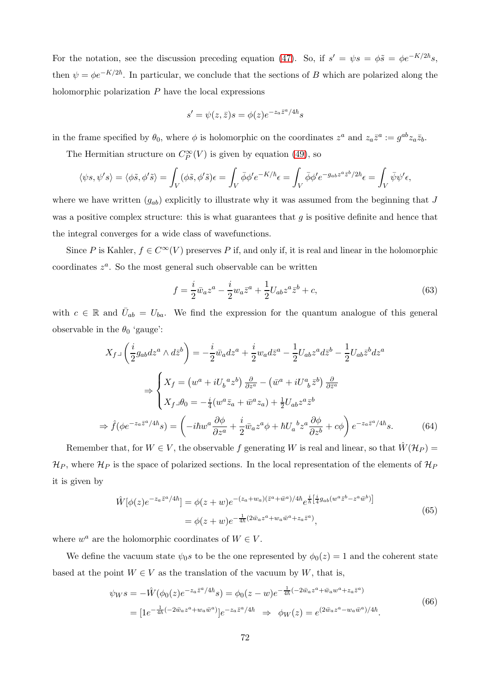For the notation, see the discussion preceding equation [\(47\)](#page-55-0). So, if  $s' = \psi s = \phi \tilde{s} = \phi e^{-K/2\hbar} s$ , then  $\psi = \phi e^{-K/2\hbar}$ . In particular, we conclude that the sections of B which are polarized along the holomorphic polarization  $P$  have the local expressions

$$
s' = \psi(z, \bar{z})s = \phi(z)e^{-z_a\bar{z}^a/4\hbar}s
$$

in the frame specified by  $\theta_0$ , where  $\phi$  is holomorphic on the coordinates  $z^a$  and  $z_a\bar{z}^a := g^{ab}z_a\bar{z}_b$ .

The Hermitian structure on  $C_P^{\infty}(V)$  is given by equation [\(49\)](#page-56-1), so

$$
\langle \psi s, \psi' s \rangle = \langle \phi \tilde{s}, \phi' \tilde{s} \rangle = \int_V (\phi \tilde{s}, \phi' \tilde{s}) \epsilon = \int_V \bar{\phi} \phi' e^{-K/\hbar} \epsilon = \int_V \bar{\phi} \phi' e^{-g_{ab} z^a \tilde{z}^b / 2\hbar} \epsilon = \int_V \bar{\psi} \psi' \epsilon,
$$

where we have written  $(g_{ab})$  explicitly to illustrate why it was assumed from the beginning that J was a positive complex structure: this is what guarantees that  $q$  is positive definite and hence that the integral converges for a wide class of wavefunctions.

Since P is Kahler,  $f \in C^{\infty}(V)$  preserves P if, and only if, it is real and linear in the holomorphic coordinates  $z^a$ . So the most general such observable can be written

$$
f = \frac{i}{2}\bar{w}_a z^a - \frac{i}{2}w_a \bar{z}^a + \frac{1}{2}U_{ab} z^a \bar{z}^b + c,\tag{63}
$$

with  $c \in \mathbb{R}$  and  $\bar{U}_{ab} = U_{ba}$ . We find the expression for the quantum analogue of this general observable in the  $\theta_0$  'gauge':

$$
X_{f\rightarrow} \left(\frac{i}{2}g_{ab}dz^{a} \wedge d\bar{z}^{b}\right) = -\frac{i}{2}\bar{w}_{a}dz^{a} + \frac{i}{2}w_{a}d\bar{z}^{a} - \frac{1}{2}U_{ab}z^{a}d\bar{z}^{b} - \frac{1}{2}U_{ab}\bar{z}^{b}dz^{a}
$$

$$
\Rightarrow \begin{cases} X_{f} = \left(w^{a} + iU_{b}{}^{a}z^{b}\right)\frac{\partial}{\partial z^{a}} - \left(\bar{w}^{a} + iU_{b}{}^{a}\bar{z}^{b}\right)\frac{\partial}{\partial \bar{z}^{a}} \\ X_{f\rightarrow} \theta_{0} = -\frac{i}{4}\left(w^{a}\bar{z}_{a} + \bar{w}^{a}z_{a}\right) + \frac{1}{2}U_{ab}z^{a}\bar{z}^{b} \end{cases}
$$

$$
\Rightarrow \hat{f}(\phi e^{-z_{a}\bar{z}^{a}/4\hbar}s) = \left(-i\hbar w^{a}\frac{\partial\phi}{\partial z^{a}} + \frac{i}{2}\bar{w}_{a}z^{a}\phi + \hbar U_{a}{}^{b}z^{a}\frac{\partial\phi}{\partial z^{b}} + c\phi\right)e^{-z_{a}\bar{z}^{a}/4\hbar}s. \tag{64}
$$

Remember that, for  $W \in V$ , the observable f generating W is real and linear, so that  $\hat{W}(\mathcal{H}_P)$  =  $\mathcal{H}_P$ , where  $\mathcal{H}_P$  is the space of polarized sections. In the local representation of the elements of  $\mathcal{H}_P$ it is given by

$$
\hat{W}[\phi(z)e^{-z_a\bar{z}^a/4\hbar}] = \phi(z+w)e^{-(z_a+w_a)(\bar{z}^a+\bar{w}^a)/4\hbar}e^{\frac{i}{\hbar}[\frac{i}{4}g_{ab}(w^a\bar{z}^b-z^a\bar{w}^b)]}
$$
\n
$$
= \phi(z+w)e^{-\frac{1}{4\hbar}(2\bar{w}_az^a+w_a\bar{w}^a+z_a\bar{z}^a)},
$$
\n(65)

where  $w^a$  are the holomorphic coordinates of  $W \in V$ .

We define the vacuum state  $\psi_0 s$  to be the one represented by  $\phi_0(z) = 1$  and the coherent state based at the point  $W \in V$  as the translation of the vacuum by W, that is,

$$
\psi_W s = -\hat{W}(\phi_0(z)e^{-z_a \bar{z}^a/4\hbar} s) = \phi_0(z-w)e^{-\frac{1}{4\hbar}(-2\bar{w}_a z^a + \bar{w}_a w^a + z_a \bar{z}^a)}
$$
  
=  $[1e^{-\frac{1}{4\hbar}(-2\bar{w}_a z^a + w_a \bar{w}^a)}]e^{-z_a \bar{z}^a/4\hbar} \implies \phi_W(z) = e^{(2\bar{w}_a z^a - w_a \bar{w}^a)/4\hbar}.$  (66)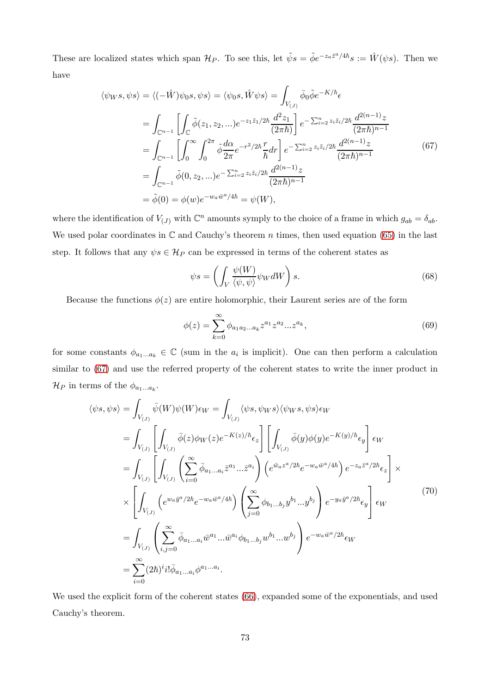These are localized states which span  $\mathcal{H}_P$ . To see this, let  $\tilde{\psi}s = \tilde{\phi}e^{-z_a\bar{z}^a/4\hbar}s := \hat{W}(\psi s)$ . Then we have

<span id="page-72-0"></span>
$$
\langle \psi_{W}s, \psi s \rangle = \langle (-\hat{W})\psi_{0}s, \psi s \rangle = \langle \psi_{0}s, \hat{W}\psi s \rangle = \int_{V_{(J)}} \bar{\phi}_{0} \tilde{\phi} e^{-K/\hbar} \epsilon
$$
  
\n
$$
= \int_{\mathbb{C}^{n-1}} \left[ \int_{\mathbb{C}} \tilde{\phi}(z_{1}, z_{2}, \ldots) e^{-z_{1} \bar{z}_{1}/2\hbar} \frac{d^{2} z_{1}}{(2\pi \hbar)} \right] e^{-\sum_{i=2}^{n} z_{i} \bar{z}_{i}/2\hbar} \frac{d^{2(n-1)} z}{(2\pi \hbar)^{n-1}}
$$
  
\n
$$
= \int_{\mathbb{C}^{n-1}} \left[ \int_{0}^{\infty} \int_{0}^{2\pi} \tilde{\phi} \frac{d\alpha}{2\pi} e^{-r^{2}/2\hbar} \frac{r}{\hbar} dr \right] e^{-\sum_{i=2}^{n} z_{i} \bar{z}_{i}/2\hbar} \frac{d^{2(n-1)} z}{(2\pi \hbar)^{n-1}}
$$
  
\n
$$
= \int_{\mathbb{C}^{n-1}} \tilde{\phi}(0, z_{2}, \ldots) e^{-\sum_{i=2}^{n} z_{i} \bar{z}_{i}/2\hbar} \frac{d^{2(n-1)} z}{(2\pi \hbar)^{n-1}}
$$
  
\n
$$
= \tilde{\phi}(0) = \phi(w) e^{-w_{a} \bar{w}^{a}/4\hbar} = \psi(W),
$$
 (67)

where the identification of  $V_{(J)}$  with  $\mathbb{C}^n$  amounts symply to the choice of a frame in which  $g_{ab} = \delta_{ab}$ . We used polar coordinates in  $\mathbb C$  and Cauchy's theorem n times, then used equation [\(65\)](#page-71-0) in the last step. It follows that any  $\psi s \in \mathcal{H}_P$  can be expressed in terms of the coherent states as

<span id="page-72-3"></span>
$$
\psi s = \left( \int_{V} \frac{\psi(W)}{\langle \psi, \psi \rangle} \psi_W dW \right) s. \tag{68}
$$

Because the functions  $\phi(z)$  are entire holomorphic, their Laurent series are of the form

<span id="page-72-1"></span>
$$
\phi(z) = \sum_{k=0}^{\infty} \phi_{a_1 a_2 \dots a_k} z^{a_1} z^{a_2} \dots z^{a_k},
$$
\n(69)

for some constants  $\phi_{a_1...a_k} \in \mathbb{C}$  (sum in the  $a_i$  is implicit). One can then perform a calculation similar to [\(67\)](#page-72-0) and use the referred property of the coherent states to write the inner product in  $\mathcal{H}_P$  in terms of the  $\phi_{a_1...a_k}$ .

<span id="page-72-2"></span>
$$
\langle \psi s, \psi s \rangle = \int_{V_{(J)}} \bar{\psi}(W) \psi(W) \epsilon_W = \int_{V_{(J)}} \langle \psi s, \psi w s \rangle \langle \psi w s, \psi s \rangle \epsilon_W
$$
  
\n
$$
= \int_{V_{(J)}} \left[ \int_{V_{(J)}} \bar{\phi}(z) \phi_W(z) e^{-K(z)/\hbar} \epsilon_z \right] \left[ \int_{V_{(J)}} \bar{\phi}(y) \phi(y) e^{-K(y)/\hbar} \epsilon_y \right] \epsilon_W
$$
  
\n
$$
= \int_{V_{(J)}} \left[ \int_{V_{(J)}} \left( \sum_{i=0}^{\infty} \bar{\phi}_{a_1 \dots a_i} \bar{z}^{a_1} \dots \bar{z}^{a_i} \right) \left( e^{\bar{w}_a z^a / 2\hbar} e^{-w_a \bar{w}^a / 4\hbar} \right) e^{-z_a \bar{z}^a / 2\hbar} \epsilon_z \right] \times
$$
  
\n
$$
\times \left[ \int_{V_{(J)}} \left( e^{w_a \bar{y}^a / 2\hbar} e^{-w_a \bar{w}^a / 4\hbar} \right) \left( \sum_{j=0}^{\infty} \phi_{b_1 \dots b_j} y^{b_1} \dots y^{b_j} \right) e^{-y_a \bar{y}^a / 2\hbar} \epsilon_y \right] \epsilon_W
$$
  
\n
$$
= \int_{V_{(J)}} \left( \sum_{i,j=0}^{\infty} \bar{\phi}_{a_1 \dots a_i} \bar{w}^{a_1} \dots \bar{w}^{a_i} \phi_{b_1 \dots b_j} w^{b_1} \dots w^{b_j} \right) e^{-w_a \bar{w}^a / 2\hbar} \epsilon_W
$$
  
\n
$$
= \sum_{i=0}^{\infty} (2\hbar)^i i! \bar{\phi}_{a_1 \dots a_i} \phi^{a_1 \dots a_i}.
$$
 (70)

We used the explicit form of the coherent states [\(66\)](#page-71-1), expanded some of the exponentials, and used Cauchy's theorem.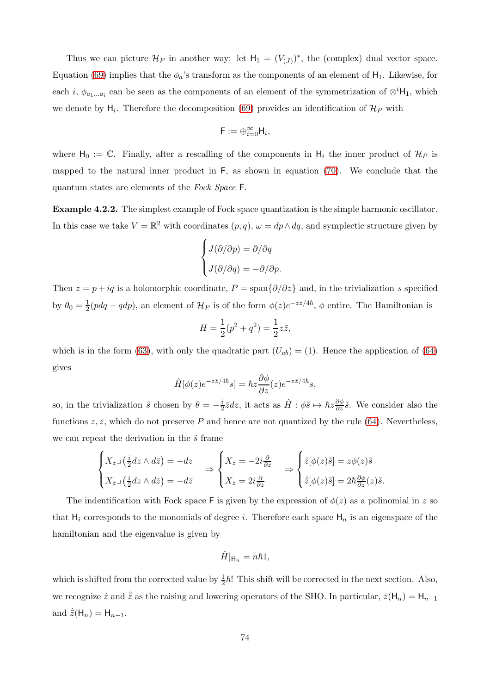Thus we can picture  $\mathcal{H}_P$  in another way: let  $H_1 = (V_{(J)})^*$ , the (complex) dual vector space. Equation [\(69\)](#page-72-1) implies that the  $\phi_a$ 's transform as the components of an element of  $H_1$ . Likewise, for each *i*,  $\phi_{a_1...a_i}$  can be seen as the components of an element of the symmetrization of  $\otimes^i H_1$ , which we denote by  $H_i$ . Therefore the decomposition [\(69\)](#page-72-1) provides an identification of  $\mathcal{H}_P$  with

$$
\mathsf{F}:=\oplus_{i=0}^{\infty}\mathsf{H}_{i},
$$

where  $H_0 := \mathbb{C}$ . Finally, after a rescalling of the components in  $H_i$  the inner product of  $\mathcal{H}_P$  is mapped to the natural inner product in F, as shown in equation [\(70\)](#page-72-2). We conclude that the quantum states are elements of the Fock Space F.

<span id="page-73-0"></span>Example 4.2.2. The simplest example of Fock space quantization is the simple harmonic oscillator. In this case we take  $V = \mathbb{R}^2$  with coordinates  $(p, q)$ ,  $\omega = dp \wedge dq$ , and symplectic structure given by

$$
\begin{cases}\nJ(\partial/\partial p) = \partial/\partial q \\
J(\partial/\partial q) = -\partial/\partial p.\n\end{cases}
$$

Then  $z = p + iq$  is a holomorphic coordinate,  $P = \text{span}\{\partial/\partial z\}$  and, in the trivialization s specified by  $\theta_0 = \frac{1}{2}(pdq - qdp)$ , an element of  $\mathcal{H}_P$  is of the form  $\phi(z)e^{-z\bar{z}/4\hbar}$ ,  $\phi$  entire. The Hamiltonian is

$$
H = \frac{1}{2}(p^2 + q^2) = \frac{1}{2}z\overline{z},
$$

which is in the form [\(63\)](#page-71-2), with only the quadratic part  $(U_{ab}) = (1)$ . Hence the application of [\(64\)](#page-71-3) gives

$$
\hat{H}[\phi(z)e^{-z\bar{z}/4\hbar}s] = \hbar z \frac{\partial \phi}{\partial z}(z)e^{-z\bar{z}/4\hbar}s,
$$

so, in the trivialization  $\tilde{s}$  chosen by  $\theta = -\frac{i}{2}$  $\frac{i}{2}\bar{z}dz$ , it acts as  $\hat{H}$ :  $\phi\tilde{s} \mapsto \hbar z \frac{\partial \phi}{\partial z}\tilde{s}$ . We consider also the functions  $z, \bar{z}$ , which do not preserve P and hence are not quantized by the rule [\(64\)](#page-71-3). Nevertheless, we can repeat the derivation in the  $\tilde{s}$  frame

$$
\begin{cases} X_{z\rightarrow}(\frac{i}{2}dz\wedge d\bar{z})=-dz \\ X_{\bar{z}\rightarrow}(\frac{i}{2}dz\wedge d\bar{z})=-d\bar{z} \end{cases} \Rightarrow \begin{cases} X_{z}=-2i\frac{\partial}{\partial \bar{z}} \\ X_{\bar{z}}=2i\frac{\partial}{\partial z} \end{cases} \Rightarrow \begin{cases} \hat{z}[\phi(z)\tilde{s}]=z\phi(z)\tilde{s} \\ \hat{z}[\phi(z)\tilde{s}]=2\hbar\frac{\partial\phi}{\partial z}(z)\tilde{s} .\end{cases}
$$

The indentification with Fock space F is given by the expression of  $\phi(z)$  as a polinomial in z so that  $H_i$  corresponds to the monomials of degree i. Therefore each space  $H_n$  is an eigenspace of the hamiltonian and the eigenvalue is given by

$$
\hat{H}|_{\mathsf{H}_n}=n\hbar 1,
$$

which is shifted from the corrected value by  $\frac{1}{2}\hbar$ ! This shift will be corrected in the next section. Also, we recognize  $\hat{z}$  and  $\hat{\bar{z}}$  as the raising and lowering operators of the SHO. In particular,  $\bar{z}(H_n) = H_{n+1}$ and  $\hat{\bar{z}}(\mathsf{H}_n) = \mathsf{H}_{n-1}$ .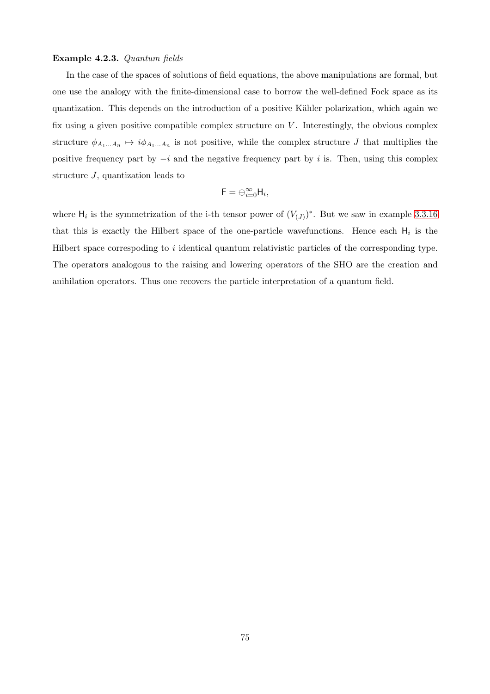### Example 4.2.3. Quantum fields

In the case of the spaces of solutions of field equations, the above manipulations are formal, but one use the analogy with the finite-dimensional case to borrow the well-defined Fock space as its quantization. This depends on the introduction of a positive Kähler polarization, which again we fix using a given positive compatible complex structure on  $V$ . Interestingly, the obvious complex structure  $\phi_{A_1...A_n} \mapsto i\phi_{A_1...A_n}$  is not positive, while the complex structure J that multiplies the positive frequency part by  $-i$  and the negative frequency part by i is. Then, using this complex structure J, quantization leads to

$$
\mathsf{F}=\oplus_{i=0}^\infty \mathsf{H}_i,
$$

where  $H_i$  is the symmetrization of the i-th tensor power of  $(V_{(J)})^*$ . But we saw in example [3.3.16](#page-58-0) that this is exactly the Hilbert space of the one-particle wavefunctions. Hence each  $H_i$  is the Hilbert space correspoding to i identical quantum relativistic particles of the corresponding type. The operators analogous to the raising and lowering operators of the SHO are the creation and anihilation operators. Thus one recovers the particle interpretation of a quantum field.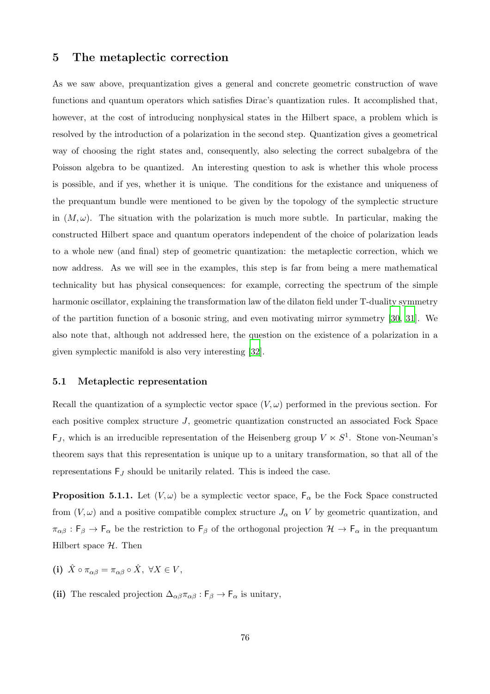# 5 The metaplectic correction

As we saw above, prequantization gives a general and concrete geometric construction of wave functions and quantum operators which satisfies Dirac's quantization rules. It accomplished that, however, at the cost of introducing nonphysical states in the Hilbert space, a problem which is resolved by the introduction of a polarization in the second step. Quantization gives a geometrical way of choosing the right states and, consequently, also selecting the correct subalgebra of the Poisson algebra to be quantized. An interesting question to ask is whether this whole process is possible, and if yes, whether it is unique. The conditions for the existance and uniqueness of the prequantum bundle were mentioned to be given by the topology of the symplectic structure in  $(M, \omega)$ . The situation with the polarization is much more subtle. In particular, making the constructed Hilbert space and quantum operators independent of the choice of polarization leads to a whole new (and final) step of geometric quantization: the metaplectic correction, which we now address. As we will see in the examples, this step is far from being a mere mathematical technicality but has physical consequences: for example, correcting the spectrum of the simple harmonic oscillator, explaining the transformation law of the dilaton field under T-duality symmetry of the partition function of a bosonic string, and even motivating mirror symmetry [\[30](#page-97-0), [31\]](#page-97-1). We also note that, although not addressed here, the question on the existence of a polarization in a given symplectic manifold is also very interesting [\[32](#page-97-2)].

#### 5.1 Metaplectic representation

Recall the quantization of a symplectic vector space  $(V, \omega)$  performed in the previous section. For each positive complex structure J, geometric quantization constructed an associated Fock Space  $F_J$ , which is an irreducible representation of the Heisenberg group  $V \ltimes S^1$ . Stone von-Neuman's theorem says that this representation is unique up to a unitary transformation, so that all of the representations  $F_J$  should be unitarily related. This is indeed the case.

**Proposition 5.1.1.** Let  $(V, \omega)$  be a symplectic vector space,  $F_{\alpha}$  be the Fock Space constructed from  $(V, \omega)$  and a positive compatible complex structure  $J_{\alpha}$  on V by geometric quantization, and  $\pi_{\alpha\beta}$ :  $F_\beta \to F_\alpha$  be the restriction to  $F_\beta$  of the orthogonal projection  $\mathcal{H} \to F_\alpha$  in the prequantum Hilbert space  $H$ . Then

- (i)  $\hat{X} \circ \pi_{\alpha\beta} = \pi_{\alpha\beta} \circ \hat{X}, \ \forall X \in V,$
- (ii) The rescaled projection  $\Delta_{\alpha\beta}\pi_{\alpha\beta} : \mathsf{F}_{\beta} \to \mathsf{F}_{\alpha}$  is unitary,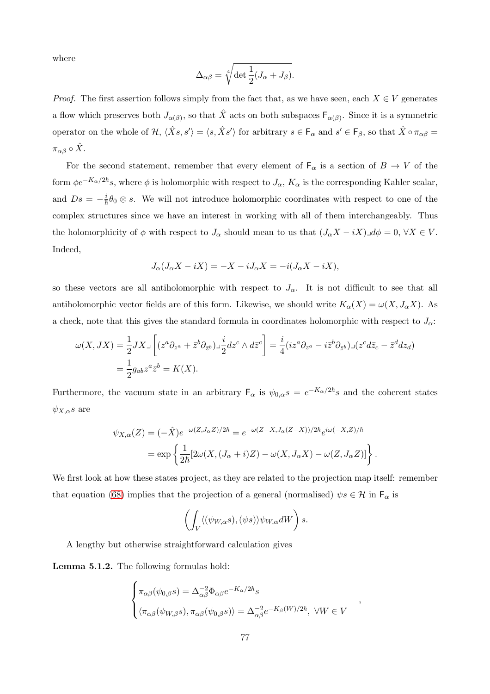where

$$
\Delta_{\alpha\beta} = \sqrt[4]{\det\frac{1}{2}(J_{\alpha}+J_{\beta})}.
$$

*Proof.* The first assertion follows simply from the fact that, as we have seen, each  $X \in V$  generates a flow which preserves both  $J_{\alpha(\beta)}$ , so that  $\hat{X}$  acts on both subspaces  $\mathsf{F}_{\alpha(\beta)}$ . Since it is a symmetric operator on the whole of  $\mathcal{H}, \langle \hat{X}s, s' \rangle = \langle s, \hat{X}s' \rangle$  for arbitrary  $s \in \mathsf{F}_{\alpha}$  and  $s' \in \mathsf{F}_{\beta}$ , so that  $\hat{X} \circ \pi_{\alpha\beta} =$  $\pi_{\alpha\beta}\circ\hat{X}$ .

For the second statement, remember that every element of  $F_{\alpha}$  is a section of  $B \to V$  of the form  $\phi e^{-K_{\alpha}/2\hbar} s$ , where  $\phi$  is holomorphic with respect to  $J_{\alpha}$ ,  $K_{\alpha}$  is the corresponding Kahler scalar, and  $Ds = -\frac{i}{\hbar}\theta_0 \otimes s$ . We will not introduce holomorphic coordinates with respect to one of the complex structures since we have an interest in working with all of them interchangeably. Thus the holomorphicity of  $\phi$  with respect to  $J_{\alpha}$  should mean to us that  $(J_{\alpha}X - iX)\Box d\phi = 0, \forall X \in V$ . Indeed,

$$
J_{\alpha}(J_{\alpha}X - iX) = -X - iJ_{\alpha}X = -i(J_{\alpha}X - iX),
$$

so these vectors are all antiholomorphic with respect to  $J_{\alpha}$ . It is not difficult to see that all antiholomorphic vector fields are of this form. Likewise, we should write  $K_{\alpha}(X) = \omega(X, J_{\alpha}X)$ . As a check, note that this gives the standard formula in coordinates holomorphic with respect to  $J_{\alpha}$ :

$$
\omega(X,JX) = \frac{1}{2}JX \Box \left[ (z^a \partial_{z^a} + \bar{z}^b \partial_{\bar{z}^b}) \Box \frac{i}{2} dz^c \wedge d\bar{z}^c \right] = \frac{i}{4} (iz^a \partial_{z^a} - i\bar{z}^b \partial_{\bar{z}^b}) \Box (z^c d\bar{z}_c - \bar{z}^d dz_d)
$$

$$
= \frac{1}{2} g_{ab} z^a \bar{z}^b = K(X).
$$

Furthermore, the vacuum state in an arbitrary  $F_\alpha$  is  $\psi_{0,\alpha}s = e^{-K_\alpha/2\hbar}s$  and the coherent states  $\psi_{X,\alpha}s$  are

$$
\psi_{X,\alpha}(Z) = (-\hat{X})e^{-\omega(Z,J_{\alpha}Z)/2\hbar} = e^{-\omega(Z-X,J_{\alpha}(Z-X))/2\hbar}e^{i\omega(-X,Z)/\hbar}
$$

$$
= \exp\left\{\frac{1}{2\hbar}[2\omega(X,(J_{\alpha}+i)Z) - \omega(X,J_{\alpha}X) - \omega(Z,J_{\alpha}Z)]\right\}.
$$

We first look at how these states project, as they are related to the projection map itself: remember that equation [\(68\)](#page-72-3) implies that the projection of a general (normalised)  $\psi s \in \mathcal{H}$  in  $\mathsf{F}_{\alpha}$  is

$$
\left(\int_V \langle (\psi_{W,\alpha}s),(\psi s)\rangle \psi_{W,\alpha} dW\right)s.
$$

A lengthy but otherwise straightforward calculation gives

Lemma 5.1.2. The following formulas hold:

$$
\begin{cases}\n\pi_{\alpha\beta}(\psi_{0,\beta}s) = \Delta_{\alpha\beta}^{-2} \Phi_{\alpha\beta} e^{-K_{\alpha}/2\hbar} s \\
\langle \pi_{\alpha\beta}(\psi_{W,\beta}s), \pi_{\alpha\beta}(\psi_{0,\beta}s) \rangle = \Delta_{\alpha\beta}^{-2} e^{-K_{\beta}(W)/2\hbar}, \ \forall W \in V\n\end{cases}
$$

,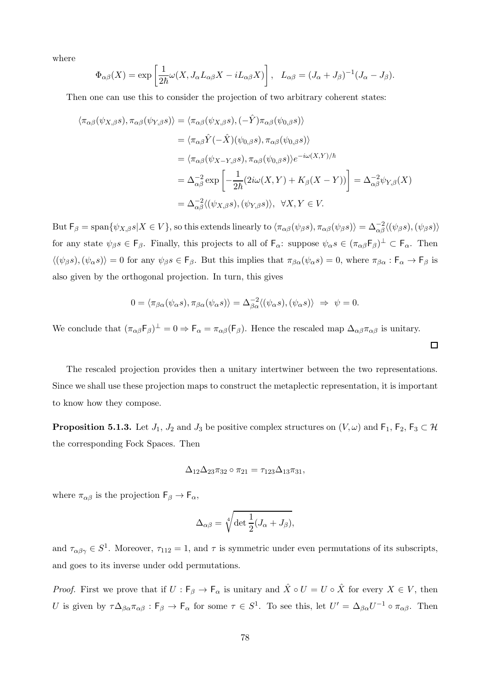where

$$
\Phi_{\alpha\beta}(X) = \exp\left[\frac{1}{2\hbar}\omega(X, J_{\alpha}L_{\alpha\beta}X - iL_{\alpha\beta}X)\right], \quad L_{\alpha\beta} = (J_{\alpha} + J_{\beta})^{-1}(J_{\alpha} - J_{\beta}).
$$

Then one can use this to consider the projection of two arbitrary coherent states:

$$
\langle \pi_{\alpha\beta}(\psi_{X,\beta}s), \pi_{\alpha\beta}(\psi_{Y,\beta}s) \rangle = \langle \pi_{\alpha\beta}(\psi_{X,\beta}s), (-\hat{Y})\pi_{\alpha\beta}(\psi_{0,\beta}s) \rangle
$$
  
\n
$$
= \langle \pi_{\alpha\beta}\hat{Y}(-\hat{X})(\psi_{0,\beta}s), \pi_{\alpha\beta}(\psi_{0,\beta}s) \rangle
$$
  
\n
$$
= \langle \pi_{\alpha\beta}(\psi_{X-Y,\beta}s), \pi_{\alpha\beta}(\psi_{0,\beta}s) \rangle e^{-i\omega(X,Y)/\hbar}
$$
  
\n
$$
= \Delta_{\alpha\beta}^{-2} \exp\left[-\frac{1}{2\hbar}(2i\omega(X,Y) + K_{\beta}(X-Y))\right] = \Delta_{\alpha\beta}^{-2} \psi_{Y,\beta}(X)
$$
  
\n
$$
= \Delta_{\alpha\beta}^{-2} \langle (\psi_{X,\beta}s), (\psi_{Y,\beta}s) \rangle, \ \forall X, Y \in V.
$$

But  $\mathsf{F}_{\beta} = \text{span}\{\psi_{X,\beta} s | X \in V\}$ , so this extends linearly to  $\langle \pi_{\alpha\beta}(\psi_{\beta}s), \pi_{\alpha\beta}(\psi_{\beta}s)\rangle = \Delta_{\alpha\beta}^{-2} \langle (\psi_{\beta}s),(\psi_{\beta}s)\rangle$ for any state  $\psi_{\beta} s \in \mathsf{F}_{\beta}$ . Finally, this projects to all of  $\mathsf{F}_{\alpha}$ : suppose  $\psi_{\alpha} s \in (\pi_{\alpha\beta}\mathsf{F}_{\beta})^{\perp} \subset \mathsf{F}_{\alpha}$ . Then  $\langle (\psi_{\beta}s),(\psi_{\alpha}s)\rangle = 0$  for any  $\psi_{\beta}s \in \mathsf{F}_{\beta}$ . But this implies that  $\pi_{\beta\alpha}(\psi_{\alpha}s) = 0$ , where  $\pi_{\beta\alpha} : \mathsf{F}_{\alpha} \to \mathsf{F}_{\beta}$  is also given by the orthogonal projection. In turn, this gives

$$
0 = \langle \pi_{\beta\alpha}(\psi_{\alpha}s), \pi_{\beta\alpha}(\psi_{\alpha}s) \rangle = \Delta_{\beta\alpha}^{-2} \langle (\psi_{\alpha}s), (\psi_{\alpha}s) \rangle \Rightarrow \psi = 0.
$$

We conclude that  $(\pi_{\alpha\beta}F_{\beta})^{\perp} = 0 \Rightarrow F_{\alpha} = \pi_{\alpha\beta}(F_{\beta})$ . Hence the rescaled map  $\Delta_{\alpha\beta}\pi_{\alpha\beta}$  is unitary.

The rescaled projection provides then a unitary intertwiner between the two representations. Since we shall use these projection maps to construct the metaplectic representation, it is important to know how they compose.

 $\Box$ 

<span id="page-77-0"></span>**Proposition 5.1.3.** Let  $J_1$ ,  $J_2$  and  $J_3$  be positive complex structures on  $(V, \omega)$  and  $\mathsf{F}_1$ ,  $\mathsf{F}_2$ ,  $\mathsf{F}_3 \subset \mathcal{H}$ the corresponding Fock Spaces. Then

$$
\Delta_{12}\Delta_{23}\pi_{32}\circ\pi_{21}=\tau_{123}\Delta_{13}\pi_{31},
$$

where  $\pi_{\alpha\beta}$  is the projection  $\mathsf{F}_{\beta} \to \mathsf{F}_{\alpha}$ ,

$$
\Delta_{\alpha\beta} = \sqrt[4]{\det\frac{1}{2}(J_{\alpha}+J_{\beta})},
$$

and  $\tau_{\alpha\beta\gamma} \in S^1$ . Moreover,  $\tau_{112} = 1$ , and  $\tau$  is symmetric under even permutations of its subscripts, and goes to its inverse under odd permutations.

*Proof.* First we prove that if  $U : F_\beta \to F_\alpha$  is unitary and  $\hat{X} \circ U = U \circ \hat{X}$  for every  $X \in V$ , then U is given by  $\tau\Delta_{\beta\alpha}\pi_{\alpha\beta}$ :  $\mathsf{F}_{\beta} \to \mathsf{F}_{\alpha}$  for some  $\tau \in S^1$ . To see this, let  $U' = \Delta_{\beta\alpha}U^{-1} \circ \pi_{\alpha\beta}$ . Then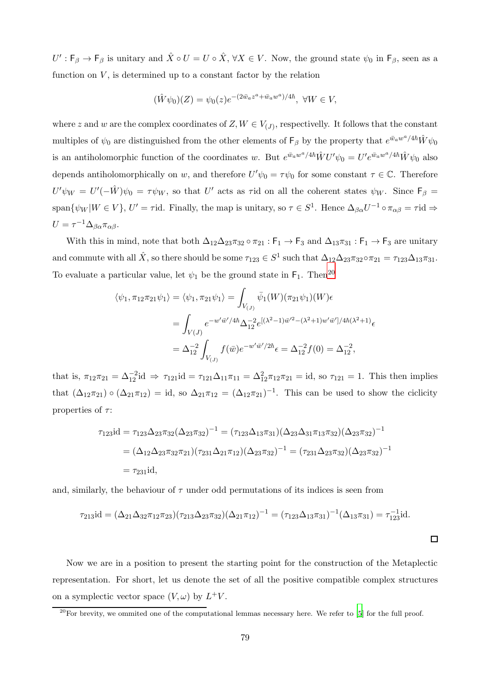$U': \mathsf{F}_{\beta} \to \mathsf{F}_{\beta}$  is unitary and  $\hat{X} \circ U = U \circ \hat{X}$ ,  $\forall X \in V$ . Now, the ground state  $\psi_0$  in  $\mathsf{F}_{\beta}$ , seen as a function on  $V$ , is determined up to a constant factor by the relation

$$
(\hat{W}\psi_0)(Z) = \psi_0(z)e^{-(2\bar{w}_a z^a + \bar{w}_a w^a)/4\hbar}, \ \forall W \in V,
$$

where z and w are the complex coordinates of  $Z, W \in V_{(J)}$ , respectivelly. It follows that the constant multiples of  $\psi_0$  are distinguished from the other elements of  $\mathsf{F}_\beta$  by the property that  $e^{\bar{w}_a w^a/4\hbar} \hat{W} \psi_0$ is an antiholomorphic function of the coordinates w. But  $e^{\bar{w}_a w^a/4\hbar} \hat{W} U' \psi_0 = U' e^{\bar{w}_a w^a/4\hbar} \hat{W} \psi_0$  also depends antiholomorphically on w, and therefore  $U'\psi_0 = \tau \psi_0$  for some constant  $\tau \in \mathbb{C}$ . Therefore  $U'\psi_W = U'(-\hat{W})\psi_0 = \tau\psi_W$ , so that U' acts as  $\tau$ id on all the coherent states  $\psi_W$ . Since  $\mathsf{F}_\beta$  =  $\text{span}\{\psi_W | W \in V\}, U' = \tau \text{id}$ . Finally, the map is unitary, so  $\tau \in S^1$ . Hence  $\Delta_{\beta \alpha} U^{-1} \circ \pi_{\alpha \beta} = \tau \text{id} \Rightarrow$  $U = \tau^{-1} \Delta_{\beta \alpha} \pi_{\alpha \beta}.$ 

With this in mind, note that both  $\Delta_{12}\Delta_{23}\pi_{32}\circ \pi_{21}$ :  $F_1 \rightarrow F_3$  and  $\Delta_{13}\pi_{31}$ :  $F_1 \rightarrow F_3$  are unitary and commute with all  $\hat{X}$ , so there should be some  $\tau_{123} \in S^1$  such that  $\Delta_{12}\Delta_{23}\pi_{32} \circ \pi_{21} = \tau_{123}\Delta_{13}\pi_{31}$ . To evaluate a particular value, let  $\psi_1$  be the ground state in  $\mathsf{F}_1$ . Then<sup>[20](#page-78-0)</sup>

$$
\langle \psi_1, \pi_{12}\pi_{21}\psi_1 \rangle = \langle \psi_1, \pi_{21}\psi_1 \rangle = \int_{V_{(J)}} \bar{\psi}_1(W)(\pi_{21}\psi_1)(W)\epsilon
$$
  
= 
$$
\int_{V(J)} e^{-w'\bar{w}'/4\hbar} \Delta_{12}^{-2} e^{[(\lambda^2 - 1)\bar{w}'^2 - (\lambda^2 + 1)w'\bar{w}']/4\hbar(\lambda^2 + 1)} \epsilon
$$
  
= 
$$
\Delta_{12}^{-2} \int_{V_{(J)}} f(\bar{w}) e^{-w'\bar{w}'/2\hbar} \epsilon = \Delta_{12}^{-2} f(0) = \Delta_{12}^{-2},
$$

that is,  $\pi_{12}\pi_{21} = \Delta_{12}^{-2}$ id  $\Rightarrow \tau_{121}$ id  $=\tau_{121}\Delta_{11}\pi_{11} = \Delta_{12}^{2}\pi_{12}\pi_{21} =$ id, so  $\tau_{121} = 1$ . This then implies that  $(\Delta_{12}\pi_{21}) \circ (\Delta_{21}\pi_{12}) = id$ , so  $\Delta_{21}\pi_{12} = (\Delta_{12}\pi_{21})^{-1}$ . This can be used to show the ciclicity properties of  $\tau$ :

$$
\tau_{123}\mathrm{id} = \tau_{123}\Delta_{23}\pi_{32}(\Delta_{23}\pi_{32})^{-1} = (\tau_{123}\Delta_{13}\pi_{31})(\Delta_{23}\Delta_{31}\pi_{13}\pi_{32})(\Delta_{23}\pi_{32})^{-1}
$$
  
=  $(\Delta_{12}\Delta_{23}\pi_{32}\pi_{21})(\tau_{231}\Delta_{21}\pi_{12})(\Delta_{23}\pi_{32})^{-1} = (\tau_{231}\Delta_{23}\pi_{32})(\Delta_{23}\pi_{32})^{-1}$   
=  $\tau_{231}\mathrm{id},$ 

and, similarly, the behaviour of  $\tau$  under odd permutations of its indices is seen from

$$
\tau_{213} \text{id} = (\Delta_{21} \Delta_{32} \pi_{12} \pi_{23}) (\tau_{213} \Delta_{23} \pi_{32}) (\Delta_{21} \pi_{12})^{-1} = (\tau_{123} \Delta_{13} \pi_{31})^{-1} (\Delta_{13} \pi_{31}) = \tau_{123}^{-1} \text{id}.
$$

 $\Box$ 

Now we are in a position to present the starting point for the construction of the Metaplectic representation. For short, let us denote the set of all the positive compatible complex structures on a symplectic vector space  $(V, \omega)$  by  $L^+V$ .

<span id="page-78-0"></span> $^{20}$ For brevity, we ommited one of the computational lemmas necessary here. We refer to [\[5](#page-96-0)] for the full proof.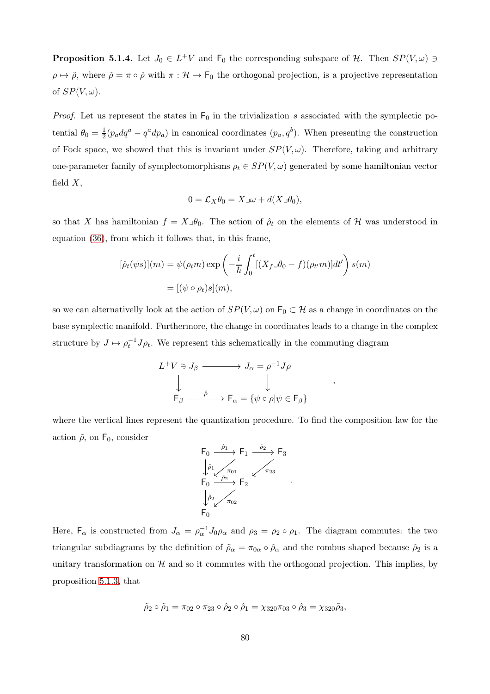**Proposition 5.1.4.** Let  $J_0 \in L^+V$  and  $F_0$  the corresponding subspace of H. Then  $SP(V, \omega) \ni$  $\rho \mapsto \tilde{\rho}$ , where  $\tilde{\rho} = \pi \circ \hat{\rho}$  with  $\pi : \mathcal{H} \to F_0$  the orthogonal projection, is a projective representation of  $SP(V, \omega)$ .

*Proof.* Let us represent the states in  $F_0$  in the trivialization s associated with the symplectic potential  $\theta_0 = \frac{1}{2}$  $\frac{1}{2}(p_a dq^a - q^a dp_a)$  in canonical coordinates  $(p_a, q^b)$ . When presenting the construction of Fock space, we showed that this is invariant under  $SP(V, \omega)$ . Therefore, taking and arbitrary one-parameter family of symplectomorphisms  $\rho_t \in SP(V, \omega)$  generated by some hamiltonian vector field  $X$ ,

$$
0 = \mathcal{L}_X \theta_0 = X \mathbf{I} \omega + d(X \mathbf{I} \theta_0),
$$

so that X has hamiltonian  $f = X \Box \theta_0$ . The action of  $\hat{\rho}_t$  on the elements of H was understood in equation [\(36\)](#page-39-0), from which it follows that, in this frame,

$$
[\hat{\rho}_t(\psi s)](m) = \psi(\rho_t m) \exp\left(-\frac{i}{\hbar} \int_0^t \left[ (X_f \Box \theta_0 - f)(\rho_{t'} m) \right] dt' \right) s(m)
$$

$$
= [(\psi \circ \rho_t) s](m),
$$

so we can alternativelly look at the action of  $SP(V, \omega)$  on  $F_0 \subset H$  as a change in coordinates on the base symplectic manifold. Furthermore, the change in coordinates leads to a change in the complex structure by  $J \mapsto \rho_t^{-1} J \rho_t$ . We represent this schematically in the commuting diagram

$$
L^{+}V \ni J_{\beta} \longrightarrow J_{\alpha} = \rho^{-1}J\rho
$$
  
\n
$$
\downarrow \qquad \qquad \downarrow
$$
  
\n
$$
F_{\beta} \longrightarrow F_{\alpha} = {\psi \circ \rho | \psi \in F_{\beta}}
$$

,

where the vertical lines represent the quantization procedure. To find the composition law for the action  $\tilde{\rho}$ , on  $F_0$ , consider



Here,  $F_{\alpha}$  is constructed from  $J_{\alpha} = \rho_{\alpha}^{-1} J_0 \rho_{\alpha}$  and  $\rho_3 = \rho_2 \circ \rho_1$ . The diagram commutes: the two triangular subdiagrams by the definition of  $\tilde{\rho}_{\alpha} = \pi_{0\alpha} \circ \hat{\rho}_{\alpha}$  and the rombus shaped because  $\hat{\rho}_2$  is a unitary transformation on  $H$  and so it commutes with the orthogonal projection. This implies, by proposition [5.1.3,](#page-77-0) that

$$
\tilde{\rho}_2 \circ \tilde{\rho}_1 = \pi_{02} \circ \pi_{23} \circ \hat{\rho}_2 \circ \hat{\rho}_1 = \chi_{320} \pi_{03} \circ \hat{\rho}_3 = \chi_{320} \tilde{\rho}_3,
$$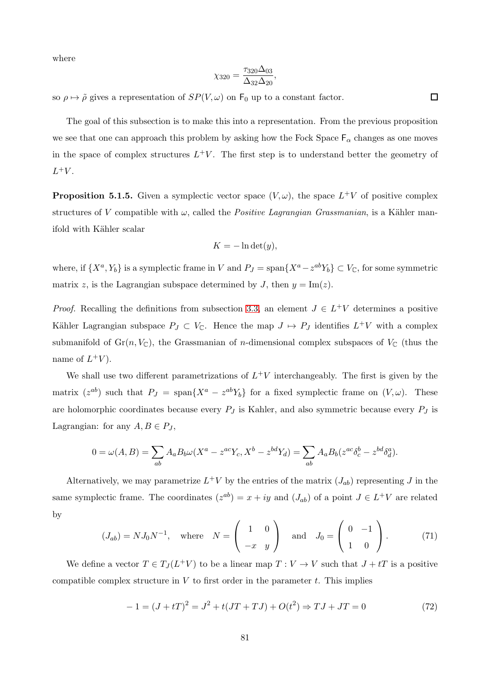where

$$
\chi_{320} = \frac{\tau_{320} \Delta_{03}}{\Delta_{32} \Delta_{20}},
$$

so  $\rho \mapsto \tilde{\rho}$  gives a representation of  $SP(V, \omega)$  on  $\mathsf{F}_0$  up to a constant factor.

The goal of this subsection is to make this into a representation. From the previous proposition we see that one can approach this problem by asking how the Fock Space  $F_{\alpha}$  changes as one moves in the space of complex structures  $L^+V$ . The first step is to understand better the geometry of  $L^+V$ .

**Proposition 5.1.5.** Given a symplectic vector space  $(V, \omega)$ , the space  $L^+V$  of positive complex structures of V compatible with  $\omega$ , called the *Positive Lagrangian Grassmanian*, is a Kähler manifold with Kähler scalar

$$
K = -\ln \det(y),
$$

where, if  $\{X^a, Y_b\}$  is a symplectic frame in V and  $P_J = \text{span}\{X^a - z^{ab}Y_b\} \subset V_{\mathbb{C}}$ , for some symmetric matrix z, is the Lagrangian subspace determined by J, then  $y = \text{Im}(z)$ .

*Proof.* Recalling the definitions from subsection [3.3,](#page-45-0) an element  $J \in L^{+}V$  determines a positive Kähler Lagrangian subspace  $P_J \subset V_{\mathbb{C}}$ . Hence the map  $J \mapsto P_J$  identifies  $L^+V$  with a complex submanifold of  $Gr(n, V_{\mathbb{C}})$ , the Grassmanian of *n*-dimensional complex subspaces of  $V_{\mathbb{C}}$  (thus the name of  $L^+V$ ).

We shall use two different parametrizations of  $L^+V$  interchangeably. The first is given by the matrix  $(z^{ab})$  such that  $P_J = \text{span}\{X^a - z^{ab}Y_b\}$  for a fixed symplectic frame on  $(V, \omega)$ . These are holomorphic coordinates because every  $P_J$  is Kahler, and also symmetric because every  $P_J$  is Lagrangian: for any  $A, B \in P_J$ ,

$$
0 = \omega(A, B) = \sum_{ab} A_a B_b \omega (X^a - z^{ac} Y_c, X^b - z^{bd} Y_d) = \sum_{ab} A_a B_b (z^{ac} \delta_c^b - z^{bd} \delta_d^a).
$$

Alternatively, we may parametrize  $L^+V$  by the entries of the matrix  $(J_{ab})$  representing J in the same symplectic frame. The coordinates  $(z^{ab}) = x + iy$  and  $(J_{ab})$  of a point  $J \in L^{+}V$  are related by

<span id="page-80-0"></span>
$$
(J_{ab}) = NJ_0N^{-1}, \quad \text{where} \quad N = \begin{pmatrix} 1 & 0 \\ -x & y \end{pmatrix} \quad \text{and} \quad J_0 = \begin{pmatrix} 0 & -1 \\ 1 & 0 \end{pmatrix}.
$$
 (71)

We define a vector  $T \in T_J(L^+V)$  to be a linear map  $T: V \to V$  such that  $J + tT$  is a positive compatible complex structure in  $V$  to first order in the parameter  $t$ . This implies

<span id="page-80-1"></span>
$$
-1 = (J + tT)^{2} = J^{2} + t(JT + TJ) + O(t^{2}) \Rightarrow TJ + JT = 0
$$
\n(72)

 $\Box$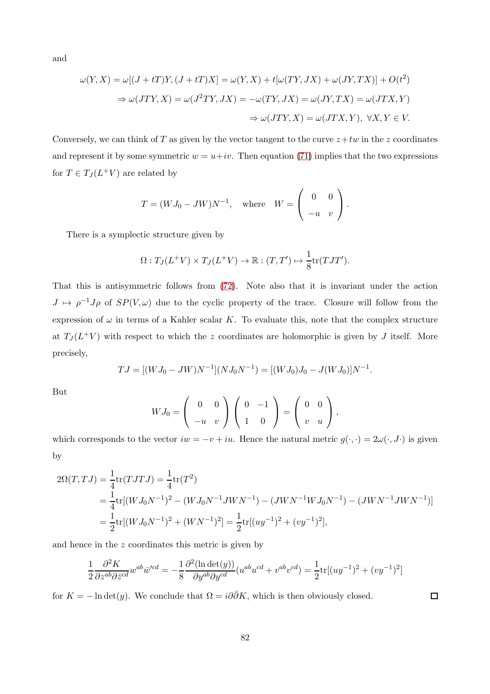and

$$
\omega(Y, X) = \omega[(J + tT)Y, (J + tT)X] = \omega(Y, X) + t[\omega(TY, JX) + \omega(JY, TX)] + O(t^2)
$$
  
\n
$$
\Rightarrow \omega(JTY, X) = \omega(J^2TY, JX) = -\omega(TY, JX) = \omega(JY, TX) = \omega(JTX, Y)
$$
  
\n
$$
\Rightarrow \omega(JTY, X) = \omega(JTX, Y), \ \forall X, Y \in V.
$$

Conversely, we can think of T as given by the vector tangent to the curve  $z+tw$  in the z coordinates and represent it by some symmetric  $w = u+iv$ . Then equation [\(71\)](#page-80-0) implies that the two expressions for  $T \in T_J(L^+V)$  are related by

$$
T = (WJ_0 - JW)N^{-1}, \text{ where } W = \begin{pmatrix} 0 & 0 \\ -u & v \end{pmatrix}.
$$

There is a symplectic structure given by

$$
\Omega: T_J(L^+V) \times T_J(L^+V) \to \mathbb{R}: (T,T') \mapsto \frac{1}{8} \text{tr}(TJT').
$$

That this is antisymmetric follows from [\(72\)](#page-80-1). Note also that it is invariant under the action  $J \mapsto \rho^{-1}J\rho$  of  $SP(V, \omega)$  due to the cyclic property of the trace. Closure will follow from the expression of  $\omega$  in terms of a Kahler scalar K. To evaluate this, note that the complex structure at  $T_J(L^+V)$  with respect to which the z coordinates are holomorphic is given by J itself. More precisely,

$$
TJ = [(WJ_0 - JW)N^{-1}](NJ_0N^{-1}) = [(WJ_0)J_0 - J(WJ_0)]N^{-1}.
$$

But

$$
WJ_0 = \left(\begin{array}{cc} 0 & 0 \\ -u & v \end{array}\right) \left(\begin{array}{cc} 0 & -1 \\ 1 & 0 \end{array}\right) = \left(\begin{array}{cc} 0 & 0 \\ v & u \end{array}\right),
$$

which corresponds to the vector  $iw = -v + iu$ . Hence the natural metric  $g(\cdot, \cdot) = 2\omega(\cdot, J\cdot)$  is given by

$$
2\Omega(T, TJ) = \frac{1}{4} \text{tr}(TJTJ) = \frac{1}{4} \text{tr}(T^2)
$$
  
=  $\frac{1}{4} \text{tr}[(WJ_0N^{-1})^2 - (WJ_0N^{-1}JWN^{-1}) - (JWN^{-1}WJ_0N^{-1}) - (JWN^{-1}JWN^{-1})]$   
=  $\frac{1}{2} \text{tr}[(WJ_0N^{-1})^2 + (WN^{-1})^2] = \frac{1}{2} \text{tr}[(uy^{-1})^2 + (vy^{-1})^2],$ 

and hence in the z coordinates this metric is given by

$$
\frac{1}{2} \frac{\partial^2 K}{\partial z^{ab} \partial \bar{z}^{cd}} w^{ab} \bar{w}^{cd} = -\frac{1}{8} \frac{\partial^2 (\ln \det(y))}{\partial y^{ab} \partial y^{cd}} (u^{ab} u^{cd} + v^{ab} v^{cd}) = \frac{1}{2} \text{tr}[(u y^{-1})^2 + (v y^{-1})^2]
$$

for  $K = -\ln \det(y)$ . We conclude that  $\Omega = i\partial \bar{\partial}K$ , which is then obviously closed.

 $\Box$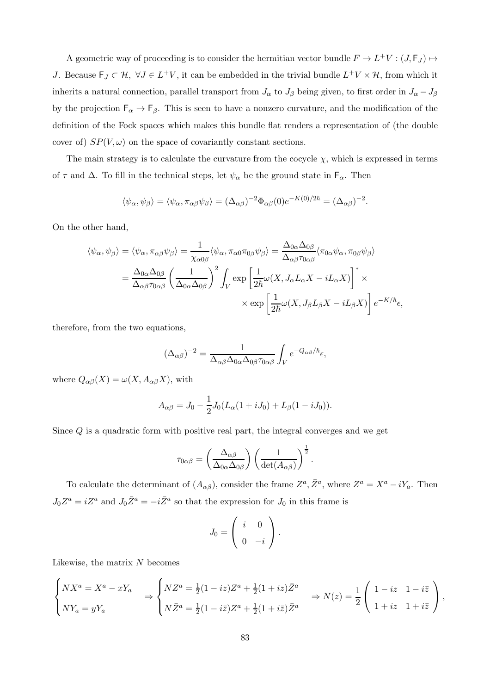A geometric way of proceeding is to consider the hermitian vector bundle  $F \to L^+V : (J, \mathsf{F}_J) \mapsto$ J. Because  $\mathsf{F}_J \subset \mathcal{H}$ ,  $\forall J \in L^+V$ , it can be embedded in the trivial bundle  $L^+V \times \mathcal{H}$ , from which it inherits a natural connection, parallel transport from  $J_{\alpha}$  to  $J_{\beta}$  being given, to first order in  $J_{\alpha} - J_{\beta}$ by the projection  $F_{\alpha} \to F_{\beta}$ . This is seen to have a nonzero curvature, and the modification of the definition of the Fock spaces which makes this bundle flat renders a representation of (the double cover of)  $SP(V, \omega)$  on the space of covariantly constant sections.

The main strategy is to calculate the curvature from the cocycle  $\chi$ , which is expressed in terms of  $\tau$  and  $\Delta$ . To fill in the technical steps, let  $\psi_{\alpha}$  be the ground state in  $\mathsf{F}_{\alpha}$ . Then

$$
\langle \psi_{\alpha}, \psi_{\beta} \rangle = \langle \psi_{\alpha}, \pi_{\alpha\beta} \psi_{\beta} \rangle = (\Delta_{\alpha\beta})^{-2} \Phi_{\alpha\beta}(0) e^{-K(0)/2\hbar} = (\Delta_{\alpha\beta})^{-2}.
$$

On the other hand,

$$
\langle \psi_{\alpha}, \psi_{\beta} \rangle = \langle \psi_{\alpha}, \pi_{\alpha\beta} \psi_{\beta} \rangle = \frac{1}{\chi_{\alpha 0\beta}} \langle \psi_{\alpha}, \pi_{\alpha 0} \pi_{0\beta} \psi_{\beta} \rangle = \frac{\Delta_{0\alpha} \Delta_{0\beta}}{\Delta_{\alpha\beta} \tau_{0\alpha\beta}} \langle \pi_{0\alpha} \psi_{\alpha}, \pi_{0\beta} \psi_{\beta} \rangle
$$
  

$$
= \frac{\Delta_{0\alpha} \Delta_{0\beta}}{\Delta_{\alpha\beta} \tau_{0\alpha\beta}} \left( \frac{1}{\Delta_{0\alpha} \Delta_{0\beta}} \right)^2 \int_{V} \exp \left[ \frac{1}{2\hbar} \omega(X, J_{\alpha} L_{\alpha} X - i L_{\alpha} X) \right]^* \times
$$
  

$$
\times \exp \left[ \frac{1}{2\hbar} \omega(X, J_{\beta} L_{\beta} X - i L_{\beta} X) \right] e^{-K/\hbar} \epsilon,
$$

therefore, from the two equations,

$$
(\Delta_{\alpha\beta})^{-2} = \frac{1}{\Delta_{\alpha\beta}\Delta_{0\alpha}\Delta_{0\beta}\tau_{0\alpha\beta}} \int_V e^{-Q_{\alpha\beta}/\hbar} \epsilon,
$$

where  $Q_{\alpha\beta}(X) = \omega(X, A_{\alpha\beta}X)$ , with

$$
A_{\alpha\beta} = J_0 - \frac{1}{2}J_0(L_\alpha(1 + iJ_0) + L_\beta(1 - iJ_0)).
$$

Since  $Q$  is a quadratic form with positive real part, the integral converges and we get

$$
\tau_{0\alpha\beta} = \left(\frac{\Delta_{\alpha\beta}}{\Delta_{0\alpha}\Delta_{0\beta}}\right) \left(\frac{1}{\det(A_{\alpha\beta})}\right)^{\frac{1}{2}}.
$$

To calculate the determinant of  $(A_{\alpha\beta})$ , consider the frame  $Z^a$ ,  $\bar{Z}^a$ , where  $Z^a = X^a - iY_a$ . Then  $J_0 Z^a = i Z^a$  and  $J_0 \bar{Z}^a = -i \bar{Z}^a$  so that the expression for  $J_0$  in this frame is

$$
J_0=\left(\begin{array}{cc} i & 0 \\ 0 & -i \end{array}\right).
$$

Likewise, the matrix  $N$  becomes

$$
\begin{cases}\nNX^a = X^a - xY_a \\
NY_a = yY_a\n\end{cases} \Rightarrow \begin{cases}\nNZ^a = \frac{1}{2}(1 - iz)Z^a + \frac{1}{2}(1 + iz)\overline{Z}^a \\
N\overline{Z}^a = \frac{1}{2}(1 - i\overline{z})Z^a + \frac{1}{2}(1 + i\overline{z})\overline{Z}^a\n\end{cases} \Rightarrow N(z) = \frac{1}{2}\begin{pmatrix}\n1 - iz & 1 - i\overline{z} \\
1 + iz & 1 + i\overline{z}\n\end{pmatrix},
$$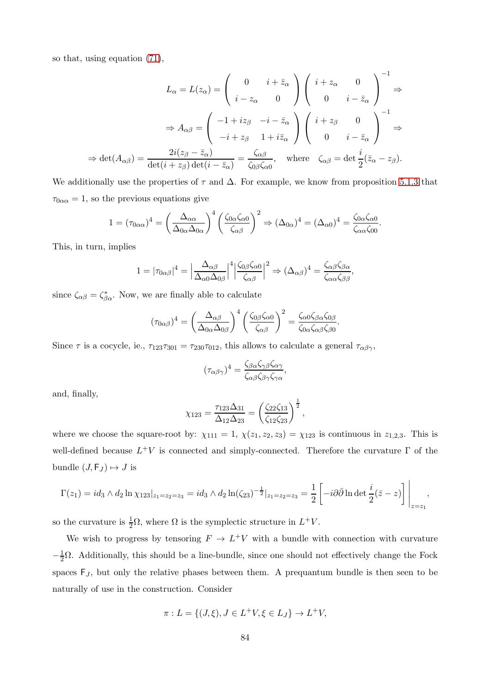so that, using equation [\(71\)](#page-80-0),

$$
L_{\alpha} = L(z_{\alpha}) = \begin{pmatrix} 0 & i + \bar{z}_{\alpha} \\ i - z_{\alpha} & 0 \end{pmatrix} \begin{pmatrix} i + z_{\alpha} & 0 \\ 0 & i - \bar{z}_{\alpha} \end{pmatrix}^{-1} \Rightarrow
$$

$$
\Rightarrow A_{\alpha\beta} = \begin{pmatrix} -1 + iz_{\beta} & -i - \bar{z}_{\alpha} \\ -i + z_{\beta} & 1 + i\bar{z}_{\alpha} \end{pmatrix} \begin{pmatrix} i + z_{\beta} & 0 \\ 0 & i - \bar{z}_{\alpha} \end{pmatrix}^{-1} \Rightarrow
$$

$$
\Rightarrow \det(A_{\alpha\beta}) = \frac{2i(z_{\beta} - \bar{z}_{\alpha})}{\det(i + z_{\beta})\det(i - \bar{z}_{\alpha})} = \frac{\zeta_{\alpha\beta}}{\zeta_{0\beta}\zeta_{\alpha 0}}, \text{ where } \zeta_{\alpha\beta} = \det \frac{i}{2}(\bar{z}_{\alpha} - z_{\beta}).
$$

We additionally use the properties of  $\tau$  and  $\Delta$ . For example, we know from proposition [5.1.3](#page-77-0) that  $\tau_{0\alpha\alpha} = 1$ , so the previous equations give

$$
1 = (\tau_{0\alpha\alpha})^4 = \left(\frac{\Delta_{\alpha\alpha}}{\Delta_{0\alpha}\Delta_{0\alpha}}\right)^4 \left(\frac{\zeta_{0\alpha}\zeta_{\alpha0}}{\zeta_{\alpha\beta}}\right)^2 \Rightarrow (\Delta_{0\alpha})^4 = (\Delta_{\alpha 0})^4 = \frac{\zeta_{0\alpha}\zeta_{\alpha0}}{\zeta_{\alpha\alpha}\zeta_{00}}.
$$

This, in turn, implies

$$
1 = |\tau_{0\alpha\beta}|^4 = \left|\frac{\Delta_{\alpha\beta}}{\Delta_{\alpha 0} \Delta_{0\beta}}\right|^4 \left|\frac{\zeta_{0\beta} \zeta_{\alpha 0}}{\zeta_{\alpha \beta}}\right|^2 \Rightarrow (\Delta_{\alpha\beta})^4 = \frac{\zeta_{\alpha\beta} \zeta_{\beta\alpha}}{\zeta_{\alpha\alpha} \zeta_{\beta\beta}},
$$

since  $\zeta_{\alpha\beta} = \zeta_{\beta\alpha}^*$ . Now, we are finally able to calculate

$$
(\tau_{0\alpha\beta})^4 = \left(\frac{\Delta_{\alpha\beta}}{\Delta_{0\alpha}\Delta_{0\beta}}\right)^4 \left(\frac{\zeta_{0\beta}\zeta_{\alpha0}}{\zeta_{\alpha\beta}}\right)^2 = \frac{\zeta_{\alpha0}\zeta_{\beta\alpha}\zeta_{0\beta}}{\zeta_{0\alpha}\zeta_{\alpha\beta}\zeta_{\beta0}}.
$$

Since  $\tau$  is a cocycle, ie.,  $\tau_{123}\tau_{301} = \tau_{230}\tau_{012}$ , this allows to calculate a general  $\tau_{\alpha\beta\gamma}$ ,

$$
(\tau_{\alpha\beta\gamma})^4 = \frac{\zeta_{\beta\alpha}\zeta_{\gamma\beta}\zeta_{\alpha\gamma}}{\zeta_{\alpha\beta}\zeta_{\beta\gamma}\zeta_{\gamma\alpha}},
$$

and, finally,

$$
\chi_{123} = \frac{\tau_{123}\Delta_{31}}{\Delta_{12}\Delta_{23}} = \left(\frac{\zeta_{22}\zeta_{13}}{\zeta_{12}\zeta_{23}}\right)^{\frac{1}{2}},
$$

where we choose the square-root by:  $\chi_{111} = 1$ ,  $\chi(z_1, z_2, z_3) = \chi_{123}$  is continuous in  $z_{1,2,3}$ . This is well-defined because  $L^+V$  is connected and simply-connected. Therefore the curvature  $\Gamma$  of the bundle  $(J, F_J) \mapsto J$  is

$$
\Gamma(z_1) = id_3 \wedge d_2 \ln \chi_{123}|_{z_1 = z_2 = z_3} = id_3 \wedge d_2 \ln(\zeta_{23})^{-\frac{1}{2}}|_{z_1 = z_2 = z_3} = \frac{1}{2} \left[ -i \partial \bar{\partial} \ln \det \frac{i}{2} (\bar{z} - z) \right] \Big|_{z = z_1},
$$

so the curvature is  $\frac{1}{2}\Omega$ , where  $\Omega$  is the symplectic structure in  $L^+V$ .

We wish to progress by tensoring  $F \to L^+V$  with a bundle with connection with curvature  $-\frac{1}{2}\Omega$ . Additionally, this should be a line-bundle, since one should not effectively change the Fock spaces  $F_J$ , but only the relative phases between them. A prequantum bundle is then seen to be naturally of use in the construction. Consider

$$
\pi: L = \{ (J, \xi), J \in L^{+}V, \xi \in L_J \} \to L^{+}V,
$$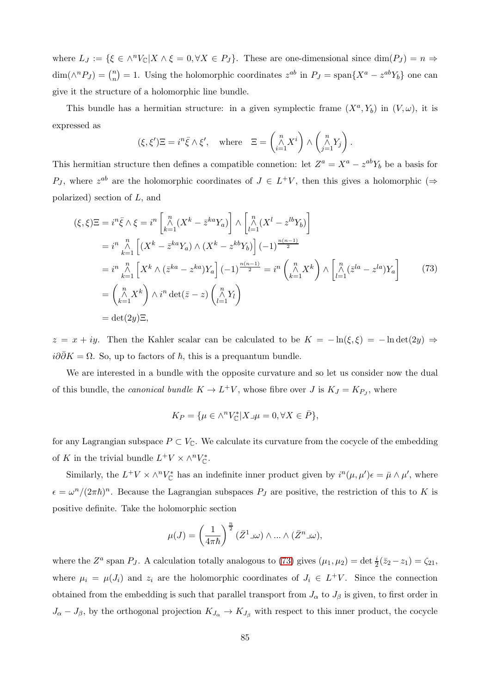where  $L_J := \{ \xi \in \wedge^n V_{\mathbb{C}} | X \wedge \xi = 0, \forall X \in P_J \}.$  These are one-dimensional since  $\dim(P_J) = n \Rightarrow$  $\dim(\wedge^n P_J) = \binom{n}{n}$  $n(n) = 1$ . Using the holomorphic coordinates  $z^{ab}$  in  $P_J = \text{span}\{X^a - z^{ab}Y_b\}$  one can give it the structure of a holomorphic line bundle.

This bundle has a hermitian structure: in a given symplectic frame  $(X^a, Y_b)$  in  $(V, \omega)$ , it is expressed as

$$
(\xi, \xi') \Xi = i^n \overline{\xi} \wedge \xi', \quad \text{where} \quad \Xi = \begin{pmatrix} n \\ \wedge X^i \\ i=1 \end{pmatrix} \wedge \begin{pmatrix} n \\ \wedge Y_j \\ j=1 \end{pmatrix}.
$$

This hermitian structure then defines a compatible connetion: let  $Z^a = X^a - z^{ab}Y_b$  be a basis for P<sub>J</sub>, where  $z^{ab}$  are the holomorphic coordinates of  $J \in L^{+}V$ , then this gives a holomorphic ( $\Rightarrow$ polarized) section of L, and

<span id="page-84-0"></span>
$$
(\xi, \xi)\Xi = i^n \bar{\xi} \wedge \xi = i^n \begin{bmatrix} \stackrel{n}{\wedge} (X^k - \bar{z}^{ka} Y_a) \\ \stackrel{\ell}{\wedge} (X^l - z^{lb} Y_b) \end{bmatrix}
$$
  
\n
$$
= i^n \stackrel{n}{\wedge} \begin{bmatrix} \stackrel{n}{\wedge} \left[ (X^k - \bar{z}^{ka} Y_a) \wedge (X^k - z^{kb} Y_b) \right] (-1)^{\frac{n(n-1)}{2}}
$$
  
\n
$$
= i^n \stackrel{n}{\wedge} \begin{bmatrix} \stackrel{n}{\wedge} (X^k \wedge (\bar{z}^{ka} - z^{ka}) Y_a \end{bmatrix} (-1)^{\frac{n(n-1)}{2}} = i^n \begin{bmatrix} \stackrel{n}{\wedge} X^k \\ \stackrel{\ell}{\wedge} 1 \end{bmatrix} \wedge \begin{bmatrix} \stackrel{n}{\wedge} (\bar{z}^{la} - z^{la}) Y_a \end{bmatrix}
$$
  
\n
$$
= \begin{bmatrix} \stackrel{n}{\wedge} X^k \\ \stackrel{\ell}{\wedge} 1 \end{bmatrix} \wedge i^n \det(\bar{z} - z) \begin{bmatrix} \stackrel{n}{\wedge} Y_l \\ \stackrel{\ell}{\wedge} 1 \end{bmatrix}
$$
  
\n
$$
= \det(2y)\Xi,
$$
 (73)

 $z = x + iy$ . Then the Kahler scalar can be calculated to be  $K = -\ln(\xi, \xi) = -\ln \det(2y) \Rightarrow$  $i\partial\bar{\partial}K = \Omega$ . So, up to factors of  $\hbar$ , this is a prequantum bundle.

We are interested in a bundle with the opposite curvature and so let us consider now the dual of this bundle, the *canonical bundle*  $K \to L^+V$ , whose fibre over J is  $K_J = K_{P_J}$ , where

$$
K_P = \{ \mu \in \wedge^n V_{\mathbb{C}}^* | X \lrcorner \mu = 0, \forall X \in \bar{P} \},\
$$

for any Lagrangian subspace  $P \subset V_{\mathbb{C}}$ . We calculate its curvature from the cocycle of the embedding of K in the trivial bundle  $L^+V \times \wedge^n V^*_{\mathbb{C}}$ .

Similarly, the  $L^+V \times \wedge^n V^*_{\mathbb{C}}$  has an indefinite inner product given by  $i^n(\mu, \mu')\epsilon = \bar{\mu} \wedge \mu'$ , where  $\epsilon = \omega^n/(2\pi\hbar)^n$ . Because the Lagrangian subspaces  $P_J$  are positive, the restriction of this to K is positive definite. Take the holomorphic section

$$
\mu(J)=\left(\frac{1}{4\pi\hbar}\right)^{\frac{n}{2}}(\bar{Z}^1\lrcorner\omega)\wedge\ldots\wedge(\bar{Z}^n\lrcorner\omega),
$$

where the  $Z^a$  span  $P_J$ . A calculation totally analogous to [\(73\)](#page-84-0) gives  $(\mu_1, \mu_2) = \det \frac{i}{2}(\bar{z}_2 - z_1) = \zeta_{21}$ , where  $\mu_i = \mu(J_i)$  and  $z_i$  are the holomorphic coordinates of  $J_i \in L^+V$ . Since the connection obtained from the embedding is such that parallel transport from  $J_{\alpha}$  to  $J_{\beta}$  is given, to first order in  $J_{\alpha} - J_{\beta}$ , by the orthogonal projection  $K_{J_{\alpha}} \to K_{J_{\beta}}$  with respect to this inner product, the cocycle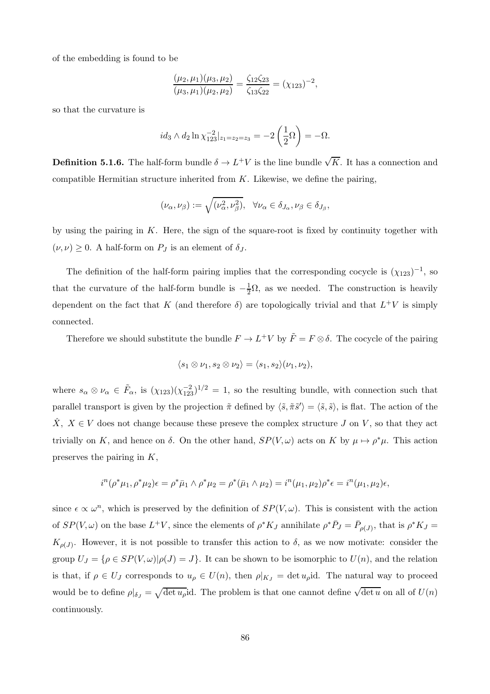of the embedding is found to be

$$
\frac{(\mu_2, \mu_1)(\mu_3, \mu_2)}{(\mu_3, \mu_1)(\mu_2, \mu_2)} = \frac{\zeta_{12}\zeta_{23}}{\zeta_{13}\zeta_{22}} = (\chi_{123})^{-2},
$$

so that the curvature is

$$
id_3 \wedge d_2 \ln \chi_{123}^{-2} |_{z_1 = z_2 = z_3} = -2 \left(\frac{1}{2}\Omega\right) = -\Omega.
$$

**Definition 5.1.6.** The half-form bundle  $\delta \to L^+V$  is the line bundle  $\sqrt{K}$ . It has a connection and compatible Hermitian structure inherited from  $K$ . Likewise, we define the pairing,

$$
(\nu_\alpha,\nu_\beta):=\sqrt{(\nu_\alpha^2,\nu_\beta^2)},\ \ \forall \nu_\alpha\in\delta_{J_\alpha},\nu_\beta\in\delta_{J_\beta},
$$

by using the pairing in K. Here, the sign of the square-root is fixed by continuity together with  $(\nu, \nu) \geq 0$ . A half-form on  $P_J$  is an element of  $\delta_J$ .

The definition of the half-form pairing implies that the corresponding cocycle is  $(\chi_{123})^{-1}$ , so that the curvature of the half-form bundle is  $-\frac{1}{2}\Omega$ , as we needed. The construction is heavily dependent on the fact that K (and therefore  $\delta$ ) are topologically trivial and that  $L^+V$  is simply connected.

Therefore we should substitute the bundle  $F \to L^+V$  by  $\tilde{F} = F \otimes \delta$ . The cocycle of the pairing

$$
\langle s_1 \otimes \nu_1, s_2 \otimes \nu_2 \rangle = \langle s_1, s_2 \rangle (\nu_1, \nu_2),
$$

where  $s_{\alpha} \otimes \nu_{\alpha} \in \tilde{F}_{\alpha}$ , is  $(\chi_{123})(\chi_{123}^{-2})^{1/2} = 1$ , so the resulting bundle, with connection such that parallel transport is given by the projection  $\tilde{\pi}$  defined by  $\langle \tilde{s}, \tilde{\pi} \tilde{s}' \rangle = \langle \tilde{s}, \tilde{s} \rangle$ , is flat. The action of the  $\hat{X}, X \in V$  does not change because these preseve the complex structure J on V, so that they act trivially on K, and hence on  $\delta$ . On the other hand,  $SP(V, \omega)$  acts on K by  $\mu \mapsto \rho^* \mu$ . This action preserves the pairing in  $K$ ,

$$
i^{n}(\rho^{*}\mu_{1}, \rho^{*}\mu_{2})\epsilon = \rho^{*}\bar{\mu}_{1} \wedge \rho^{*}\mu_{2} = \rho^{*}(\bar{\mu}_{1} \wedge \mu_{2}) = i^{n}(\mu_{1}, \mu_{2})\rho^{*}\epsilon = i^{n}(\mu_{1}, \mu_{2})\epsilon,
$$

since  $\epsilon \propto \omega^n$ , which is preserved by the definition of  $SP(V, \omega)$ . This is consistent with the action of  $SP(V, \omega)$  on the base  $L^+V$ , since the elements of  $\rho^*K_J$  annihilate  $\rho^*\bar{P}_J = \bar{P}_{\rho(J)}$ , that is  $\rho^*K_J =$  $K_{\rho(J)}$ . However, it is not possible to transfer this action to  $\delta$ , as we now motivate: consider the group  $U_J = \{ \rho \in SP(V, \omega) | \rho(J) = J \}.$  It can be shown to be isomorphic to  $U(n)$ , and the relation is that, if  $\rho \in U_J$  corresponds to  $u_\rho \in U(n)$ , then  $\rho|_{K_J} = \det u_\rho$ id. The natural way to proceed would be to define  $\rho|_{\delta J} = \sqrt{\det u_{\rho}}$  id. The problem is that one cannot define  $\sqrt{\det u}$  on all of  $U(n)$ continuously.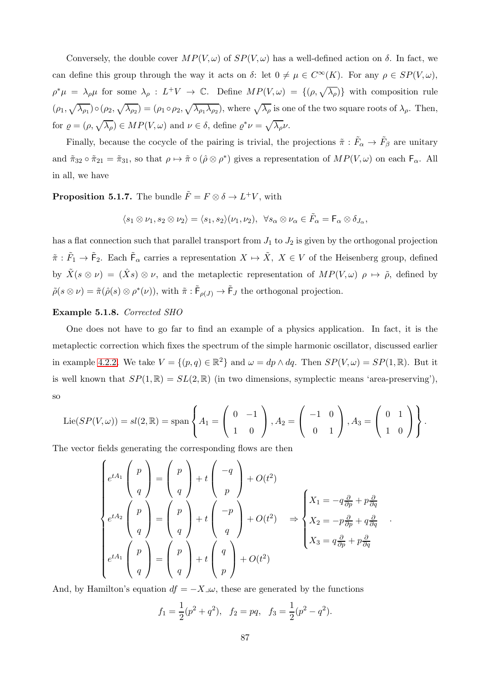Conversely, the double cover  $MP(V, \omega)$  of  $SP(V, \omega)$  has a well-defined action on  $\delta$ . In fact, we can define this group through the way it acts on  $\delta$ : let  $0 \neq \mu \in C^{\infty}(K)$ . For any  $\rho \in SP(V, \omega)$ ,  $\rho^*\mu = \lambda_\rho \mu$  for some  $\lambda_\rho : L^+V \to \mathbb{C}$ . Define  $MP(V, \omega) = \{(\rho, \sqrt{\lambda_\rho})\}$  with composition rule  $(\rho_1, \sqrt{\lambda_{\rho_1}}) \circ (\rho_2, \sqrt{\lambda_{\rho_2}}) = (\rho_1 \circ \rho_2, \sqrt{\lambda_{\rho_1} \lambda_{\rho_2}})$ , where  $\sqrt{\lambda_{\rho}}$  is one of the two square roots of  $\lambda_{\rho}$ . Then, for  $\varrho = (\rho, \sqrt{\lambda_\rho}) \in MP(V, \omega)$  and  $\nu \in \delta$ , define  $\varrho^* \nu = \sqrt{\lambda_\rho} \nu$ .

Finally, because the cocycle of the pairing is trivial, the projections  $\tilde{\pi}$ :  $\tilde{F}_{\alpha} \to \tilde{F}_{\beta}$  are unitary and  $\tilde{\pi}_{32} \circ \tilde{\pi}_{21} = \tilde{\pi}_{31}$ , so that  $\rho \mapsto \tilde{\pi} \circ (\hat{\rho} \otimes \rho^*)$  gives a representation of  $MP(V, \omega)$  on each  $\mathsf{F}_{\alpha}$ . All in all, we have

**Proposition 5.1.7.** The bundle  $\tilde{F} = F \otimes \delta \to L^{+}V$ , with

$$
\langle s_1\otimes \nu_1, s_2\otimes \nu_2\rangle=\langle s_1, s_2\rangle (\nu_1, \nu_2), \ \ \forall s_\alpha\otimes \nu_\alpha\in \tilde{F}_\alpha={\sf F}_\alpha\otimes \delta_{J_\alpha},
$$

has a flat connection such that parallel transport from  $J_1$  to  $J_2$  is given by the orthogonal projection  $\tilde{\pi}: \tilde{F}_1 \to \tilde{F}_2$ . Each  $\tilde{F}_{\alpha}$  carries a representation  $X \mapsto \tilde{X}$ ,  $X \in V$  of the Heisenberg group, defined by  $\tilde{X}(s \otimes \nu) = (\hat{X}s) \otimes \nu$ , and the metaplectic representation of  $MP(V, \omega)$   $\rho \mapsto \tilde{\rho}$ , defined by  $\tilde{\rho}(s\otimes \nu) = \tilde{\pi}(\hat{\rho}(s)\otimes \rho^*(\nu)),$  with  $\tilde{\pi}: \tilde{\mathsf{F}}_{\rho(J)} \to \tilde{\mathsf{F}}_J$  the orthogonal projection.

## Example 5.1.8. Corrected SHO

One does not have to go far to find an example of a physics application. In fact, it is the metaplectic correction which fixes the spectrum of the simple harmonic oscillator, discussed earlier in example [4.2.2.](#page-73-0) We take  $V = \{(p, q) \in \mathbb{R}^2\}$  and  $\omega = dp \wedge dq$ . Then  $SP(V, \omega) = SP(1, \mathbb{R})$ . But it is well known that  $SP(1, \mathbb{R}) = SL(2, \mathbb{R})$  (in two dimensions, symplectic means 'area-preserving'), so

$$
Lie(SP(V,\omega)) = sl(2,\mathbb{R}) = span \left\{ A_1 = \begin{pmatrix} 0 & -1 \\ 1 & 0 \end{pmatrix}, A_2 = \begin{pmatrix} -1 & 0 \\ 0 & 1 \end{pmatrix}, A_3 = \begin{pmatrix} 0 & 1 \\ 1 & 0 \end{pmatrix} \right\}.
$$

The vector fields generating the corresponding flows are then

$$
\begin{cases}\ne^{tA_1} \begin{pmatrix} p \\ q \end{pmatrix} = \begin{pmatrix} p \\ q \end{pmatrix} + t \begin{pmatrix} -q \\ p \end{pmatrix} + O(t^2) \\
e^{tA_2} \begin{pmatrix} p \\ q \end{pmatrix} = \begin{pmatrix} p \\ q \end{pmatrix} + t \begin{pmatrix} -p \\ q \end{pmatrix} + O(t^2) \\
e^{tA_2} \begin{pmatrix} p \\ q \end{pmatrix} = \begin{pmatrix} p \\ q \end{pmatrix} + t \begin{pmatrix} -p \\ q \end{pmatrix} + O(t^2) \Rightarrow\n\begin{cases}\nX_1 = -q\frac{\partial}{\partial p} + p\frac{\partial}{\partial q} \\
X_2 = -p\frac{\partial}{\partial p} + q\frac{\partial}{\partial q} \\
X_3 = q\frac{\partial}{\partial p} + p\frac{\partial}{\partial q}\n\end{cases}\n\end{cases}
$$

.

And, by Hamilton's equation  $df = -X\Box\omega$ , these are generated by the functions

$$
f_1 = \frac{1}{2}(p^2 + q^2), \quad f_2 = pq, \quad f_3 = \frac{1}{2}(p^2 - q^2).
$$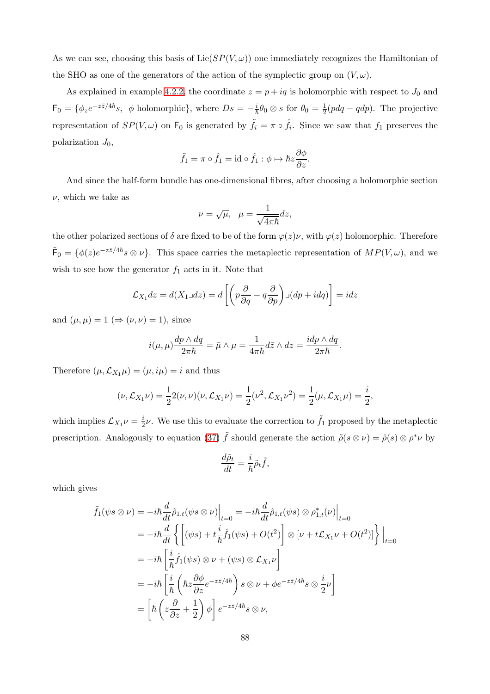As we can see, choosing this basis of  $Lie(SP(V, \omega))$  one immediately recognizes the Hamiltonian of the SHO as one of the generators of the action of the symplectic group on  $(V, \omega)$ .

As explained in example [4.2.2,](#page-73-0) the coordinate  $z = p + iq$  is holomorphic with respect to  $J_0$  and  $\mathsf{F}_0 = \{\phi_z e^{-z\bar{z}/4\hbar} s, \phi \text{ holomorphic}\}, \text{ where } Ds = -\frac{i}{\hbar} \theta_0 \otimes s \text{ for } \theta_0 = \frac{1}{2}$  $\frac{1}{2}(pdq - qdp)$ . The projective representation of  $SP(V, \omega)$  on  $\mathsf{F}_0$  is generated by  $\tilde{f}_i = \pi \circ \hat{f}_i$ . Since we saw that  $f_1$  preserves the polarization  $J_0$ ,

$$
\tilde{f}_1 = \pi \circ \hat{f}_1 = \text{id} \circ \hat{f}_1 : \phi \mapsto \hbar z \frac{\partial \phi}{\partial z}.
$$

And since the half-form bundle has one-dimensional fibres, after choosing a holomorphic section  $\nu$ , which we take as

$$
\nu=\sqrt{\mu},\ \ \mu=\frac{1}{\sqrt{4\pi\hbar}}dz,
$$

the other polarized sections of  $\delta$  are fixed to be of the form  $\varphi(z)\nu$ , with  $\varphi(z)$  holomorphic. Therefore  $\tilde{\mathsf{F}}_0 = \{\phi(z)e^{-z\bar{z}/4\hbar} s\otimes \nu\}.$  This space carries the metaplectic representation of  $MP(V,\omega)$ , and we wish to see how the generator  $f_1$  acts in it. Note that

$$
\mathcal{L}_{X_1} dz = d(X_1 \lrcorner dz) = d\left[ \left( p \frac{\partial}{\partial q} - q \frac{\partial}{\partial p} \right) \lrcorner (dp + idq) \right] = idz
$$

and  $(\mu, \mu) = 1 \ (\Rightarrow (\nu, \nu) = 1)$ , since

$$
i(\mu,\mu)\frac{dp \wedge dq}{2\pi\hbar} = \bar{\mu} \wedge \mu = \frac{1}{4\pi\hbar} d\bar{z} \wedge dz = \frac{idp \wedge dq}{2\pi\hbar}.
$$

Therefore  $(\mu, \mathcal{L}_{X_1} \mu) = (\mu, i\mu) = i$  and thus

$$
(\nu, \mathcal{L}_{X_1}\nu) = \frac{1}{2}2(\nu, \nu)(\nu, \mathcal{L}_{X_1}\nu) = \frac{1}{2}(\nu^2, \mathcal{L}_{X_1}\nu^2) = \frac{1}{2}(\mu, \mathcal{L}_{X_1}\mu) = \frac{i}{2},
$$

which implies  $\mathcal{L}_{X_1} \nu = \frac{i}{2}$  $\frac{i}{2}\nu$ . We use this to evaluate the correction to  $\tilde{f}_1$  proposed by the metaplectic prescription. Analogously to equation [\(37\)](#page-39-1)  $\tilde{f}$  should generate the action  $\tilde{\rho}(s \otimes \nu) = \hat{\rho}(s) \otimes \rho^* \nu$  by

$$
\frac{d\tilde{\rho}_t}{dt} = \frac{i}{\hbar} \tilde{\rho}_t \tilde{f},
$$

which gives

$$
\tilde{f}_1(\psi s \otimes \nu) = -i\hbar \frac{d}{dt} \tilde{\rho}_{1,t}(\psi s \otimes \nu) \Big|_{t=0} = -i\hbar \frac{d}{dt} \hat{\rho}_{1,t}(\psi s) \otimes \rho_{1,t}^*(\nu) \Big|_{t=0}
$$
\n
$$
= -i\hbar \frac{d}{dt} \left\{ \left[ (\psi s) + t \frac{i}{\hbar} \hat{f}_1(\psi s) + O(t^2) \right] \otimes [\nu + t \mathcal{L}_{X_1} \nu + O(t^2)] \right\} \Big|_{t=0}
$$
\n
$$
= -i\hbar \left[ \frac{i}{\hbar} \hat{f}_1(\psi s) \otimes \nu + (\psi s) \otimes \mathcal{L}_{X_1} \nu \right]
$$
\n
$$
= -i\hbar \left[ \frac{i}{\hbar} \left( \hbar z \frac{\partial \phi}{\partial z} e^{-z\bar{z}/4\hbar} \right) s \otimes \nu + \phi e^{-z\bar{z}/4\hbar} s \otimes \frac{i}{2} \nu \right]
$$
\n
$$
= \left[ \hbar \left( z \frac{\partial}{\partial z} + \frac{1}{2} \right) \phi \right] e^{-z\bar{z}/4\hbar} s \otimes \nu,
$$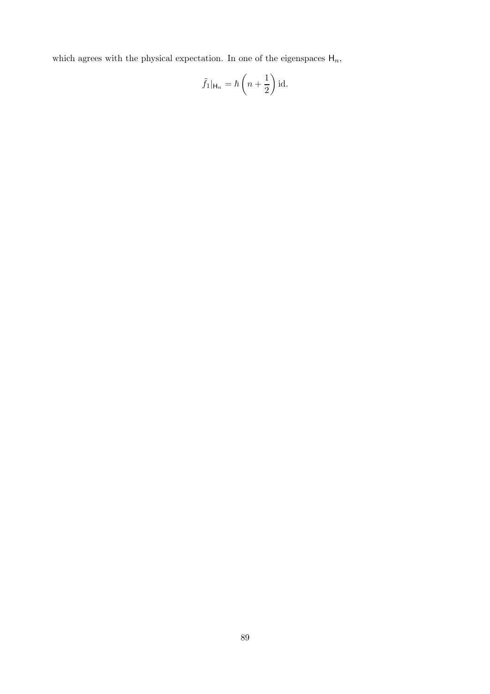which agrees with the physical expectation. In one of the eigenspaces  $H_n$ ,

$$
\tilde{f}_1|_{\mathsf{H}_n} = \hbar \left( n + \frac{1}{2} \right) \mathrm{id}.
$$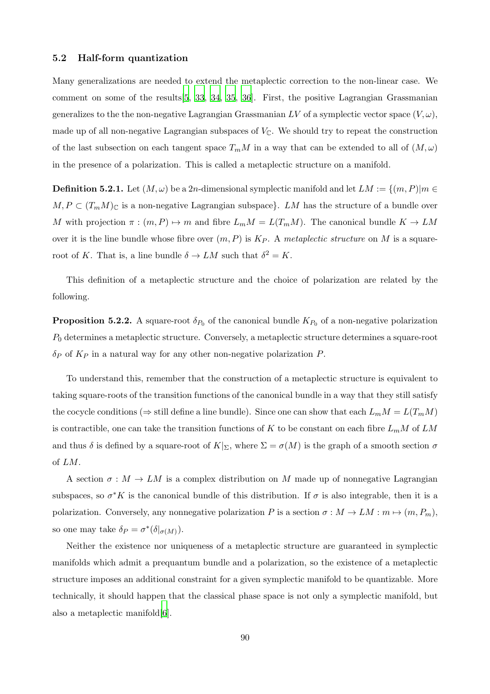#### 5.2 Half-form quantization

Many generalizations are needed to extend the metaplectic correction to the non-linear case. We comment on some of the results[\[5](#page-96-0), [33](#page-97-3), [34](#page-98-0), [35,](#page-98-1) [36\]](#page-98-2). First, the positive Lagrangian Grassmanian generalizes to the the non-negative Lagrangian Grassmanian LV of a symplectic vector space  $(V, \omega)$ , made up of all non-negative Lagrangian subspaces of  $V_{\mathbb{C}}$ . We should try to repeat the construction of the last subsection on each tangent space  $T_mM$  in a way that can be extended to all of  $(M, \omega)$ in the presence of a polarization. This is called a metaplectic structure on a manifold.

**Definition 5.2.1.** Let  $(M, \omega)$  be a 2n-dimensional symplectic manifold and let  $LM := \{(m, P) | m \in$  $M, P \subset (T_m M)_{\mathbb{C}}$  is a non-negative Lagrangian subspace}. LM has the structure of a bundle over M with projection  $\pi : (m, P) \mapsto m$  and fibre  $L_m M = L(T_m M)$ . The canonical bundle  $K \to LM$ over it is the line bundle whose fibre over  $(m, P)$  is  $K_P$ . A metaplectic structure on M is a squareroot of K. That is, a line bundle  $\delta \to LM$  such that  $\delta^2 = K$ .

This definition of a metaplectic structure and the choice of polarization are related by the following.

**Proposition 5.2.2.** A square-root  $\delta_{P_0}$  of the canonical bundle  $K_{P_0}$  of a non-negative polarization  $P_0$  determines a metaplectic structure. Conversely, a metaplectic structure determines a square-root  $\delta_P$  of  $K_P$  in a natural way for any other non-negative polarization P.

To understand this, remember that the construction of a metaplectic structure is equivalent to taking square-roots of the transition functions of the canonical bundle in a way that they still satisfy the cocycle conditions ( $\Rightarrow$  still define a line bundle). Since one can show that each  $L_mM = L(T_mM)$ is contractible, one can take the transition functions of K to be constant on each fibre  $L_mM$  of  $LM$ and thus  $\delta$  is defined by a square-root of  $K|_{\Sigma}$ , where  $\Sigma = \sigma(M)$  is the graph of a smooth section  $\sigma$ of LM.

A section  $\sigma : M \to LM$  is a complex distribution on M made up of nonnegative Lagrangian subspaces, so  $\sigma^* K$  is the canonical bundle of this distribution. If  $\sigma$  is also integrable, then it is a polarization. Conversely, any nonnegative polarization P is a section  $\sigma : M \to LM : m \mapsto (m, P_m)$ , so one may take  $\delta_P = \sigma^*(\delta|_{\sigma(M)})$ .

Neither the existence nor uniqueness of a metaplectic structure are guaranteed in symplectic manifolds which admit a prequantum bundle and a polarization, so the existence of a metaplectic structure imposes an additional constraint for a given symplectic manifold to be quantizable. More technically, it should happen that the classical phase space is not only a symplectic manifold, but also a metaplectic manifold[\[6\]](#page-96-1).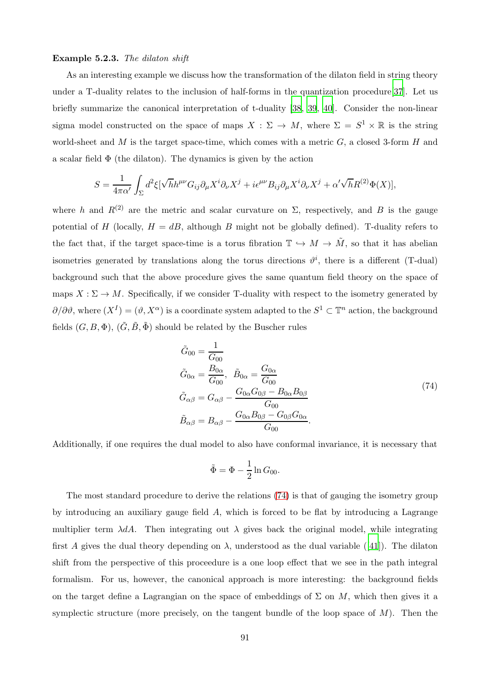## Example 5.2.3. The dilaton shift

As an interesting example we discuss how the transformation of the dilaton field in string theory under a T-duality relates to the inclusion of half-forms in the quantization procedure[\[37](#page-98-3)]. Let us briefly summarize the canonical interpretation of t-duality [\[38](#page-98-4), [39,](#page-98-5) [40\]](#page-98-6). Consider the non-linear sigma model constructed on the space of maps  $X : \Sigma \to M$ , where  $\Sigma = S^1 \times \mathbb{R}$  is the string world-sheet and  $M$  is the target space-time, which comes with a metric  $G$ , a closed 3-form  $H$  and a scalar field  $\Phi$  (the dilaton). The dynamics is given by the action

$$
S = \frac{1}{4\pi\alpha'} \int_{\Sigma} d^2\xi [\sqrt{h}h^{\mu\nu}G_{ij}\partial_{\mu}X^i\partial_{\nu}X^j + i\epsilon^{\mu\nu}B_{ij}\partial_{\mu}X^i\partial_{\nu}X^j + \alpha'\sqrt{h}R^{(2)}\Phi(X)],
$$

where h and  $R^{(2)}$  are the metric and scalar curvature on  $\Sigma$ , respectively, and B is the gauge potential of H (locally,  $H = dB$ , although B might not be globally defined). T-duality refers to the fact that, if the target space-time is a torus fibration  $\mathbb{T} \hookrightarrow M \to \tilde{M}$ , so that it has abelian isometries generated by translations along the torus directions  $\vartheta^i$ , there is a different (T-dual) background such that the above procedure gives the same quantum field theory on the space of maps  $X : \Sigma \to M$ . Specifically, if we consider T-duality with respect to the isometry generated by  $\partial/\partial\theta$ , where  $(X^I) = (\theta, X^{\alpha})$  is a coordinate system adapted to the  $S^1 \subset \mathbb{T}^n$  action, the background fields  $(G, B, \Phi)$ ,  $(\tilde{G}, \tilde{B}, \tilde{\Phi})$  should be related by the Buscher rules

$$
\tilde{G}_{00} = \frac{1}{G_{00}}\n\tilde{G}_{0\alpha} = \frac{B_{0\alpha}}{G_{00}}, \quad \tilde{B}_{0\alpha} = \frac{G_{0\alpha}}{G_{00}}\n\tilde{G}_{\alpha\beta} = G_{\alpha\beta} - \frac{G_{0\alpha}G_{0\beta} - B_{0\alpha}B_{0\beta}}{G_{00}}\n\tilde{B}_{\alpha\beta} = B_{\alpha\beta} - \frac{G_{0\alpha}B_{0\beta} - G_{0\beta}G_{0\alpha}}{G_{00}}.
$$
\n(74)

<span id="page-90-0"></span>Additionally, if one requires the dual model to also have conformal invariance, it is necessary that

$$
\tilde{\Phi} = \Phi - \frac{1}{2} \ln G_{00}.
$$

The most standard procedure to derive the relations [\(74\)](#page-90-0) is that of gauging the isometry group by introducing an auxiliary gauge field A, which is forced to be flat by introducing a Lagrange multiplier term  $\lambda dA$ . Then integrating out  $\lambda$  gives back the original model, while integrating firstA gives the dual theory depending on  $\lambda$ , understood as the dual variable ([\[41](#page-98-7)]). The dilaton shift from the perspective of this proceedure is a one loop effect that we see in the path integral formalism. For us, however, the canonical approach is more interesting: the background fields on the target define a Lagrangian on the space of embeddings of  $\Sigma$  on M, which then gives it a symplectic structure (more precisely, on the tangent bundle of the loop space of  $M$ ). Then the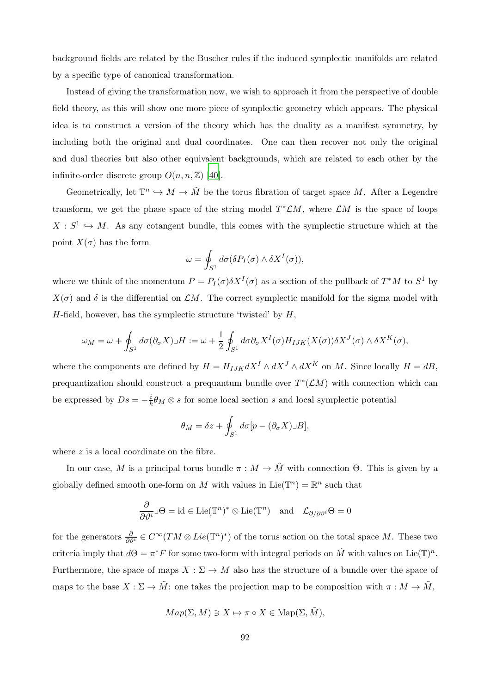background fields are related by the Buscher rules if the induced symplectic manifolds are related by a specific type of canonical transformation.

Instead of giving the transformation now, we wish to approach it from the perspective of double field theory, as this will show one more piece of symplectic geometry which appears. The physical idea is to construct a version of the theory which has the duality as a manifest symmetry, by including both the original and dual coordinates. One can then recover not only the original and dual theories but also other equivalent backgrounds, which are related to each other by the infinite-order discrete group  $O(n, n, \mathbb{Z})$  [\[40\]](#page-98-6).

Geometrically, let  $\mathbb{T}^n \hookrightarrow M \to \tilde{M}$  be the torus fibration of target space M. After a Legendre transform, we get the phase space of the string model  $T^{\ast} \mathcal{L}M$ , where  $\mathcal{L}M$  is the space of loops  $X: S^1 \hookrightarrow M$ . As any cotangent bundle, this comes with the symplectic structure which at the point  $X(\sigma)$  has the form

$$
\omega = \oint_{S^1} d\sigma(\delta P_I(\sigma) \wedge \delta X^I(\sigma)),
$$

where we think of the momentum  $P = P_I(\sigma) \delta X^I(\sigma)$  as a section of the pullback of  $T^*M$  to  $S^1$  by  $X(\sigma)$  and  $\delta$  is the differential on  $\mathcal{L}M$ . The correct symplectic manifold for the sigma model with  $H$ -field, however, has the symplectic structure 'twisted' by  $H$ ,

$$
\omega_M = \omega + \oint_{S^1} d\sigma (\partial_{\sigma} X) \lrcorner H := \omega + \frac{1}{2} \oint_{S^1} d\sigma \partial_{\sigma} X^I(\sigma) H_{IJK}(X(\sigma)) \delta X^J(\sigma) \wedge \delta X^K(\sigma),
$$

where the components are defined by  $H = H_{IJK} dX^I \wedge dX^J \wedge dX^K$  on M. Since locally  $H = dB$ , prequantization should construct a prequantum bundle over  $T^*(\mathcal{L}M)$  with connection which can be expressed by  $Ds = -\frac{i}{\hbar} \theta_M \otimes s$  for some local section s and local symplectic potential

$$
\theta_M = \delta z + \oint_{S^1} d\sigma [p - (\partial_{\sigma} X) \lrcorner B],
$$

where z is a local coordinate on the fibre.

In our case, M is a principal torus bundle  $\pi : M \to \tilde{M}$  with connection  $\Theta$ . This is given by a globally defined smooth one-form on M with values in  $\text{Lie}(\mathbb{T}^n) = \mathbb{R}^n$  such that

$$
\frac{\partial}{\partial \vartheta^i} \lrcorner \Theta = \mathrm{id} \in \mathrm{Lie}(\mathbb{T}^n)^* \otimes \mathrm{Lie}(\mathbb{T}^n) \quad \text{and} \quad \mathcal{L}_{\partial/\partial \vartheta^i} \Theta = 0
$$

for the generators  $\frac{\partial}{\partial \theta^i} \in C^{\infty}(TM \otimes Lie(\mathbb{T}^n)^*)$  of the torus action on the total space M. These two criteria imply that  $d\Theta = \pi^* F$  for some two-form with integral periods on  $\tilde{M}$  with values on Lie(T)<sup>n</sup>. Furthermore, the space of maps  $X : \Sigma \to M$  also has the structure of a bundle over the space of maps to the base  $X : \Sigma \to \tilde{M}$ : one takes the projection map to be composition with  $\pi : M \to \tilde{M}$ ,

$$
Map(\Sigma, M) \ni X \mapsto \pi \circ X \in \text{Map}(\Sigma, \tilde{M}),
$$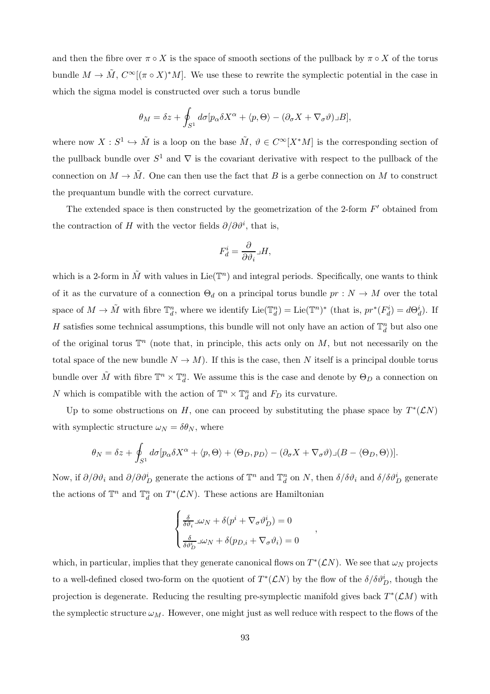and then the fibre over  $\pi \circ X$  is the space of smooth sections of the pullback by  $\pi \circ X$  of the torus bundle  $M \to \tilde{M}$ ,  $C^{\infty}[(\pi \circ X)^*M]$ . We use these to rewrite the symplectic potential in the case in which the sigma model is constructed over such a torus bundle

$$
\theta_M = \delta z + \oint_{S^1} d\sigma [p_\alpha \delta X^\alpha + \langle p, \Theta \rangle - (\partial_\sigma X + \nabla_\sigma \vartheta) \Box B],
$$

where now  $X: S^1 \hookrightarrow \tilde{M}$  is a loop on the base  $\tilde{M}$ ,  $\vartheta \in C^\infty[X^*M]$  is the corresponding section of the pullback bundle over  $S^1$  and  $\nabla$  is the covariant derivative with respect to the pullback of the connection on  $M \to \tilde{M}$ . One can then use the fact that B is a gerbe connection on M to construct the prequantum bundle with the correct curvature.

The extended space is then constructed by the geometrization of the 2-form  $F'$  obtained from the contraction of H with the vector fields  $\partial/\partial\theta^i$ , that is,

$$
F_d^i = \frac{\partial}{\partial \vartheta_i} \lrcorner H,
$$

which is a 2-form in  $\tilde{M}$  with values in Lie( $\mathbb{T}^n$ ) and integral periods. Specifically, one wants to think of it as the curvature of a connection  $\Theta_d$  on a principal torus bundle  $pr : N \to M$  over the total space of  $M \to \tilde{M}$  with fibre  $\mathbb{T}_d^n$ , where we identify  $\text{Lie}(\mathbb{T}_d^n) = \text{Lie}(\mathbb{T}^n)^*$  (that is,  $pr^*(F_d^i) = d\Theta_d^i$ ). If H satisfies some technical assumptions, this bundle will not only have an action of  $\mathbb{T}_d^n$  but also one of the original torus  $\mathbb{T}^n$  (note that, in principle, this acts only on M, but not necessarily on the total space of the new bundle  $N \to M$ ). If this is the case, then N itself is a principal double torus bundle over  $\tilde{M}$  with fibre  $\mathbb{T}^n \times \mathbb{T}_d^n$ . We assume this is the case and denote by  $\Theta_D$  a connection on N which is compatible with the action of  $\mathbb{T}^n \times \mathbb{T}_d^n$  and  $F_D$  its curvature.

Up to some obstructions on H, one can proceed by substituting the phase space by  $T^*(\mathcal{L}N)$ with symplectic structure  $\omega_N = \delta \theta_N$ , where

$$
\theta_N = \delta z + \oint_{S^1} d\sigma [p_\alpha \delta X^\alpha + \langle p, \Theta \rangle + \langle \Theta_D, p_D \rangle - (\partial_\sigma X + \nabla_\sigma \vartheta) \lrcorner (B - \langle \Theta_D, \Theta \rangle)].
$$

Now, if  $\partial/\partial \vartheta_i$  and  $\partial/\partial \vartheta_D^i$  generate the actions of  $\mathbb{T}^n$  and  $\mathbb{T}_d^n$  on N, then  $\delta/\delta \vartheta_i$  and  $\delta/\delta \vartheta_D^i$  generate the actions of  $\mathbb{T}^n$  and  $\mathbb{T}^n_d$  on  $T^*(\mathcal{L}N)$ . These actions are Hamiltonian

$$
\begin{cases} \frac{\delta}{\delta \vartheta_i} \lrcorner \omega_N + \delta(p^i + \nabla_\sigma \vartheta_D^i) = 0\\ \frac{\delta}{\delta \vartheta_D^i} \lrcorner \omega_N + \delta(p_{D,i} + \nabla_\sigma \vartheta_i) = 0 \end{cases}
$$

,

which, in particular, implies that they generate canonical flows on  $T^*(\mathcal{L}N)$ . We see that  $\omega_N$  projects to a well-defined closed two-form on the quotient of  $T^*(\mathcal{L}N)$  by the flow of the  $\delta/\delta\vartheta_D^i$ , though the projection is degenerate. Reducing the resulting pre-symplectic manifold gives back  $T^*(\mathcal{L}M)$  with the symplectic structure  $\omega_M$ . However, one might just as well reduce with respect to the flows of the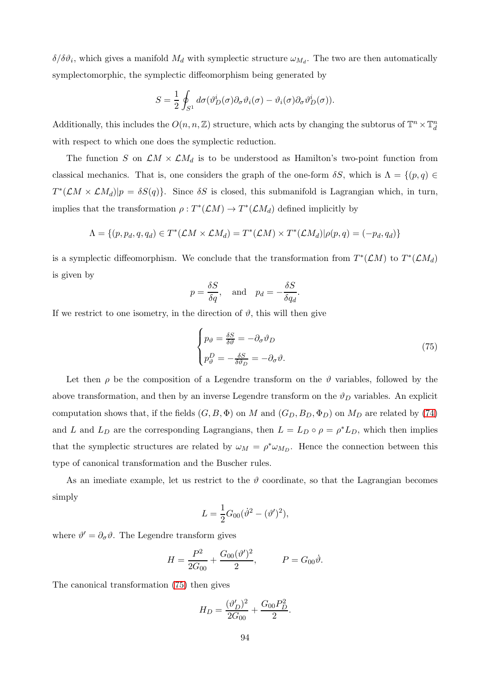$\delta/\delta\vartheta_i$ , which gives a manifold  $M_d$  with symplectic structure  $\omega_{M_d}$ . The two are then automatically symplectomorphic, the symplectic diffeomorphism being generated by

$$
S = \frac{1}{2} \oint_{S^1} d\sigma(\vartheta_D^i(\sigma) \partial_\sigma \vartheta_i(\sigma) - \vartheta_i(\sigma) \partial_\sigma \vartheta_D^i(\sigma)).
$$

Additionally, this includes the  $O(n, n, \mathbb{Z})$  structure, which acts by changing the subtorus of  $\mathbb{T}^n \times \mathbb{T}^n_d$ with respect to which one does the symplectic reduction.

The function S on  $\mathcal{L}M \times \mathcal{L}M_d$  is to be understood as Hamilton's two-point function from classical mechanics. That is, one considers the graph of the one-form  $\delta S$ , which is  $\Lambda = \{(p, q) \in$  $T^*(\mathcal{L}M \times \mathcal{L}M_d)|p = \delta S(q)$ . Since  $\delta S$  is closed, this submanifold is Lagrangian which, in turn, implies that the transformation  $\rho: T^*(\mathcal{L}M) \to T^*(\mathcal{L}M_d)$  defined implicitly by

$$
\Lambda = \{ (p, p_d, q, q_d) \in T^*(\mathcal{L}M \times \mathcal{L}M_d) = T^*(\mathcal{L}M) \times T^*(\mathcal{L}M_d) | \rho(p, q) = (-p_d, q_d) \}
$$

is a symplectic diffeomorphism. We conclude that the transformation from  $T^*(\mathcal{L}M)$  to  $T^*(\mathcal{L}M_d)$ is given by

$$
p = \frac{\delta S}{\delta q}
$$
, and  $p_d = -\frac{\delta S}{\delta q_d}$ .

If we restrict to one isometry, in the direction of  $\vartheta$ , this will then give

<span id="page-93-0"></span>
$$
\begin{cases}\np_{\vartheta} = \frac{\delta S}{\delta \vartheta} = -\partial_{\sigma} \vartheta_D \\
p_{\vartheta}^D = -\frac{\delta S}{\delta \vartheta_D} = -\partial_{\sigma} \vartheta.\n\end{cases} \tag{75}
$$

Let then  $\rho$  be the composition of a Legendre transform on the  $\vartheta$  variables, followed by the above transformation, and then by an inverse Legendre transform on the  $\vartheta_D$  variables. An explicit computation shows that, if the fields  $(G, B, \Phi)$  on M and  $(G_D, B_D, \Phi_D)$  on  $M_D$  are related by [\(74\)](#page-90-0) and L and  $L_D$  are the corresponding Lagrangians, then  $L = L_D \circ \rho = \rho^* L_D$ , which then implies that the symplectic structures are related by  $\omega_M = \rho^* \omega_{M_D}$ . Hence the connection between this type of canonical transformation and the Buscher rules.

As an imediate example, let us restrict to the  $\vartheta$  coordinate, so that the Lagrangian becomes simply

$$
L = \frac{1}{2}G_{00}(\dot{\vartheta}^2 - (\vartheta')^2),
$$

where  $\vartheta' = \partial_{\sigma}\vartheta$ . The Legendre transform gives

$$
H = \frac{P^2}{2G_{00}} + \frac{G_{00}(\vartheta')^2}{2}, \qquad P = G_{00}\dot{\vartheta}.
$$

The canonical transformation [\(75\)](#page-93-0) then gives

$$
H_D = \frac{(\vartheta_D')^2}{2G_{00}} + \frac{G_{00}P_D^2}{2}.
$$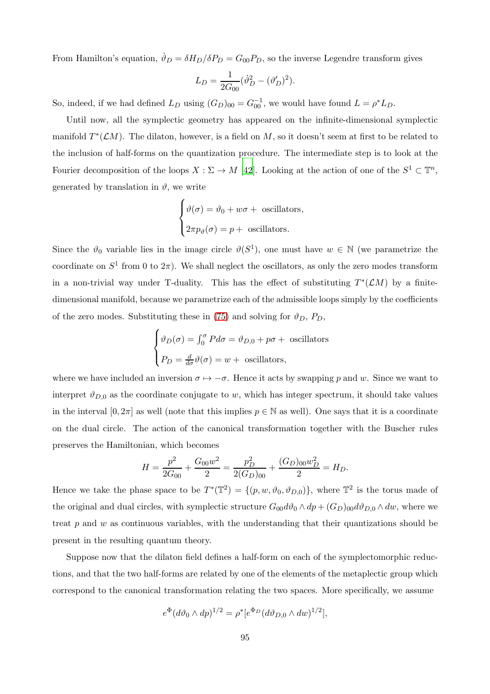From Hamilton's equation,  $\dot{\vartheta}_D = \delta H_D/\delta P_D = G_{00}P_D$ , so the inverse Legendre transform gives

$$
L_D = \frac{1}{2G_{00}} (\dot{\vartheta}_D^2 - (\vartheta'_D)^2).
$$

So, indeed, if we had defined  $L_D$  using  $(G_D)_{00} = G_{00}^{-1}$ , we would have found  $L = \rho^* L_D$ .

Until now, all the symplectic geometry has appeared on the infinite-dimensional symplectic manifold  $T^*(\mathcal{L}M)$ . The dilaton, however, is a field on M, so it doesn't seem at first to be related to the inclusion of half-forms on the quantization procedure. The intermediate step is to look at the Fourier decomposition of the loops  $X : \Sigma \to M$  [\[42\]](#page-98-8). Looking at the action of one of the  $S^1 \subset \mathbb{T}^n$ , generated by translation in  $\vartheta$ , we write

$$
\begin{cases}\n\vartheta(\sigma) = \vartheta_0 + w\sigma + \text{ oscillators}, \\
2\pi p_\vartheta(\sigma) = p + \text{oscillators}.\n\end{cases}
$$

Since the  $\vartheta_0$  variable lies in the image circle  $\vartheta(S^1)$ , one must have  $w \in \mathbb{N}$  (we parametrize the coordinate on  $S^1$  from 0 to  $2\pi$ ). We shall neglect the oscillators, as only the zero modes transform in a non-trivial way under T-duality. This has the effect of substituting  $T^*(\mathcal{L}M)$  by a finitedimensional manifold, because we parametrize each of the admissible loops simply by the coefficients of the zero modes. Substituting these in [\(75\)](#page-93-0) and solving for  $\vartheta_D$ ,  $P_D$ ,

$$
\begin{cases}\n\vartheta_D(\sigma) = \int_0^{\sigma} P d\sigma = \vartheta_{D,0} + p\sigma + \text{ oscillators} \\
P_D = \frac{d}{d\sigma} \vartheta(\sigma) = w + \text{oscillators},\n\end{cases}
$$

where we have included an inversion  $\sigma \mapsto -\sigma$ . Hence it acts by swapping p and w. Since we want to interpret  $\vartheta_{D,0}$  as the coordinate conjugate to w, which has integer spectrum, it should take values in the interval  $[0, 2\pi]$  as well (note that this implies  $p \in \mathbb{N}$  as well). One says that it is a coordinate on the dual circle. The action of the canonical transformation together with the Buscher rules preserves the Hamiltonian, which becomes

$$
H = \frac{p^2}{2G_{00}} + \frac{G_{00}w^2}{2} = \frac{p_D^2}{2(G_D)_{00}} + \frac{(G_D)_{00}w_D^2}{2} = H_D.
$$

Hence we take the phase space to be  $T^*(\mathbb{T}^2) = \{(p, w, \vartheta_0, \vartheta_{D,0})\}$ , where  $\mathbb{T}^2$  is the torus made of the original and dual circles, with symplectic structure  $G_{00}d\vartheta_0 \wedge dp + (G_D)_{00}d\vartheta_{D,0} \wedge dw$ , where we treat  $p$  and  $w$  as continuous variables, with the understanding that their quantizations should be present in the resulting quantum theory.

Suppose now that the dilaton field defines a half-form on each of the symplectomorphic reductions, and that the two half-forms are related by one of the elements of the metaplectic group which correspond to the canonical transformation relating the two spaces. More specifically, we assume

$$
e^{\Phi}(d\vartheta_0 \wedge dp)^{1/2} = \rho^* [e^{\Phi_D}(d\vartheta_{D,0} \wedge dw)^{1/2}],
$$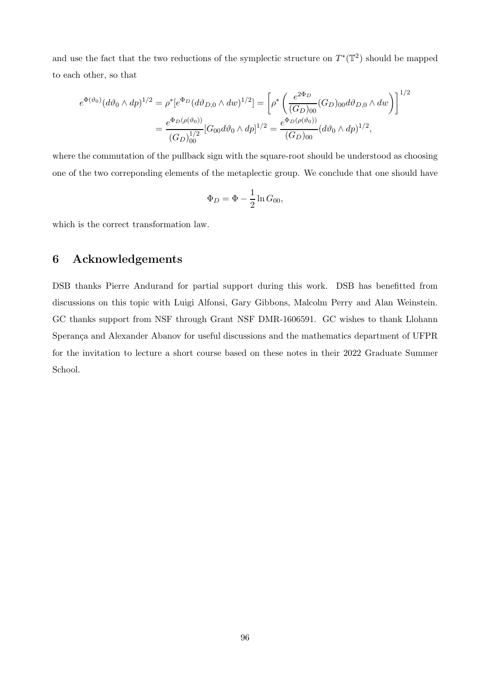and use the fact that the two reductions of the symplectic structure on  $T^*(\mathbb{T}^2)$  should be mapped to each other, so that

$$
e^{\Phi(\vartheta_0)}(d\vartheta_0 \wedge dp)^{1/2} = \rho^*[e^{\Phi_D}(d\vartheta_{D,0} \wedge dw)^{1/2}] = \left[\rho^* \left(\frac{e^{2\Phi_D}}{(G_D)_{00}}(G_D)_{00}d\vartheta_{D,0} \wedge dw\right)\right]^{1/2}
$$

$$
= \frac{e^{\Phi_D(\rho(\vartheta_0))}}{(G_D)_{00}^{1/2}} [G_{00}d\vartheta_0 \wedge dp]^{1/2} = \frac{e^{\Phi_D(\rho(\vartheta_0))}}{(G_D)_{00}} (d\vartheta_0 \wedge dp)^{1/2},
$$

where the commutation of the pullback sign with the square-root should be understood as choosing one of the two correponding elements of the metaplectic group. We conclude that one should have

$$
\Phi_D = \Phi - \frac{1}{2} \ln G_{00},
$$

which is the correct transformation law.

# 6 Acknowledgements

DSB thanks Pierre Andurand for partial support during this work. DSB has benefitted from discussions on this topic with Luigi Alfonsi, Gary Gibbons, Malcolm Perry and Alan Weinstein. GC thanks support from NSF through Grant NSF DMR-1606591. GC wishes to thank Llohann Sperança and Alexander Abanov for useful discussions and the mathematics department of UFPR for the invitation to lecture a short course based on these notes in their 2022 Graduate Summer School.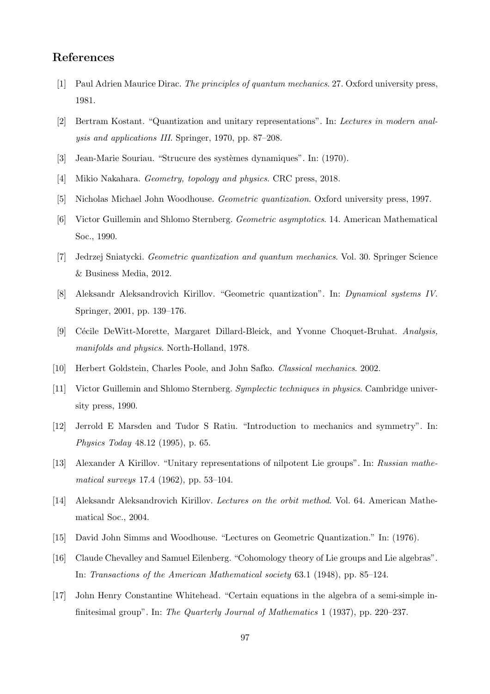# References

- [1] Paul Adrien Maurice Dirac. The principles of quantum mechanics. 27. Oxford university press, 1981.
- [2] Bertram Kostant. "Quantization and unitary representations". In: Lectures in modern analysis and applications III. Springer, 1970, pp. 87–208.
- [3] Jean-Marie Souriau. "Strucure des systèmes dynamiques". In: (1970).
- <span id="page-96-0"></span>[4] Mikio Nakahara. Geometry, topology and physics. CRC press, 2018.
- <span id="page-96-1"></span>[5] Nicholas Michael John Woodhouse. Geometric quantization. Oxford university press, 1997.
- [6] Victor Guillemin and Shlomo Sternberg. Geometric asymptotics. 14. American Mathematical Soc., 1990.
- [7] Jedrzej Sniatycki. Geometric quantization and quantum mechanics. Vol. 30. Springer Science & Business Media, 2012.
- [8] Aleksandr Aleksandrovich Kirillov. "Geometric quantization". In: Dynamical systems IV. Springer, 2001, pp. 139–176.
- [9] Cécile DeWitt-Morette, Margaret Dillard-Bleick, and Yvonne Choquet-Bruhat. Analysis, manifolds and physics. North-Holland, 1978.
- [10] Herbert Goldstein, Charles Poole, and John Safko. Classical mechanics. 2002.
- [11] Victor Guillemin and Shlomo Sternberg. Symplectic techniques in physics. Cambridge university press, 1990.
- [12] Jerrold E Marsden and Tudor S Ratiu. "Introduction to mechanics and symmetry". In: Physics Today 48.12 (1995), p. 65.
- [13] Alexander A Kirillov. "Unitary representations of nilpotent Lie groups". In: Russian mathematical surveys 17.4 (1962), pp. 53–104.
- [14] Aleksandr Aleksandrovich Kirillov. Lectures on the orbit method. Vol. 64. American Mathematical Soc., 2004.
- [15] David John Simms and Woodhouse. "Lectures on Geometric Quantization." In: (1976).
- [16] Claude Chevalley and Samuel Eilenberg. "Cohomology theory of Lie groups and Lie algebras". In: Transactions of the American Mathematical society 63.1 (1948), pp. 85–124.
- [17] John Henry Constantine Whitehead. "Certain equations in the algebra of a semi-simple infinitesimal group". In: The Quarterly Journal of Mathematics 1 (1937), pp. 220–237.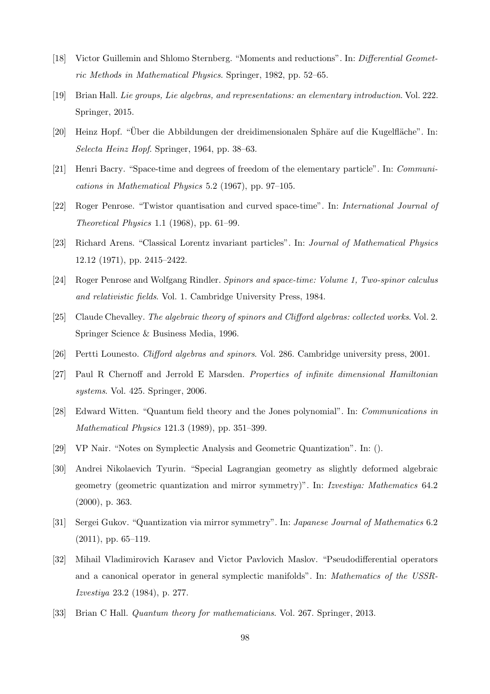- [18] Victor Guillemin and Shlomo Sternberg. "Moments and reductions". In: Differential Geometric Methods in Mathematical Physics. Springer, 1982, pp. 52–65.
- [19] Brian Hall. Lie groups, Lie algebras, and representations: an elementary introduction. Vol. 222. Springer, 2015.
- [20] Heinz Hopf. "Über die Abbildungen der dreidimensionalen Sphäre auf die Kugelfläche". In: Selecta Heinz Hopf. Springer, 1964, pp. 38–63.
- [21] Henri Bacry. "Space-time and degrees of freedom of the elementary particle". In: Communications in Mathematical Physics 5.2 (1967), pp. 97–105.
- [22] Roger Penrose. "Twistor quantisation and curved space-time". In: International Journal of Theoretical Physics 1.1 (1968), pp. 61–99.
- [23] Richard Arens. "Classical Lorentz invariant particles". In: Journal of Mathematical Physics 12.12 (1971), pp. 2415–2422.
- [24] Roger Penrose and Wolfgang Rindler. Spinors and space-time: Volume 1, Two-spinor calculus and relativistic fields. Vol. 1. Cambridge University Press, 1984.
- [25] Claude Chevalley. The algebraic theory of spinors and Clifford algebras: collected works. Vol. 2. Springer Science & Business Media, 1996.
- [26] Pertti Lounesto. Clifford algebras and spinors. Vol. 286. Cambridge university press, 2001.
- [27] Paul R Chernoff and Jerrold E Marsden. Properties of infinite dimensional Hamiltonian systems. Vol. 425. Springer, 2006.
- [28] Edward Witten. "Quantum field theory and the Jones polynomial". In: Communications in Mathematical Physics 121.3 (1989), pp. 351–399.
- <span id="page-97-0"></span>[29] VP Nair. "Notes on Symplectic Analysis and Geometric Quantization". In: ().
- [30] Andrei Nikolaevich Tyurin. "Special Lagrangian geometry as slightly deformed algebraic geometry (geometric quantization and mirror symmetry)". In: Izvestiya: Mathematics 64.2 (2000), p. 363.
- <span id="page-97-2"></span><span id="page-97-1"></span>[31] Sergei Gukov. "Quantization via mirror symmetry". In: Japanese Journal of Mathematics 6.2 (2011), pp. 65–119.
- [32] Mihail Vladimirovich Karasev and Victor Pavlovich Maslov. "Pseudodifferential operators and a canonical operator in general symplectic manifolds". In: Mathematics of the USSR-Izvestiya 23.2 (1984), p. 277.
- <span id="page-97-3"></span>[33] Brian C Hall. Quantum theory for mathematicians. Vol. 267. Springer, 2013.